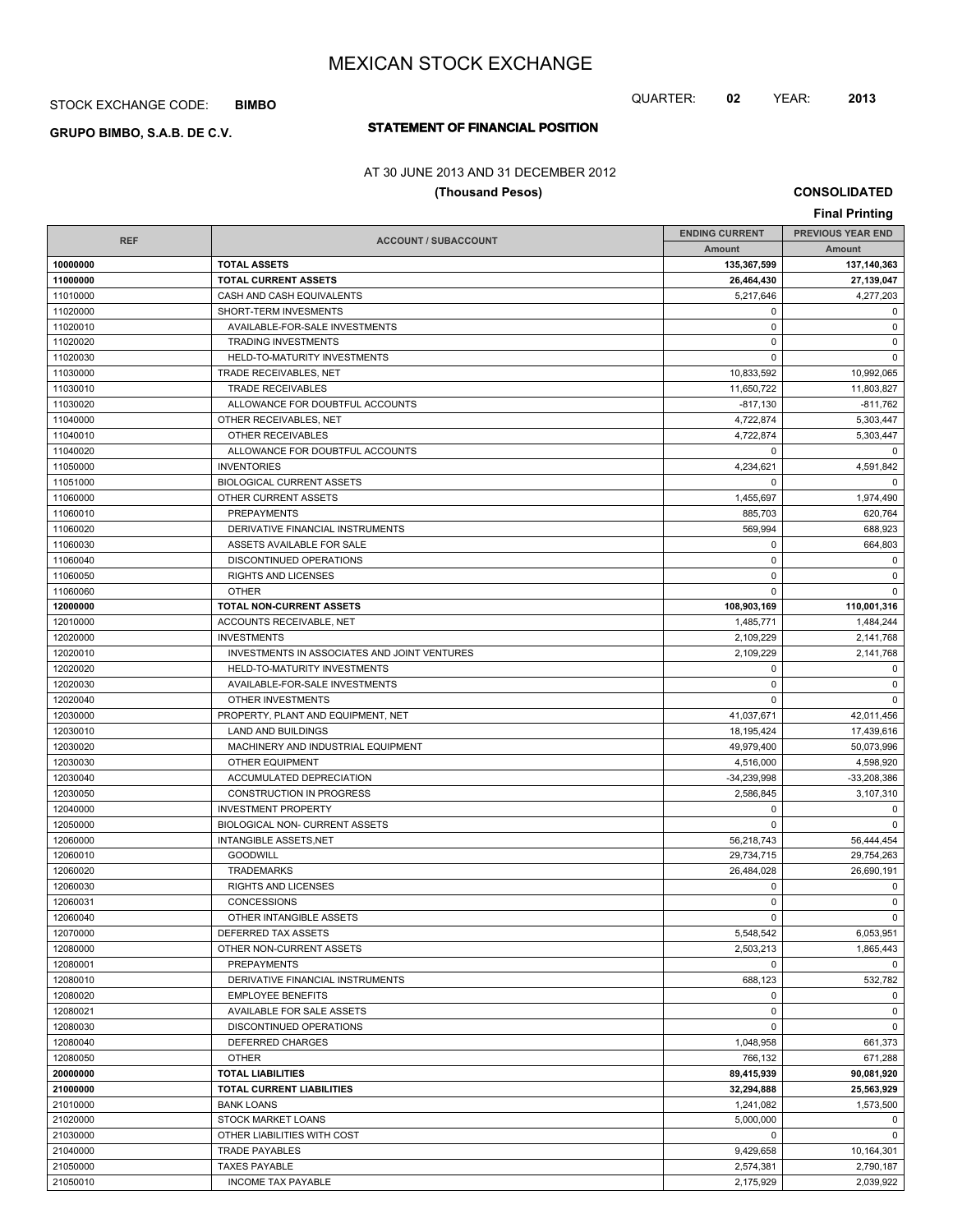STOCK EXCHANGE CODE: **BIMBO**

# **STATEMENT OF FINANCIAL POSITION GRUPO BIMBO, S.A.B. DE C.V.**

## AT 30 JUNE 2013 AND 31 DECEMBER 2012

## **(Thousand Pesos)**

**CONSOLIDATED**

QUARTER: **02** YEAR: **2013**

|            |                                              |                       | <b>Final Printing</b>    |
|------------|----------------------------------------------|-----------------------|--------------------------|
|            |                                              | <b>ENDING CURRENT</b> | <b>PREVIOUS YEAR END</b> |
| <b>REF</b> | <b>ACCOUNT / SUBACCOUNT</b>                  | Amount                | Amount                   |
| 10000000   | <b>TOTAL ASSETS</b>                          | 135,367,599           | 137,140,363              |
| 11000000   | <b>TOTAL CURRENT ASSETS</b>                  | 26,464,430            | 27,139,047               |
| 11010000   | CASH AND CASH EQUIVALENTS                    | 5.217.646             | 4,277,203                |
| 11020000   | SHORT-TERM INVESMENTS                        | 0                     | 0                        |
| 11020010   | AVAILABLE-FOR-SALE INVESTMENTS               | $\mathbf 0$           | 0                        |
| 11020020   | <b>TRADING INVESTMENTS</b>                   | $\mathbf 0$           | 0                        |
| 11020030   | HELD-TO-MATURITY INVESTMENTS                 | $\mathbf 0$           | $\mathbf 0$              |
| 11030000   | TRADE RECEIVABLES, NET                       | 10,833,592            | 10,992,065               |
| 11030010   | <b>TRADE RECEIVABLES</b>                     | 11,650,722            | 11,803,827               |
| 11030020   | ALLOWANCE FOR DOUBTFUL ACCOUNTS              | $-817,130$            | $-811.762$               |
| 11040000   | OTHER RECEIVABLES, NET                       | 4,722,874             | 5,303,447                |
| 11040010   | OTHER RECEIVABLES                            | 4,722,874             | 5,303,447                |
| 11040020   | ALLOWANCE FOR DOUBTFUL ACCOUNTS              | 0                     | $\mathbf 0$              |
| 11050000   | <b>INVENTORIES</b>                           | 4,234,621             | 4,591,842                |
| 11051000   | <b>BIOLOGICAL CURRENT ASSETS</b>             | $\mathbf 0$           | $\mathbf 0$              |
| 11060000   | OTHER CURRENT ASSETS                         | 1,455,697             | 1,974,490                |
| 11060010   | <b>PREPAYMENTS</b>                           | 885,703               | 620,764                  |
| 11060020   | DERIVATIVE FINANCIAL INSTRUMENTS             | 569,994               | 688,923                  |
| 11060030   | ASSETS AVAILABLE FOR SALE                    | 0                     | 664,803                  |
| 11060040   | DISCONTINUED OPERATIONS                      | $\mathbf 0$           | 0                        |
| 11060050   | <b>RIGHTS AND LICENSES</b>                   | $\mathbf 0$           | 0                        |
| 11060060   | <b>OTHER</b>                                 | 0                     | $\mathbf 0$              |
| 12000000   | TOTAL NON-CURRENT ASSETS                     | 108,903,169           | 110,001,316              |
| 12010000   | ACCOUNTS RECEIVABLE, NET                     | 1,485,771             | 1,484,244                |
| 12020000   | <b>INVESTMENTS</b>                           | 2,109,229             | 2,141,768                |
| 12020010   | INVESTMENTS IN ASSOCIATES AND JOINT VENTURES | 2,109,229             | 2,141,768                |
| 12020020   | HELD-TO-MATURITY INVESTMENTS                 | 0                     | 0                        |
| 12020030   | AVAILABLE-FOR-SALE INVESTMENTS               | $\mathbf 0$           | $\mathbf 0$              |
| 12020040   | OTHER INVESTMENTS                            | 0                     | $\mathbf 0$              |
| 12030000   | PROPERTY, PLANT AND EQUIPMENT, NET           | 41,037,671            | 42,011,456               |
| 12030010   | <b>LAND AND BUILDINGS</b>                    | 18,195,424            | 17,439,616               |
| 12030020   | MACHINERY AND INDUSTRIAL EQUIPMENT           | 49,979,400            | 50,073,996               |
| 12030030   | <b>OTHER EQUIPMENT</b>                       | 4,516,000             | 4,598,920                |
| 12030040   | ACCUMULATED DEPRECIATION                     | $-34,239,998$         | -33,208,386              |
| 12030050   | CONSTRUCTION IN PROGRESS                     | 2,586,845             | 3,107,310                |
| 12040000   | <b>INVESTMENT PROPERTY</b>                   | $\mathbf 0$           | 0                        |
| 12050000   | <b>BIOLOGICAL NON- CURRENT ASSETS</b>        | 0                     | $\mathbf 0$              |
| 12060000   | <b>INTANGIBLE ASSETS, NET</b>                | 56,218,743            | 56,444,454               |
| 12060010   | <b>GOODWILL</b>                              | 29,734,715            | 29,754,263               |
| 12060020   | <b>TRADEMARKS</b>                            | 26,484,028            | 26.690.191               |
| 12060030   | RIGHTS AND LICENSES                          | $\mathbf 0$           | 0                        |
| 12060031   | CONCESSIONS                                  | 0                     | 0                        |
| 12060040   | OTHER INTANGIBLE ASSETS                      | $\mathbf 0$           | $\mathbf 0$              |
| 12070000   | DEFERRED TAX ASSETS                          | 5,548,542             | 6,053,951                |
| 12080000   | OTHER NON-CURRENT ASSETS                     | 2,503,213             | 1,865,443                |
| 12080001   | <b>PREPAYMENTS</b>                           | 0                     | 0                        |
| 12080010   | DERIVATIVE FINANCIAL INSTRUMENTS             | 688,123               | 532,782                  |
| 12080020   | <b>EMPLOYEE BENEFITS</b>                     | 0                     | 0                        |
| 12080021   | AVAILABLE FOR SALE ASSETS                    | 0                     | 0                        |
| 12080030   | DISCONTINUED OPERATIONS                      | 0                     | 0                        |
| 12080040   | DEFERRED CHARGES                             | 1,048,958             | 661,373                  |
| 12080050   | <b>OTHER</b>                                 | 766,132               | 671.288                  |
| 20000000   | <b>TOTAL LIABILITIES</b>                     | 89,415,939            | 90,081,920               |
| 21000000   | TOTAL CURRENT LIABILITIES                    | 32,294,888            | 25,563,929               |
| 21010000   | <b>BANK LOANS</b>                            | 1,241,082             | 1,573,500                |
| 21020000   | STOCK MARKET LOANS                           | 5,000,000             | 0                        |
| 21030000   | OTHER LIABILITIES WITH COST                  | 0                     | 0                        |
| 21040000   | <b>TRADE PAYABLES</b>                        | 9,429,658             | 10,164,301               |
| 21050000   | <b>TAXES PAYABLE</b>                         | 2,574,381             | 2,790,187                |
| 21050010   | INCOME TAX PAYABLE                           | 2,175,929             | 2,039,922                |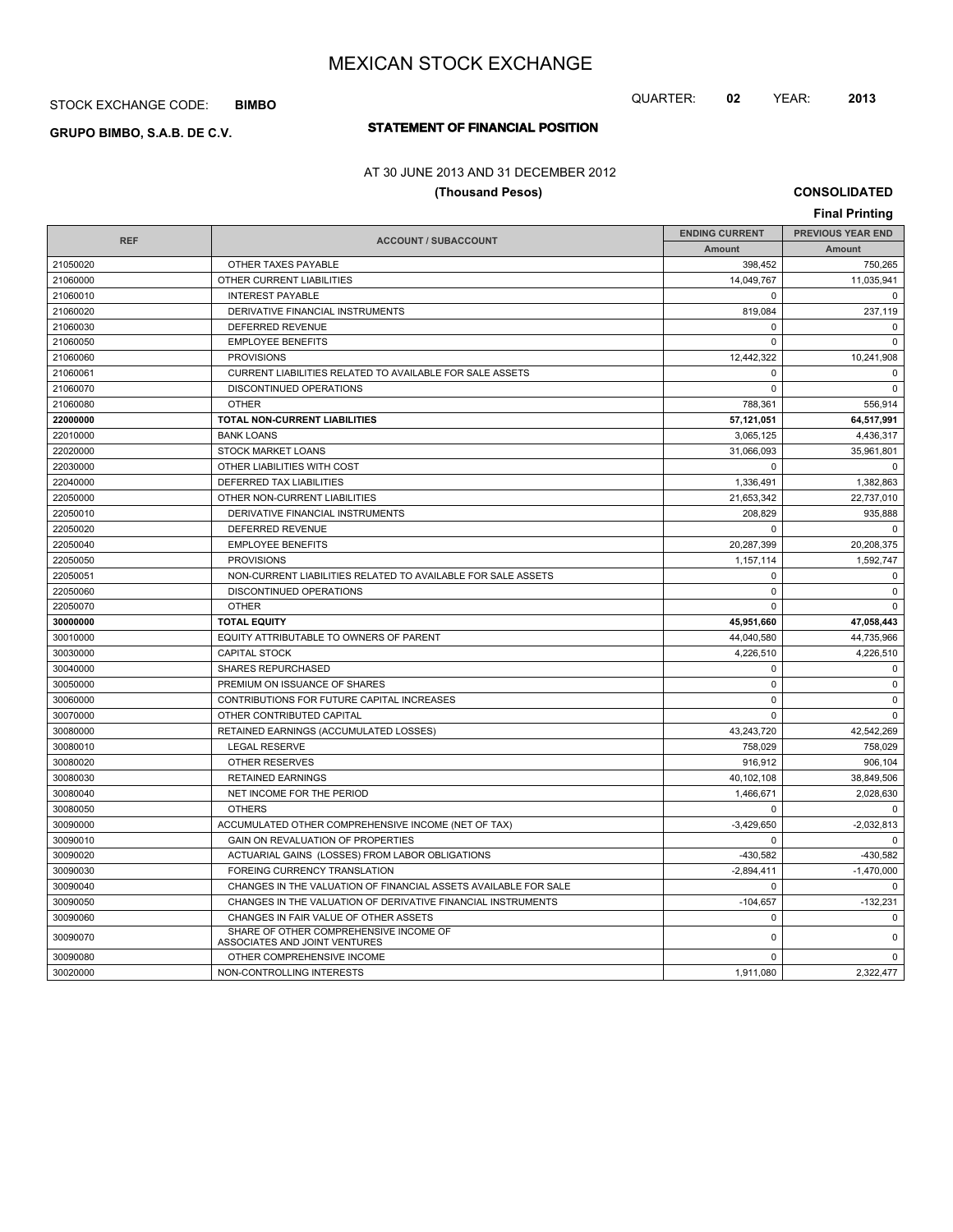STOCK EXCHANGE CODE: **BIMBO**

# **STATEMENT OF FINANCIAL POSITION GRUPO BIMBO, S.A.B. DE C.V.**

# QUARTER: **02** YEAR: **2013**

# AT 30 JUNE 2013 AND 31 DECEMBER 2012

## **(Thousand Pesos)**

**CONSOLIDATED**

|            |                                                                 |                       | <b>Final Printing</b>    |  |
|------------|-----------------------------------------------------------------|-----------------------|--------------------------|--|
| <b>REF</b> | <b>ACCOUNT / SUBACCOUNT</b>                                     | <b>ENDING CURRENT</b> | <b>PREVIOUS YEAR END</b> |  |
|            |                                                                 | Amount                | Amount                   |  |
| 21050020   | OTHER TAXES PAYABLE                                             | 398,452               | 750,265                  |  |
| 21060000   | OTHER CURRENT LIABILITIES                                       | 14,049,767            | 11,035,941               |  |
| 21060010   | <b>INTEREST PAYABLE</b>                                         | $\Omega$              | $\Omega$                 |  |
| 21060020   | DERIVATIVE FINANCIAL INSTRUMENTS                                | 819.084               | 237,119                  |  |
| 21060030   | DEFERRED REVENUE                                                | $\mathbf 0$           | $\Omega$                 |  |
| 21060050   | <b>EMPLOYEE BENEFITS</b>                                        | $\Omega$              | $\Omega$                 |  |
| 21060060   | <b>PROVISIONS</b>                                               | 12,442,322            | 10,241,908               |  |
| 21060061   | CURRENT LIABILITIES RELATED TO AVAILABLE FOR SALE ASSETS        | $\Omega$              | 0                        |  |
| 21060070   | DISCONTINUED OPERATIONS                                         | $\mathbf 0$           | $\mathbf 0$              |  |
| 21060080   | <b>OTHER</b>                                                    | 788.361               | 556.914                  |  |
| 22000000   | TOTAL NON-CURRENT LIABILITIES                                   | 57,121,051            | 64,517,991               |  |
| 22010000   | <b>BANK LOANS</b>                                               | 3,065,125             | 4,436,317                |  |
| 22020000   | <b>STOCK MARKET LOANS</b>                                       | 31.066.093            | 35.961.801               |  |
| 22030000   | OTHER LIABILITIES WITH COST                                     | $\Omega$              | $\Omega$                 |  |
| 22040000   | DEFERRED TAX LIABILITIES                                        | 1,336,491             | 1,382,863                |  |
| 22050000   | OTHER NON-CURRENT LIABILITIES                                   | 21.653.342            | 22.737.010               |  |
| 22050010   | DERIVATIVE FINANCIAL INSTRUMENTS                                | 208.829               | 935,888                  |  |
| 22050020   | <b>DEFERRED REVENUE</b>                                         | $\Omega$              | $\Omega$                 |  |
| 22050040   | <b>EMPLOYEE BENEFITS</b>                                        | 20,287,399            | 20,208,375               |  |
| 22050050   | <b>PROVISIONS</b>                                               | 1,157,114             | 1.592.747                |  |
| 22050051   | NON-CURRENT LIABILITIES RELATED TO AVAILABLE FOR SALE ASSETS    | $\mathbf 0$           | 0                        |  |
| 22050060   | DISCONTINUED OPERATIONS                                         | $\mathbf 0$           | $\mathbf 0$              |  |
| 22050070   | <b>OTHER</b>                                                    | $\Omega$              | $\Omega$                 |  |
| 30000000   | <b>TOTAL EQUITY</b>                                             | 45.951.660            | 47.058.443               |  |
| 30010000   | EQUITY ATTRIBUTABLE TO OWNERS OF PARENT                         | 44,040,580            | 44,735,966               |  |
| 30030000   | <b>CAPITAL STOCK</b>                                            | 4.226.510             | 4.226.510                |  |
| 30040000   | <b>SHARES REPURCHASED</b>                                       | $\mathbf 0$           | $\mathbf 0$              |  |
| 30050000   | PREMIUM ON ISSUANCE OF SHARES                                   | $\mathbf 0$           | $\mathbf 0$              |  |
| 30060000   | CONTRIBUTIONS FOR FUTURE CAPITAL INCREASES                      | $\Omega$              | $\Omega$                 |  |
| 30070000   | OTHER CONTRIBUTED CAPITAL                                       | $\Omega$              | $\Omega$                 |  |
| 30080000   | RETAINED EARNINGS (ACCUMULATED LOSSES)                          | 43,243,720            | 42,542,269               |  |
| 30080010   | <b>LEGAL RESERVE</b>                                            | 758,029               | 758,029                  |  |
| 30080020   | <b>OTHER RESERVES</b>                                           | 916.912               | 906.104                  |  |
| 30080030   | <b>RETAINED EARNINGS</b>                                        | 40,102,108            | 38,849,506               |  |
| 30080040   | NET INCOME FOR THE PERIOD                                       | 1,466,671             | 2,028,630                |  |
| 30080050   | <b>OTHERS</b>                                                   | $\Omega$              | $\Omega$                 |  |
| 30090000   | ACCUMULATED OTHER COMPREHENSIVE INCOME (NET OF TAX)             | $-3,429,650$          | $-2,032,813$             |  |
| 30090010   | GAIN ON REVALUATION OF PROPERTIES                               | $\mathbf 0$           | $\Omega$                 |  |
| 30090020   | ACTUARIAL GAINS (LOSSES) FROM LABOR OBLIGATIONS                 | $-430,582$            | $-430,582$               |  |
| 30090030   | FOREING CURRENCY TRANSLATION                                    | $-2,894,411$          | $-1,470,000$             |  |
| 30090040   | CHANGES IN THE VALUATION OF FINANCIAL ASSETS AVAILABLE FOR SALE | $\mathbf 0$           | $\mathbf 0$              |  |
| 30090050   | CHANGES IN THE VALUATION OF DERIVATIVE FINANCIAL INSTRUMENTS    | $-104,657$            | $-132,231$               |  |
| 30090060   | CHANGES IN FAIR VALUE OF OTHER ASSETS                           | $\mathbf 0$           | $\mathbf 0$              |  |
|            | SHARE OF OTHER COMPREHENSIVE INCOME OF                          |                       |                          |  |
| 30090070   | ASSOCIATES AND JOINT VENTURES                                   | $\pmb{0}$             | $\pmb{0}$                |  |
| 30090080   | OTHER COMPREHENSIVE INCOME                                      | 0                     | $\mathbf 0$              |  |
| 30020000   | NON-CONTROLLING INTERESTS                                       | 1,911,080             | 2,322,477                |  |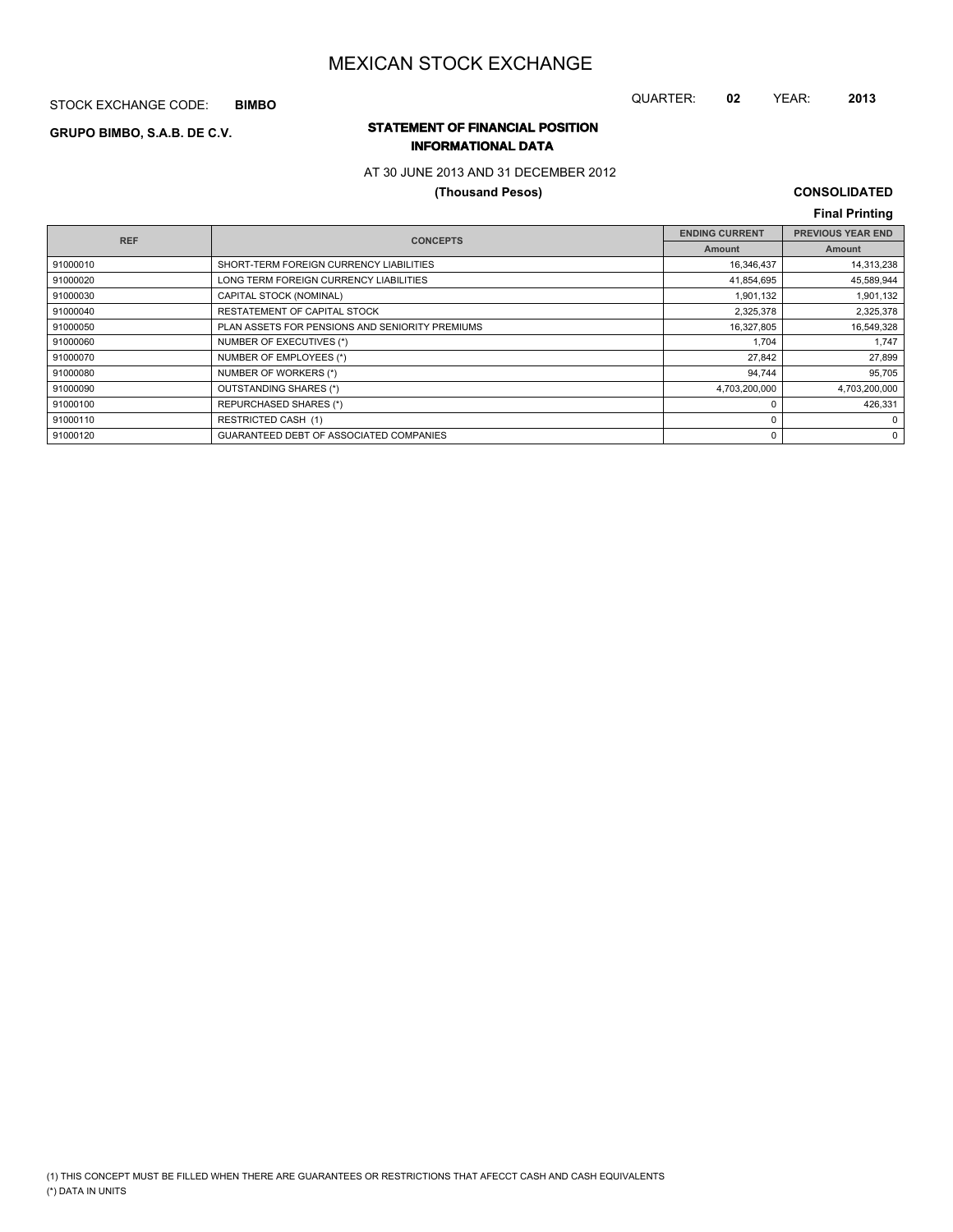STOCK EXCHANGE CODE: **BIMBO**

## QUARTER: **02** YEAR: **2013**

## **STATEMENT OF FINANCIAL POSITION GRUPO BIMBO, S.A.B. DE C.V. INFORMATIONAL DATA**

## AT 30 JUNE 2013 AND 31 DECEMBER 2012

## **(Thousand Pesos)**

# **CONSOLIDATED**

|            |                                                 |                       | <b>Final Printing</b>    |
|------------|-------------------------------------------------|-----------------------|--------------------------|
| <b>REF</b> | <b>CONCEPTS</b>                                 | <b>ENDING CURRENT</b> | <b>PREVIOUS YEAR END</b> |
|            |                                                 | Amount                | Amount                   |
| 91000010   | SHORT-TERM FOREIGN CURRENCY LIABILITIES         | 16,346,437            | 14,313,238               |
| 91000020   | LONG TERM FOREIGN CURRENCY LIABILITIES          | 41,854,695            | 45,589,944               |
| 91000030   | CAPITAL STOCK (NOMINAL)                         | 1,901,132             | 1,901,132                |
| 91000040   | RESTATEMENT OF CAPITAL STOCK                    | 2,325,378             | 2,325,378                |
| 91000050   | PLAN ASSETS FOR PENSIONS AND SENIORITY PREMIUMS | 16,327,805            | 16,549,328               |
| 91000060   | NUMBER OF EXECUTIVES (*)                        | 1.704                 | 1,747                    |
| 91000070   | NUMBER OF EMPLOYEES (*)                         | 27.842                | 27,899                   |
| 91000080   | NUMBER OF WORKERS (*)                           | 94,744                | 95,705                   |
| 91000090   | OUTSTANDING SHARES (*)                          | 4,703,200,000         | 4,703,200,000            |
| 91000100   | REPURCHASED SHARES (*)                          | $\Omega$              | 426,331                  |
| 91000110   | <b>RESTRICTED CASH (1)</b>                      | 0                     | 0                        |
| 91000120   | GUARANTEED DEBT OF ASSOCIATED COMPANIES         | 0                     | $\mathbf{0}$             |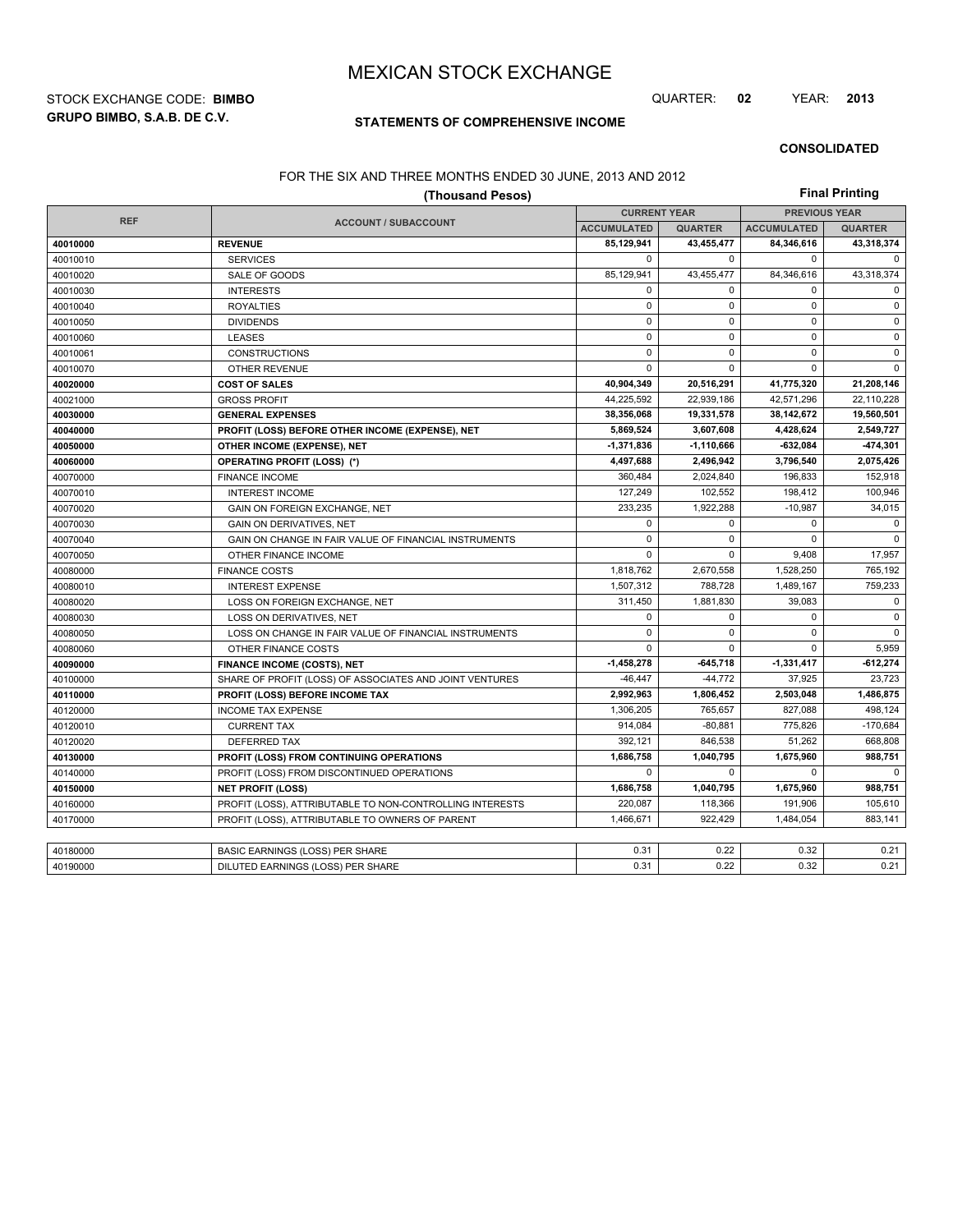**GRUPO BIMBO, S.A.B. DE C.V.** STOCK EXCHANGE CODE: **BIMBO** QUARTER: **02** YEAR: **2013**

## **STATEMENTS OF COMPREHENSIVE INCOME**

#### **CONSOLIDATED**

#### FOR THE SIX AND THREE MONTHS ENDED 30 JUNE, 2013 AND 2012

|            | (Thousand Pesos)                                         |                     |                |                      | <b>Final Printing</b> |  |
|------------|----------------------------------------------------------|---------------------|----------------|----------------------|-----------------------|--|
|            | <b>ACCOUNT / SUBACCOUNT</b>                              | <b>CURRENT YEAR</b> |                | <b>PREVIOUS YEAR</b> |                       |  |
| <b>REF</b> |                                                          | <b>ACCUMULATED</b>  | <b>QUARTER</b> | <b>ACCUMULATED</b>   | <b>QUARTER</b>        |  |
| 40010000   | <b>REVENUE</b>                                           | 85,129,941          | 43,455,477     | 84,346,616           | 43,318,374            |  |
| 40010010   | <b>SERVICES</b>                                          | 0                   | $\mathbf 0$    | 0                    | $\mathbf 0$           |  |
| 40010020   | SALE OF GOODS                                            | 85,129,941          | 43,455,477     | 84,346,616           | 43,318,374            |  |
| 40010030   | <b>INTERESTS</b>                                         | $\mathbf 0$         | $\mathbf 0$    | 0                    | $\mathbf 0$           |  |
| 40010040   | <b>ROYALTIES</b>                                         | $\mathbf 0$         | $\mathbf 0$    | 0                    | $\Omega$              |  |
| 40010050   | <b>DIVIDENDS</b>                                         | $\mathbf 0$         | $\mathbf 0$    | 0                    | $\mathbf 0$           |  |
| 40010060   | <b>LEASES</b>                                            | $\mathbf 0$         | $\mathbf 0$    | $\mathbf 0$          | $\mathbf 0$           |  |
| 40010061   | <b>CONSTRUCTIONS</b>                                     | $\pmb{0}$           | $\mathbf 0$    | $\mathbf 0$          | $\mathsf 0$           |  |
| 40010070   | <b>OTHER REVENUE</b>                                     | 0                   | $\mathbf 0$    | 0                    | $\mathbf 0$           |  |
| 40020000   | <b>COST OF SALES</b>                                     | 40,904,349          | 20,516,291     | 41,775,320           | 21,208,146            |  |
| 40021000   | <b>GROSS PROFIT</b>                                      | 44,225,592          | 22,939,186     | 42,571,296           | 22,110,228            |  |
| 40030000   | <b>GENERAL EXPENSES</b>                                  | 38,356,068          | 19,331,578     | 38,142,672           | 19,560,501            |  |
| 40040000   | PROFIT (LOSS) BEFORE OTHER INCOME (EXPENSE), NET         | 5,869,524           | 3,607,608      | 4,428,624            | 2,549,727             |  |
| 40050000   | OTHER INCOME (EXPENSE), NET                              | -1,371,836          | $-1,110,666$   | -632,084             | 474,301               |  |
| 40060000   | <b>OPERATING PROFIT (LOSS) (*)</b>                       | 4,497,688           | 2,496,942      | 3,796,540            | 2,075,426             |  |
| 40070000   | <b>FINANCE INCOME</b>                                    | 360,484             | 2,024,840      | 196,833              | 152,918               |  |
| 40070010   | <b>INTEREST INCOME</b>                                   | 127,249             | 102,552        | 198,412              | 100,946               |  |
| 40070020   | GAIN ON FOREIGN EXCHANGE, NET                            | 233,235             | 1,922,288      | $-10,987$            | 34,015                |  |
| 40070030   | <b>GAIN ON DERIVATIVES. NET</b>                          | 0                   | 0              | 0                    | 0                     |  |
| 40070040   | GAIN ON CHANGE IN FAIR VALUE OF FINANCIAL INSTRUMENTS    | $\mathbf 0$         | $\mathbf 0$    | $\Omega$             | $\Omega$              |  |
| 40070050   | OTHER FINANCE INCOME                                     | 0                   | $\mathbf 0$    | 9,408                | 17,957                |  |
| 40080000   | <b>FINANCE COSTS</b>                                     | 1,818,762           | 2,670,558      | 1,528,250            | 765,192               |  |
| 40080010   | <b>INTEREST EXPENSE</b>                                  | 1,507,312           | 788,728        | 1,489,167            | 759,233               |  |
| 40080020   | LOSS ON FOREIGN EXCHANGE, NET                            | 311,450             | 1,881,830      | 39,083               | $\mathbf 0$           |  |
| 40080030   | LOSS ON DERIVATIVES, NET                                 | 0                   | 0              | 0                    | $\mathsf 0$           |  |
| 40080050   | LOSS ON CHANGE IN FAIR VALUE OF FINANCIAL INSTRUMENTS    | 0                   | $\mathbf 0$    | 0                    | $\mathbf 0$           |  |
| 40080060   | OTHER FINANCE COSTS                                      | $\mathbf 0$         | $\Omega$       | 0                    | 5,959                 |  |
| 40090000   | <b>FINANCE INCOME (COSTS), NET</b>                       | $-1,458,278$        | $-645,718$     | $-1,331,417$         | $-612,274$            |  |
| 40100000   | SHARE OF PROFIT (LOSS) OF ASSOCIATES AND JOINT VENTURES  | $-46.447$           | $-44,772$      | 37,925               | 23.723                |  |
| 40110000   | PROFIT (LOSS) BEFORE INCOME TAX                          | 2,992,963           | 1,806,452      | 2,503,048            | 1,486,875             |  |
| 40120000   | <b>INCOME TAX EXPENSE</b>                                | 1,306,205           | 765,657        | 827,088              | 498,124               |  |
| 40120010   | <b>CURRENT TAX</b>                                       | 914,084             | $-80,881$      | 775,826              | $-170,684$            |  |
| 40120020   | <b>DEFERRED TAX</b>                                      | 392,121             | 846,538        | 51,262               | 668,808               |  |
| 40130000   | PROFIT (LOSS) FROM CONTINUING OPERATIONS                 | 1,686,758           | 1,040,795      | 1,675,960            | 988,751               |  |
| 40140000   | PROFIT (LOSS) FROM DISCONTINUED OPERATIONS               | $\mathbf 0$         | $\mathbf 0$    | 0                    | $\Omega$              |  |
| 40150000   | <b>NET PROFIT (LOSS)</b>                                 | 1,686,758           | 1,040,795      | 1,675,960            | 988,751               |  |
| 40160000   | PROFIT (LOSS), ATTRIBUTABLE TO NON-CONTROLLING INTERESTS | 220,087             | 118,366        | 191,906              | 105,610               |  |
| 40170000   | PROFIT (LOSS), ATTRIBUTABLE TO OWNERS OF PARENT          | 1,466,671           | 922,429        | 1,484,054            | 883,141               |  |
|            |                                                          |                     |                |                      |                       |  |
| 40180000   | BASIC EARNINGS (LOSS) PER SHARE                          | 0.31                | 0.22           | 0.32                 | 0.21                  |  |
| 40190000   | DILUTED EARNINGS (LOSS) PER SHARE                        | 0.31                | 0.22           | 0.32                 | 0.21                  |  |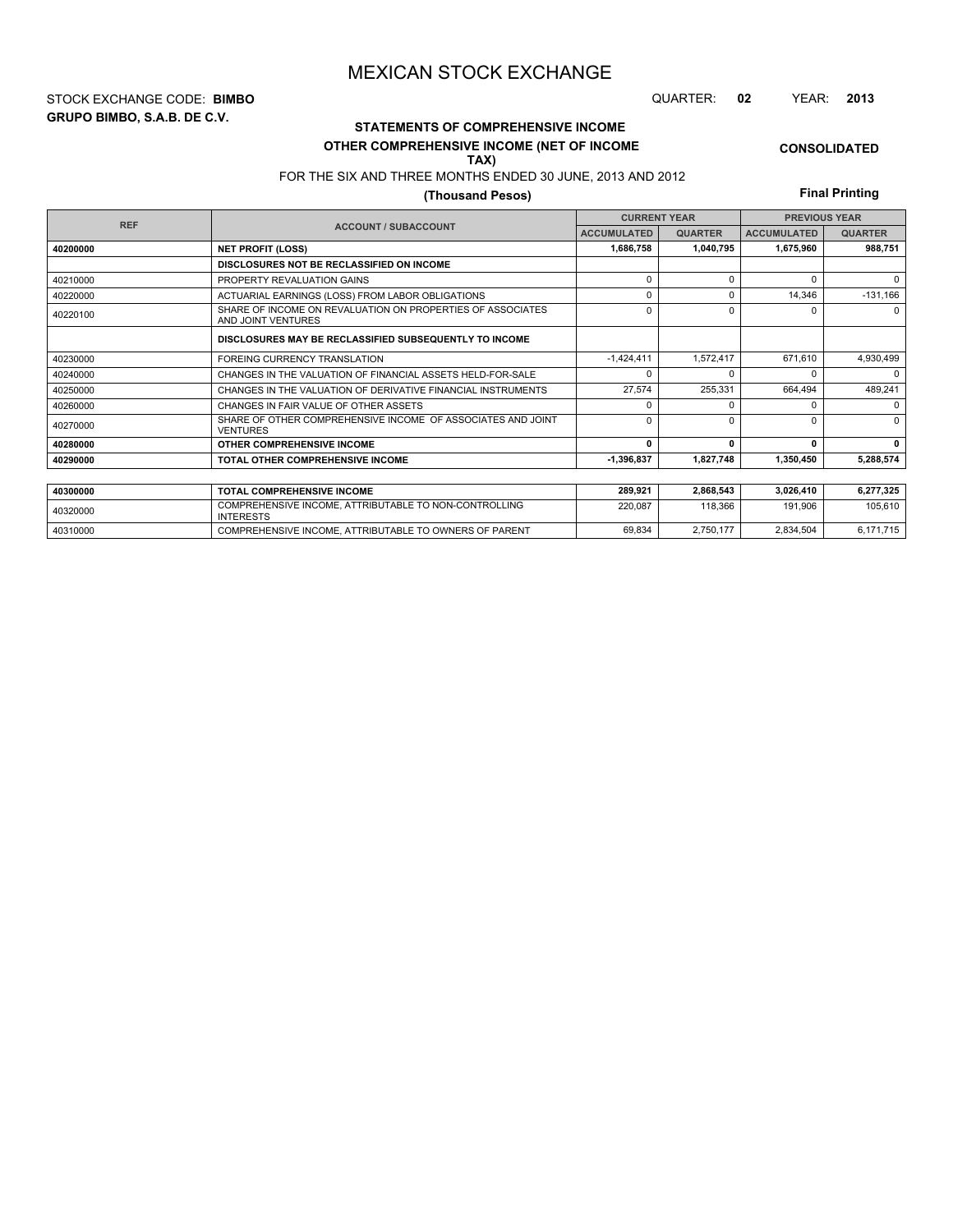**GRUPO BIMBO, S.A.B. DE C.V.** STOCK EXCHANGE CODE: **BIMBO** QUARTER: **02** YEAR: **2013**

# **STATEMENTS OF COMPREHENSIVE INCOME**

#### **OTHER COMPREHENSIVE INCOME (NET OF INCOME TAX)**

## FOR THE SIX AND THREE MONTHS ENDED 30 JUNE, 2013 AND 2012

## **(Thousand Pesos)**

**Final Printing**

**CONSOLIDATED**

|            |                                                                                  |              | <b>CURRENT YEAR</b> | <b>PREVIOUS YEAR</b> |                |  |
|------------|----------------------------------------------------------------------------------|--------------|---------------------|----------------------|----------------|--|
| <b>REF</b> | <b>ACCOUNT / SUBACCOUNT</b><br><b>ACCUMULATED</b>                                |              | <b>QUARTER</b>      | <b>ACCUMULATED</b>   | <b>QUARTER</b> |  |
| 40200000   | <b>NET PROFIT (LOSS)</b>                                                         | 1,686,758    | 1,040,795           | 1,675,960            | 988,751        |  |
|            | DISCLOSURES NOT BE RECLASSIFIED ON INCOME                                        |              |                     |                      |                |  |
| 40210000   | PROPERTY REVALUATION GAINS                                                       | $\Omega$     | $\Omega$            | $\Omega$             | $\Omega$       |  |
| 40220000   | ACTUARIAL EARNINGS (LOSS) FROM LABOR OBLIGATIONS                                 | $\Omega$     | $\Omega$            | 14,346               | $-131,166$     |  |
| 40220100   | SHARE OF INCOME ON REVALUATION ON PROPERTIES OF ASSOCIATES<br>AND JOINT VENTURES | $\Omega$     | $\Omega$            | U                    | $\Omega$       |  |
|            | DISCLOSURES MAY BE RECLASSIFIED SUBSEQUENTLY TO INCOME                           |              |                     |                      |                |  |
| 40230000   | <b>FOREING CURRENCY TRANSLATION</b>                                              | $-1,424,411$ | 1,572,417           | 671,610              | 4,930,499      |  |
| 40240000   | CHANGES IN THE VALUATION OF FINANCIAL ASSETS HELD-FOR-SALE                       | $\Omega$     |                     |                      | $\Omega$       |  |
| 40250000   | CHANGES IN THE VALUATION OF DERIVATIVE FINANCIAL INSTRUMENTS                     | 27,574       | 255,331             | 664.494              | 489,241        |  |
| 40260000   | CHANGES IN FAIR VALUE OF OTHER ASSETS                                            | $\Omega$     | 0                   | U                    | $\Omega$       |  |
| 40270000   | SHARE OF OTHER COMPREHENSIVE INCOME OF ASSOCIATES AND JOINT<br><b>VENTURES</b>   | $\Omega$     | $\Omega$            | U                    | $\Omega$       |  |
| 40280000   | OTHER COMPREHENSIVE INCOME                                                       | 0            |                     | 0                    | 0              |  |
| 40290000   | TOTAL OTHER COMPREHENSIVE INCOME                                                 | $-1,396,837$ | 1,827,748           | 1,350,450            | 5,288,574      |  |
|            |                                                                                  |              |                     |                      |                |  |
| 40300000   | <b>TOTAL COMPREHENSIVE INCOME</b>                                                | 289,921      | 2,868,543           | 3,026,410            | 6,277,325      |  |
| 40320000   | COMPREHENSIVE INCOME, ATTRIBUTABLE TO NON-CONTROLLING<br><b>INTERESTS</b>        | 220,087      | 118,366             | 191,906              | 105,610        |  |

40310000 COMPREHENSIVE INCOME, ATTRIBUTABLE TO OWNERS OF PARENT 69,834 2,750,177 2,834,504 6,171,715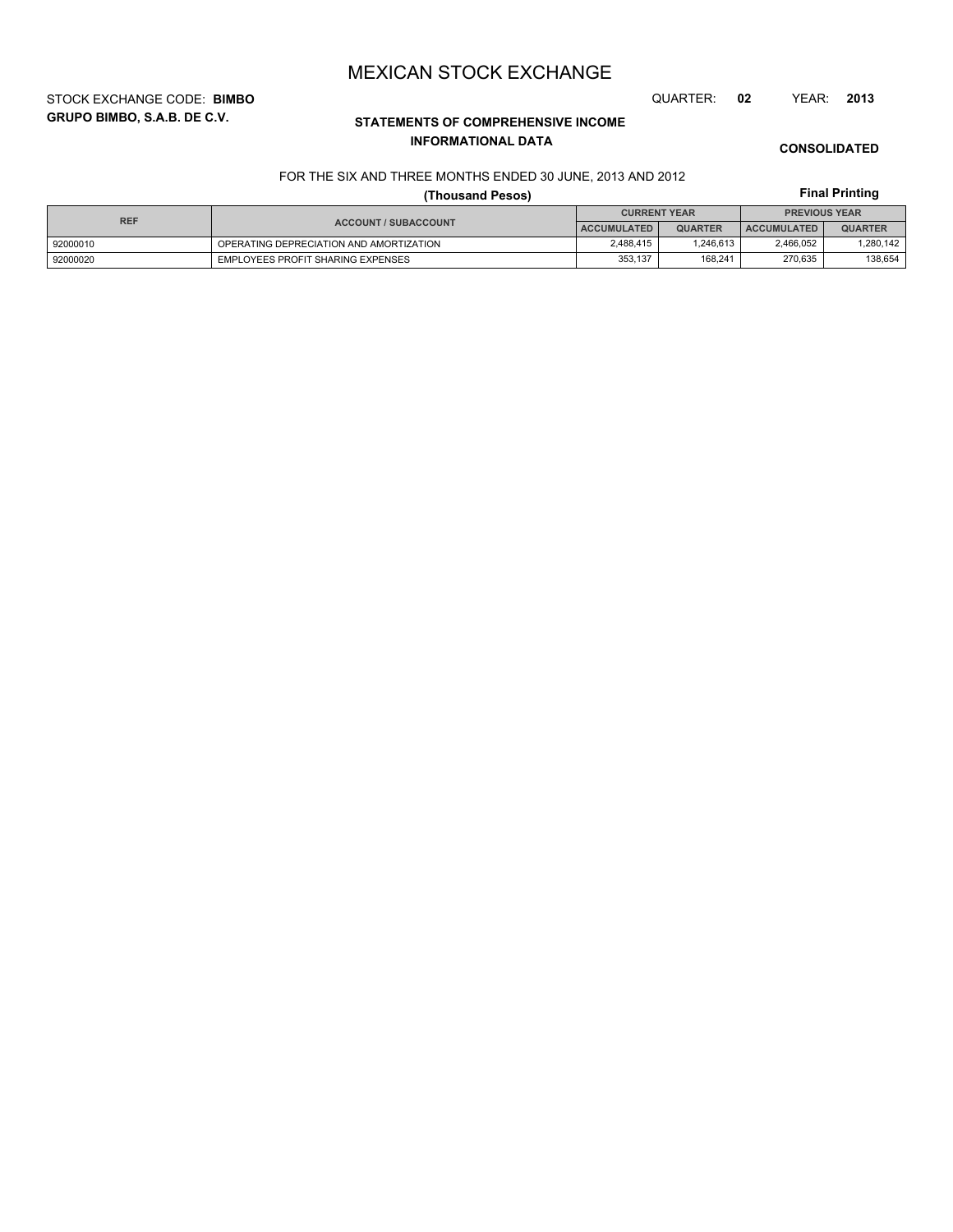STOCK EXCHANGE CODE: **BIMBO** QUARTER: **02** YEAR: **2013**

**GRUPO BIMBO, S.A.B. DE C.V.**

# **STATEMENTS OF COMPREHENSIVE INCOME INFORMATIONAL DATA**

**CONSOLIDATED**

**Final Printing**

## FOR THE SIX AND THREE MONTHS ENDED 30 JUNE, 2013 AND 2012

# **(Thousand Pesos)**

| <b>REF</b> |                                         | <b>CURRENT YEAR</b> |                | <b>PREVIOUS YEAR</b> |                |  |
|------------|-----------------------------------------|---------------------|----------------|----------------------|----------------|--|
|            | <b>ACCOUNT / SUBACCOUNT</b>             | <b>ACCUMULATED</b>  | <b>QUARTER</b> | <b>ACCUMULATED</b>   | <b>QUARTER</b> |  |
| 92000010   | OPERATING DEPRECIATION AND AMORTIZATION | 2.488.415           | 1.246.613      | 2,466,052            | 1,280,142      |  |
| 92000020   | EMPLOYEES PROFIT SHARING EXPENSES       | 353.137             | 168.241        | 270.635              | 138.654        |  |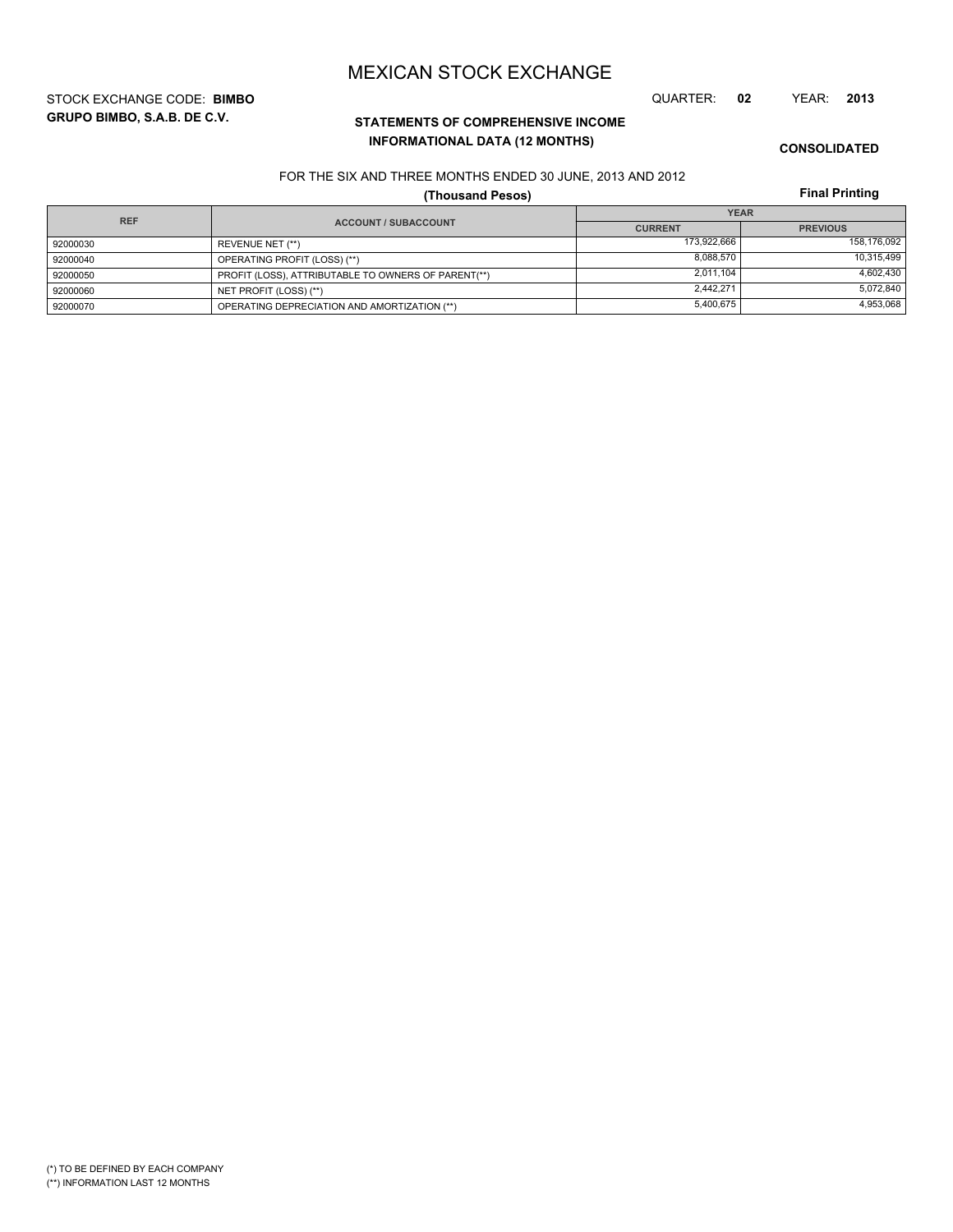**GRUPO BIMBO, S.A.B. DE C.V.** STOCK EXCHANGE CODE: **BIMBO** QUARTER: **02** YEAR: **2013**

# **STATEMENTS OF COMPREHENSIVE INCOME INFORMATIONAL DATA (12 MONTHS)**

**CONSOLIDATED**

### FOR THE SIX AND THREE MONTHS ENDED 30 JUNE, 2013 AND 2012

**(Thousand Pesos)**

**Final Printing**

| <b>REF</b> |                                                     | <b>YEAR</b>    |                 |  |  |
|------------|-----------------------------------------------------|----------------|-----------------|--|--|
|            | <b>ACCOUNT / SUBACCOUNT</b>                         | <b>CURRENT</b> | <b>PREVIOUS</b> |  |  |
| 92000030   | REVENUE NET (**)                                    | 173.922.666    | 158.176.092     |  |  |
| 92000040   | OPERATING PROFIT (LOSS) (**)                        | 8.088.570      | 10,315,499      |  |  |
| 92000050   | PROFIT (LOSS), ATTRIBUTABLE TO OWNERS OF PARENT(**) | 2.011.104      | 4.602.430       |  |  |
| 92000060   | NET PROFIT (LOSS) (**)                              | 2.442.271      | 5,072,840       |  |  |
| 92000070   | OPERATING DEPRECIATION AND AMORTIZATION (**)        | 5,400,675      | 4,953,068       |  |  |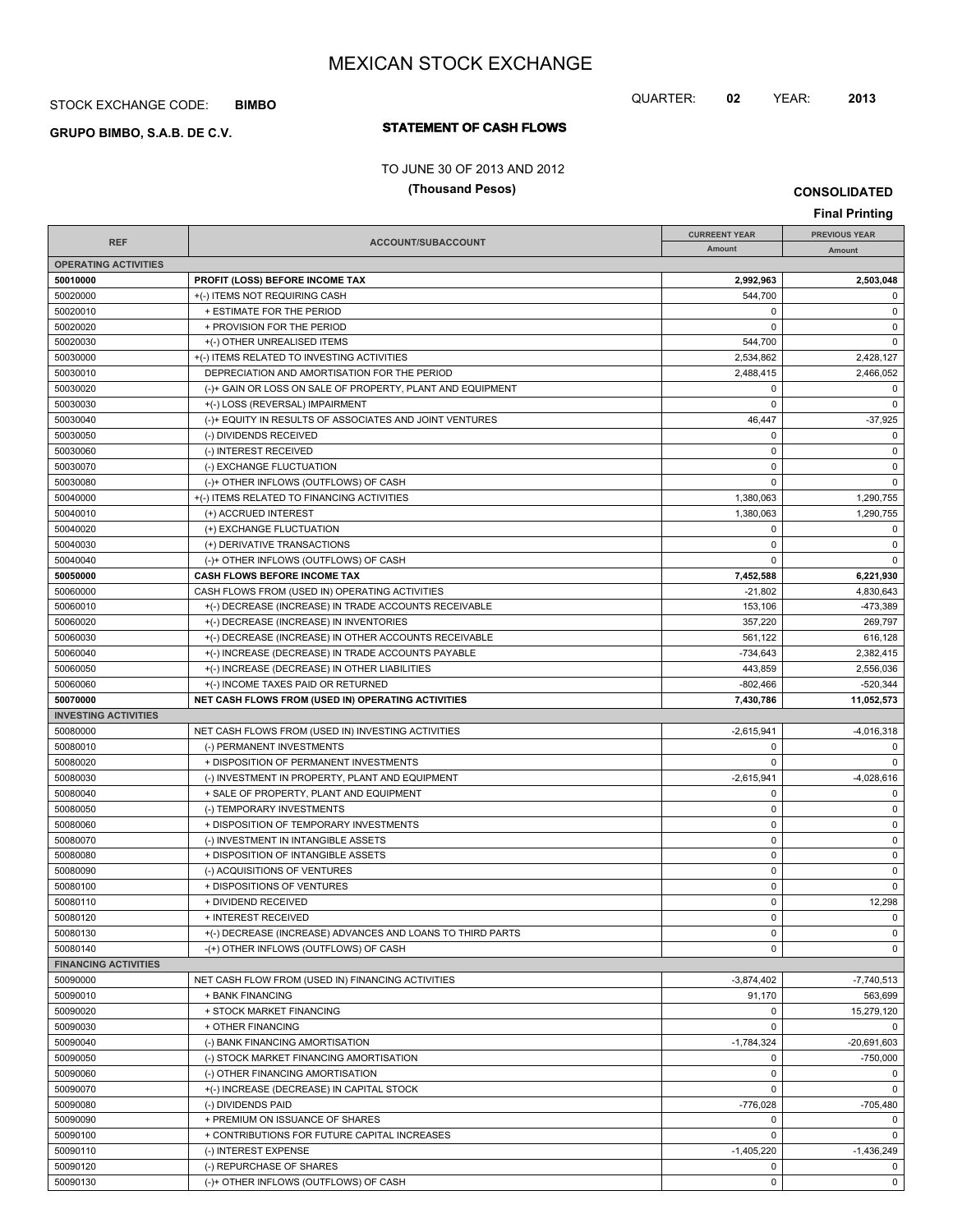## STOCK EXCHANGE CODE: **BIMBO**

# **STATEMENT OF CASH FLOWS GRUPO BIMBO, S.A.B. DE C.V.**

## TO JUNE 30 OF 2013 AND 2012

### **(Thousand Pesos)**

**CONSOLIDATED**

QUARTER: **02** YEAR: **2013**

| <b>Final Printing</b>       |                                                            |                      |                      |  |
|-----------------------------|------------------------------------------------------------|----------------------|----------------------|--|
|                             |                                                            | <b>CURREENT YEAR</b> | <b>PREVIOUS YEAR</b> |  |
| <b>REF</b>                  | <b>ACCOUNT/SUBACCOUNT</b>                                  | <b>Amount</b>        | Amount               |  |
| <b>OPERATING ACTIVITIES</b> |                                                            |                      |                      |  |
| 50010000                    | PROFIT (LOSS) BEFORE INCOME TAX                            | 2,992,963            | 2,503,048            |  |
| 50020000                    | +(-) ITEMS NOT REQUIRING CASH                              | 544,700              | 0                    |  |
| 50020010                    | + ESTIMATE FOR THE PERIOD                                  | 0                    | 0                    |  |
| 50020020                    | + PROVISION FOR THE PERIOD                                 | 0                    | 0                    |  |
| 50020030                    | +(-) OTHER UNREALISED ITEMS                                | 544,700              | $\Omega$             |  |
| 50030000                    | +(-) ITEMS RELATED TO INVESTING ACTIVITIES                 | 2,534,862            | 2,428,127            |  |
| 50030010                    | DEPRECIATION AND AMORTISATION FOR THE PERIOD               | 2,488,415            | 2,466,052            |  |
| 50030020                    | (-)+ GAIN OR LOSS ON SALE OF PROPERTY, PLANT AND EQUIPMENT | $\mathbf 0$          | 0                    |  |
| 50030030                    | +(-) LOSS (REVERSAL) IMPAIRMENT                            | 0                    | $\Omega$             |  |
| 50030040                    | (-)+ EQUITY IN RESULTS OF ASSOCIATES AND JOINT VENTURES    | 46,447               | $-37,925$            |  |
| 50030050                    | (-) DIVIDENDS RECEIVED                                     | 0                    | 0                    |  |
| 50030060                    | (-) INTEREST RECEIVED                                      | 0                    | 0                    |  |
| 50030070                    | (-) EXCHANGE FLUCTUATION                                   | 0                    | 0                    |  |
| 50030080                    | (-)+ OTHER INFLOWS (OUTFLOWS) OF CASH                      | $\Omega$             | $\Omega$             |  |
| 50040000                    | +(-) ITEMS RELATED TO FINANCING ACTIVITIES                 | 1,380,063            | 1,290,755            |  |
| 50040010                    | (+) ACCRUED INTEREST                                       | 1,380,063            | 1,290,755            |  |
| 50040020                    | (+) EXCHANGE FLUCTUATION                                   | $\mathbf 0$          | 0                    |  |
| 50040030                    | (+) DERIVATIVE TRANSACTIONS                                | 0                    | 0                    |  |
| 50040040                    | (-)+ OTHER INFLOWS (OUTFLOWS) OF CASH                      | 0                    | $\Omega$             |  |
| 50050000                    | CASH FLOWS BEFORE INCOME TAX                               | 7,452,588            | 6,221,930            |  |
| 50060000                    | CASH FLOWS FROM (USED IN) OPERATING ACTIVITIES             | $-21,802$            | 4,830,643            |  |
| 50060010                    | +(-) DECREASE (INCREASE) IN TRADE ACCOUNTS RECEIVABLE      | 153,106              | -473,389             |  |
| 50060020                    | +(-) DECREASE (INCREASE) IN INVENTORIES                    | 357,220              | 269,797              |  |
| 50060030                    | +(-) DECREASE (INCREASE) IN OTHER ACCOUNTS RECEIVABLE      | 561,122              | 616,128              |  |
| 50060040                    | +(-) INCREASE (DECREASE) IN TRADE ACCOUNTS PAYABLE         | $-734,643$           | 2,382,415            |  |
| 50060050                    | +(-) INCREASE (DECREASE) IN OTHER LIABILITIES              | 443,859              | 2,556,036            |  |
| 50060060                    | +(-) INCOME TAXES PAID OR RETURNED                         | $-802,466$           | $-520,344$           |  |
| 50070000                    | NET CASH FLOWS FROM (USED IN) OPERATING ACTIVITIES         | 7,430,786            | 11,052,573           |  |
| <b>INVESTING ACTIVITIES</b> |                                                            |                      |                      |  |
| 50080000                    | NET CASH FLOWS FROM (USED IN) INVESTING ACTIVITIES         | $-2,615,941$         | $-4,016,318$         |  |
| 50080010                    | (-) PERMANENT INVESTMENTS                                  | 0                    | 0                    |  |
| 50080020                    | + DISPOSITION OF PERMANENT INVESTMENTS                     | $\Omega$             |                      |  |
| 50080030                    | (-) INVESTMENT IN PROPERTY, PLANT AND EQUIPMENT            | $-2,615,941$         | $-4,028,616$         |  |
| 50080040                    | + SALE OF PROPERTY, PLANT AND EQUIPMENT                    | 0                    | 0                    |  |
| 50080050                    | (-) TEMPORARY INVESTMENTS                                  | $\mathbf 0$          | 0                    |  |
| 50080060                    | + DISPOSITION OF TEMPORARY INVESTMENTS                     | 0                    | 0                    |  |
| 50080070                    | (-) INVESTMENT IN INTANGIBLE ASSETS                        | $\mathbf 0$          | 0                    |  |
| 50080080                    | + DISPOSITION OF INTANGIBLE ASSETS                         | $\mathbf 0$          | 0                    |  |
| 50080090                    | (-) ACQUISITIONS OF VENTURES                               | 0                    | 0                    |  |
| 50080100                    | + DISPOSITIONS OF VENTURES                                 | $\pmb{0}$            | 0                    |  |
| 50080110                    | + DIVIDEND RECEIVED                                        | $\pmb{0}$            | 12,298               |  |
| 50080120                    | + INTEREST RECEIVED                                        | 0                    | $\mathbf 0$          |  |
| 50080130                    | +(-) DECREASE (INCREASE) ADVANCES AND LOANS TO THIRD PARTS | 0                    | $\mathbf 0$          |  |
| 50080140                    | -(+) OTHER INFLOWS (OUTFLOWS) OF CASH                      | $\mathbf 0$          | $\mathbf 0$          |  |
| <b>FINANCING ACTIVITIES</b> |                                                            |                      |                      |  |
| 50090000                    | NET CASH FLOW FROM (USED IN) FINANCING ACTIVITIES          | $-3,874,402$         | $-7,740,513$         |  |
| 50090010                    | + BANK FINANCING                                           | 91,170               | 563.699              |  |
| 50090020                    | + STOCK MARKET FINANCING                                   | 0                    | 15,279,120           |  |
| 50090030                    | + OTHER FINANCING                                          | $\mathbf 0$          | $\Omega$             |  |
| 50090040                    | (-) BANK FINANCING AMORTISATION                            | $-1,784,324$         | $-20,691,603$        |  |
| 50090050                    | (-) STOCK MARKET FINANCING AMORTISATION                    | 0                    | $-750,000$           |  |
| 50090060                    | (-) OTHER FINANCING AMORTISATION                           | $\pmb{0}$            | 0                    |  |
| 50090070                    | +(-) INCREASE (DECREASE) IN CAPITAL STOCK                  | $\mathbf 0$          |                      |  |
| 50090080                    | (-) DIVIDENDS PAID                                         | $-776,028$           | $-705,480$           |  |
| 50090090                    | + PREMIUM ON ISSUANCE OF SHARES                            | 0                    | 0                    |  |
| 50090100                    | + CONTRIBUTIONS FOR FUTURE CAPITAL INCREASES               | $\mathbf 0$          | 0                    |  |
| 50090110                    | (-) INTEREST EXPENSE                                       | $-1,405,220$         | $-1,436,249$         |  |
| 50090120                    | (-) REPURCHASE OF SHARES                                   | 0                    | 0                    |  |
| 50090130                    | (-)+ OTHER INFLOWS (OUTFLOWS) OF CASH                      | $\pmb{0}$            | $\mathbf 0$          |  |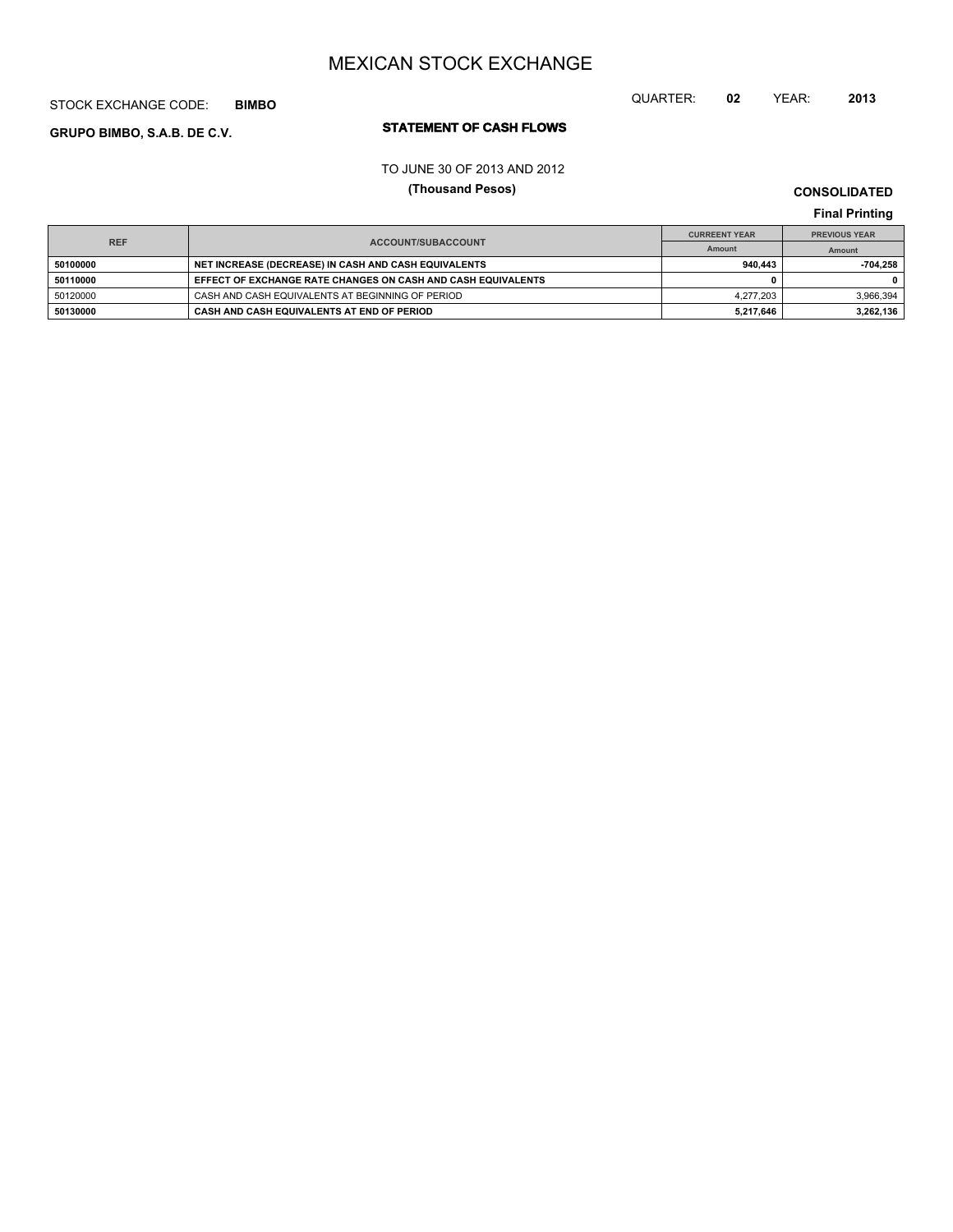## STOCK EXCHANGE CODE: **BIMBO**

# **STATEMENT OF CASH FLOWS GRUPO BIMBO, S.A.B. DE C.V.**

# QUARTER: **02** YEAR: **2013**

#### TO JUNE 30 OF 2013 AND 2012

### **(Thousand Pesos)**

**CONSOLIDATED Final Printing**

| <b>REF</b> |                                                              | <b>CURREENT YEAR</b> | <b>PREVIOUS YEAR</b> |
|------------|--------------------------------------------------------------|----------------------|----------------------|
|            | <b>ACCOUNT/SUBACCOUNT</b>                                    | Amount               | Amount               |
| 50100000   | NET INCREASE (DECREASE) IN CASH AND CASH EQUIVALENTS         | 940.443              | -704.258             |
| 50110000   | EFFECT OF EXCHANGE RATE CHANGES ON CASH AND CASH EQUIVALENTS |                      |                      |
| 50120000   | CASH AND CASH EQUIVALENTS AT BEGINNING OF PERIOD             | 4.277.203            | 3.966.394            |
| 50130000   | CASH AND CASH EQUIVALENTS AT END OF PERIOD                   | 5.217.646            | 3,262,136            |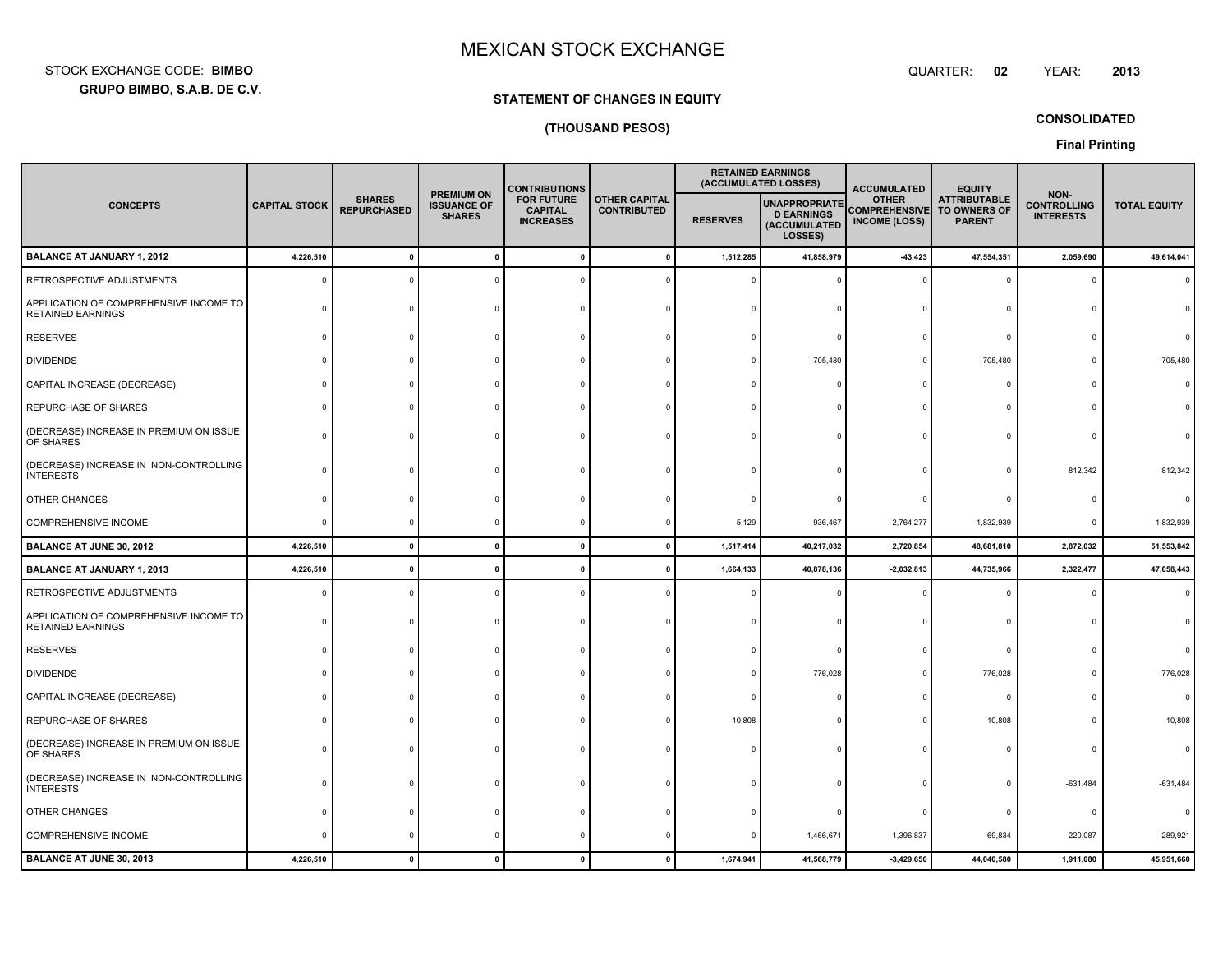**GRUPO BIMBO, S.A.B. DE C.V.** STOCK EXCHANGE CODE:**BIMBO**: BIMBO QUARTER:

# **STATEMENT OF CHANGES IN EQUITY**

# **(THOUSAND PESOS)**

**CONSOLIDATED**

**02**

**Final Printing**

|                                                                    |                      |                                     |                                                          | <b>CONTRIBUTIONS</b>                                    |                                            | <b>RETAINED EARNINGS</b><br>(ACCUMULATED LOSSES) |                                                                      | <b>ACCUMULATED</b>                                           | <b>EQUITY</b>                                        |                                                |                     |
|--------------------------------------------------------------------|----------------------|-------------------------------------|----------------------------------------------------------|---------------------------------------------------------|--------------------------------------------|--------------------------------------------------|----------------------------------------------------------------------|--------------------------------------------------------------|------------------------------------------------------|------------------------------------------------|---------------------|
| <b>CONCEPTS</b>                                                    | <b>CAPITAL STOCK</b> | <b>SHARES</b><br><b>REPURCHASED</b> | <b>PREMIUM ON</b><br><b>ISSUANCE OF</b><br><b>SHARES</b> | <b>FOR FUTURE</b><br><b>CAPITAL</b><br><b>INCREASES</b> | <b>OTHER CAPITAL</b><br><b>CONTRIBUTED</b> | <b>RESERVES</b>                                  | <b>UNAPPROPRIATE</b><br><b>D EARNINGS</b><br>(ACCUMULATED<br>LOSSES) | <b>OTHER</b><br><b>COMPREHENSIVE</b><br><b>INCOME (LOSS)</b> | <b>ATTRIBUTABLE</b><br>TO OWNERS OF<br><b>PARENT</b> | NON-<br><b>CONTROLLING</b><br><b>INTERESTS</b> | <b>TOTAL EQUITY</b> |
| <b>BALANCE AT JANUARY 1, 2012</b>                                  | 4,226,510            | $\mathbf{0}$                        | $\pmb{0}$                                                | $\mathbf{0}$                                            | $\mathbf 0$                                | 1,512,285                                        | 41,858,979                                                           | $-43,423$                                                    | 47,554,351                                           | 2,059,690                                      | 49,614,041          |
| RETROSPECTIVE ADJUSTMENTS                                          |                      |                                     | $\mathbf 0$                                              |                                                         |                                            |                                                  |                                                                      |                                                              | $\circ$                                              |                                                |                     |
| APPLICATION OF COMPREHENSIVE INCOME TO<br><b>RETAINED EARNINGS</b> |                      |                                     |                                                          | n                                                       |                                            |                                                  |                                                                      |                                                              |                                                      |                                                |                     |
| <b>RESERVES</b>                                                    |                      |                                     |                                                          |                                                         |                                            |                                                  |                                                                      |                                                              | $\epsilon$                                           |                                                |                     |
| <b>DIVIDENDS</b>                                                   |                      |                                     |                                                          |                                                         |                                            |                                                  | $-705,480$                                                           |                                                              | $-705,480$                                           |                                                | $-705,480$          |
| CAPITAL INCREASE (DECREASE)                                        |                      |                                     |                                                          |                                                         |                                            |                                                  |                                                                      |                                                              | <b>r</b>                                             |                                                |                     |
| REPURCHASE OF SHARES                                               |                      |                                     |                                                          |                                                         |                                            |                                                  |                                                                      |                                                              |                                                      |                                                |                     |
| (DECREASE) INCREASE IN PREMIUM ON ISSUE<br>OF SHARES               |                      |                                     |                                                          |                                                         |                                            |                                                  |                                                                      |                                                              |                                                      |                                                |                     |
| (DECREASE) INCREASE IN NON-CONTROLLING<br><b>INTERESTS</b>         |                      |                                     |                                                          |                                                         |                                            |                                                  |                                                                      |                                                              | $\Omega$                                             | 812,342                                        | 812,342             |
| <b>OTHER CHANGES</b>                                               |                      |                                     |                                                          |                                                         |                                            |                                                  |                                                                      |                                                              | £                                                    |                                                |                     |
| COMPREHENSIVE INCOME                                               |                      |                                     | $\Omega$                                                 | 0                                                       | $\Omega$                                   | 5,129                                            | $-936,467$                                                           | 2,764,277                                                    | 1,832,939                                            | $\Omega$                                       | 1,832,939           |
| <b>BALANCE AT JUNE 30, 2012</b>                                    | 4,226,510            | $\mathbf{0}$                        | $\mathbf{0}$                                             | $\mathbf{0}$                                            | $\mathbf{0}$                               | 1,517,414                                        | 40,217,032                                                           | 2,720,854                                                    | 48,681,810                                           | 2,872,032                                      | 51,553,842          |
| <b>BALANCE AT JANUARY 1, 2013</b>                                  | 4,226,510            | $\mathbf{0}$                        | $\mathbf{0}$                                             | 0                                                       | 0                                          | 1,664,133                                        | 40,878,136                                                           | $-2,032,813$                                                 | 44,735,966                                           | 2,322,477                                      | 47,058,443          |
| RETROSPECTIVE ADJUSTMENTS                                          |                      |                                     | $\Omega$                                                 |                                                         |                                            |                                                  |                                                                      |                                                              |                                                      |                                                |                     |
| APPLICATION OF COMPREHENSIVE INCOME TO<br><b>RETAINED EARNINGS</b> |                      |                                     |                                                          | $\Omega$                                                |                                            |                                                  |                                                                      |                                                              | $\Omega$                                             |                                                |                     |
| <b>RESERVES</b>                                                    |                      |                                     |                                                          |                                                         |                                            |                                                  |                                                                      |                                                              | -0                                                   |                                                |                     |
| <b>DIVIDENDS</b>                                                   |                      |                                     |                                                          |                                                         |                                            |                                                  | $-776,028$                                                           |                                                              | $-776,028$                                           |                                                | $-776,028$          |
| CAPITAL INCREASE (DECREASE)                                        |                      |                                     |                                                          |                                                         |                                            |                                                  |                                                                      |                                                              | $\Omega$                                             |                                                |                     |
| REPURCHASE OF SHARES                                               |                      |                                     |                                                          |                                                         |                                            | 10,808                                           |                                                                      |                                                              | 10,808                                               |                                                | 10,808              |
| (DECREASE) INCREASE IN PREMIUM ON ISSUE<br>OF SHARES               |                      |                                     |                                                          |                                                         |                                            |                                                  |                                                                      |                                                              |                                                      |                                                |                     |
| (DECREASE) INCREASE IN NON-CONTROLLING<br><b>INTERESTS</b>         |                      |                                     |                                                          |                                                         |                                            |                                                  |                                                                      |                                                              | $\Omega$                                             | $-631,484$                                     | $-631,484$          |
| OTHER CHANGES                                                      |                      |                                     |                                                          |                                                         |                                            |                                                  |                                                                      |                                                              | $\epsilon$                                           |                                                |                     |
| COMPREHENSIVE INCOME                                               |                      |                                     |                                                          |                                                         |                                            |                                                  | 1,466,671                                                            | $-1,396,837$                                                 | 69,834                                               | 220,087                                        | 289,921             |
| BALANCE AT JUNE 30, 2013                                           | 4,226,510            |                                     | $\mathbf{0}$                                             | 0                                                       | $\mathbf{0}$                               | 1,674,941                                        | 41,568,779                                                           | $-3,429,650$                                                 | 44,040,580                                           | 1,911,080                                      | 45,951,660          |

YEAR: **<sup>2013</sup>**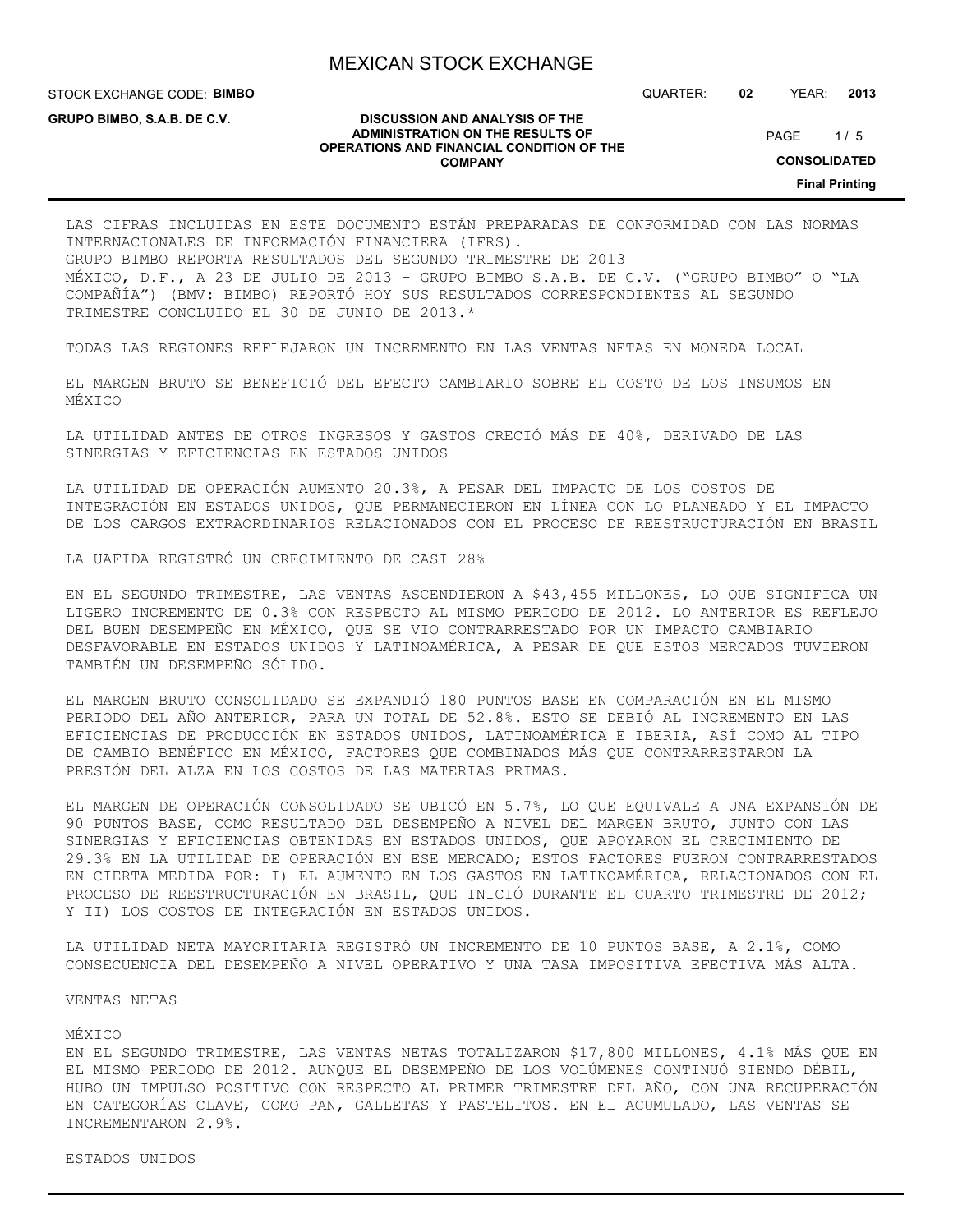**DISCUSSION AND ANALYSIS OF THE ADMINISTRATION ON THE RESULTS OF OPERATIONS AND FINANCIAL CONDITION OF THE COMPANY**

STOCK EXCHANGE CODE: **BIMBO**

**GRUPO BIMBO, S.A.B. DE C.V.**

QUARTER: **02** YEAR: **2013**

 $1/5$ PAGE

**CONSOLIDATED**

**Final Printing**

LAS CIFRAS INCLUIDAS EN ESTE DOCUMENTO ESTÁN PREPARADAS DE CONFORMIDAD CON LAS NORMAS INTERNACIONALES DE INFORMACIÓN FINANCIERA (IFRS). GRUPO BIMBO REPORTA RESULTADOS DEL SEGUNDO TRIMESTRE DE 2013 MÉXICO, D.F., A 23 DE JULIO DE 2013 – GRUPO BIMBO S.A.B. DE C.V. ("GRUPO BIMBO" O "LA COMPAÑÍA") (BMV: BIMBO) REPORTÓ HOY SUS RESULTADOS CORRESPONDIENTES AL SEGUNDO TRIMESTRE CONCLUIDO EL 30 DE JUNIO DE 2013.\*

TODAS LAS REGIONES REFLEJARON UN INCREMENTO EN LAS VENTAS NETAS EN MONEDA LOCAL

EL MARGEN BRUTO SE BENEFICIÓ DEL EFECTO CAMBIARIO SOBRE EL COSTO DE LOS INSUMOS EN MÉXICO

LA UTILIDAD ANTES DE OTROS INGRESOS Y GASTOS CRECIÓ MÁS DE 40%, DERIVADO DE LAS SINERGIAS Y EFICIENCIAS EN ESTADOS UNIDOS

LA UTILIDAD DE OPERACIÓN AUMENTO 20.3%, A PESAR DEL IMPACTO DE LOS COSTOS DE INTEGRACIÓN EN ESTADOS UNIDOS, QUE PERMANECIERON EN LÍNEA CON LO PLANEADO Y EL IMPACTO DE LOS CARGOS EXTRAORDINARIOS RELACIONADOS CON EL PROCESO DE REESTRUCTURACIÓN EN BRASIL

LA UAFIDA REGISTRÓ UN CRECIMIENTO DE CASI 28%

EN EL SEGUNDO TRIMESTRE, LAS VENTAS ASCENDIERON A \$43,455 MILLONES, LO QUE SIGNIFICA UN LIGERO INCREMENTO DE 0.3% CON RESPECTO AL MISMO PERIODO DE 2012. LO ANTERIOR ES REFLEJO DEL BUEN DESEMPEÑO EN MÉXICO, QUE SE VIO CONTRARRESTADO POR UN IMPACTO CAMBIARIO DESFAVORABLE EN ESTADOS UNIDOS Y LATINOAMÉRICA, A PESAR DE QUE ESTOS MERCADOS TUVIERON TAMBIÉN UN DESEMPEÑO SÓLIDO.

EL MARGEN BRUTO CONSOLIDADO SE EXPANDIÓ 180 PUNTOS BASE EN COMPARACIÓN EN EL MISMO PERIODO DEL AÑO ANTERIOR, PARA UN TOTAL DE 52.8%. ESTO SE DEBIÓ AL INCREMENTO EN LAS EFICIENCIAS DE PRODUCCIÓN EN ESTADOS UNIDOS, LATINOAMÉRICA E IBERIA, ASÍ COMO AL TIPO DE CAMBIO BENÉFICO EN MÉXICO, FACTORES QUE COMBINADOS MÁS QUE CONTRARRESTARON LA PRESIÓN DEL ALZA EN LOS COSTOS DE LAS MATERIAS PRIMAS.

EL MARGEN DE OPERACIÓN CONSOLIDADO SE UBICÓ EN 5.7%, LO QUE EQUIVALE A UNA EXPANSIÓN DE 90 PUNTOS BASE, COMO RESULTADO DEL DESEMPEÑO A NIVEL DEL MARGEN BRUTO, JUNTO CON LAS SINERGIAS Y EFICIENCIAS OBTENIDAS EN ESTADOS UNIDOS, QUE APOYARON EL CRECIMIENTO DE 29.3% EN LA UTILIDAD DE OPERACIÓN EN ESE MERCADO; ESTOS FACTORES FUERON CONTRARRESTADOS EN CIERTA MEDIDA POR: I) EL AUMENTO EN LOS GASTOS EN LATINOAMÉRICA, RELACIONADOS CON EL PROCESO DE REESTRUCTURACIÓN EN BRASIL, QUE INICIÓ DURANTE EL CUARTO TRIMESTRE DE 2012; Y II) LOS COSTOS DE INTEGRACIÓN EN ESTADOS UNIDOS.

LA UTILIDAD NETA MAYORITARIA REGISTRÓ UN INCREMENTO DE 10 PUNTOS BASE, A 2.1%, COMO CONSECUENCIA DEL DESEMPEÑO A NIVEL OPERATIVO Y UNA TASA IMPOSITIVA EFECTIVA MÁS ALTA.

VENTAS NETAS

#### MÉXICO

EN EL SEGUNDO TRIMESTRE, LAS VENTAS NETAS TOTALIZARON \$17,800 MILLONES, 4.1% MÁS QUE EN EL MISMO PERIODO DE 2012. AUNQUE EL DESEMPEÑO DE LOS VOLÚMENES CONTINUÓ SIENDO DÉBIL, HUBO UN IMPULSO POSITIVO CON RESPECTO AL PRIMER TRIMESTRE DEL AÑO, CON UNA RECUPERACIÓN EN CATEGORÍAS CLAVE, COMO PAN, GALLETAS Y PASTELITOS. EN EL ACUMULADO, LAS VENTAS SE INCREMENTARON 2.9%.

ESTADOS UNIDOS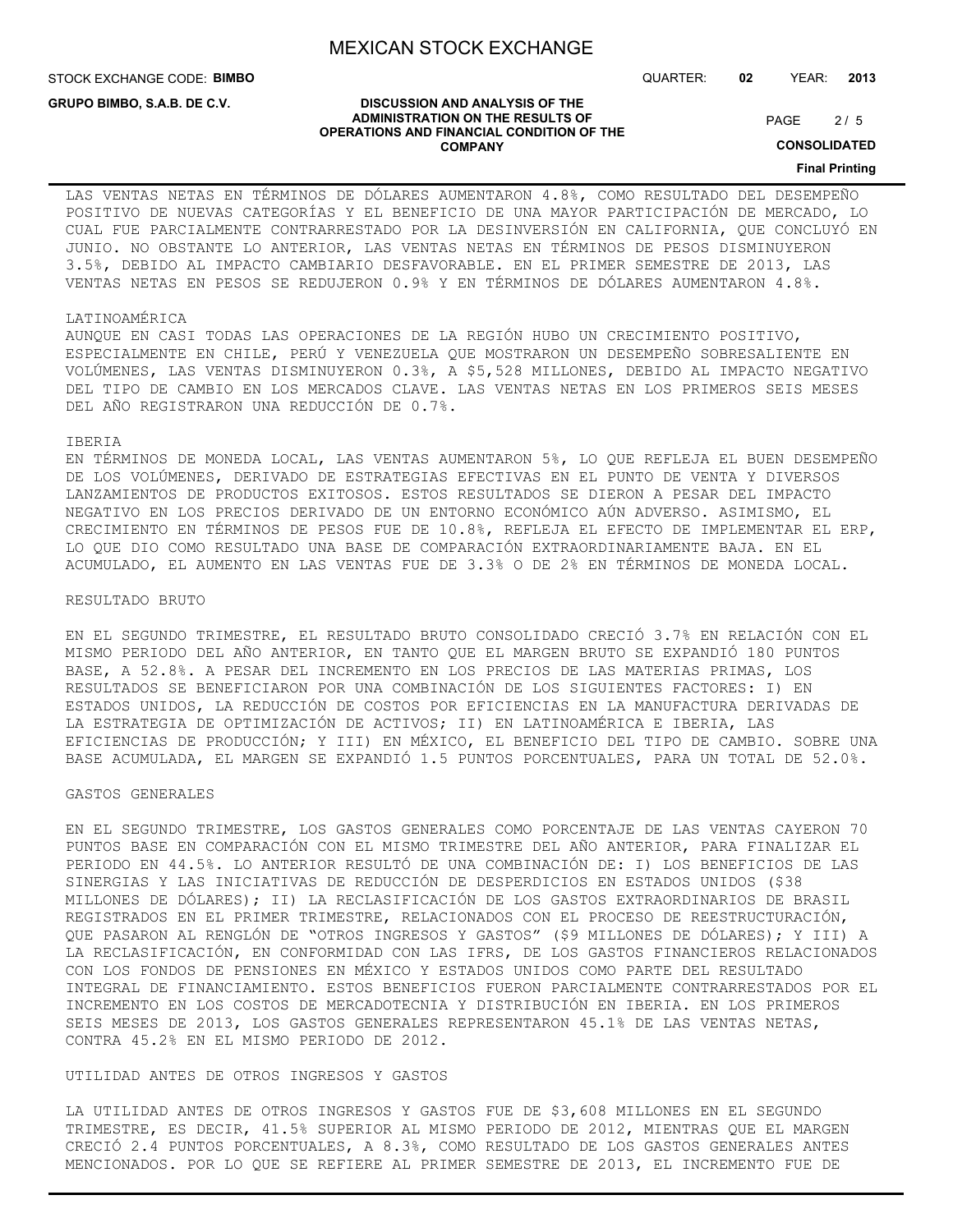**DISCUSSION AND ANALYSIS OF THE ADMINISTRATION ON THE RESULTS OF OPERATIONS AND FINANCIAL CONDITION OF THE COMPANY**

STOCK EXCHANGE CODE: **BIMBO**

**GRUPO BIMBO, S.A.B. DE C.V.**

QUARTER: **02** YEAR: **2013**

 $2/5$ PAGE

**CONSOLIDATED**

## **Final Printing**

## LAS VENTAS NETAS EN TÉRMINOS DE DÓLARES AUMENTARON 4.8%, COMO RESULTADO DEL DESEMPEÑO POSITIVO DE NUEVAS CATEGORÍAS Y EL BENEFICIO DE UNA MAYOR PARTICIPACIÓN DE MERCADO, LO CUAL FUE PARCIALMENTE CONTRARRESTADO POR LA DESINVERSIÓN EN CALIFORNIA, QUE CONCLUYÓ EN JUNIO. NO OBSTANTE LO ANTERIOR, LAS VENTAS NETAS EN TÉRMINOS DE PESOS DISMINUYERON 3.5%, DEBIDO AL IMPACTO CAMBIARIO DESFAVORABLE. EN EL PRIMER SEMESTRE DE 2013, LAS VENTAS NETAS EN PESOS SE REDUJERON 0.9% Y EN TÉRMINOS DE DÓLARES AUMENTARON 4.8%.

#### LATINOAMÉRICA

AUNQUE EN CASI TODAS LAS OPERACIONES DE LA REGIÓN HUBO UN CRECIMIENTO POSITIVO, ESPECIALMENTE EN CHILE, PERÚ Y VENEZUELA QUE MOSTRARON UN DESEMPEÑO SOBRESALIENTE EN VOLÚMENES, LAS VENTAS DISMINUYERON 0.3%, A \$5,528 MILLONES, DEBIDO AL IMPACTO NEGATIVO DEL TIPO DE CAMBIO EN LOS MERCADOS CLAVE. LAS VENTAS NETAS EN LOS PRIMEROS SEIS MESES DEL AÑO REGISTRARON UNA REDUCCIÓN DE 0.7%.

#### IBERIA

EN TÉRMINOS DE MONEDA LOCAL, LAS VENTAS AUMENTARON 5%, LO QUE REFLEJA EL BUEN DESEMPEÑO DE LOS VOLÚMENES, DERIVADO DE ESTRATEGIAS EFECTIVAS EN EL PUNTO DE VENTA Y DIVERSOS LANZAMIENTOS DE PRODUCTOS EXITOSOS. ESTOS RESULTADOS SE DIERON A PESAR DEL IMPACTO NEGATIVO EN LOS PRECIOS DERIVADO DE UN ENTORNO ECONÓMICO AÚN ADVERSO. ASIMISMO, EL CRECIMIENTO EN TÉRMINOS DE PESOS FUE DE 10.8%, REFLEJA EL EFECTO DE IMPLEMENTAR EL ERP, LO QUE DIO COMO RESULTADO UNA BASE DE COMPARACIÓN EXTRAORDINARIAMENTE BAJA. EN EL ACUMULADO, EL AUMENTO EN LAS VENTAS FUE DE 3.3% O DE 2% EN TÉRMINOS DE MONEDA LOCAL.

#### RESULTADO BRUTO

EN EL SEGUNDO TRIMESTRE, EL RESULTADO BRUTO CONSOLIDADO CRECIÓ 3.7% EN RELACIÓN CON EL MISMO PERIODO DEL AÑO ANTERIOR, EN TANTO QUE EL MARGEN BRUTO SE EXPANDIÓ 180 PUNTOS BASE, A 52.8%. A PESAR DEL INCREMENTO EN LOS PRECIOS DE LAS MATERIAS PRIMAS, LOS RESULTADOS SE BENEFICIARON POR UNA COMBINACIÓN DE LOS SIGUIENTES FACTORES: I) EN ESTADOS UNIDOS, LA REDUCCIÓN DE COSTOS POR EFICIENCIAS EN LA MANUFACTURA DERIVADAS DE LA ESTRATEGIA DE OPTIMIZACIÓN DE ACTIVOS; II) EN LATINOAMÉRICA E IBERIA, LAS EFICIENCIAS DE PRODUCCIÓN; Y III) EN MÉXICO, EL BENEFICIO DEL TIPO DE CAMBIO. SOBRE UNA BASE ACUMULADA, EL MARGEN SE EXPANDIÓ 1.5 PUNTOS PORCENTUALES, PARA UN TOTAL DE 52.0%.

#### GASTOS GENERALES

EN EL SEGUNDO TRIMESTRE, LOS GASTOS GENERALES COMO PORCENTAJE DE LAS VENTAS CAYERON 70 PUNTOS BASE EN COMPARACIÓN CON EL MISMO TRIMESTRE DEL AÑO ANTERIOR, PARA FINALIZAR EL PERIODO EN 44.5%. LO ANTERIOR RESULTÓ DE UNA COMBINACIÓN DE: I) LOS BENEFICIOS DE LAS SINERGIAS Y LAS INICIATIVAS DE REDUCCIÓN DE DESPERDICIOS EN ESTADOS UNIDOS (\$38 MILLONES DE DÓLARES); II) LA RECLASIFICACIÓN DE LOS GASTOS EXTRAORDINARIOS DE BRASIL REGISTRADOS EN EL PRIMER TRIMESTRE, RELACIONADOS CON EL PROCESO DE REESTRUCTURACIÓN, QUE PASARON AL RENGLÓN DE "OTROS INGRESOS Y GASTOS" (\$9 MILLONES DE DÓLARES); Y III) A LA RECLASIFICACIÓN, EN CONFORMIDAD CON LAS IFRS, DE LOS GASTOS FINANCIEROS RELACIONADOS CON LOS FONDOS DE PENSIONES EN MÉXICO Y ESTADOS UNIDOS COMO PARTE DEL RESULTADO INTEGRAL DE FINANCIAMIENTO. ESTOS BENEFICIOS FUERON PARCIALMENTE CONTRARRESTADOS POR EL INCREMENTO EN LOS COSTOS DE MERCADOTECNIA Y DISTRIBUCIÓN EN IBERIA. EN LOS PRIMEROS SEIS MESES DE 2013, LOS GASTOS GENERALES REPRESENTARON 45.1% DE LAS VENTAS NETAS, CONTRA 45.2% EN EL MISMO PERIODO DE 2012.

#### UTILIDAD ANTES DE OTROS INGRESOS Y GASTOS

LA UTILIDAD ANTES DE OTROS INGRESOS Y GASTOS FUE DE \$3,608 MILLONES EN EL SEGUNDO TRIMESTRE, ES DECIR, 41.5% SUPERIOR AL MISMO PERIODO DE 2012, MIENTRAS QUE EL MARGEN CRECIÓ 2.4 PUNTOS PORCENTUALES, A 8.3%, COMO RESULTADO DE LOS GASTOS GENERALES ANTES MENCIONADOS. POR LO QUE SE REFIERE AL PRIMER SEMESTRE DE 2013, EL INCREMENTO FUE DE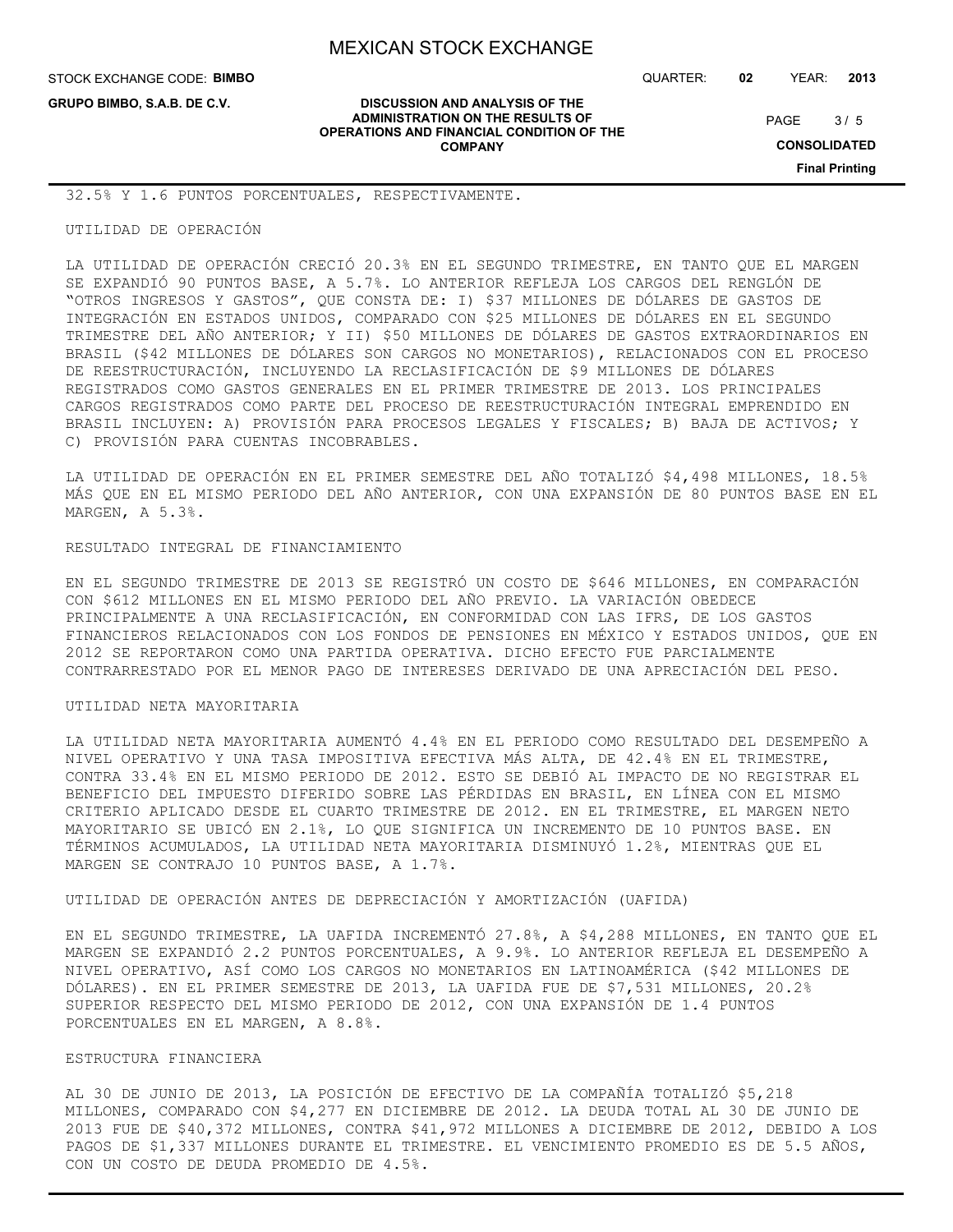STOCK EXCHANGE CODE: **BIMBO**

**GRUPO BIMBO, S.A.B. DE C.V.**

QUARTER: **02** YEAR: **2013**

 $3/5$ PAGE

**CONSOLIDATED**

**Final Printing**

#### **DISCUSSION AND ANALYSIS OF THE ADMINISTRATION ON THE RESULTS OF OPERATIONS AND FINANCIAL CONDITION OF THE COMPANY**

32.5% Y 1.6 PUNTOS PORCENTUALES, RESPECTIVAMENTE.

#### UTILIDAD DE OPERACIÓN

LA UTILIDAD DE OPERACIÓN CRECIÓ 20.3% EN EL SEGUNDO TRIMESTRE, EN TANTO QUE EL MARGEN SE EXPANDIÓ 90 PUNTOS BASE, A 5.7%. LO ANTERIOR REFLEJA LOS CARGOS DEL RENGLÓN DE "OTROS INGRESOS Y GASTOS", QUE CONSTA DE: I) \$37 MILLONES DE DÓLARES DE GASTOS DE INTEGRACIÓN EN ESTADOS UNIDOS, COMPARADO CON \$25 MILLONES DE DÓLARES EN EL SEGUNDO TRIMESTRE DEL AÑO ANTERIOR; Y II) \$50 MILLONES DE DÓLARES DE GASTOS EXTRAORDINARIOS EN BRASIL (\$42 MILLONES DE DÓLARES SON CARGOS NO MONETARIOS), RELACIONADOS CON EL PROCESO DE REESTRUCTURACIÓN, INCLUYENDO LA RECLASIFICACIÓN DE \$9 MILLONES DE DÓLARES REGISTRADOS COMO GASTOS GENERALES EN EL PRIMER TRIMESTRE DE 2013. LOS PRINCIPALES CARGOS REGISTRADOS COMO PARTE DEL PROCESO DE REESTRUCTURACIÓN INTEGRAL EMPRENDIDO EN BRASIL INCLUYEN: A) PROVISIÓN PARA PROCESOS LEGALES Y FISCALES; B) BAJA DE ACTIVOS; Y C) PROVISIÓN PARA CUENTAS INCOBRABLES.

LA UTILIDAD DE OPERACIÓN EN EL PRIMER SEMESTRE DEL AÑO TOTALIZÓ \$4,498 MILLONES, 18.5% MÁS QUE EN EL MISMO PERIODO DEL AÑO ANTERIOR, CON UNA EXPANSIÓN DE 80 PUNTOS BASE EN EL MARGEN, A 5.3%.

#### RESULTADO INTEGRAL DE FINANCIAMIENTO

EN EL SEGUNDO TRIMESTRE DE 2013 SE REGISTRÓ UN COSTO DE \$646 MILLONES, EN COMPARACIÓN CON \$612 MILLONES EN EL MISMO PERIODO DEL AÑO PREVIO. LA VARIACIÓN OBEDECE PRINCIPALMENTE A UNA RECLASIFICACIÓN, EN CONFORMIDAD CON LAS IFRS, DE LOS GASTOS FINANCIEROS RELACIONADOS CON LOS FONDOS DE PENSIONES EN MÉXICO Y ESTADOS UNIDOS, QUE EN 2012 SE REPORTARON COMO UNA PARTIDA OPERATIVA. DICHO EFECTO FUE PARCIALMENTE CONTRARRESTADO POR EL MENOR PAGO DE INTERESES DERIVADO DE UNA APRECIACIÓN DEL PESO.

#### UTILIDAD NETA MAYORITARIA

LA UTILIDAD NETA MAYORITARIA AUMENTÓ 4.4% EN EL PERIODO COMO RESULTADO DEL DESEMPEÑO A NIVEL OPERATIVO Y UNA TASA IMPOSITIVA EFECTIVA MÁS ALTA, DE 42.4% EN EL TRIMESTRE, CONTRA 33.4% EN EL MISMO PERIODO DE 2012. ESTO SE DEBIÓ AL IMPACTO DE NO REGISTRAR EL BENEFICIO DEL IMPUESTO DIFERIDO SOBRE LAS PÉRDIDAS EN BRASIL, EN LÍNEA CON EL MISMO CRITERIO APLICADO DESDE EL CUARTO TRIMESTRE DE 2012. EN EL TRIMESTRE, EL MARGEN NETO MAYORITARIO SE UBICÓ EN 2.1%, LO QUE SIGNIFICA UN INCREMENTO DE 10 PUNTOS BASE. EN TÉRMINOS ACUMULADOS, LA UTILIDAD NETA MAYORITARIA DISMINUYÓ 1.2%, MIENTRAS QUE EL MARGEN SE CONTRAJO 10 PUNTOS BASE, A 1.7%.

UTILIDAD DE OPERACIÓN ANTES DE DEPRECIACIÓN Y AMORTIZACIÓN (UAFIDA)

EN EL SEGUNDO TRIMESTRE, LA UAFIDA INCREMENTÓ 27.8%, A \$4,288 MILLONES, EN TANTO QUE EL MARGEN SE EXPANDIÓ 2.2 PUNTOS PORCENTUALES, A 9.9%. LO ANTERIOR REFLEJA EL DESEMPEÑO A NIVEL OPERATIVO, ASÍ COMO LOS CARGOS NO MONETARIOS EN LATINOAMÉRICA (\$42 MILLONES DE DÓLARES). EN EL PRIMER SEMESTRE DE 2013, LA UAFIDA FUE DE \$7,531 MILLONES, 20.2% SUPERIOR RESPECTO DEL MISMO PERIODO DE 2012, CON UNA EXPANSIÓN DE 1.4 PUNTOS PORCENTUALES EN EL MARGEN, A 8.8%.

#### ESTRUCTURA FINANCIERA

AL 30 DE JUNIO DE 2013, LA POSICIÓN DE EFECTIVO DE LA COMPAÑÍA TOTALIZÓ \$5,218 MILLONES, COMPARADO CON \$4,277 EN DICIEMBRE DE 2012. LA DEUDA TOTAL AL 30 DE JUNIO DE 2013 FUE DE \$40,372 MILLONES, CONTRA \$41,972 MILLONES A DICIEMBRE DE 2012, DEBIDO A LOS PAGOS DE \$1,337 MILLONES DURANTE EL TRIMESTRE. EL VENCIMIENTO PROMEDIO ES DE 5.5 AÑOS, CON UN COSTO DE DEUDA PROMEDIO DE 4.5%.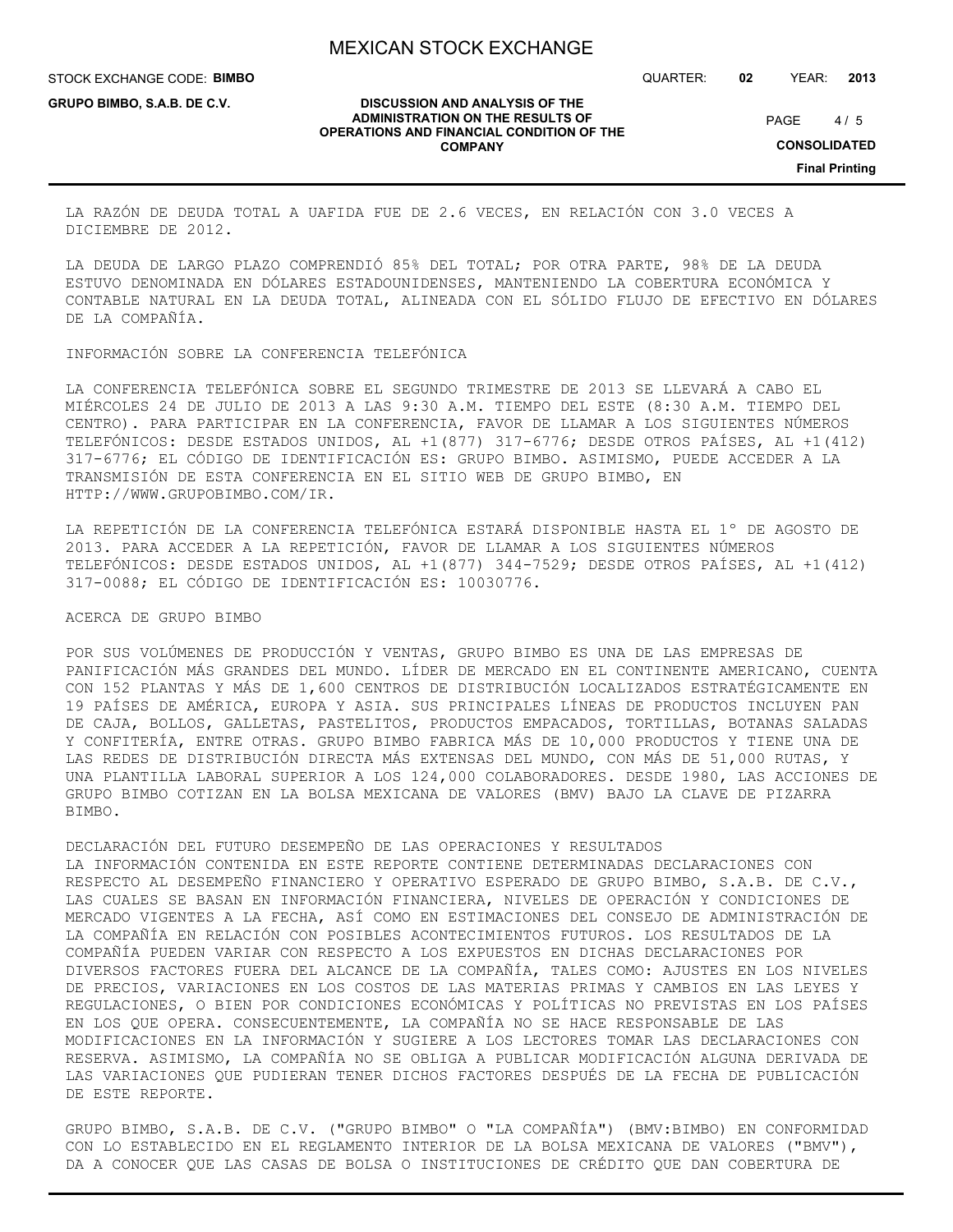STOCK EXCHANGE CODE: **BIMBO**

**GRUPO BIMBO, S.A.B. DE C.V.**

QUARTER: **02** YEAR: **2013**

#### **DISCUSSION AND ANALYSIS OF THE ADMINISTRATION ON THE RESULTS OF OPERATIONS AND FINANCIAL CONDITION OF THE COMPANY**

 $4/5$ PAGE

**CONSOLIDATED**

**Final Printing**

LA RAZÓN DE DEUDA TOTAL A UAFIDA FUE DE 2.6 VECES, EN RELACIÓN CON 3.0 VECES A DICIEMBRE DE 2012.

LA DEUDA DE LARGO PLAZO COMPRENDIÓ 85% DEL TOTAL; POR OTRA PARTE, 98% DE LA DEUDA ESTUVO DENOMINADA EN DÓLARES ESTADOUNIDENSES, MANTENIENDO LA COBERTURA ECONÓMICA Y CONTABLE NATURAL EN LA DEUDA TOTAL, ALINEADA CON EL SÓLIDO FLUJO DE EFECTIVO EN DÓLARES DE LA COMPAÑÍA.

INFORMACIÓN SOBRE LA CONFERENCIA TELEFÓNICA

LA CONFERENCIA TELEFÓNICA SOBRE EL SEGUNDO TRIMESTRE DE 2013 SE LLEVARÁ A CABO EL MIÉRCOLES 24 DE JULIO DE 2013 A LAS 9:30 A.M. TIEMPO DEL ESTE (8:30 A.M. TIEMPO DEL CENTRO). PARA PARTICIPAR EN LA CONFERENCIA, FAVOR DE LLAMAR A LOS SIGUIENTES NÚMEROS TELEFÓNICOS: DESDE ESTADOS UNIDOS, AL +1(877) 317-6776; DESDE OTROS PAÍSES, AL +1(412) 317-6776; EL CÓDIGO DE IDENTIFICACIÓN ES: GRUPO BIMBO. ASIMISMO, PUEDE ACCEDER A LA TRANSMISIÓN DE ESTA CONFERENCIA EN EL SITIO WEB DE GRUPO BIMBO, EN HTTP://WWW.GRUPOBIMBO.COM/IR.

LA REPETICIÓN DE LA CONFERENCIA TELEFÓNICA ESTARÁ DISPONIBLE HASTA EL 1º DE AGOSTO DE 2013. PARA ACCEDER A LA REPETICIÓN, FAVOR DE LLAMAR A LOS SIGUIENTES NÚMEROS TELEFÓNICOS: DESDE ESTADOS UNIDOS, AL +1(877) 344-7529; DESDE OTROS PAÍSES, AL +1(412) 317-0088; EL CÓDIGO DE IDENTIFICACIÓN ES: 10030776.

ACERCA DE GRUPO BIMBO

POR SUS VOLÚMENES DE PRODUCCIÓN Y VENTAS, GRUPO BIMBO ES UNA DE LAS EMPRESAS DE PANIFICACIÓN MÁS GRANDES DEL MUNDO. LÍDER DE MERCADO EN EL CONTINENTE AMERICANO, CUENTA CON 152 PLANTAS Y MÁS DE 1,600 CENTROS DE DISTRIBUCIÓN LOCALIZADOS ESTRATÉGICAMENTE EN 19 PAÍSES DE AMÉRICA, EUROPA Y ASIA. SUS PRINCIPALES LÍNEAS DE PRODUCTOS INCLUYEN PAN DE CAJA, BOLLOS, GALLETAS, PASTELITOS, PRODUCTOS EMPACADOS, TORTILLAS, BOTANAS SALADAS Y CONFITERÍA, ENTRE OTRAS. GRUPO BIMBO FABRICA MÁS DE 10,000 PRODUCTOS Y TIENE UNA DE LAS REDES DE DISTRIBUCIÓN DIRECTA MÁS EXTENSAS DEL MUNDO, CON MÁS DE 51,000 RUTAS, Y UNA PLANTILLA LABORAL SUPERIOR A LOS 124,000 COLABORADORES. DESDE 1980, LAS ACCIONES DE GRUPO BIMBO COTIZAN EN LA BOLSA MEXICANA DE VALORES (BMV) BAJO LA CLAVE DE PIZARRA BIMBO.

## DECLARACIÓN DEL FUTURO DESEMPEÑO DE LAS OPERACIONES Y RESULTADOS

LA INFORMACIÓN CONTENIDA EN ESTE REPORTE CONTIENE DETERMINADAS DECLARACIONES CON RESPECTO AL DESEMPEÑO FINANCIERO Y OPERATIVO ESPERADO DE GRUPO BIMBO, S.A.B. DE C.V., LAS CUALES SE BASAN EN INFORMACIÓN FINANCIERA, NIVELES DE OPERACIÓN Y CONDICIONES DE MERCADO VIGENTES A LA FECHA, ASÍ COMO EN ESTIMACIONES DEL CONSEJO DE ADMINISTRACIÓN DE LA COMPAÑÍA EN RELACIÓN CON POSIBLES ACONTECIMIENTOS FUTUROS. LOS RESULTADOS DE LA COMPAÑÍA PUEDEN VARIAR CON RESPECTO A LOS EXPUESTOS EN DICHAS DECLARACIONES POR DIVERSOS FACTORES FUERA DEL ALCANCE DE LA COMPAÑÍA, TALES COMO: AJUSTES EN LOS NIVELES DE PRECIOS, VARIACIONES EN LOS COSTOS DE LAS MATERIAS PRIMAS Y CAMBIOS EN LAS LEYES Y REGULACIONES, O BIEN POR CONDICIONES ECONÓMICAS Y POLÍTICAS NO PREVISTAS EN LOS PAÍSES EN LOS QUE OPERA. CONSECUENTEMENTE, LA COMPAÑÍA NO SE HACE RESPONSABLE DE LAS MODIFICACIONES EN LA INFORMACIÓN Y SUGIERE A LOS LECTORES TOMAR LAS DECLARACIONES CON RESERVA. ASIMISMO, LA COMPAÑÍA NO SE OBLIGA A PUBLICAR MODIFICACIÓN ALGUNA DERIVADA DE LAS VARIACIONES QUE PUDIERAN TENER DICHOS FACTORES DESPUÉS DE LA FECHA DE PUBLICACIÓN DE ESTE REPORTE.

GRUPO BIMBO, S.A.B. DE C.V. ("GRUPO BIMBO" O "LA COMPAÑÍA") (BMV:BIMBO) EN CONFORMIDAD CON LO ESTABLECIDO EN EL REGLAMENTO INTERIOR DE LA BOLSA MEXICANA DE VALORES ("BMV"), DA A CONOCER QUE LAS CASAS DE BOLSA O INSTITUCIONES DE CRÉDITO QUE DAN COBERTURA DE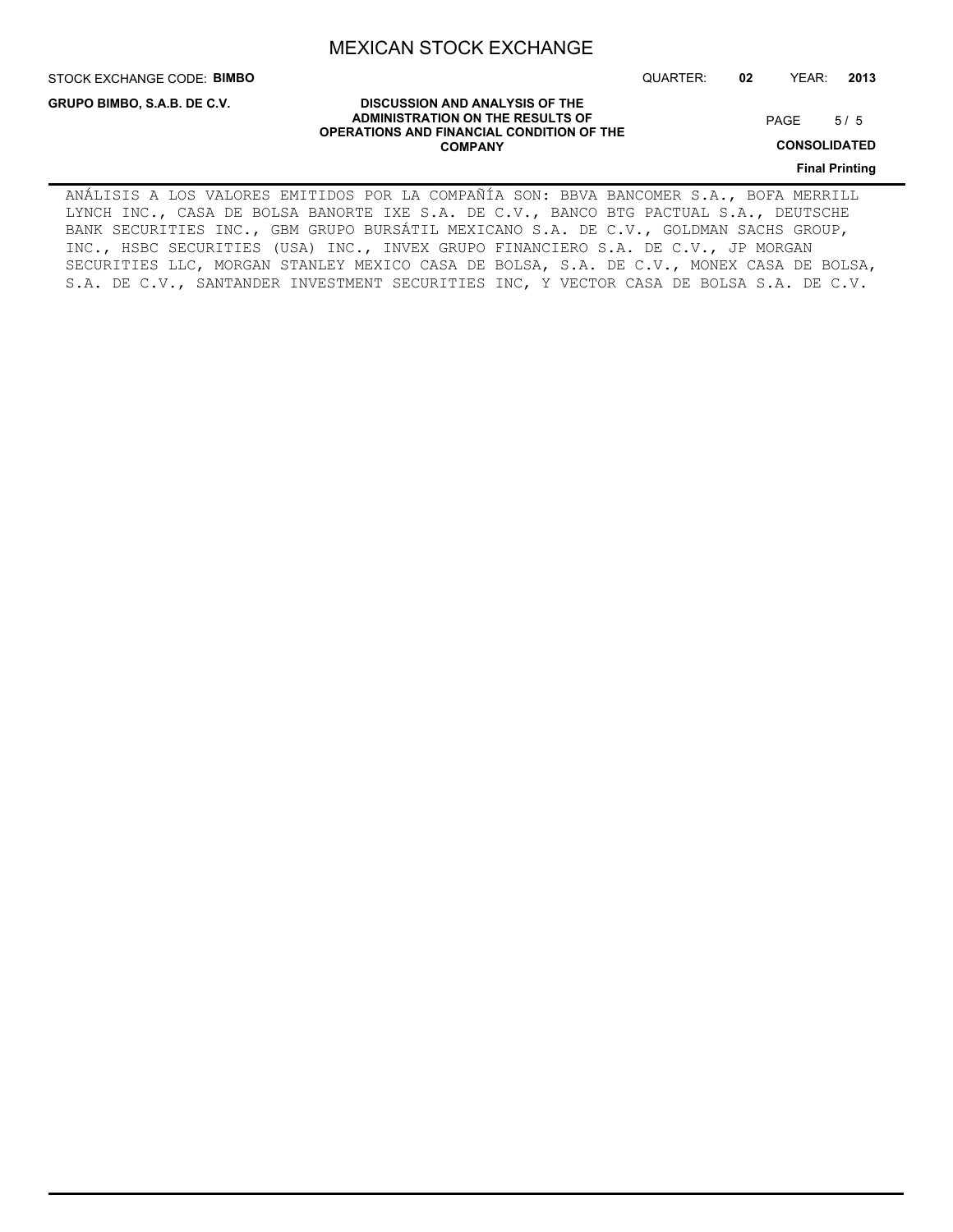STOCK EXCHANGE CODE: **BIMBO**

**GRUPO BIMBO, S.A.B. DE C.V.**

QUARTER: **02** YEAR: **2013**

#### **DISCUSSION AND ANALYSIS OF THE ADMINISTRATION ON THE RESULTS OF OPERATIONS AND FINANCIAL CONDITION OF THE COMPANY**

 $5/5$ PAGE

**CONSOLIDATED**

**Final Printing**

ANÁLISIS A LOS VALORES EMITIDOS POR LA COMPAÑÍA SON: BBVA BANCOMER S.A., BOFA MERRILL LYNCH INC., CASA DE BOLSA BANORTE IXE S.A. DE C.V., BANCO BTG PACTUAL S.A., DEUTSCHE BANK SECURITIES INC., GBM GRUPO BURSÁTIL MEXICANO S.A. DE C.V., GOLDMAN SACHS GROUP, INC., HSBC SECURITIES (USA) INC., INVEX GRUPO FINANCIERO S.A. DE C.V., JP MORGAN SECURITIES LLC, MORGAN STANLEY MEXICO CASA DE BOLSA, S.A. DE C.V., MONEX CASA DE BOLSA, S.A. DE C.V., SANTANDER INVESTMENT SECURITIES INC, Y VECTOR CASA DE BOLSA S.A. DE C.V.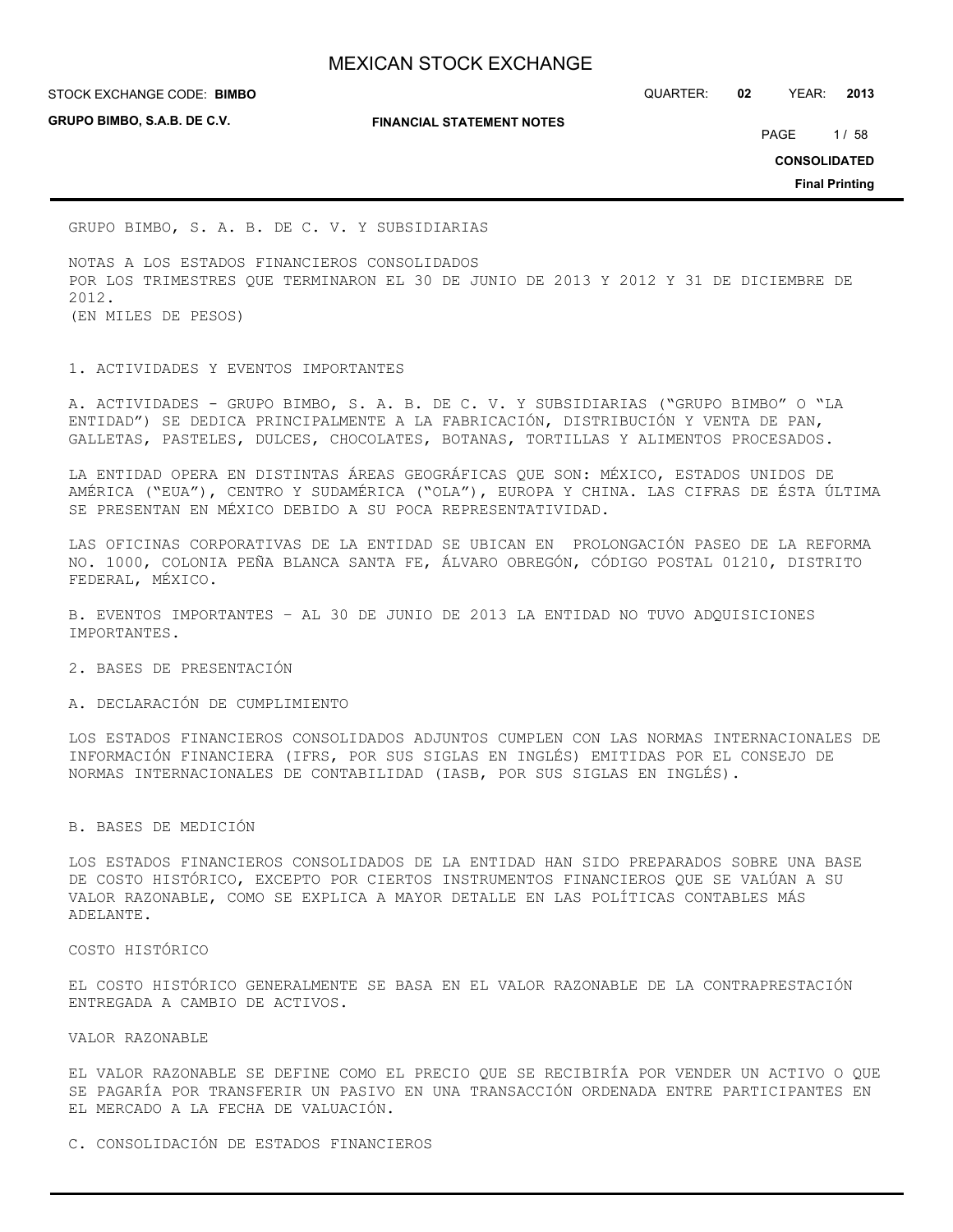**GRUPO BIMBO, S.A.B. DE C.V.**

**FINANCIAL STATEMENT NOTES**

STOCK EXCHANGE CODE: QUARTER: **02** YEAR: **2013 BIMBO**

PAGE 1/58

**CONSOLIDATED**

**Final Printing**

GRUPO BIMBO, S. A. B. DE C. V. Y SUBSIDIARIAS

NOTAS A LOS ESTADOS FINANCIEROS CONSOLIDADOS POR LOS TRIMESTRES QUE TERMINARON EL 30 DE JUNIO DE 2013 Y 2012 Y 31 DE DICIEMBRE DE 2012. (EN MILES DE PESOS)

1. ACTIVIDADES Y EVENTOS IMPORTANTES

A. ACTIVIDADES - GRUPO BIMBO, S. A. B. DE C. V. Y SUBSIDIARIAS ("GRUPO BIMBO" O "LA ENTIDAD") SE DEDICA PRINCIPALMENTE A LA FABRICACIÓN, DISTRIBUCIÓN Y VENTA DE PAN, GALLETAS, PASTELES, DULCES, CHOCOLATES, BOTANAS, TORTILLAS Y ALIMENTOS PROCESADOS.

LA ENTIDAD OPERA EN DISTINTAS ÁREAS GEOGRÁFICAS QUE SON: MÉXICO, ESTADOS UNIDOS DE AMÉRICA ("EUA"), CENTRO Y SUDAMÉRICA ("OLA"), EUROPA Y CHINA. LAS CIFRAS DE ÉSTA ÚLTIMA SE PRESENTAN EN MÉXICO DEBIDO A SU POCA REPRESENTATIVIDAD.

LAS OFICINAS CORPORATIVAS DE LA ENTIDAD SE UBICAN EN PROLONGACIÓN PASEO DE LA REFORMA NO. 1000, COLONIA PEÑA BLANCA SANTA FE, ÁLVARO OBREGÓN, CÓDIGO POSTAL 01210, DISTRITO FEDERAL, MÉXICO.

B. EVENTOS IMPORTANTES – AL 30 DE JUNIO DE 2013 LA ENTIDAD NO TUVO ADQUISICIONES IMPORTANTES.

2. BASES DE PRESENTACIÓN

A. DECLARACIÓN DE CUMPLIMIENTO

LOS ESTADOS FINANCIEROS CONSOLIDADOS ADJUNTOS CUMPLEN CON LAS NORMAS INTERNACIONALES DE INFORMACIÓN FINANCIERA (IFRS, POR SUS SIGLAS EN INGLÉS) EMITIDAS POR EL CONSEJO DE NORMAS INTERNACIONALES DE CONTABILIDAD (IASB, POR SUS SIGLAS EN INGLÉS).

#### B. BASES DE MEDICIÓN

LOS ESTADOS FINANCIEROS CONSOLIDADOS DE LA ENTIDAD HAN SIDO PREPARADOS SOBRE UNA BASE DE COSTO HISTÓRICO, EXCEPTO POR CIERTOS INSTRUMENTOS FINANCIEROS QUE SE VALÚAN A SU VALOR RAZONABLE, COMO SE EXPLICA A MAYOR DETALLE EN LAS POLÍTICAS CONTABLES MÁS ADELANTE.

COSTO HISTÓRICO

EL COSTO HISTÓRICO GENERALMENTE SE BASA EN EL VALOR RAZONABLE DE LA CONTRAPRESTACIÓN ENTREGADA A CAMBIO DE ACTIVOS.

VALOR RAZONABLE

EL VALOR RAZONABLE SE DEFINE COMO EL PRECIO QUE SE RECIBIRÍA POR VENDER UN ACTIVO O QUE SE PAGARÍA POR TRANSFERIR UN PASIVO EN UNA TRANSACCIÓN ORDENADA ENTRE PARTICIPANTES EN EL MERCADO A LA FECHA DE VALUACIÓN.

C. CONSOLIDACIÓN DE ESTADOS FINANCIEROS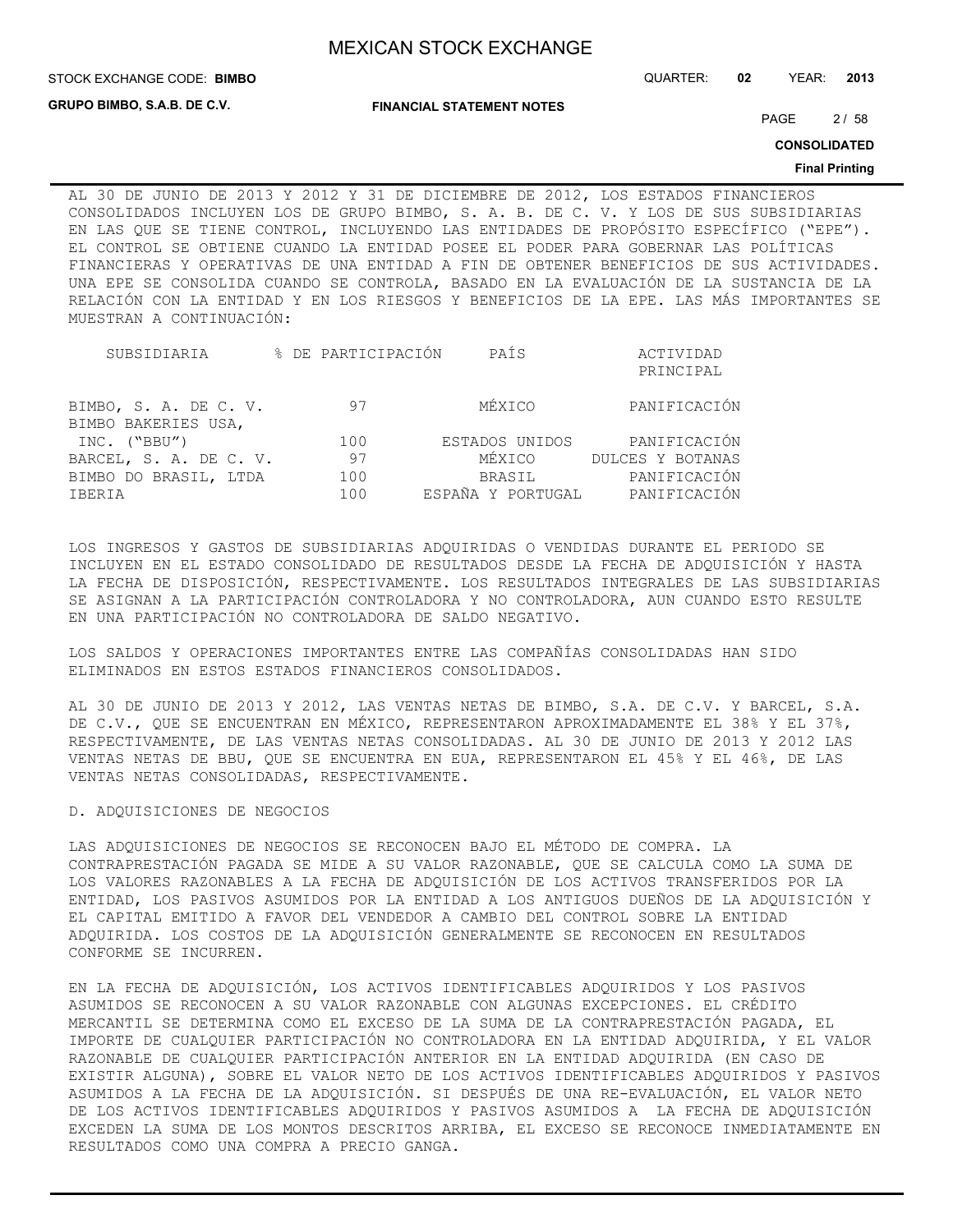**GRUPO BIMBO, S.A.B. DE C.V.**

**FINANCIAL STATEMENT NOTES**

STOCK EXCHANGE CODE: QUARTER: **02** YEAR: **2013 BIMBO**

PAGE 2/58

**CONSOLIDATED**

#### **Final Printing**

AL 30 DE JUNIO DE 2013 Y 2012 Y 31 DE DICIEMBRE DE 2012, LOS ESTADOS FINANCIEROS CONSOLIDADOS INCLUYEN LOS DE GRUPO BIMBO, S. A. B. DE C. V. Y LOS DE SUS SUBSIDIARIAS EN LAS QUE SE TIENE CONTROL, INCLUYENDO LAS ENTIDADES DE PROPÓSITO ESPECÍFICO ("EPE"). EL CONTROL SE OBTIENE CUANDO LA ENTIDAD POSEE EL PODER PARA GOBERNAR LAS POLÍTICAS FINANCIERAS Y OPERATIVAS DE UNA ENTIDAD A FIN DE OBTENER BENEFICIOS DE SUS ACTIVIDADES. UNA EPE SE CONSOLIDA CUANDO SE CONTROLA, BASADO EN LA EVALUACIÓN DE LA SUSTANCIA DE LA RELACIÓN CON LA ENTIDAD Y EN LOS RIESGOS Y BENEFICIOS DE LA EPE. LAS MÁS IMPORTANTES SE MUESTRAN A CONTINUACIÓN:

| SUBSIDIARIA                                  | % DE PARTICIPACIÓN | PAÍS           | ACTIVIDAD                      |
|----------------------------------------------|--------------------|----------------|--------------------------------|
|                                              |                    |                | PRINCIPAL                      |
| BIMBO, S. A. DE C. V.<br>BIMBO BAKERIES USA, | 97                 | MÉXICO         | PANIFICACIÓN                   |
| INC. ("BBU")                                 | 100                | ESTADOS UNIDOS | PANIFICACIÓN                   |
| BARCEL, S. A. DE C. V.                       | 97                 | MÉXICO         | DULCES Y BOTANAS               |
| BIMBO DO BRASIL, LTDA                        | 100                | BRASIL         | PANIFICACIÓN                   |
| IBERIA                                       | 100                |                | ESPAÑA Y PORTUGAL PANIFICACIÓN |

LOS INGRESOS Y GASTOS DE SUBSIDIARIAS ADQUIRIDAS O VENDIDAS DURANTE EL PERIODO SE INCLUYEN EN EL ESTADO CONSOLIDADO DE RESULTADOS DESDE LA FECHA DE ADQUISICIÓN Y HASTA LA FECHA DE DISPOSICIÓN, RESPECTIVAMENTE. LOS RESULTADOS INTEGRALES DE LAS SUBSIDIARIAS SE ASIGNAN A LA PARTICIPACIÓN CONTROLADORA Y NO CONTROLADORA, AUN CUANDO ESTO RESULTE EN UNA PARTICIPACIÓN NO CONTROLADORA DE SALDO NEGATIVO.

LOS SALDOS Y OPERACIONES IMPORTANTES ENTRE LAS COMPAÑÍAS CONSOLIDADAS HAN SIDO ELIMINADOS EN ESTOS ESTADOS FINANCIEROS CONSOLIDADOS.

AL 30 DE JUNIO DE 2013 Y 2012, LAS VENTAS NETAS DE BIMBO, S.A. DE C.V. Y BARCEL, S.A. DE C.V., QUE SE ENCUENTRAN EN MÉXICO, REPRESENTARON APROXIMADAMENTE EL 38% Y EL 37%, RESPECTIVAMENTE, DE LAS VENTAS NETAS CONSOLIDADAS. AL 30 DE JUNIO DE 2013 Y 2012 LAS VENTAS NETAS DE BBU, QUE SE ENCUENTRA EN EUA, REPRESENTARON EL 45% Y EL 46%, DE LAS VENTAS NETAS CONSOLIDADAS, RESPECTIVAMENTE.

D. ADQUISICIONES DE NEGOCIOS

LAS ADQUISICIONES DE NEGOCIOS SE RECONOCEN BAJO EL MÉTODO DE COMPRA. LA CONTRAPRESTACIÓN PAGADA SE MIDE A SU VALOR RAZONABLE, QUE SE CALCULA COMO LA SUMA DE LOS VALORES RAZONABLES A LA FECHA DE ADQUISICIÓN DE LOS ACTIVOS TRANSFERIDOS POR LA ENTIDAD, LOS PASIVOS ASUMIDOS POR LA ENTIDAD A LOS ANTIGUOS DUEÑOS DE LA ADQUISICIÓN Y EL CAPITAL EMITIDO A FAVOR DEL VENDEDOR A CAMBIO DEL CONTROL SOBRE LA ENTIDAD ADQUIRIDA. LOS COSTOS DE LA ADQUISICIÓN GENERALMENTE SE RECONOCEN EN RESULTADOS CONFORME SE INCURREN.

EN LA FECHA DE ADQUISICIÓN, LOS ACTIVOS IDENTIFICABLES ADQUIRIDOS Y LOS PASIVOS ASUMIDOS SE RECONOCEN A SU VALOR RAZONABLE CON ALGUNAS EXCEPCIONES. EL CRÉDITO MERCANTIL SE DETERMINA COMO EL EXCESO DE LA SUMA DE LA CONTRAPRESTACIÓN PAGADA, EL IMPORTE DE CUALQUIER PARTICIPACIÓN NO CONTROLADORA EN LA ENTIDAD ADQUIRIDA, Y EL VALOR RAZONABLE DE CUALQUIER PARTICIPACIÓN ANTERIOR EN LA ENTIDAD ADQUIRIDA (EN CASO DE EXISTIR ALGUNA), SOBRE EL VALOR NETO DE LOS ACTIVOS IDENTIFICABLES ADQUIRIDOS Y PASIVOS ASUMIDOS A LA FECHA DE LA ADQUISICIÓN. SI DESPUÉS DE UNA RE-EVALUACIÓN, EL VALOR NETO DE LOS ACTIVOS IDENTIFICABLES ADQUIRIDOS Y PASIVOS ASUMIDOS A LA FECHA DE ADQUISICIÓN EXCEDEN LA SUMA DE LOS MONTOS DESCRITOS ARRIBA, EL EXCESO SE RECONOCE INMEDIATAMENTE EN RESULTADOS COMO UNA COMPRA A PRECIO GANGA.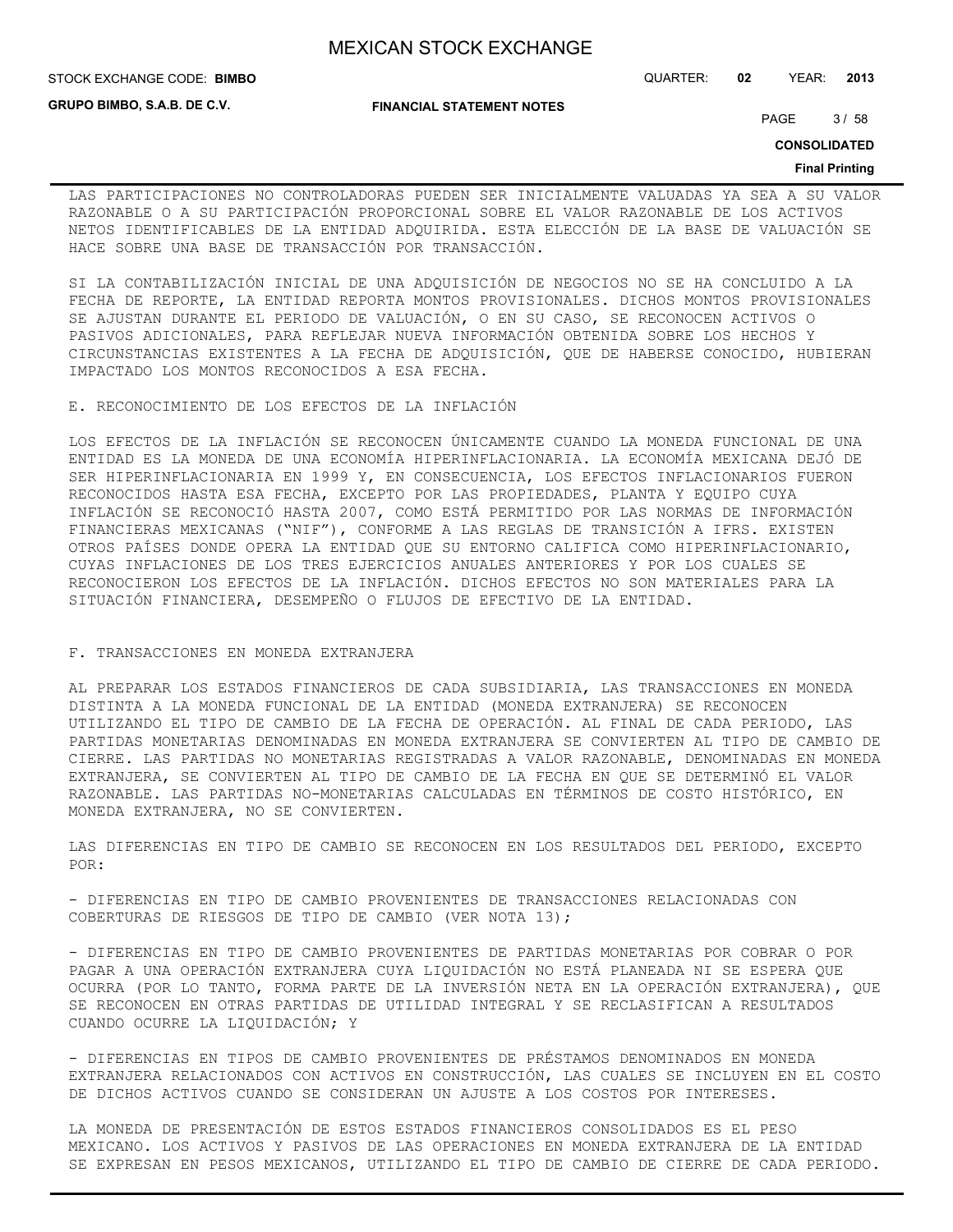**STOCK EXCHANGE CODE: BIMBO** 

**GRUPO BIMBO, S.A.B. DE C.V.**

**FINANCIAL STATEMENT NOTES**

STOCK EXCHANGE CODE: QUARTER: **02** YEAR: **2013**

PAGE 3/58

**CONSOLIDATED**

#### **Final Printing**

LAS PARTICIPACIONES NO CONTROLADORAS PUEDEN SER INICIALMENTE VALUADAS YA SEA A SU VALOR RAZONABLE O A SU PARTICIPACIÓN PROPORCIONAL SOBRE EL VALOR RAZONABLE DE LOS ACTIVOS NETOS IDENTIFICABLES DE LA ENTIDAD ADQUIRIDA. ESTA ELECCIÓN DE LA BASE DE VALUACIÓN SE HACE SOBRE UNA BASE DE TRANSACCIÓN POR TRANSACCIÓN.

SI LA CONTABILIZACIÓN INICIAL DE UNA ADQUISICIÓN DE NEGOCIOS NO SE HA CONCLUIDO A LA FECHA DE REPORTE, LA ENTIDAD REPORTA MONTOS PROVISIONALES. DICHOS MONTOS PROVISIONALES SE AJUSTAN DURANTE EL PERIODO DE VALUACIÓN, O EN SU CASO, SE RECONOCEN ACTIVOS O PASIVOS ADICIONALES, PARA REFLEJAR NUEVA INFORMACIÓN OBTENIDA SOBRE LOS HECHOS Y CIRCUNSTANCIAS EXISTENTES A LA FECHA DE ADQUISICIÓN, QUE DE HABERSE CONOCIDO, HUBIERAN IMPACTADO LOS MONTOS RECONOCIDOS A ESA FECHA.

E. RECONOCIMIENTO DE LOS EFECTOS DE LA INFLACIÓN

LOS EFECTOS DE LA INFLACIÓN SE RECONOCEN ÚNICAMENTE CUANDO LA MONEDA FUNCIONAL DE UNA ENTIDAD ES LA MONEDA DE UNA ECONOMÍA HIPERINFLACIONARIA. LA ECONOMÍA MEXICANA DEJÓ DE SER HIPERINFLACIONARIA EN 1999 Y, EN CONSECUENCIA, LOS EFECTOS INFLACIONARIOS FUERON RECONOCIDOS HASTA ESA FECHA, EXCEPTO POR LAS PROPIEDADES, PLANTA Y EQUIPO CUYA INFLACIÓN SE RECONOCIÓ HASTA 2007, COMO ESTÁ PERMITIDO POR LAS NORMAS DE INFORMACIÓN FINANCIERAS MEXICANAS ("NIF"), CONFORME A LAS REGLAS DE TRANSICIÓN A IFRS. EXISTEN OTROS PAÍSES DONDE OPERA LA ENTIDAD QUE SU ENTORNO CALIFICA COMO HIPERINFLACIONARIO, CUYAS INFLACIONES DE LOS TRES EJERCICIOS ANUALES ANTERIORES Y POR LOS CUALES SE RECONOCIERON LOS EFECTOS DE LA INFLACIÓN. DICHOS EFECTOS NO SON MATERIALES PARA LA SITUACIÓN FINANCIERA, DESEMPEÑO O FLUJOS DE EFECTIVO DE LA ENTIDAD.

#### F. TRANSACCIONES EN MONEDA EXTRANJERA

AL PREPARAR LOS ESTADOS FINANCIEROS DE CADA SUBSIDIARIA, LAS TRANSACCIONES EN MONEDA DISTINTA A LA MONEDA FUNCIONAL DE LA ENTIDAD (MONEDA EXTRANJERA) SE RECONOCEN UTILIZANDO EL TIPO DE CAMBIO DE LA FECHA DE OPERACIÓN. AL FINAL DE CADA PERIODO, LAS PARTIDAS MONETARIAS DENOMINADAS EN MONEDA EXTRANJERA SE CONVIERTEN AL TIPO DE CAMBIO DE CIERRE. LAS PARTIDAS NO MONETARIAS REGISTRADAS A VALOR RAZONABLE, DENOMINADAS EN MONEDA EXTRANJERA, SE CONVIERTEN AL TIPO DE CAMBIO DE LA FECHA EN QUE SE DETERMINÓ EL VALOR RAZONABLE. LAS PARTIDAS NO-MONETARIAS CALCULADAS EN TÉRMINOS DE COSTO HISTÓRICO, EN MONEDA EXTRANJERA, NO SE CONVIERTEN.

LAS DIFERENCIAS EN TIPO DE CAMBIO SE RECONOCEN EN LOS RESULTADOS DEL PERIODO, EXCEPTO POR:

- DIFERENCIAS EN TIPO DE CAMBIO PROVENIENTES DE TRANSACCIONES RELACIONADAS CON COBERTURAS DE RIESGOS DE TIPO DE CAMBIO (VER NOTA 13);

- DIFERENCIAS EN TIPO DE CAMBIO PROVENIENTES DE PARTIDAS MONETARIAS POR COBRAR O POR PAGAR A UNA OPERACIÓN EXTRANJERA CUYA LIQUIDACIÓN NO ESTÁ PLANEADA NI SE ESPERA QUE OCURRA (POR LO TANTO, FORMA PARTE DE LA INVERSIÓN NETA EN LA OPERACIÓN EXTRANJERA), QUE SE RECONOCEN EN OTRAS PARTIDAS DE UTILIDAD INTEGRAL Y SE RECLASIFICAN A RESULTADOS CUANDO OCURRE LA LIQUIDACIÓN; Y

- DIFERENCIAS EN TIPOS DE CAMBIO PROVENIENTES DE PRÉSTAMOS DENOMINADOS EN MONEDA EXTRANJERA RELACIONADOS CON ACTIVOS EN CONSTRUCCIÓN, LAS CUALES SE INCLUYEN EN EL COSTO DE DICHOS ACTIVOS CUANDO SE CONSIDERAN UN AJUSTE A LOS COSTOS POR INTERESES.

LA MONEDA DE PRESENTACIÓN DE ESTOS ESTADOS FINANCIEROS CONSOLIDADOS ES EL PESO MEXICANO. LOS ACTIVOS Y PASIVOS DE LAS OPERACIONES EN MONEDA EXTRANJERA DE LA ENTIDAD SE EXPRESAN EN PESOS MEXICANOS, UTILIZANDO EL TIPO DE CAMBIO DE CIERRE DE CADA PERIODO.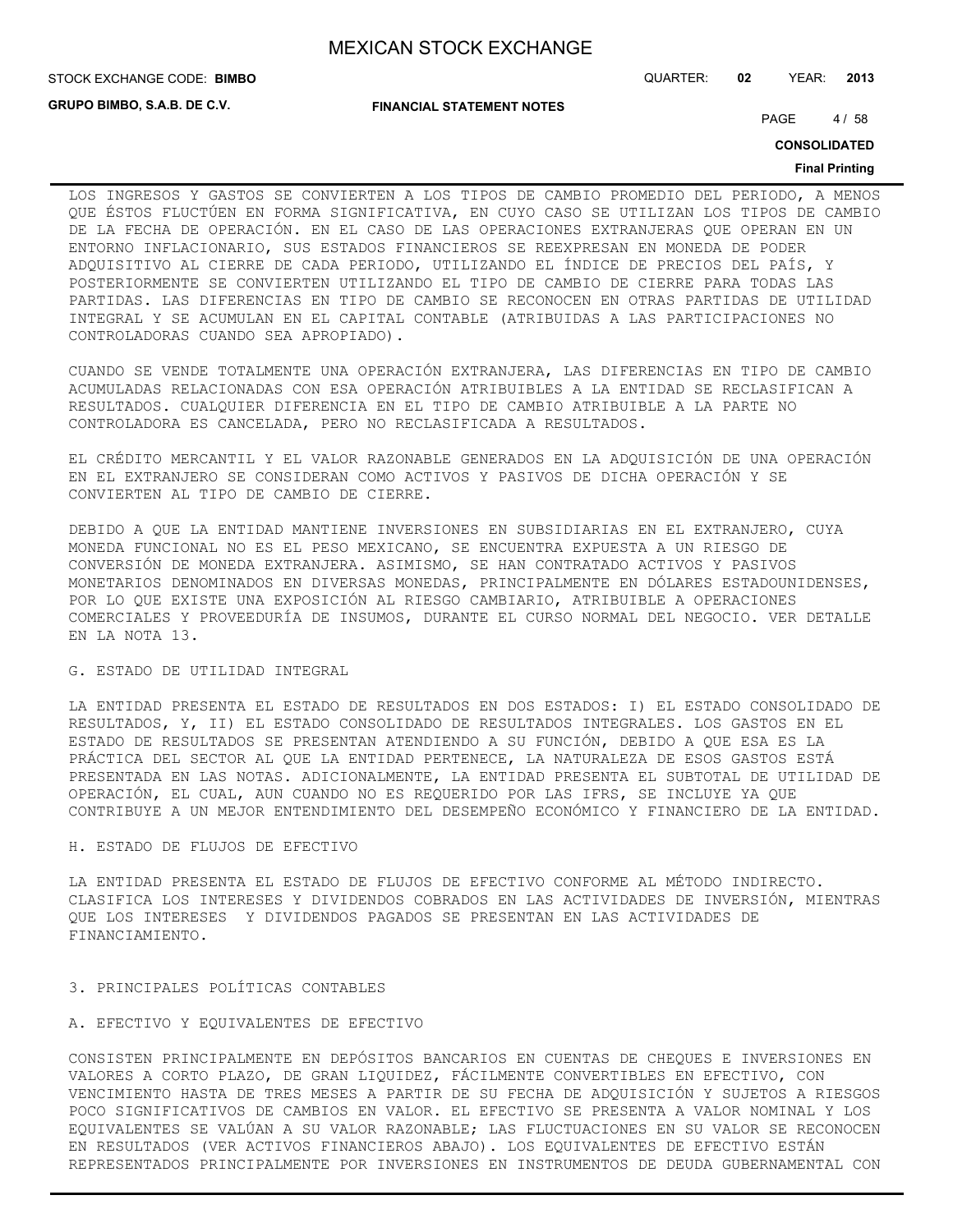**GRUPO BIMBO, S.A.B. DE C.V.**

**FINANCIAL STATEMENT NOTES**

STOCK EXCHANGE CODE: QUARTER: **02** YEAR: **2013 BIMBO**

PAGE 4/58

**CONSOLIDATED**

#### **Final Printing**

LOS INGRESOS Y GASTOS SE CONVIERTEN A LOS TIPOS DE CAMBIO PROMEDIO DEL PERIODO, A MENOS QUE ÉSTOS FLUCTÚEN EN FORMA SIGNIFICATIVA, EN CUYO CASO SE UTILIZAN LOS TIPOS DE CAMBIO DE LA FECHA DE OPERACIÓN. EN EL CASO DE LAS OPERACIONES EXTRANJERAS QUE OPERAN EN UN ENTORNO INFLACIONARIO, SUS ESTADOS FINANCIEROS SE REEXPRESAN EN MONEDA DE PODER ADQUISITIVO AL CIERRE DE CADA PERIODO, UTILIZANDO EL ÍNDICE DE PRECIOS DEL PAÍS, Y POSTERIORMENTE SE CONVIERTEN UTILIZANDO EL TIPO DE CAMBIO DE CIERRE PARA TODAS LAS PARTIDAS. LAS DIFERENCIAS EN TIPO DE CAMBIO SE RECONOCEN EN OTRAS PARTIDAS DE UTILIDAD INTEGRAL Y SE ACUMULAN EN EL CAPITAL CONTABLE (ATRIBUIDAS A LAS PARTICIPACIONES NO CONTROLADORAS CUANDO SEA APROPIADO).

CUANDO SE VENDE TOTALMENTE UNA OPERACIÓN EXTRANJERA, LAS DIFERENCIAS EN TIPO DE CAMBIO ACUMULADAS RELACIONADAS CON ESA OPERACIÓN ATRIBUIBLES A LA ENTIDAD SE RECLASIFICAN A RESULTADOS. CUALQUIER DIFERENCIA EN EL TIPO DE CAMBIO ATRIBUIBLE A LA PARTE NO CONTROLADORA ES CANCELADA, PERO NO RECLASIFICADA A RESULTADOS.

EL CRÉDITO MERCANTIL Y EL VALOR RAZONABLE GENERADOS EN LA ADQUISICIÓN DE UNA OPERACIÓN EN EL EXTRANJERO SE CONSIDERAN COMO ACTIVOS Y PASIVOS DE DICHA OPERACIÓN Y SE CONVIERTEN AL TIPO DE CAMBIO DE CIERRE.

DEBIDO A QUE LA ENTIDAD MANTIENE INVERSIONES EN SUBSIDIARIAS EN EL EXTRANJERO, CUYA MONEDA FUNCIONAL NO ES EL PESO MEXICANO, SE ENCUENTRA EXPUESTA A UN RIESGO DE CONVERSIÓN DE MONEDA EXTRANJERA. ASIMISMO, SE HAN CONTRATADO ACTIVOS Y PASIVOS MONETARIOS DENOMINADOS EN DIVERSAS MONEDAS, PRINCIPALMENTE EN DÓLARES ESTADOUNIDENSES, POR LO QUE EXISTE UNA EXPOSICIÓN AL RIESGO CAMBIARIO, ATRIBUIBLE A OPERACIONES COMERCIALES Y PROVEEDURÍA DE INSUMOS, DURANTE EL CURSO NORMAL DEL NEGOCIO. VER DETALLE EN LA NOTA 13.

## G. ESTADO DE UTILIDAD INTEGRAL

LA ENTIDAD PRESENTA EL ESTADO DE RESULTADOS EN DOS ESTADOS: I) EL ESTADO CONSOLIDADO DE RESULTADOS, Y, II) EL ESTADO CONSOLIDADO DE RESULTADOS INTEGRALES. LOS GASTOS EN EL ESTADO DE RESULTADOS SE PRESENTAN ATENDIENDO A SU FUNCIÓN, DEBIDO A QUE ESA ES LA PRÁCTICA DEL SECTOR AL QUE LA ENTIDAD PERTENECE, LA NATURALEZA DE ESOS GASTOS ESTÁ PRESENTADA EN LAS NOTAS. ADICIONALMENTE, LA ENTIDAD PRESENTA EL SUBTOTAL DE UTILIDAD DE OPERACIÓN, EL CUAL, AUN CUANDO NO ES REQUERIDO POR LAS IFRS, SE INCLUYE YA QUE CONTRIBUYE A UN MEJOR ENTENDIMIENTO DEL DESEMPEÑO ECONÓMICO Y FINANCIERO DE LA ENTIDAD.

#### H. ESTADO DE FLUJOS DE EFECTIVO

LA ENTIDAD PRESENTA EL ESTADO DE FLUJOS DE EFECTIVO CONFORME AL MÉTODO INDIRECTO. CLASIFICA LOS INTERESES Y DIVIDENDOS COBRADOS EN LAS ACTIVIDADES DE INVERSIÓN, MIENTRAS QUE LOS INTERESES Y DIVIDENDOS PAGADOS SE PRESENTAN EN LAS ACTIVIDADES DE FINANCIAMIENTO.

#### 3. PRINCIPALES POLÍTICAS CONTABLES

#### A. EFECTIVO Y EQUIVALENTES DE EFECTIVO

CONSISTEN PRINCIPALMENTE EN DEPÓSITOS BANCARIOS EN CUENTAS DE CHEQUES E INVERSIONES EN VALORES A CORTO PLAZO, DE GRAN LIQUIDEZ, FÁCILMENTE CONVERTIBLES EN EFECTIVO, CON VENCIMIENTO HASTA DE TRES MESES A PARTIR DE SU FECHA DE ADQUISICIÓN Y SUJETOS A RIESGOS POCO SIGNIFICATIVOS DE CAMBIOS EN VALOR. EL EFECTIVO SE PRESENTA A VALOR NOMINAL Y LOS EQUIVALENTES SE VALÚAN A SU VALOR RAZONABLE; LAS FLUCTUACIONES EN SU VALOR SE RECONOCEN EN RESULTADOS (VER ACTIVOS FINANCIEROS ABAJO). LOS EQUIVALENTES DE EFECTIVO ESTÁN REPRESENTADOS PRINCIPALMENTE POR INVERSIONES EN INSTRUMENTOS DE DEUDA GUBERNAMENTAL CON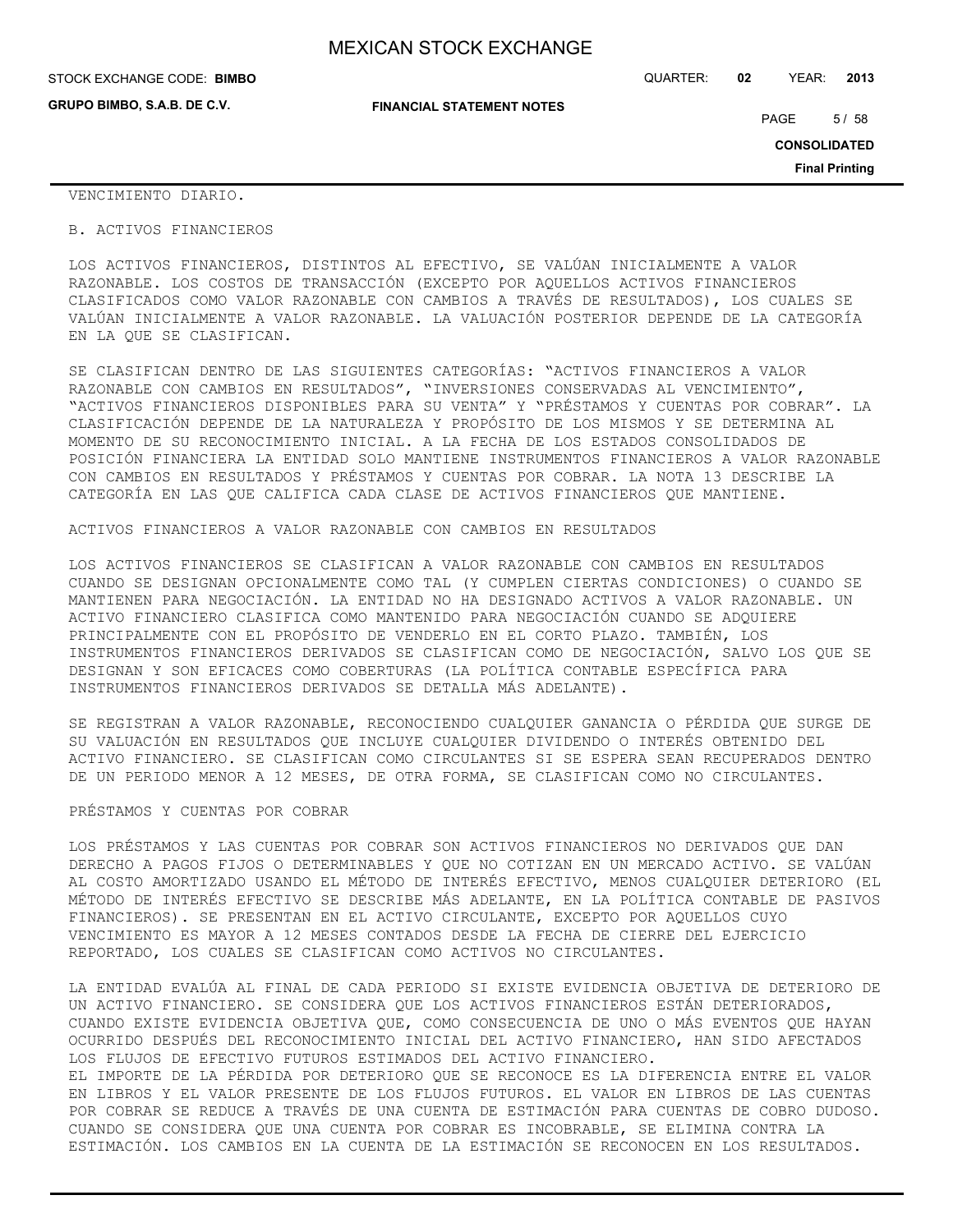| STOCK EXCHANGE CODE: BIMBO  |                                  | QUARTER: | 02 | YEAR: | 2013   |
|-----------------------------|----------------------------------|----------|----|-------|--------|
| GRUPO BIMBO, S.A.B. DE C.V. | <b>FINANCIAL STATEMENT NOTES</b> |          |    | PAGE  | 5 / 58 |

**CONSOLIDATED**

**Final Printing**

VENCIMIENTO DIARIO.

#### B. ACTIVOS FINANCIEROS

LOS ACTIVOS FINANCIEROS, DISTINTOS AL EFECTIVO, SE VALÚAN INICIALMENTE A VALOR RAZONABLE. LOS COSTOS DE TRANSACCIÓN (EXCEPTO POR AQUELLOS ACTIVOS FINANCIEROS CLASIFICADOS COMO VALOR RAZONABLE CON CAMBIOS A TRAVÉS DE RESULTADOS), LOS CUALES SE VALÚAN INICIALMENTE A VALOR RAZONABLE. LA VALUACIÓN POSTERIOR DEPENDE DE LA CATEGORÍA EN LA QUE SE CLASIFICAN.

SE CLASIFICAN DENTRO DE LAS SIGUIENTES CATEGORÍAS: "ACTIVOS FINANCIEROS A VALOR RAZONABLE CON CAMBIOS EN RESULTADOS", "INVERSIONES CONSERVADAS AL VENCIMIENTO", "ACTIVOS FINANCIEROS DISPONIBLES PARA SU VENTA" Y "PRÉSTAMOS Y CUENTAS POR COBRAR". LA CLASIFICACIÓN DEPENDE DE LA NATURALEZA Y PROPÓSITO DE LOS MISMOS Y SE DETERMINA AL MOMENTO DE SU RECONOCIMIENTO INICIAL. A LA FECHA DE LOS ESTADOS CONSOLIDADOS DE POSICIÓN FINANCIERA LA ENTIDAD SOLO MANTIENE INSTRUMENTOS FINANCIEROS A VALOR RAZONABLE CON CAMBIOS EN RESULTADOS Y PRÉSTAMOS Y CUENTAS POR COBRAR. LA NOTA 13 DESCRIBE LA CATEGORÍA EN LAS QUE CALIFICA CADA CLASE DE ACTIVOS FINANCIEROS QUE MANTIENE.

ACTIVOS FINANCIEROS A VALOR RAZONABLE CON CAMBIOS EN RESULTADOS

LOS ACTIVOS FINANCIEROS SE CLASIFICAN A VALOR RAZONABLE CON CAMBIOS EN RESULTADOS CUANDO SE DESIGNAN OPCIONALMENTE COMO TAL (Y CUMPLEN CIERTAS CONDICIONES) O CUANDO SE MANTIENEN PARA NEGOCIACIÓN. LA ENTIDAD NO HA DESIGNADO ACTIVOS A VALOR RAZONABLE. UN ACTIVO FINANCIERO CLASIFICA COMO MANTENIDO PARA NEGOCIACIÓN CUANDO SE ADQUIERE PRINCIPALMENTE CON EL PROPÓSITO DE VENDERLO EN EL CORTO PLAZO. TAMBIÉN, LOS INSTRUMENTOS FINANCIEROS DERIVADOS SE CLASIFICAN COMO DE NEGOCIACIÓN, SALVO LOS QUE SE DESIGNAN Y SON EFICACES COMO COBERTURAS (LA POLÍTICA CONTABLE ESPECÍFICA PARA INSTRUMENTOS FINANCIEROS DERIVADOS SE DETALLA MÁS ADELANTE).

SE REGISTRAN A VALOR RAZONABLE, RECONOCIENDO CUALQUIER GANANCIA O PÉRDIDA QUE SURGE DE SU VALUACIÓN EN RESULTADOS QUE INCLUYE CUALQUIER DIVIDENDO O INTERÉS OBTENIDO DEL ACTIVO FINANCIERO. SE CLASIFICAN COMO CIRCULANTES SI SE ESPERA SEAN RECUPERADOS DENTRO DE UN PERIODO MENOR A 12 MESES, DE OTRA FORMA, SE CLASIFICAN COMO NO CIRCULANTES.

#### PRÉSTAMOS Y CUENTAS POR COBRAR

LOS PRÉSTAMOS Y LAS CUENTAS POR COBRAR SON ACTIVOS FINANCIEROS NO DERIVADOS QUE DAN DERECHO A PAGOS FIJOS O DETERMINABLES Y QUE NO COTIZAN EN UN MERCADO ACTIVO. SE VALÚAN AL COSTO AMORTIZADO USANDO EL MÉTODO DE INTERÉS EFECTIVO, MENOS CUALQUIER DETERIORO (EL MÉTODO DE INTERÉS EFECTIVO SE DESCRIBE MÁS ADELANTE, EN LA POLÍTICA CONTABLE DE PASIVOS FINANCIEROS). SE PRESENTAN EN EL ACTIVO CIRCULANTE, EXCEPTO POR AQUELLOS CUYO VENCIMIENTO ES MAYOR A 12 MESES CONTADOS DESDE LA FECHA DE CIERRE DEL EJERCICIO REPORTADO, LOS CUALES SE CLASIFICAN COMO ACTIVOS NO CIRCULANTES.

LA ENTIDAD EVALÚA AL FINAL DE CADA PERIODO SI EXISTE EVIDENCIA OBJETIVA DE DETERIORO DE UN ACTIVO FINANCIERO. SE CONSIDERA QUE LOS ACTIVOS FINANCIEROS ESTÁN DETERIORADOS, CUANDO EXISTE EVIDENCIA OBJETIVA QUE, COMO CONSECUENCIA DE UNO O MÁS EVENTOS QUE HAYAN OCURRIDO DESPUÉS DEL RECONOCIMIENTO INICIAL DEL ACTIVO FINANCIERO, HAN SIDO AFECTADOS LOS FLUJOS DE EFECTIVO FUTUROS ESTIMADOS DEL ACTIVO FINANCIERO. EL IMPORTE DE LA PÉRDIDA POR DETERIORO QUE SE RECONOCE ES LA DIFERENCIA ENTRE EL VALOR EN LIBROS Y EL VALOR PRESENTE DE LOS FLUJOS FUTUROS. EL VALOR EN LIBROS DE LAS CUENTAS POR COBRAR SE REDUCE A TRAVÉS DE UNA CUENTA DE ESTIMACIÓN PARA CUENTAS DE COBRO DUDOSO. CUANDO SE CONSIDERA QUE UNA CUENTA POR COBRAR ES INCOBRABLE, SE ELIMINA CONTRA LA ESTIMACIÓN. LOS CAMBIOS EN LA CUENTA DE LA ESTIMACIÓN SE RECONOCEN EN LOS RESULTADOS.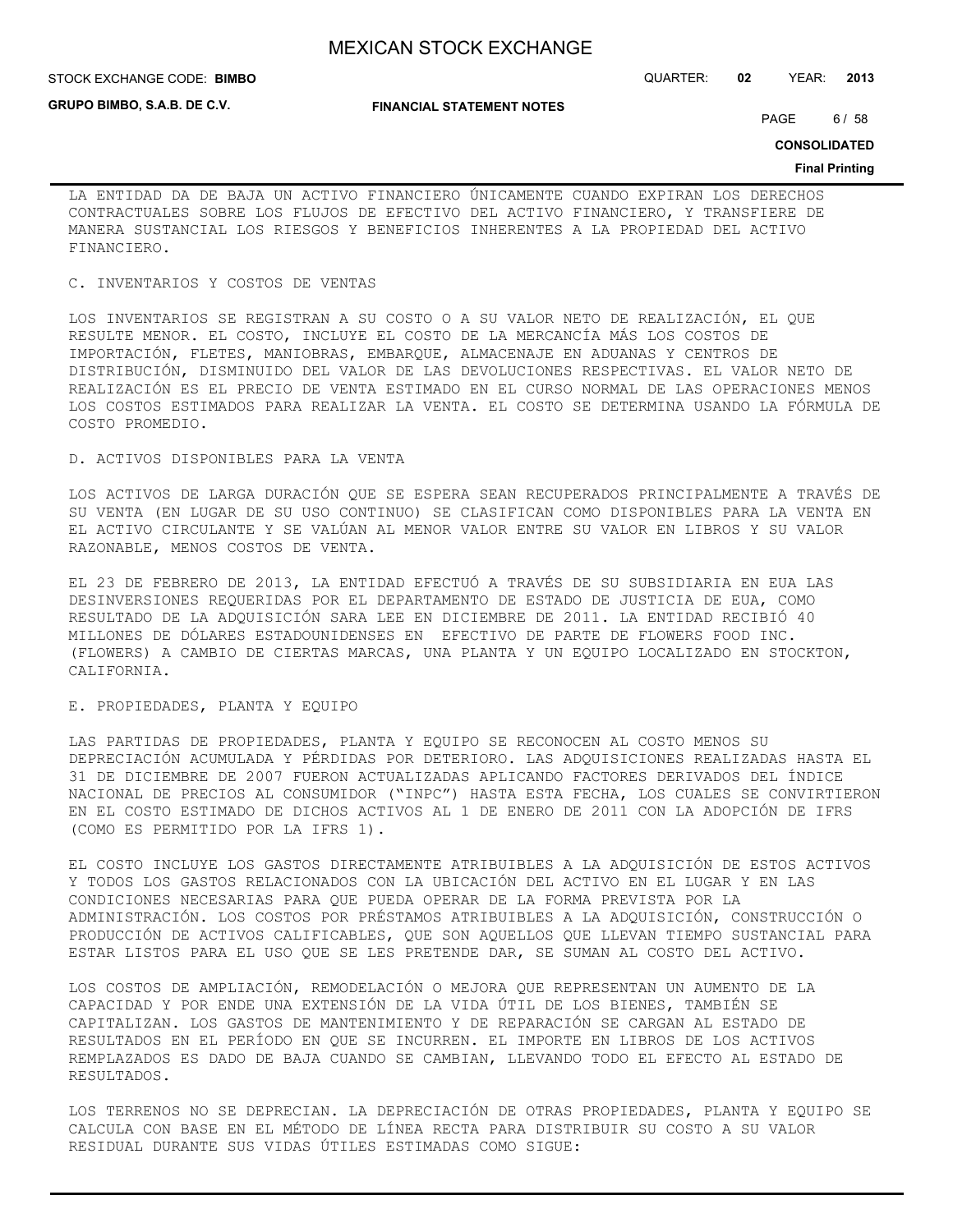**GRUPO BIMBO, S.A.B. DE C.V.**

**FINANCIAL STATEMENT NOTES**

STOCK EXCHANGE CODE: QUARTER: **02** YEAR: **2013 BIMBO**

PAGE 6/58

**CONSOLIDATED**

#### **Final Printing**

LA ENTIDAD DA DE BAJA UN ACTIVO FINANCIERO ÚNICAMENTE CUANDO EXPIRAN LOS DERECHOS CONTRACTUALES SOBRE LOS FLUJOS DE EFECTIVO DEL ACTIVO FINANCIERO, Y TRANSFIERE DE MANERA SUSTANCIAL LOS RIESGOS Y BENEFICIOS INHERENTES A LA PROPIEDAD DEL ACTIVO FINANCIERO.

#### C. INVENTARIOS Y COSTOS DE VENTAS

LOS INVENTARIOS SE REGISTRAN A SU COSTO O A SU VALOR NETO DE REALIZACIÓN, EL QUE RESULTE MENOR. EL COSTO, INCLUYE EL COSTO DE LA MERCANCÍA MÁS LOS COSTOS DE IMPORTACIÓN, FLETES, MANIOBRAS, EMBARQUE, ALMACENAJE EN ADUANAS Y CENTROS DE DISTRIBUCIÓN, DISMINUIDO DEL VALOR DE LAS DEVOLUCIONES RESPECTIVAS. EL VALOR NETO DE REALIZACIÓN ES EL PRECIO DE VENTA ESTIMADO EN EL CURSO NORMAL DE LAS OPERACIONES MENOS LOS COSTOS ESTIMADOS PARA REALIZAR LA VENTA. EL COSTO SE DETERMINA USANDO LA FÓRMULA DE COSTO PROMEDIO.

### D. ACTIVOS DISPONIBLES PARA LA VENTA

LOS ACTIVOS DE LARGA DURACIÓN QUE SE ESPERA SEAN RECUPERADOS PRINCIPALMENTE A TRAVÉS DE SU VENTA (EN LUGAR DE SU USO CONTINUO) SE CLASIFICAN COMO DISPONIBLES PARA LA VENTA EN EL ACTIVO CIRCULANTE Y SE VALÚAN AL MENOR VALOR ENTRE SU VALOR EN LIBROS Y SU VALOR RAZONABLE, MENOS COSTOS DE VENTA.

EL 23 DE FEBRERO DE 2013, LA ENTIDAD EFECTUÓ A TRAVÉS DE SU SUBSIDIARIA EN EUA LAS DESINVERSIONES REQUERIDAS POR EL DEPARTAMENTO DE ESTADO DE JUSTICIA DE EUA, COMO RESULTADO DE LA ADQUISICIÓN SARA LEE EN DICIEMBRE DE 2011. LA ENTIDAD RECIBIÓ 40 MILLONES DE DÓLARES ESTADOUNIDENSES EN EFECTIVO DE PARTE DE FLOWERS FOOD INC. (FLOWERS) A CAMBIO DE CIERTAS MARCAS, UNA PLANTA Y UN EQUIPO LOCALIZADO EN STOCKTON, CALIFORNIA.

## E. PROPIEDADES, PLANTA Y EQUIPO

LAS PARTIDAS DE PROPIEDADES, PLANTA Y EQUIPO SE RECONOCEN AL COSTO MENOS SU DEPRECIACIÓN ACUMULADA Y PÉRDIDAS POR DETERIORO. LAS ADQUISICIONES REALIZADAS HASTA EL 31 DE DICIEMBRE DE 2007 FUERON ACTUALIZADAS APLICANDO FACTORES DERIVADOS DEL ÍNDICE NACIONAL DE PRECIOS AL CONSUMIDOR ("INPC") HASTA ESTA FECHA, LOS CUALES SE CONVIRTIERON EN EL COSTO ESTIMADO DE DICHOS ACTIVOS AL 1 DE ENERO DE 2011 CON LA ADOPCIÓN DE IFRS (COMO ES PERMITIDO POR LA IFRS 1).

EL COSTO INCLUYE LOS GASTOS DIRECTAMENTE ATRIBUIBLES A LA ADQUISICIÓN DE ESTOS ACTIVOS Y TODOS LOS GASTOS RELACIONADOS CON LA UBICACIÓN DEL ACTIVO EN EL LUGAR Y EN LAS CONDICIONES NECESARIAS PARA QUE PUEDA OPERAR DE LA FORMA PREVISTA POR LA ADMINISTRACIÓN. LOS COSTOS POR PRÉSTAMOS ATRIBUIBLES A LA ADQUISICIÓN, CONSTRUCCIÓN O PRODUCCIÓN DE ACTIVOS CALIFICABLES, QUE SON AQUELLOS QUE LLEVAN TIEMPO SUSTANCIAL PARA ESTAR LISTOS PARA EL USO QUE SE LES PRETENDE DAR, SE SUMAN AL COSTO DEL ACTIVO.

LOS COSTOS DE AMPLIACIÓN, REMODELACIÓN O MEJORA QUE REPRESENTAN UN AUMENTO DE LA CAPACIDAD Y POR ENDE UNA EXTENSIÓN DE LA VIDA ÚTIL DE LOS BIENES, TAMBIÉN SE CAPITALIZAN. LOS GASTOS DE MANTENIMIENTO Y DE REPARACIÓN SE CARGAN AL ESTADO DE RESULTADOS EN EL PERÍODO EN QUE SE INCURREN. EL IMPORTE EN LIBROS DE LOS ACTIVOS REMPLAZADOS ES DADO DE BAJA CUANDO SE CAMBIAN, LLEVANDO TODO EL EFECTO AL ESTADO DE RESULTADOS.

LOS TERRENOS NO SE DEPRECIAN. LA DEPRECIACIÓN DE OTRAS PROPIEDADES, PLANTA Y EQUIPO SE CALCULA CON BASE EN EL MÉTODO DE LÍNEA RECTA PARA DISTRIBUIR SU COSTO A SU VALOR RESIDUAL DURANTE SUS VIDAS ÚTILES ESTIMADAS COMO SIGUE: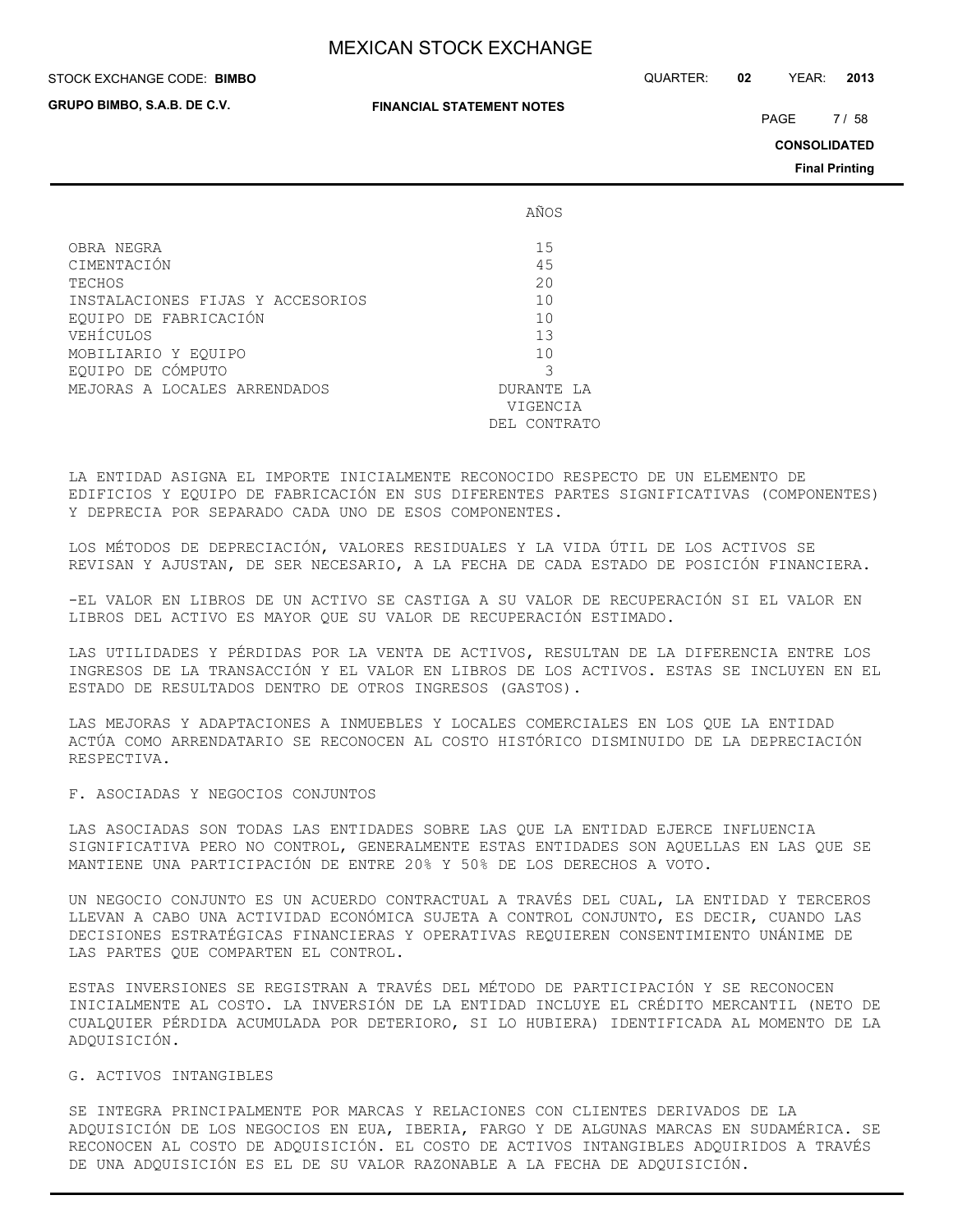**GRUPO BIMBO, S.A.B. DE C.V.**

#### **FINANCIAL STATEMENT NOTES**

STOCK EXCHANGE CODE: QUARTER: **02** YEAR: **2013 BIMBO**

PAGE 7/58

**CONSOLIDATED**

**Final Printing**

|                                  | AÑOS          |
|----------------------------------|---------------|
| OBRA NEGRA                       | 15            |
| CIMENTACIÓN                      | 45            |
| TECHOS                           | 20            |
| INSTALACIONES FIJAS Y ACCESORIOS | 10            |
| EOUIPO DE FABRICACIÓN            | 10            |
| VEHÍCULOS                        | 13            |
| MOBILIARIO Y EOUIPO              | 10            |
| EQUIPO DE CÓMPUTO                | 3             |
| MEJORAS A LOCALES ARRENDADOS     | DURANTE LA    |
|                                  | VIGENCIA      |
|                                  | DEI, CONTRATO |

LA ENTIDAD ASIGNA EL IMPORTE INICIALMENTE RECONOCIDO RESPECTO DE UN ELEMENTO DE EDIFICIOS Y EQUIPO DE FABRICACIÓN EN SUS DIFERENTES PARTES SIGNIFICATIVAS (COMPONENTES) Y DEPRECIA POR SEPARADO CADA UNO DE ESOS COMPONENTES.

LOS MÉTODOS DE DEPRECIACIÓN, VALORES RESIDUALES Y LA VIDA ÚTIL DE LOS ACTIVOS SE REVISAN Y AJUSTAN, DE SER NECESARIO, A LA FECHA DE CADA ESTADO DE POSICIÓN FINANCIERA.

-EL VALOR EN LIBROS DE UN ACTIVO SE CASTIGA A SU VALOR DE RECUPERACIÓN SI EL VALOR EN LIBROS DEL ACTIVO ES MAYOR QUE SU VALOR DE RECUPERACIÓN ESTIMADO.

LAS UTILIDADES Y PÉRDIDAS POR LA VENTA DE ACTIVOS, RESULTAN DE LA DIFERENCIA ENTRE LOS INGRESOS DE LA TRANSACCIÓN Y EL VALOR EN LIBROS DE LOS ACTIVOS. ESTAS SE INCLUYEN EN EL ESTADO DE RESULTADOS DENTRO DE OTROS INGRESOS (GASTOS).

LAS MEJORAS Y ADAPTACIONES A INMUEBLES Y LOCALES COMERCIALES EN LOS QUE LA ENTIDAD ACTÚA COMO ARRENDATARIO SE RECONOCEN AL COSTO HISTÓRICO DISMINUIDO DE LA DEPRECIACIÓN RESPECTIVA.

#### F. ASOCIADAS Y NEGOCIOS CONJUNTOS

LAS ASOCIADAS SON TODAS LAS ENTIDADES SOBRE LAS QUE LA ENTIDAD EJERCE INFLUENCIA SIGNIFICATIVA PERO NO CONTROL, GENERALMENTE ESTAS ENTIDADES SON AQUELLAS EN LAS QUE SE MANTIENE UNA PARTICIPACIÓN DE ENTRE 20% Y 50% DE LOS DERECHOS A VOTO.

UN NEGOCIO CONJUNTO ES UN ACUERDO CONTRACTUAL A TRAVÉS DEL CUAL, LA ENTIDAD Y TERCEROS LLEVAN A CABO UNA ACTIVIDAD ECONÓMICA SUJETA A CONTROL CONJUNTO, ES DECIR, CUANDO LAS DECISIONES ESTRATÉGICAS FINANCIERAS Y OPERATIVAS REQUIEREN CONSENTIMIENTO UNÁNIME DE LAS PARTES QUE COMPARTEN EL CONTROL.

ESTAS INVERSIONES SE REGISTRAN A TRAVÉS DEL MÉTODO DE PARTICIPACIÓN Y SE RECONOCEN INICIALMENTE AL COSTO. LA INVERSIÓN DE LA ENTIDAD INCLUYE EL CRÉDITO MERCANTIL (NETO DE CUALQUIER PÉRDIDA ACUMULADA POR DETERIORO, SI LO HUBIERA) IDENTIFICADA AL MOMENTO DE LA ADQUISICIÓN.

## G. ACTIVOS INTANGIBLES

SE INTEGRA PRINCIPALMENTE POR MARCAS Y RELACIONES CON CLIENTES DERIVADOS DE LA ADQUISICIÓN DE LOS NEGOCIOS EN EUA, IBERIA, FARGO Y DE ALGUNAS MARCAS EN SUDAMÉRICA. SE RECONOCEN AL COSTO DE ADQUISICIÓN. EL COSTO DE ACTIVOS INTANGIBLES ADQUIRIDOS A TRAVÉS DE UNA ADQUISICIÓN ES EL DE SU VALOR RAZONABLE A LA FECHA DE ADQUISICIÓN.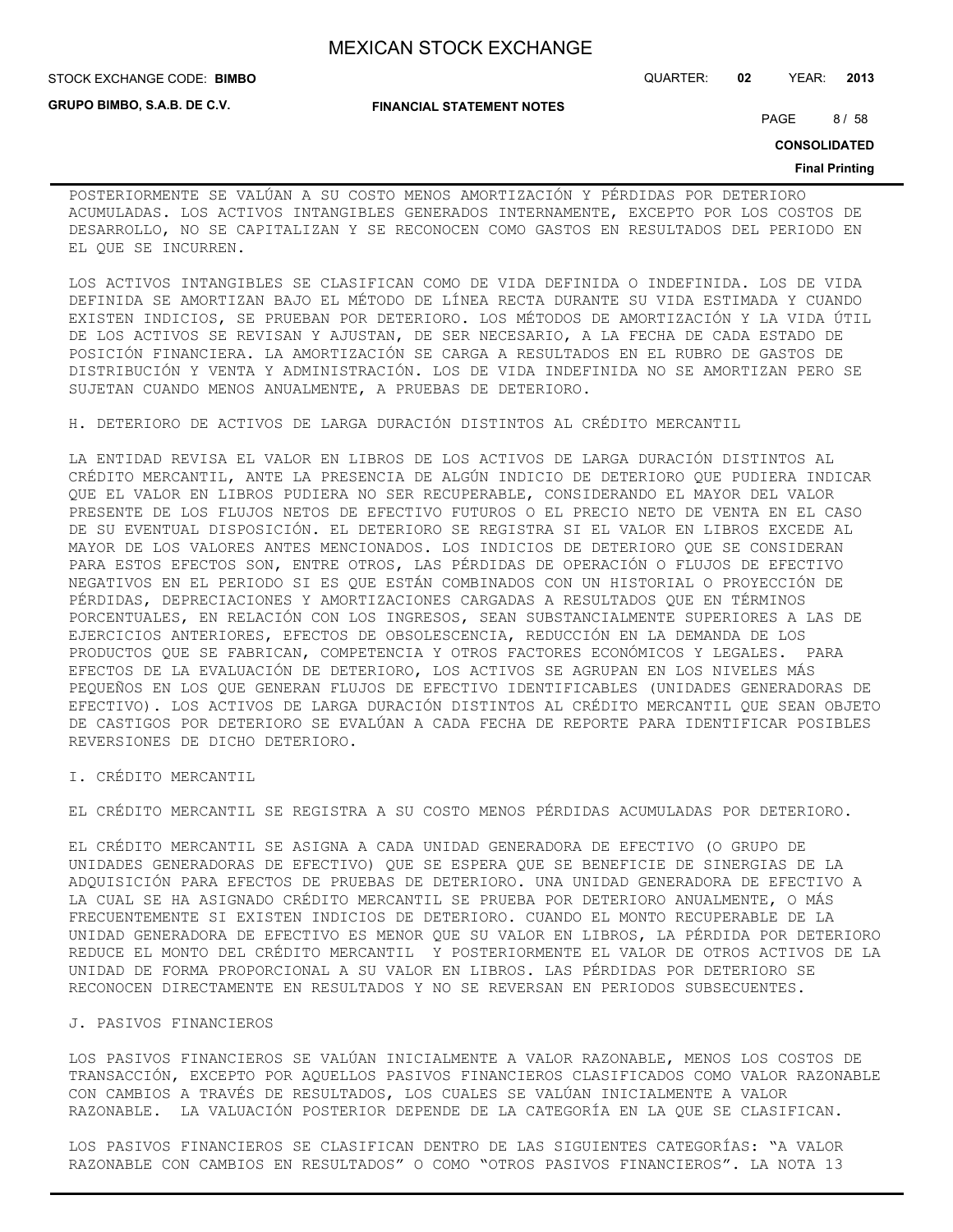**GRUPO BIMBO, S.A.B. DE C.V.**

**FINANCIAL STATEMENT NOTES**

PAGE 8/58

**CONSOLIDATED**

#### **Final Printing**

POSTERIORMENTE SE VALÚAN A SU COSTO MENOS AMORTIZACIÓN Y PÉRDIDAS POR DETERIORO ACUMULADAS. LOS ACTIVOS INTANGIBLES GENERADOS INTERNAMENTE, EXCEPTO POR LOS COSTOS DE DESARROLLO, NO SE CAPITALIZAN Y SE RECONOCEN COMO GASTOS EN RESULTADOS DEL PERIODO EN EL QUE SE INCURREN.

LOS ACTIVOS INTANGIBLES SE CLASIFICAN COMO DE VIDA DEFINIDA O INDEFINIDA. LOS DE VIDA DEFINIDA SE AMORTIZAN BAJO EL MÉTODO DE LÍNEA RECTA DURANTE SU VIDA ESTIMADA Y CUANDO EXISTEN INDICIOS, SE PRUEBAN POR DETERIORO. LOS MÉTODOS DE AMORTIZACIÓN Y LA VIDA ÚTIL DE LOS ACTIVOS SE REVISAN Y AJUSTAN, DE SER NECESARIO, A LA FECHA DE CADA ESTADO DE POSICIÓN FINANCIERA. LA AMORTIZACIÓN SE CARGA A RESULTADOS EN EL RUBRO DE GASTOS DE DISTRIBUCIÓN Y VENTA Y ADMINISTRACIÓN. LOS DE VIDA INDEFINIDA NO SE AMORTIZAN PERO SE SUJETAN CUANDO MENOS ANUALMENTE, A PRUEBAS DE DETERIORO.

H. DETERIORO DE ACTIVOS DE LARGA DURACIÓN DISTINTOS AL CRÉDITO MERCANTIL

LA ENTIDAD REVISA EL VALOR EN LIBROS DE LOS ACTIVOS DE LARGA DURACIÓN DISTINTOS AL CRÉDITO MERCANTIL, ANTE LA PRESENCIA DE ALGÚN INDICIO DE DETERIORO QUE PUDIERA INDICAR QUE EL VALOR EN LIBROS PUDIERA NO SER RECUPERABLE, CONSIDERANDO EL MAYOR DEL VALOR PRESENTE DE LOS FLUJOS NETOS DE EFECTIVO FUTUROS O EL PRECIO NETO DE VENTA EN EL CASO DE SU EVENTUAL DISPOSICIÓN. EL DETERIORO SE REGISTRA SI EL VALOR EN LIBROS EXCEDE AL MAYOR DE LOS VALORES ANTES MENCIONADOS. LOS INDICIOS DE DETERIORO QUE SE CONSIDERAN PARA ESTOS EFECTOS SON, ENTRE OTROS, LAS PÉRDIDAS DE OPERACIÓN O FLUJOS DE EFECTIVO NEGATIVOS EN EL PERIODO SI ES QUE ESTÁN COMBINADOS CON UN HISTORIAL O PROYECCIÓN DE PÉRDIDAS, DEPRECIACIONES Y AMORTIZACIONES CARGADAS A RESULTADOS QUE EN TÉRMINOS PORCENTUALES, EN RELACIÓN CON LOS INGRESOS, SEAN SUBSTANCIALMENTE SUPERIORES A LAS DE EJERCICIOS ANTERIORES, EFECTOS DE OBSOLESCENCIA, REDUCCIÓN EN LA DEMANDA DE LOS PRODUCTOS QUE SE FABRICAN, COMPETENCIA Y OTROS FACTORES ECONÓMICOS Y LEGALES. PARA EFECTOS DE LA EVALUACIÓN DE DETERIORO, LOS ACTIVOS SE AGRUPAN EN LOS NIVELES MÁS PEQUEÑOS EN LOS QUE GENERAN FLUJOS DE EFECTIVO IDENTIFICABLES (UNIDADES GENERADORAS DE EFECTIVO). LOS ACTIVOS DE LARGA DURACIÓN DISTINTOS AL CRÉDITO MERCANTIL QUE SEAN OBJETO DE CASTIGOS POR DETERIORO SE EVALÚAN A CADA FECHA DE REPORTE PARA IDENTIFICAR POSIBLES REVERSIONES DE DICHO DETERIORO.

I. CRÉDITO MERCANTIL

EL CRÉDITO MERCANTIL SE REGISTRA A SU COSTO MENOS PÉRDIDAS ACUMULADAS POR DETERIORO.

EL CRÉDITO MERCANTIL SE ASIGNA A CADA UNIDAD GENERADORA DE EFECTIVO (O GRUPO DE UNIDADES GENERADORAS DE EFECTIVO) QUE SE ESPERA QUE SE BENEFICIE DE SINERGIAS DE LA ADQUISICIÓN PARA EFECTOS DE PRUEBAS DE DETERIORO. UNA UNIDAD GENERADORA DE EFECTIVO A LA CUAL SE HA ASIGNADO CRÉDITO MERCANTIL SE PRUEBA POR DETERIORO ANUALMENTE, O MÁS FRECUENTEMENTE SI EXISTEN INDICIOS DE DETERIORO. CUANDO EL MONTO RECUPERABLE DE LA UNIDAD GENERADORA DE EFECTIVO ES MENOR QUE SU VALOR EN LIBROS, LA PÉRDIDA POR DETERIORO REDUCE EL MONTO DEL CRÉDITO MERCANTIL Y POSTERIORMENTE EL VALOR DE OTROS ACTIVOS DE LA UNIDAD DE FORMA PROPORCIONAL A SU VALOR EN LIBROS. LAS PÉRDIDAS POR DETERIORO SE RECONOCEN DIRECTAMENTE EN RESULTADOS Y NO SE REVERSAN EN PERIODOS SUBSECUENTES.

#### J. PASIVOS FINANCIEROS

LOS PASIVOS FINANCIEROS SE VALÚAN INICIALMENTE A VALOR RAZONABLE, MENOS LOS COSTOS DE TRANSACCIÓN, EXCEPTO POR AQUELLOS PASIVOS FINANCIEROS CLASIFICADOS COMO VALOR RAZONABLE CON CAMBIOS A TRAVÉS DE RESULTADOS, LOS CUALES SE VALÚAN INICIALMENTE A VALOR RAZONABLE. LA VALUACIÓN POSTERIOR DEPENDE DE LA CATEGORÍA EN LA QUE SE CLASIFICAN.

LOS PASIVOS FINANCIEROS SE CLASIFICAN DENTRO DE LAS SIGUIENTES CATEGORÍAS: "A VALOR RAZONABLE CON CAMBIOS EN RESULTADOS" O COMO "OTROS PASIVOS FINANCIEROS". LA NOTA 13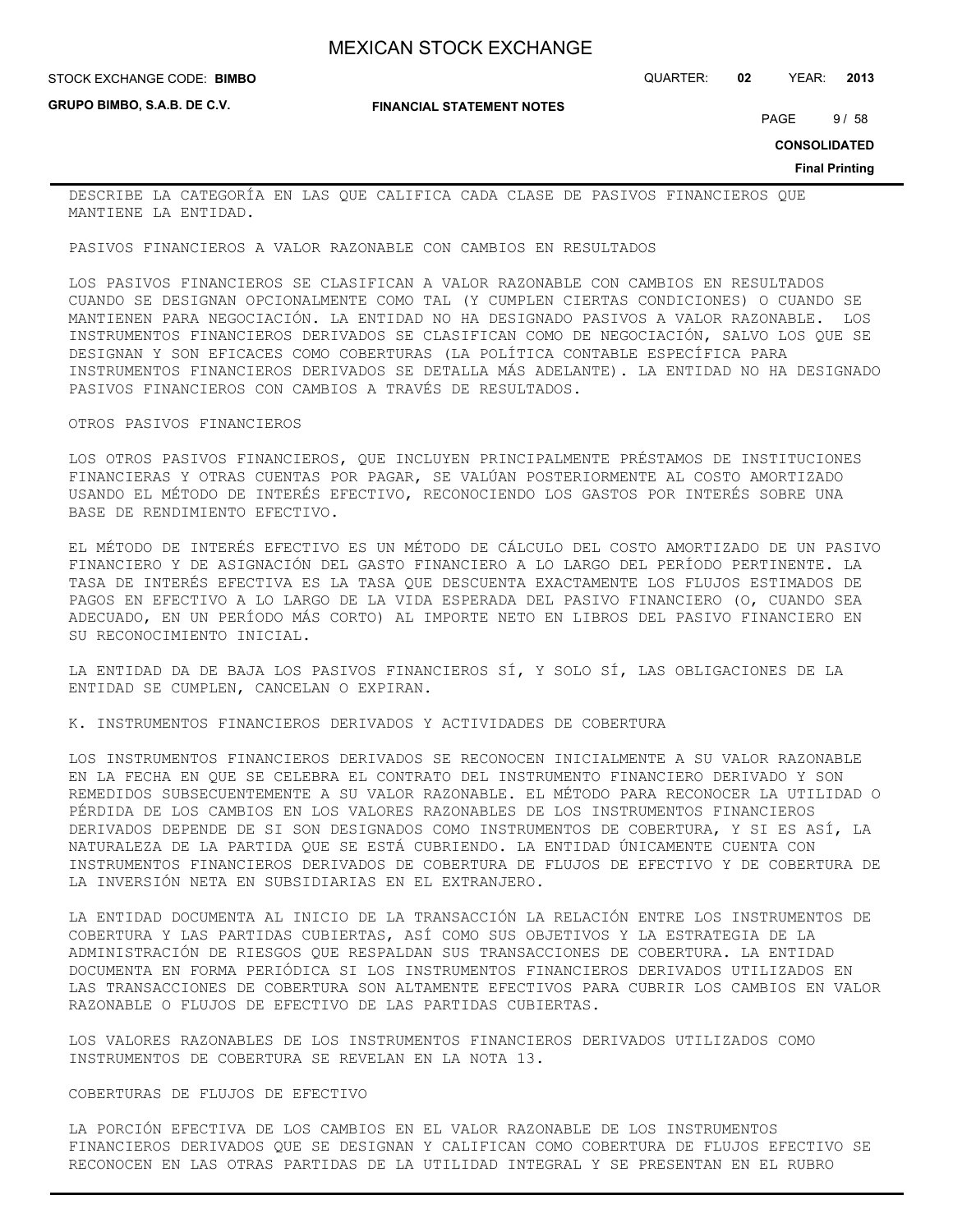**GRUPO BIMBO, S.A.B. DE C.V.**

**FINANCIAL STATEMENT NOTES**

STOCK EXCHANGE CODE: QUARTER: **02** YEAR: **2013 BIMBO**

PAGE 9/58

**CONSOLIDATED**

**Final Printing**

DESCRIBE LA CATEGORÍA EN LAS QUE CALIFICA CADA CLASE DE PASIVOS FINANCIEROS QUE MANTIENE LA ENTIDAD.

PASIVOS FINANCIEROS A VALOR RAZONABLE CON CAMBIOS EN RESULTADOS

LOS PASIVOS FINANCIEROS SE CLASIFICAN A VALOR RAZONABLE CON CAMBIOS EN RESULTADOS CUANDO SE DESIGNAN OPCIONALMENTE COMO TAL (Y CUMPLEN CIERTAS CONDICIONES) O CUANDO SE MANTIENEN PARA NEGOCIACIÓN. LA ENTIDAD NO HA DESIGNADO PASIVOS A VALOR RAZONABLE. LOS INSTRUMENTOS FINANCIEROS DERIVADOS SE CLASIFICAN COMO DE NEGOCIACIÓN, SALVO LOS QUE SE DESIGNAN Y SON EFICACES COMO COBERTURAS (LA POLÍTICA CONTABLE ESPECÍFICA PARA INSTRUMENTOS FINANCIEROS DERIVADOS SE DETALLA MÁS ADELANTE). LA ENTIDAD NO HA DESIGNADO PASIVOS FINANCIEROS CON CAMBIOS A TRAVÉS DE RESULTADOS.

#### OTROS PASIVOS FINANCIEROS

LOS OTROS PASIVOS FINANCIEROS, QUE INCLUYEN PRINCIPALMENTE PRÉSTAMOS DE INSTITUCIONES FINANCIERAS Y OTRAS CUENTAS POR PAGAR, SE VALÚAN POSTERIORMENTE AL COSTO AMORTIZADO USANDO EL MÉTODO DE INTERÉS EFECTIVO, RECONOCIENDO LOS GASTOS POR INTERÉS SOBRE UNA BASE DE RENDIMIENTO EFECTIVO.

EL MÉTODO DE INTERÉS EFECTIVO ES UN MÉTODO DE CÁLCULO DEL COSTO AMORTIZADO DE UN PASIVO FINANCIERO Y DE ASIGNACIÓN DEL GASTO FINANCIERO A LO LARGO DEL PERÍODO PERTINENTE. LA TASA DE INTERÉS EFECTIVA ES LA TASA QUE DESCUENTA EXACTAMENTE LOS FLUJOS ESTIMADOS DE PAGOS EN EFECTIVO A LO LARGO DE LA VIDA ESPERADA DEL PASIVO FINANCIERO (O, CUANDO SEA ADECUADO, EN UN PERÍODO MÁS CORTO) AL IMPORTE NETO EN LIBROS DEL PASIVO FINANCIERO EN SU RECONOCIMIENTO INICIAL.

LA ENTIDAD DA DE BAJA LOS PASIVOS FINANCIEROS SÍ, Y SOLO SÍ, LAS OBLIGACIONES DE LA ENTIDAD SE CUMPLEN, CANCELAN O EXPIRAN.

K. INSTRUMENTOS FINANCIEROS DERIVADOS Y ACTIVIDADES DE COBERTURA

LOS INSTRUMENTOS FINANCIEROS DERIVADOS SE RECONOCEN INICIALMENTE A SU VALOR RAZONABLE EN LA FECHA EN QUE SE CELEBRA EL CONTRATO DEL INSTRUMENTO FINANCIERO DERIVADO Y SON REMEDIDOS SUBSECUENTEMENTE A SU VALOR RAZONABLE. EL MÉTODO PARA RECONOCER LA UTILIDAD O PÉRDIDA DE LOS CAMBIOS EN LOS VALORES RAZONABLES DE LOS INSTRUMENTOS FINANCIEROS DERIVADOS DEPENDE DE SI SON DESIGNADOS COMO INSTRUMENTOS DE COBERTURA, Y SI ES ASÍ, LA NATURALEZA DE LA PARTIDA QUE SE ESTÁ CUBRIENDO. LA ENTIDAD ÚNICAMENTE CUENTA CON INSTRUMENTOS FINANCIEROS DERIVADOS DE COBERTURA DE FLUJOS DE EFECTIVO Y DE COBERTURA DE LA INVERSIÓN NETA EN SUBSIDIARIAS EN EL EXTRANJERO.

LA ENTIDAD DOCUMENTA AL INICIO DE LA TRANSACCIÓN LA RELACIÓN ENTRE LOS INSTRUMENTOS DE COBERTURA Y LAS PARTIDAS CUBIERTAS, ASÍ COMO SUS OBJETIVOS Y LA ESTRATEGIA DE LA ADMINISTRACIÓN DE RIESGOS QUE RESPALDAN SUS TRANSACCIONES DE COBERTURA. LA ENTIDAD DOCUMENTA EN FORMA PERIÓDICA SI LOS INSTRUMENTOS FINANCIEROS DERIVADOS UTILIZADOS EN LAS TRANSACCIONES DE COBERTURA SON ALTAMENTE EFECTIVOS PARA CUBRIR LOS CAMBIOS EN VALOR RAZONABLE O FLUJOS DE EFECTIVO DE LAS PARTIDAS CUBIERTAS.

LOS VALORES RAZONABLES DE LOS INSTRUMENTOS FINANCIEROS DERIVADOS UTILIZADOS COMO INSTRUMENTOS DE COBERTURA SE REVELAN EN LA NOTA 13.

#### COBERTURAS DE FLUJOS DE EFECTIVO

LA PORCIÓN EFECTIVA DE LOS CAMBIOS EN EL VALOR RAZONABLE DE LOS INSTRUMENTOS FINANCIEROS DERIVADOS QUE SE DESIGNAN Y CALIFICAN COMO COBERTURA DE FLUJOS EFECTIVO SE RECONOCEN EN LAS OTRAS PARTIDAS DE LA UTILIDAD INTEGRAL Y SE PRESENTAN EN EL RUBRO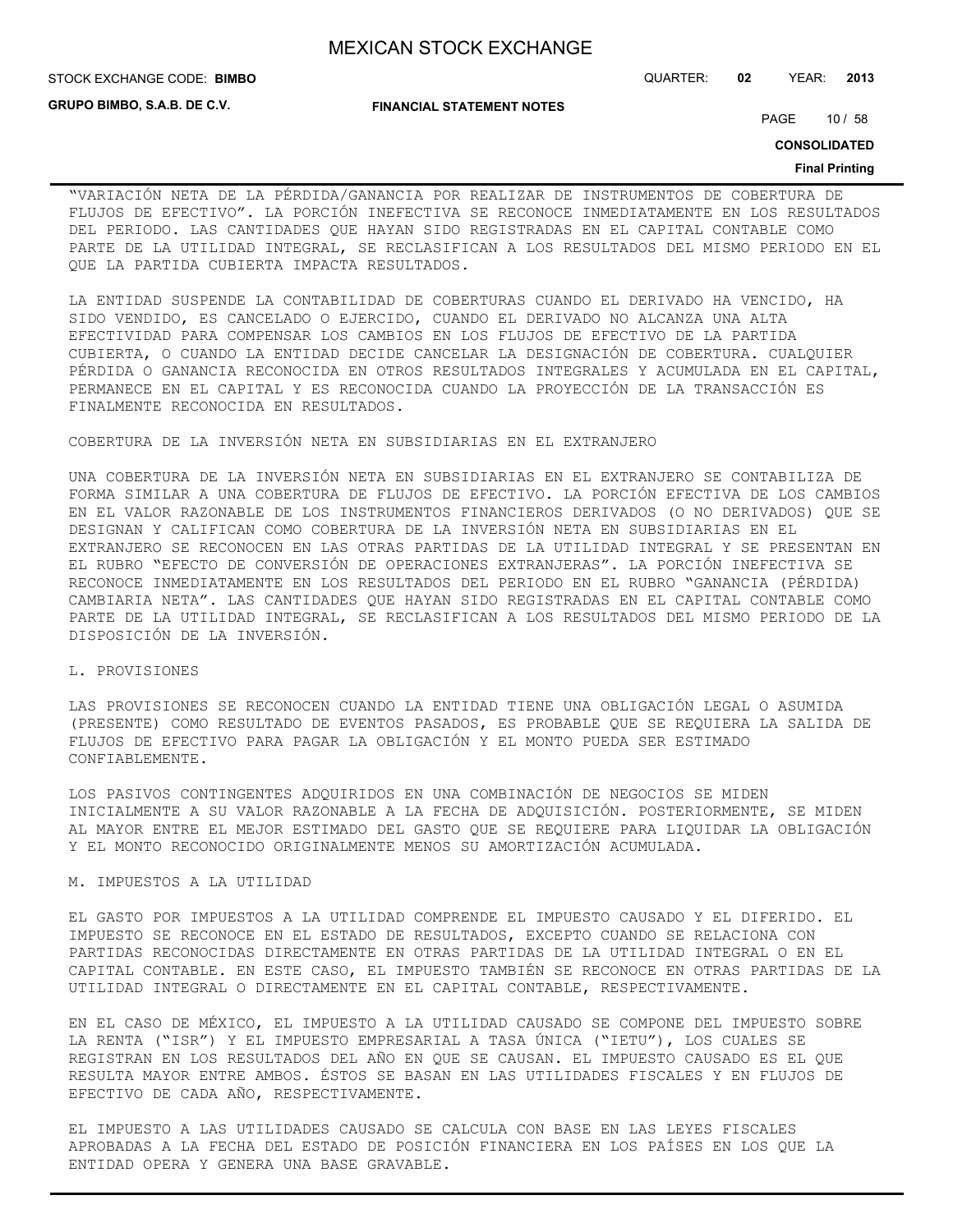**STOCK EXCHANGE CODE: BIMBO** 

**GRUPO BIMBO, S.A.B. DE C.V.**

#### **FINANCIAL STATEMENT NOTES**

STOCK EXCHANGE CODE: QUARTER: **02** YEAR: **2013**

PAGE 10 / 58

**CONSOLIDATED**

#### **Final Printing**

"VARIACIÓN NETA DE LA PÉRDIDA/GANANCIA POR REALIZAR DE INSTRUMENTOS DE COBERTURA DE FLUJOS DE EFECTIVO". LA PORCIÓN INEFECTIVA SE RECONOCE INMEDIATAMENTE EN LOS RESULTADOS DEL PERIODO. LAS CANTIDADES QUE HAYAN SIDO REGISTRADAS EN EL CAPITAL CONTABLE COMO PARTE DE LA UTILIDAD INTEGRAL, SE RECLASIFICAN A LOS RESULTADOS DEL MISMO PERIODO EN EL QUE LA PARTIDA CUBIERTA IMPACTA RESULTADOS.

LA ENTIDAD SUSPENDE LA CONTABILIDAD DE COBERTURAS CUANDO EL DERIVADO HA VENCIDO, HA SIDO VENDIDO, ES CANCELADO O EJERCIDO, CUANDO EL DERIVADO NO ALCANZA UNA ALTA EFECTIVIDAD PARA COMPENSAR LOS CAMBIOS EN LOS FLUJOS DE EFECTIVO DE LA PARTIDA CUBIERTA, O CUANDO LA ENTIDAD DECIDE CANCELAR LA DESIGNACIÓN DE COBERTURA. CUALQUIER PÉRDIDA O GANANCIA RECONOCIDA EN OTROS RESULTADOS INTEGRALES Y ACUMULADA EN EL CAPITAL, PERMANECE EN EL CAPITAL Y ES RECONOCIDA CUANDO LA PROYECCIÓN DE LA TRANSACCIÓN ES FINALMENTE RECONOCIDA EN RESULTADOS.

#### COBERTURA DE LA INVERSIÓN NETA EN SUBSIDIARIAS EN EL EXTRANJERO

UNA COBERTURA DE LA INVERSIÓN NETA EN SUBSIDIARIAS EN EL EXTRANJERO SE CONTABILIZA DE FORMA SIMILAR A UNA COBERTURA DE FLUJOS DE EFECTIVO. LA PORCIÓN EFECTIVA DE LOS CAMBIOS EN EL VALOR RAZONABLE DE LOS INSTRUMENTOS FINANCIEROS DERIVADOS (O NO DERIVADOS) QUE SE DESIGNAN Y CALIFICAN COMO COBERTURA DE LA INVERSIÓN NETA EN SUBSIDIARIAS EN EL EXTRANJERO SE RECONOCEN EN LAS OTRAS PARTIDAS DE LA UTILIDAD INTEGRAL Y SE PRESENTAN EN EL RUBRO "EFECTO DE CONVERSIÓN DE OPERACIONES EXTRANJERAS". LA PORCIÓN INEFECTIVA SE RECONOCE INMEDIATAMENTE EN LOS RESULTADOS DEL PERIODO EN EL RUBRO "GANANCIA (PÉRDIDA) CAMBIARIA NETA". LAS CANTIDADES QUE HAYAN SIDO REGISTRADAS EN EL CAPITAL CONTABLE COMO PARTE DE LA UTILIDAD INTEGRAL, SE RECLASIFICAN A LOS RESULTADOS DEL MISMO PERIODO DE LA DISPOSICIÓN DE LA INVERSIÓN.

#### L. PROVISIONES

LAS PROVISIONES SE RECONOCEN CUANDO LA ENTIDAD TIENE UNA OBLIGACIÓN LEGAL O ASUMIDA (PRESENTE) COMO RESULTADO DE EVENTOS PASADOS, ES PROBABLE QUE SE REQUIERA LA SALIDA DE FLUJOS DE EFECTIVO PARA PAGAR LA OBLIGACIÓN Y EL MONTO PUEDA SER ESTIMADO CONFIABLEMENTE.

LOS PASIVOS CONTINGENTES ADQUIRIDOS EN UNA COMBINACIÓN DE NEGOCIOS SE MIDEN INICIALMENTE A SU VALOR RAZONABLE A LA FECHA DE ADQUISICIÓN. POSTERIORMENTE, SE MIDEN AL MAYOR ENTRE EL MEJOR ESTIMADO DEL GASTO QUE SE REQUIERE PARA LIQUIDAR LA OBLIGACIÓN Y EL MONTO RECONOCIDO ORIGINALMENTE MENOS SU AMORTIZACIÓN ACUMULADA.

## M. IMPUESTOS A LA UTILIDAD

EL GASTO POR IMPUESTOS A LA UTILIDAD COMPRENDE EL IMPUESTO CAUSADO Y EL DIFERIDO. EL IMPUESTO SE RECONOCE EN EL ESTADO DE RESULTADOS, EXCEPTO CUANDO SE RELACIONA CON PARTIDAS RECONOCIDAS DIRECTAMENTE EN OTRAS PARTIDAS DE LA UTILIDAD INTEGRAL O EN EL CAPITAL CONTABLE. EN ESTE CASO, EL IMPUESTO TAMBIÉN SE RECONOCE EN OTRAS PARTIDAS DE LA UTILIDAD INTEGRAL O DIRECTAMENTE EN EL CAPITAL CONTABLE, RESPECTIVAMENTE.

EN EL CASO DE MÉXICO, EL IMPUESTO A LA UTILIDAD CAUSADO SE COMPONE DEL IMPUESTO SOBRE LA RENTA ("ISR") Y EL IMPUESTO EMPRESARIAL A TASA ÚNICA ("IETU"), LOS CUALES SE REGISTRAN EN LOS RESULTADOS DEL AÑO EN QUE SE CAUSAN. EL IMPUESTO CAUSADO ES EL QUE RESULTA MAYOR ENTRE AMBOS. ÉSTOS SE BASAN EN LAS UTILIDADES FISCALES Y EN FLUJOS DE EFECTIVO DE CADA AÑO, RESPECTIVAMENTE.

EL IMPUESTO A LAS UTILIDADES CAUSADO SE CALCULA CON BASE EN LAS LEYES FISCALES APROBADAS A LA FECHA DEL ESTADO DE POSICIÓN FINANCIERA EN LOS PAÍSES EN LOS QUE LA ENTIDAD OPERA Y GENERA UNA BASE GRAVABLE.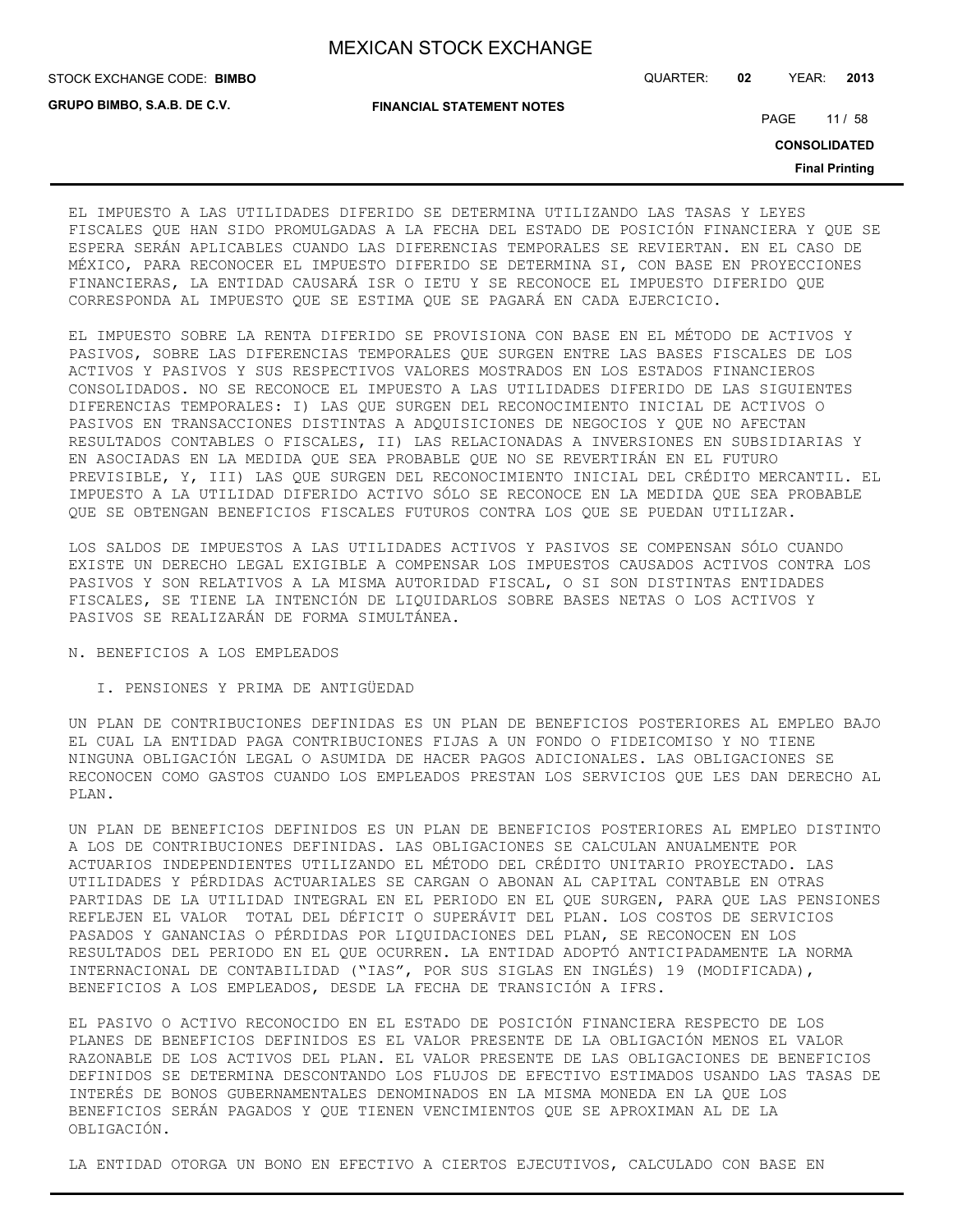**GRUPO BIMBO, S.A.B. DE C.V.**

STOCK EXCHANGE CODE: QUARTER: **02** YEAR: **2013 BIMBO**

**FINANCIAL STATEMENT NOTES**

PAGE 11 / 58

**CONSOLIDATED**

**Final Printing**

EL IMPUESTO A LAS UTILIDADES DIFERIDO SE DETERMINA UTILIZANDO LAS TASAS Y LEYES FISCALES QUE HAN SIDO PROMULGADAS A LA FECHA DEL ESTADO DE POSICIÓN FINANCIERA Y QUE SE ESPERA SERÁN APLICABLES CUANDO LAS DIFERENCIAS TEMPORALES SE REVIERTAN. EN EL CASO DE MÉXICO, PARA RECONOCER EL IMPUESTO DIFERIDO SE DETERMINA SI, CON BASE EN PROYECCIONES FINANCIERAS, LA ENTIDAD CAUSARÁ ISR O IETU Y SE RECONOCE EL IMPUESTO DIFERIDO QUE CORRESPONDA AL IMPUESTO QUE SE ESTIMA QUE SE PAGARÁ EN CADA EJERCICIO.

EL IMPUESTO SOBRE LA RENTA DIFERIDO SE PROVISIONA CON BASE EN EL MÉTODO DE ACTIVOS Y PASIVOS, SOBRE LAS DIFERENCIAS TEMPORALES QUE SURGEN ENTRE LAS BASES FISCALES DE LOS ACTIVOS Y PASIVOS Y SUS RESPECTIVOS VALORES MOSTRADOS EN LOS ESTADOS FINANCIEROS CONSOLIDADOS. NO SE RECONOCE EL IMPUESTO A LAS UTILIDADES DIFERIDO DE LAS SIGUIENTES DIFERENCIAS TEMPORALES: I) LAS QUE SURGEN DEL RECONOCIMIENTO INICIAL DE ACTIVOS O PASIVOS EN TRANSACCIONES DISTINTAS A ADQUISICIONES DE NEGOCIOS Y QUE NO AFECTAN RESULTADOS CONTABLES O FISCALES, II) LAS RELACIONADAS A INVERSIONES EN SUBSIDIARIAS Y EN ASOCIADAS EN LA MEDIDA QUE SEA PROBABLE QUE NO SE REVERTIRÁN EN EL FUTURO PREVISIBLE, Y, III) LAS QUE SURGEN DEL RECONOCIMIENTO INICIAL DEL CRÉDITO MERCANTIL. EL IMPUESTO A LA UTILIDAD DIFERIDO ACTIVO SÓLO SE RECONOCE EN LA MEDIDA QUE SEA PROBABLE QUE SE OBTENGAN BENEFICIOS FISCALES FUTUROS CONTRA LOS QUE SE PUEDAN UTILIZAR.

LOS SALDOS DE IMPUESTOS A LAS UTILIDADES ACTIVOS Y PASIVOS SE COMPENSAN SÓLO CUANDO EXISTE UN DERECHO LEGAL EXIGIBLE A COMPENSAR LOS IMPUESTOS CAUSADOS ACTIVOS CONTRA LOS PASIVOS Y SON RELATIVOS A LA MISMA AUTORIDAD FISCAL, O SI SON DISTINTAS ENTIDADES FISCALES, SE TIENE LA INTENCIÓN DE LIQUIDARLOS SOBRE BASES NETAS O LOS ACTIVOS Y PASIVOS SE REALIZARÁN DE FORMA SIMULTÁNEA.

#### N. BENEFICIOS A LOS EMPLEADOS

#### I. PENSIONES Y PRIMA DE ANTIGÜEDAD

UN PLAN DE CONTRIBUCIONES DEFINIDAS ES UN PLAN DE BENEFICIOS POSTERIORES AL EMPLEO BAJO EL CUAL LA ENTIDAD PAGA CONTRIBUCIONES FIJAS A UN FONDO O FIDEICOMISO Y NO TIENE NINGUNA OBLIGACIÓN LEGAL O ASUMIDA DE HACER PAGOS ADICIONALES. LAS OBLIGACIONES SE RECONOCEN COMO GASTOS CUANDO LOS EMPLEADOS PRESTAN LOS SERVICIOS QUE LES DAN DERECHO AL PLAN.

UN PLAN DE BENEFICIOS DEFINIDOS ES UN PLAN DE BENEFICIOS POSTERIORES AL EMPLEO DISTINTO A LOS DE CONTRIBUCIONES DEFINIDAS. LAS OBLIGACIONES SE CALCULAN ANUALMENTE POR ACTUARIOS INDEPENDIENTES UTILIZANDO EL MÉTODO DEL CRÉDITO UNITARIO PROYECTADO. LAS UTILIDADES Y PÉRDIDAS ACTUARIALES SE CARGAN O ABONAN AL CAPITAL CONTABLE EN OTRAS PARTIDAS DE LA UTILIDAD INTEGRAL EN EL PERIODO EN EL QUE SURGEN, PARA QUE LAS PENSIONES REFLEJEN EL VALOR TOTAL DEL DÉFICIT O SUPERÁVIT DEL PLAN. LOS COSTOS DE SERVICIOS PASADOS Y GANANCIAS O PÉRDIDAS POR LIQUIDACIONES DEL PLAN, SE RECONOCEN EN LOS RESULTADOS DEL PERIODO EN EL QUE OCURREN. LA ENTIDAD ADOPTÓ ANTICIPADAMENTE LA NORMA INTERNACIONAL DE CONTABILIDAD ("IAS", POR SUS SIGLAS EN INGLÉS) 19 (MODIFICADA), BENEFICIOS A LOS EMPLEADOS, DESDE LA FECHA DE TRANSICIÓN A IFRS.

EL PASIVO O ACTIVO RECONOCIDO EN EL ESTADO DE POSICIÓN FINANCIERA RESPECTO DE LOS PLANES DE BENEFICIOS DEFINIDOS ES EL VALOR PRESENTE DE LA OBLIGACIÓN MENOS EL VALOR RAZONABLE DE LOS ACTIVOS DEL PLAN. EL VALOR PRESENTE DE LAS OBLIGACIONES DE BENEFICIOS DEFINIDOS SE DETERMINA DESCONTANDO LOS FLUJOS DE EFECTIVO ESTIMADOS USANDO LAS TASAS DE INTERÉS DE BONOS GUBERNAMENTALES DENOMINADOS EN LA MISMA MONEDA EN LA QUE LOS BENEFICIOS SERÁN PAGADOS Y QUE TIENEN VENCIMIENTOS QUE SE APROXIMAN AL DE LA OBLIGACIÓN.

LA ENTIDAD OTORGA UN BONO EN EFECTIVO A CIERTOS EJECUTIVOS, CALCULADO CON BASE EN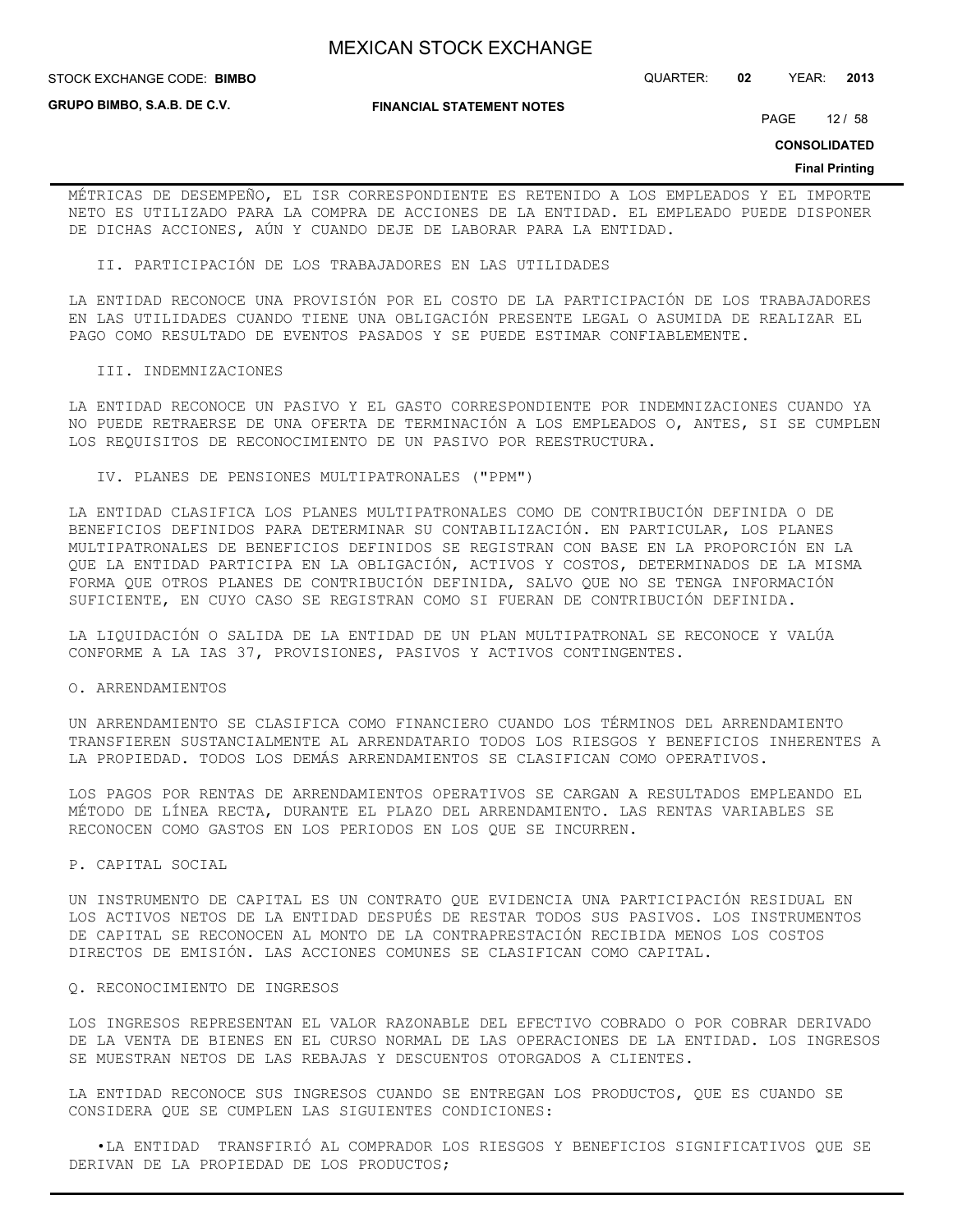#### STOCK EXCHANGE CODE: QUARTER: **02** YEAR: **2013 BIMBO**

**GRUPO BIMBO, S.A.B. DE C.V.**

#### **FINANCIAL STATEMENT NOTES**

PAGE 12 / 58

**CONSOLIDATED**

#### **Final Printing**

MÉTRICAS DE DESEMPEÑO, EL ISR CORRESPONDIENTE ES RETENIDO A LOS EMPLEADOS Y EL IMPORTE NETO ES UTILIZADO PARA LA COMPRA DE ACCIONES DE LA ENTIDAD. EL EMPLEADO PUEDE DISPONER DE DICHAS ACCIONES, AÚN Y CUANDO DEJE DE LABORAR PARA LA ENTIDAD.

II. PARTICIPACIÓN DE LOS TRABAJADORES EN LAS UTILIDADES

LA ENTIDAD RECONOCE UNA PROVISIÓN POR EL COSTO DE LA PARTICIPACIÓN DE LOS TRABAJADORES EN LAS UTILIDADES CUANDO TIENE UNA OBLIGACIÓN PRESENTE LEGAL O ASUMIDA DE REALIZAR EL PAGO COMO RESULTADO DE EVENTOS PASADOS Y SE PUEDE ESTIMAR CONFIABLEMENTE.

#### III. INDEMNIZACIONES

LA ENTIDAD RECONOCE UN PASIVO Y EL GASTO CORRESPONDIENTE POR INDEMNIZACIONES CUANDO YA NO PUEDE RETRAERSE DE UNA OFERTA DE TERMINACIÓN A LOS EMPLEADOS O, ANTES, SI SE CUMPLEN LOS REQUISITOS DE RECONOCIMIENTO DE UN PASIVO POR REESTRUCTURA.

IV. PLANES DE PENSIONES MULTIPATRONALES ("PPM")

LA ENTIDAD CLASIFICA LOS PLANES MULTIPATRONALES COMO DE CONTRIBUCIÓN DEFINIDA O DE BENEFICIOS DEFINIDOS PARA DETERMINAR SU CONTABILIZACIÓN. EN PARTICULAR, LOS PLANES MULTIPATRONALES DE BENEFICIOS DEFINIDOS SE REGISTRAN CON BASE EN LA PROPORCIÓN EN LA QUE LA ENTIDAD PARTICIPA EN LA OBLIGACIÓN, ACTIVOS Y COSTOS, DETERMINADOS DE LA MISMA FORMA QUE OTROS PLANES DE CONTRIBUCIÓN DEFINIDA, SALVO QUE NO SE TENGA INFORMACIÓN SUFICIENTE, EN CUYO CASO SE REGISTRAN COMO SI FUERAN DE CONTRIBUCIÓN DEFINIDA.

LA LIQUIDACIÓN O SALIDA DE LA ENTIDAD DE UN PLAN MULTIPATRONAL SE RECONOCE Y VALÚA CONFORME A LA IAS 37, PROVISIONES, PASIVOS Y ACTIVOS CONTINGENTES.

#### O. ARRENDAMIENTOS

UN ARRENDAMIENTO SE CLASIFICA COMO FINANCIERO CUANDO LOS TÉRMINOS DEL ARRENDAMIENTO TRANSFIEREN SUSTANCIALMENTE AL ARRENDATARIO TODOS LOS RIESGOS Y BENEFICIOS INHERENTES A LA PROPIEDAD. TODOS LOS DEMÁS ARRENDAMIENTOS SE CLASIFICAN COMO OPERATIVOS.

LOS PAGOS POR RENTAS DE ARRENDAMIENTOS OPERATIVOS SE CARGAN A RESULTADOS EMPLEANDO EL MÉTODO DE LÍNEA RECTA, DURANTE EL PLAZO DEL ARRENDAMIENTO. LAS RENTAS VARIABLES SE RECONOCEN COMO GASTOS EN LOS PERIODOS EN LOS QUE SE INCURREN.

P. CAPITAL SOCIAL

UN INSTRUMENTO DE CAPITAL ES UN CONTRATO QUE EVIDENCIA UNA PARTICIPACIÓN RESIDUAL EN LOS ACTIVOS NETOS DE LA ENTIDAD DESPUÉS DE RESTAR TODOS SUS PASIVOS. LOS INSTRUMENTOS DE CAPITAL SE RECONOCEN AL MONTO DE LA CONTRAPRESTACIÓN RECIBIDA MENOS LOS COSTOS DIRECTOS DE EMISIÓN. LAS ACCIONES COMUNES SE CLASIFICAN COMO CAPITAL.

#### Q. RECONOCIMIENTO DE INGRESOS

LOS INGRESOS REPRESENTAN EL VALOR RAZONABLE DEL EFECTIVO COBRADO O POR COBRAR DERIVADO DE LA VENTA DE BIENES EN EL CURSO NORMAL DE LAS OPERACIONES DE LA ENTIDAD. LOS INGRESOS SE MUESTRAN NETOS DE LAS REBAJAS Y DESCUENTOS OTORGADOS A CLIENTES.

LA ENTIDAD RECONOCE SUS INGRESOS CUANDO SE ENTREGAN LOS PRODUCTOS, QUE ES CUANDO SE CONSIDERA QUE SE CUMPLEN LAS SIGUIENTES CONDICIONES:

 •LA ENTIDAD TRANSFIRIÓ AL COMPRADOR LOS RIESGOS Y BENEFICIOS SIGNIFICATIVOS QUE SE DERIVAN DE LA PROPIEDAD DE LOS PRODUCTOS;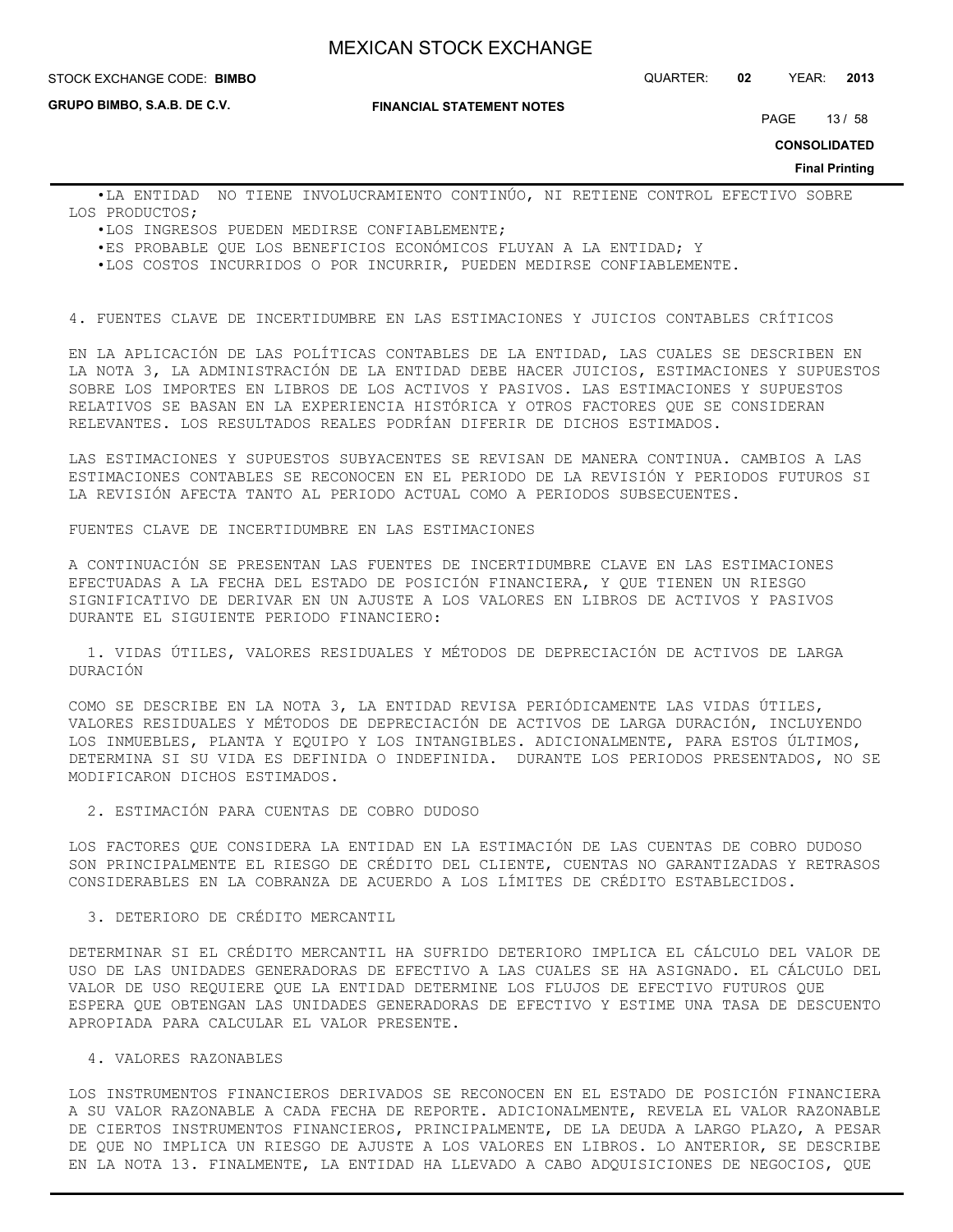#### **STOCK EXCHANGE CODE: BIMBO**

**GRUPO BIMBO, S.A.B. DE C.V.**

**FINANCIAL STATEMENT NOTES**

PAGE 13 / 58

**CONSOLIDATED**

**Final Printing**

 •LA ENTIDAD NO TIENE INVOLUCRAMIENTO CONTINÚO, NI RETIENE CONTROL EFECTIVO SOBRE LOS PRODUCTOS;

- •LOS INGRESOS PUEDEN MEDIRSE CONFIABLEMENTE;
- •ES PROBABLE QUE LOS BENEFICIOS ECONÓMICOS FLUYAN A LA ENTIDAD; Y

•LOS COSTOS INCURRIDOS O POR INCURRIR, PUEDEN MEDIRSE CONFIABLEMENTE.

4. FUENTES CLAVE DE INCERTIDUMBRE EN LAS ESTIMACIONES Y JUICIOS CONTABLES CRÍTICOS

EN LA APLICACIÓN DE LAS POLÍTICAS CONTABLES DE LA ENTIDAD, LAS CUALES SE DESCRIBEN EN LA NOTA 3, LA ADMINISTRACIÓN DE LA ENTIDAD DEBE HACER JUICIOS, ESTIMACIONES Y SUPUESTOS SOBRE LOS IMPORTES EN LIBROS DE LOS ACTIVOS Y PASIVOS. LAS ESTIMACIONES Y SUPUESTOS RELATIVOS SE BASAN EN LA EXPERIENCIA HISTÓRICA Y OTROS FACTORES QUE SE CONSIDERAN RELEVANTES. LOS RESULTADOS REALES PODRÍAN DIFERIR DE DICHOS ESTIMADOS.

LAS ESTIMACIONES Y SUPUESTOS SUBYACENTES SE REVISAN DE MANERA CONTINUA. CAMBIOS A LAS ESTIMACIONES CONTABLES SE RECONOCEN EN EL PERIODO DE LA REVISIÓN Y PERIODOS FUTUROS SI LA REVISIÓN AFECTA TANTO AL PERIODO ACTUAL COMO A PERIODOS SUBSECUENTES.

FUENTES CLAVE DE INCERTIDUMBRE EN LAS ESTIMACIONES

A CONTINUACIÓN SE PRESENTAN LAS FUENTES DE INCERTIDUMBRE CLAVE EN LAS ESTIMACIONES EFECTUADAS A LA FECHA DEL ESTADO DE POSICIÓN FINANCIERA, Y QUE TIENEN UN RIESGO SIGNIFICATIVO DE DERIVAR EN UN AJUSTE A LOS VALORES EN LIBROS DE ACTIVOS Y PASIVOS DURANTE EL SIGUIENTE PERIODO FINANCIERO:

 1. VIDAS ÚTILES, VALORES RESIDUALES Y MÉTODOS DE DEPRECIACIÓN DE ACTIVOS DE LARGA DURACIÓN

COMO SE DESCRIBE EN LA NOTA 3, LA ENTIDAD REVISA PERIÓDICAMENTE LAS VIDAS ÚTILES, VALORES RESIDUALES Y MÉTODOS DE DEPRECIACIÓN DE ACTIVOS DE LARGA DURACIÓN, INCLUYENDO LOS INMUEBLES, PLANTA Y EQUIPO Y LOS INTANGIBLES. ADICIONALMENTE, PARA ESTOS ÚLTIMOS, DETERMINA SI SU VIDA ES DEFINIDA O INDEFINIDA. DURANTE LOS PERIODOS PRESENTADOS, NO SE MODIFICARON DICHOS ESTIMADOS.

2. ESTIMACIÓN PARA CUENTAS DE COBRO DUDOSO

LOS FACTORES QUE CONSIDERA LA ENTIDAD EN LA ESTIMACIÓN DE LAS CUENTAS DE COBRO DUDOSO SON PRINCIPALMENTE EL RIESGO DE CRÉDITO DEL CLIENTE, CUENTAS NO GARANTIZADAS Y RETRASOS CONSIDERABLES EN LA COBRANZA DE ACUERDO A LOS LÍMITES DE CRÉDITO ESTABLECIDOS.

#### 3. DETERIORO DE CRÉDITO MERCANTIL

DETERMINAR SI EL CRÉDITO MERCANTIL HA SUFRIDO DETERIORO IMPLICA EL CÁLCULO DEL VALOR DE USO DE LAS UNIDADES GENERADORAS DE EFECTIVO A LAS CUALES SE HA ASIGNADO. EL CÁLCULO DEL VALOR DE USO REQUIERE QUE LA ENTIDAD DETERMINE LOS FLUJOS DE EFECTIVO FUTUROS QUE ESPERA QUE OBTENGAN LAS UNIDADES GENERADORAS DE EFECTIVO Y ESTIME UNA TASA DE DESCUENTO APROPIADA PARA CALCULAR EL VALOR PRESENTE.

## 4. VALORES RAZONABLES

LOS INSTRUMENTOS FINANCIEROS DERIVADOS SE RECONOCEN EN EL ESTADO DE POSICIÓN FINANCIERA A SU VALOR RAZONABLE A CADA FECHA DE REPORTE. ADICIONALMENTE, REVELA EL VALOR RAZONABLE DE CIERTOS INSTRUMENTOS FINANCIEROS, PRINCIPALMENTE, DE LA DEUDA A LARGO PLAZO, A PESAR DE QUE NO IMPLICA UN RIESGO DE AJUSTE A LOS VALORES EN LIBROS. LO ANTERIOR, SE DESCRIBE EN LA NOTA 13. FINALMENTE, LA ENTIDAD HA LLEVADO A CABO ADQUISICIONES DE NEGOCIOS, QUE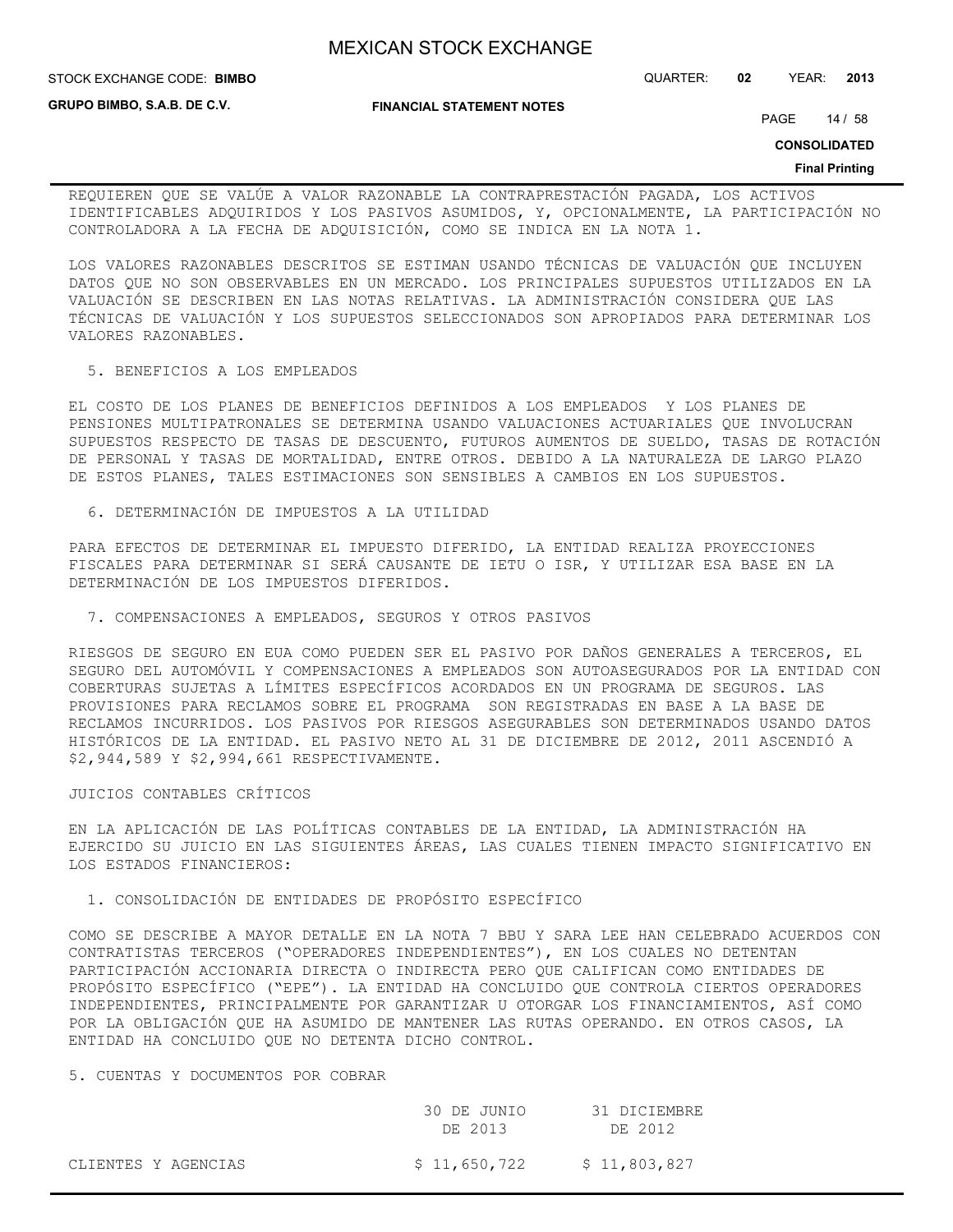STOCK EXCHANGE CODE: QUARTER: **02** YEAR: **2013 BIMBO**

**GRUPO BIMBO, S.A.B. DE C.V.**

**FINANCIAL STATEMENT NOTES**

PAGE 14 / 58

**CONSOLIDATED**

#### **Final Printing**

REQUIEREN QUE SE VALÚE A VALOR RAZONABLE LA CONTRAPRESTACIÓN PAGADA, LOS ACTIVOS IDENTIFICABLES ADQUIRIDOS Y LOS PASIVOS ASUMIDOS, Y, OPCIONALMENTE, LA PARTICIPACIÓN NO CONTROLADORA A LA FECHA DE ADQUISICIÓN, COMO SE INDICA EN LA NOTA 1.

LOS VALORES RAZONABLES DESCRITOS SE ESTIMAN USANDO TÉCNICAS DE VALUACIÓN QUE INCLUYEN DATOS QUE NO SON OBSERVABLES EN UN MERCADO. LOS PRINCIPALES SUPUESTOS UTILIZADOS EN LA VALUACIÓN SE DESCRIBEN EN LAS NOTAS RELATIVAS. LA ADMINISTRACIÓN CONSIDERA QUE LAS TÉCNICAS DE VALUACIÓN Y LOS SUPUESTOS SELECCIONADOS SON APROPIADOS PARA DETERMINAR LOS VALORES RAZONABLES.

#### 5. BENEFICIOS A LOS EMPLEADOS

EL COSTO DE LOS PLANES DE BENEFICIOS DEFINIDOS A LOS EMPLEADOS Y LOS PLANES DE PENSIONES MULTIPATRONALES SE DETERMINA USANDO VALUACIONES ACTUARIALES QUE INVOLUCRAN SUPUESTOS RESPECTO DE TASAS DE DESCUENTO, FUTUROS AUMENTOS DE SUELDO, TASAS DE ROTACIÓN DE PERSONAL Y TASAS DE MORTALIDAD, ENTRE OTROS. DEBIDO A LA NATURALEZA DE LARGO PLAZO DE ESTOS PLANES, TALES ESTIMACIONES SON SENSIBLES A CAMBIOS EN LOS SUPUESTOS.

6. DETERMINACIÓN DE IMPUESTOS A LA UTILIDAD

PARA EFECTOS DE DETERMINAR EL IMPUESTO DIFERIDO, LA ENTIDAD REALIZA PROYECCIONES FISCALES PARA DETERMINAR SI SERÁ CAUSANTE DE IETU O ISR, Y UTILIZAR ESA BASE EN LA DETERMINACIÓN DE LOS IMPUESTOS DIFERIDOS.

## 7. COMPENSACIONES A EMPLEADOS, SEGUROS Y OTROS PASIVOS

RIESGOS DE SEGURO EN EUA COMO PUEDEN SER EL PASIVO POR DAÑOS GENERALES A TERCEROS, EL SEGURO DEL AUTOMÓVIL Y COMPENSACIONES A EMPLEADOS SON AUTOASEGURADOS POR LA ENTIDAD CON COBERTURAS SUJETAS A LÍMITES ESPECÍFICOS ACORDADOS EN UN PROGRAMA DE SEGUROS. LAS PROVISIONES PARA RECLAMOS SOBRE EL PROGRAMA SON REGISTRADAS EN BASE A LA BASE DE RECLAMOS INCURRIDOS. LOS PASIVOS POR RIESGOS ASEGURABLES SON DETERMINADOS USANDO DATOS HISTÓRICOS DE LA ENTIDAD. EL PASIVO NETO AL 31 DE DICIEMBRE DE 2012, 2011 ASCENDIÓ A \$2,944,589 Y \$2,994,661 RESPECTIVAMENTE.

#### JUICIOS CONTABLES CRÍTICOS

EN LA APLICACIÓN DE LAS POLÍTICAS CONTABLES DE LA ENTIDAD, LA ADMINISTRACIÓN HA EJERCIDO SU JUICIO EN LAS SIGUIENTES ÁREAS, LAS CUALES TIENEN IMPACTO SIGNIFICATIVO EN LOS ESTADOS FINANCIEROS:

#### 1. CONSOLIDACIÓN DE ENTIDADES DE PROPÓSITO ESPECÍFICO

COMO SE DESCRIBE A MAYOR DETALLE EN LA NOTA 7 BBU Y SARA LEE HAN CELEBRADO ACUERDOS CON CONTRATISTAS TERCEROS ("OPERADORES INDEPENDIENTES"), EN LOS CUALES NO DETENTAN PARTICIPACIÓN ACCIONARIA DIRECTA O INDIRECTA PERO QUE CALIFICAN COMO ENTIDADES DE PROPÓSITO ESPECÍFICO ("EPE"). LA ENTIDAD HA CONCLUIDO QUE CONTROLA CIERTOS OPERADORES INDEPENDIENTES, PRINCIPALMENTE POR GARANTIZAR U OTORGAR LOS FINANCIAMIENTOS, ASÍ COMO POR LA OBLIGACIÓN QUE HA ASUMIDO DE MANTENER LAS RUTAS OPERANDO. EN OTROS CASOS, LA ENTIDAD HA CONCLUIDO QUE NO DETENTA DICHO CONTROL.

#### 5. CUENTAS Y DOCUMENTOS POR COBRAR

|                     | 30 DE JUNIO<br>DE 2013 | 31 DICIEMBRE<br>DE 2012 |
|---------------------|------------------------|-------------------------|
| CLIENTES Y AGENCIAS | \$11,650,722           | \$11,803,827            |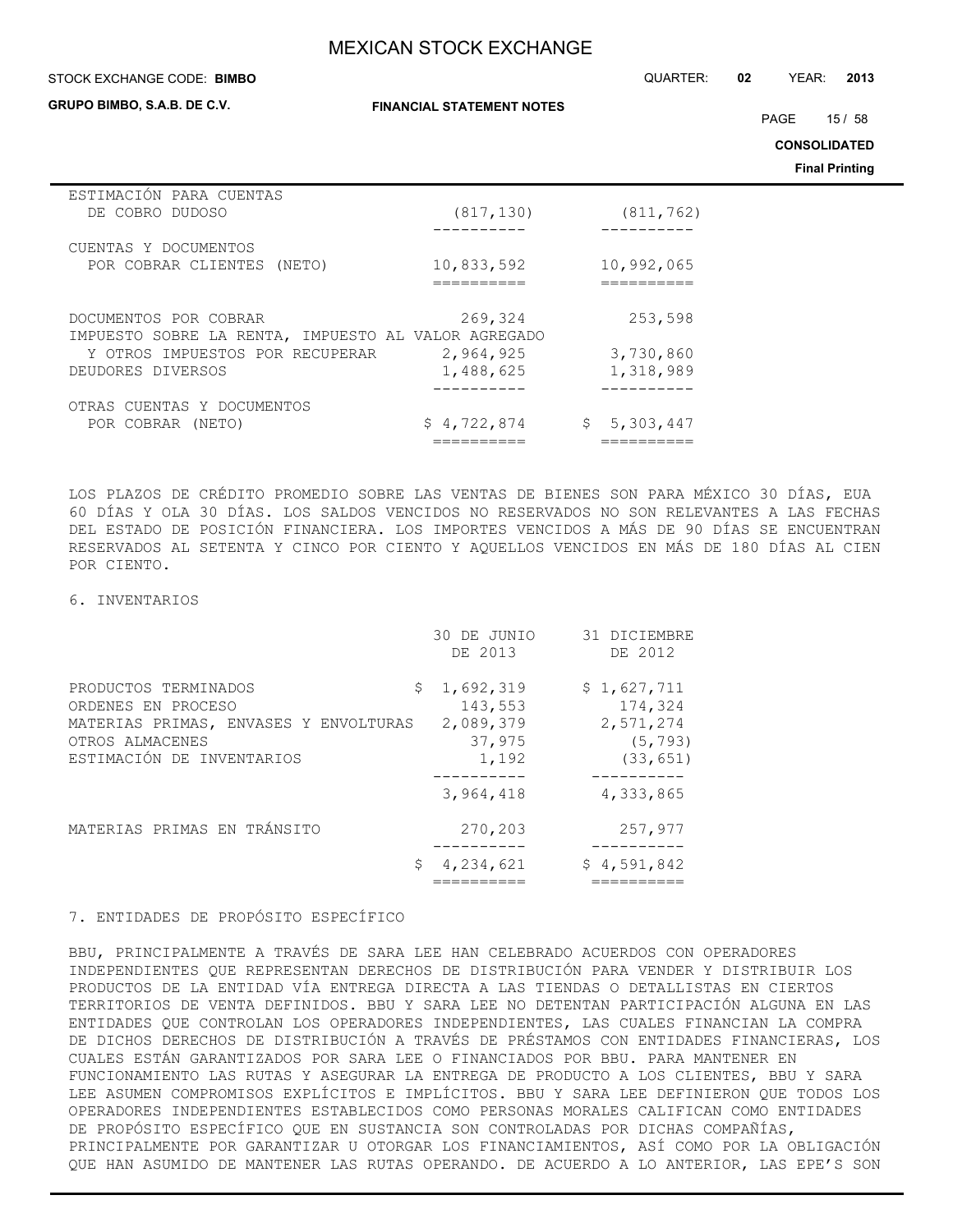#### STOCK EXCHANGE CODE: QUARTER: **02** YEAR: **2013 BIMBO**

**GRUPO BIMBO, S.A.B. DE C.V.**

**FINANCIAL STATEMENT NOTES**

PAGE 15 / 58

**CONSOLIDATED**

**Final Printing**

| ESTIMACIÓN PARA CUENTAS<br>DE COBRO DUDOSO          | (817, 130)  | (811, 762)  |
|-----------------------------------------------------|-------------|-------------|
|                                                     |             |             |
| CUENTAS Y DOCUMENTOS                                |             |             |
| POR COBRAR CLIENTES (NETO)                          | 10,833,592  | 10,992,065  |
|                                                     | --------    |             |
|                                                     |             |             |
| DOCUMENTOS POR COBRAR                               | 269,324     | 253,598     |
| IMPUESTO SOBRE LA RENTA, IMPUESTO AL VALOR AGREGADO |             |             |
| Y OTROS IMPUESTOS POR RECUPERAR                     | 2,964,925   | 3,730,860   |
| DEUDORES DIVERSOS                                   | 1,488,625   | 1,318,989   |
|                                                     |             |             |
| OTRAS CUENTAS Y DOCUMENTOS                          |             |             |
| POR COBRAR (NETO)                                   | \$4,722,874 | \$5,303,447 |
|                                                     |             |             |

LOS PLAZOS DE CRÉDITO PROMEDIO SOBRE LAS VENTAS DE BIENES SON PARA MÉXICO 30 DÍAS, EUA 60 DÍAS Y OLA 30 DÍAS. LOS SALDOS VENCIDOS NO RESERVADOS NO SON RELEVANTES A LAS FECHAS DEL ESTADO DE POSICIÓN FINANCIERA. LOS IMPORTES VENCIDOS A MÁS DE 90 DÍAS SE ENCUENTRAN RESERVADOS AL SETENTA Y CINCO POR CIENTO Y AQUELLOS VENCIDOS EN MÁS DE 180 DÍAS AL CIEN POR CIENTO.

#### 6. INVENTARIOS

|                                                                                                                                            | 30 DE JUNIO<br>DE 2013                               | 31 DICIEMBRE<br>DE 2012                                      |
|--------------------------------------------------------------------------------------------------------------------------------------------|------------------------------------------------------|--------------------------------------------------------------|
| \$.<br>PRODUCTOS TERMINADOS<br>ORDENES EN PROCESO<br>MATERIAS PRIMAS, ENVASES Y ENVOLTURAS<br>OTROS ALMACENES<br>ESTIMACIÓN DE INVENTARIOS | 1,692,319<br>143,553<br>2,089,379<br>37,975<br>1,192 | \$1,627,711<br>174,324<br>2,571,274<br>(5, 793)<br>(33, 651) |
|                                                                                                                                            | 3,964,418                                            | 4,333,865                                                    |
| MATERIAS PRIMAS EN TRÁNSITO                                                                                                                | 270,203                                              | 257,977                                                      |
| \$.                                                                                                                                        | 4,234,621                                            | \$4,591,842                                                  |

## 7. ENTIDADES DE PROPÓSITO ESPECÍFICO

BBU, PRINCIPALMENTE A TRAVÉS DE SARA LEE HAN CELEBRADO ACUERDOS CON OPERADORES INDEPENDIENTES QUE REPRESENTAN DERECHOS DE DISTRIBUCIÓN PARA VENDER Y DISTRIBUIR LOS PRODUCTOS DE LA ENTIDAD VÍA ENTREGA DIRECTA A LAS TIENDAS O DETALLISTAS EN CIERTOS TERRITORIOS DE VENTA DEFINIDOS. BBU Y SARA LEE NO DETENTAN PARTICIPACIÓN ALGUNA EN LAS ENTIDADES QUE CONTROLAN LOS OPERADORES INDEPENDIENTES, LAS CUALES FINANCIAN LA COMPRA DE DICHOS DERECHOS DE DISTRIBUCIÓN A TRAVÉS DE PRÉSTAMOS CON ENTIDADES FINANCIERAS, LOS CUALES ESTÁN GARANTIZADOS POR SARA LEE O FINANCIADOS POR BBU. PARA MANTENER EN FUNCIONAMIENTO LAS RUTAS Y ASEGURAR LA ENTREGA DE PRODUCTO A LOS CLIENTES, BBU Y SARA LEE ASUMEN COMPROMISOS EXPLÍCITOS E IMPLÍCITOS. BBU Y SARA LEE DEFINIERON QUE TODOS LOS OPERADORES INDEPENDIENTES ESTABLECIDOS COMO PERSONAS MORALES CALIFICAN COMO ENTIDADES DE PROPÓSITO ESPECÍFICO QUE EN SUSTANCIA SON CONTROLADAS POR DICHAS COMPAÑÍAS, PRINCIPALMENTE POR GARANTIZAR U OTORGAR LOS FINANCIAMIENTOS, ASÍ COMO POR LA OBLIGACIÓN QUE HAN ASUMIDO DE MANTENER LAS RUTAS OPERANDO. DE ACUERDO A LO ANTERIOR, LAS EPE'S SON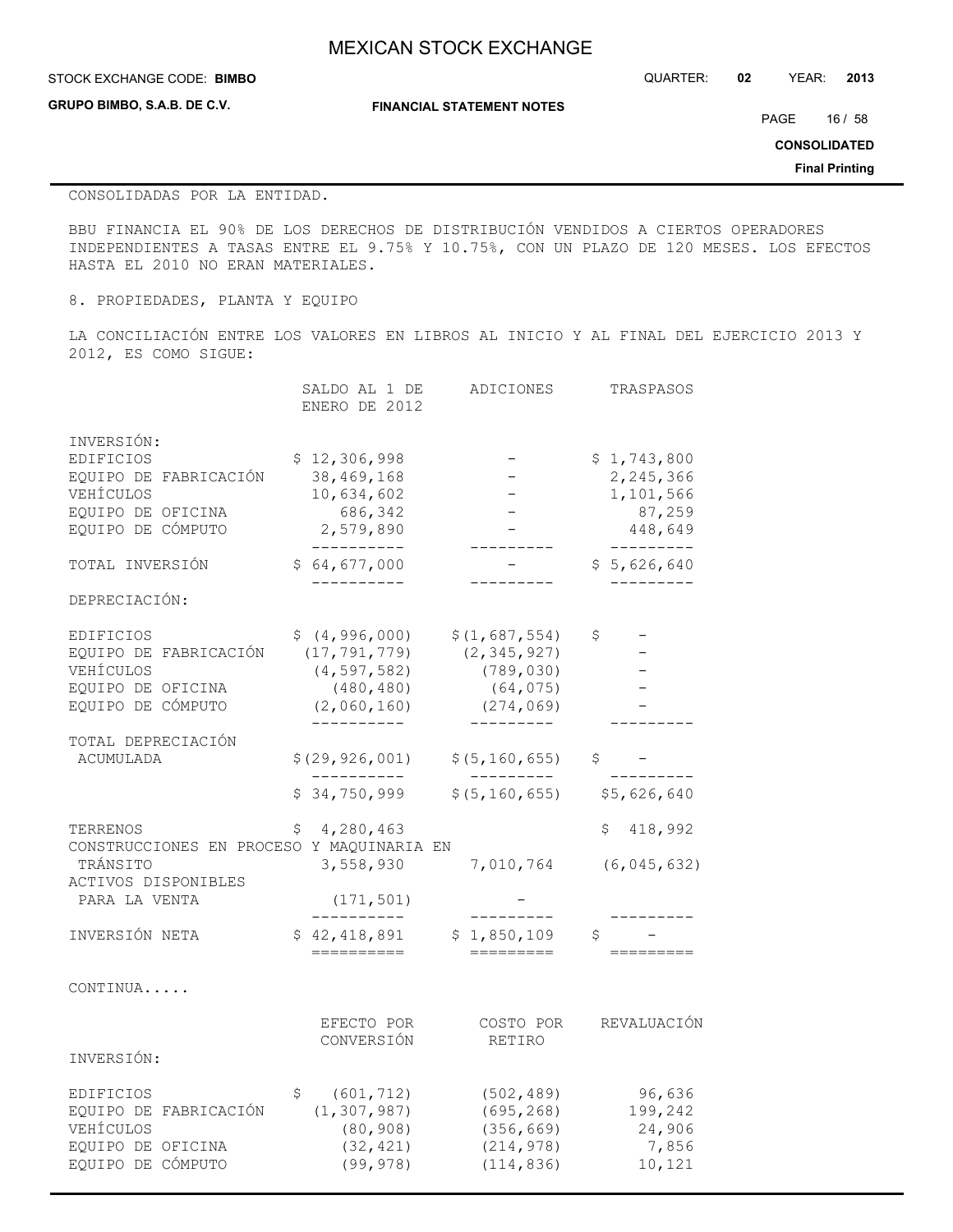#### **STOCK EXCHANGE CODE: BIMBO**

**GRUPO BIMBO, S.A.B. DE C.V.**

STOCK EXCHANGE CODE: QUARTER: **02** YEAR: **2013**

**FINANCIAL STATEMENT NOTES**

PAGE 16 / 58

**CONSOLIDATED**

**Final Printing**

#### CONSOLIDADAS POR LA ENTIDAD.

BBU FINANCIA EL 90% DE LOS DERECHOS DE DISTRIBUCIÓN VENDIDOS A CIERTOS OPERADORES INDEPENDIENTES A TASAS ENTRE EL 9.75% Y 10.75%, CON UN PLAZO DE 120 MESES. LOS EFECTOS HASTA EL 2010 NO ERAN MATERIALES.

8. PROPIEDADES, PLANTA Y EQUIPO

LA CONCILIACIÓN ENTRE LOS VALORES EN LIBROS AL INICIO Y AL FINAL DEL EJERCICIO 2013 Y 2012, ES COMO SIGUE:

|                                                                                                           |    | SALDO AL 1 DE<br>ENERO DE 2012                                                                 | ADICIONES                                                               | TRASPASOS                                                               |
|-----------------------------------------------------------------------------------------------------------|----|------------------------------------------------------------------------------------------------|-------------------------------------------------------------------------|-------------------------------------------------------------------------|
| INVERSIÓN:<br>EDIFICIOS<br>EQUIPO DE FABRICACIÓN<br>VEHÍCULOS<br>EQUIPO DE OFICINA<br>EOUIPO DE CÓMPUTO   |    | \$12,306,998<br>38,469,168<br>10,634,602<br>686,342<br>2,579,890<br>__________                 |                                                                         | \$1,743,800<br>2,245,366<br>1,101,566<br>87,259<br>448,649<br>--------- |
| TOTAL INVERSIÓN                                                                                           |    | \$64,677,000<br>-----------                                                                    |                                                                         | \$5,626,640                                                             |
| DEPRECIACIÓN:                                                                                             |    |                                                                                                |                                                                         |                                                                         |
| EDIFICIOS<br>EQUIPO DE FABRICACIÓN<br>VEHÍCULOS<br>EQUIPO DE OFICINA<br>EQUIPO DE CÓMPUTO                 |    | \$(4,996,000)<br>(17, 791, 779)<br>(4, 597, 582)<br>(480, 480)<br>(2,060,160)<br>. - - - - - . | \$(1,687,554)<br>(2, 345, 927)<br>(789, 030)<br>(64, 075)<br>(274, 069) | \$                                                                      |
| TOTAL DEPRECIACIÓN<br>ACUMULADA                                                                           |    | \$(29, 926, 001)                                                                               | \$(5, 160, 655)                                                         | \$                                                                      |
|                                                                                                           |    | \$34,750,999                                                                                   | \$ (5, 160, 655)                                                        | \$5,626,640                                                             |
| TERRENOS<br>CONSTRUCCIONES EN PROCESO Y MAOUINARIA EN<br>TRÁNSITO<br>ACTIVOS DISPONIBLES<br>PARA LA VENTA | Ş  | 4,280,463<br>3,558,930<br>(171, 501)                                                           | 7,010,764                                                               | 418,992<br>\$<br>(6, 045, 632)                                          |
| INVERSIÓN NETA                                                                                            |    | \$42,418,891<br>==========                                                                     | \$1,850,109<br>========                                                 | \$                                                                      |
| CONTINUA                                                                                                  |    |                                                                                                |                                                                         |                                                                         |
| INVERSIÓN:                                                                                                |    | EFECTO POR<br>CONVERSIÓN                                                                       | COSTO POR<br>RETIRO                                                     | REVALUACIÓN                                                             |
|                                                                                                           |    |                                                                                                |                                                                         |                                                                         |
| EDIFICIOS<br>EQUIPO DE FABRICACIÓN<br>VEHÍCULOS<br>EQUIPO DE OFICINA<br>EQUIPO DE CÓMPUTO                 | \$ | (601, 712)<br>(1, 307, 987)<br>(80, 908)<br>(32, 421)<br>(99, 978)                             | (502, 489)<br>(695, 268)<br>(356, 669)<br>(214, 978)<br>(114, 836)      | 96,636<br>199,242<br>24,906<br>7,856<br>10,121                          |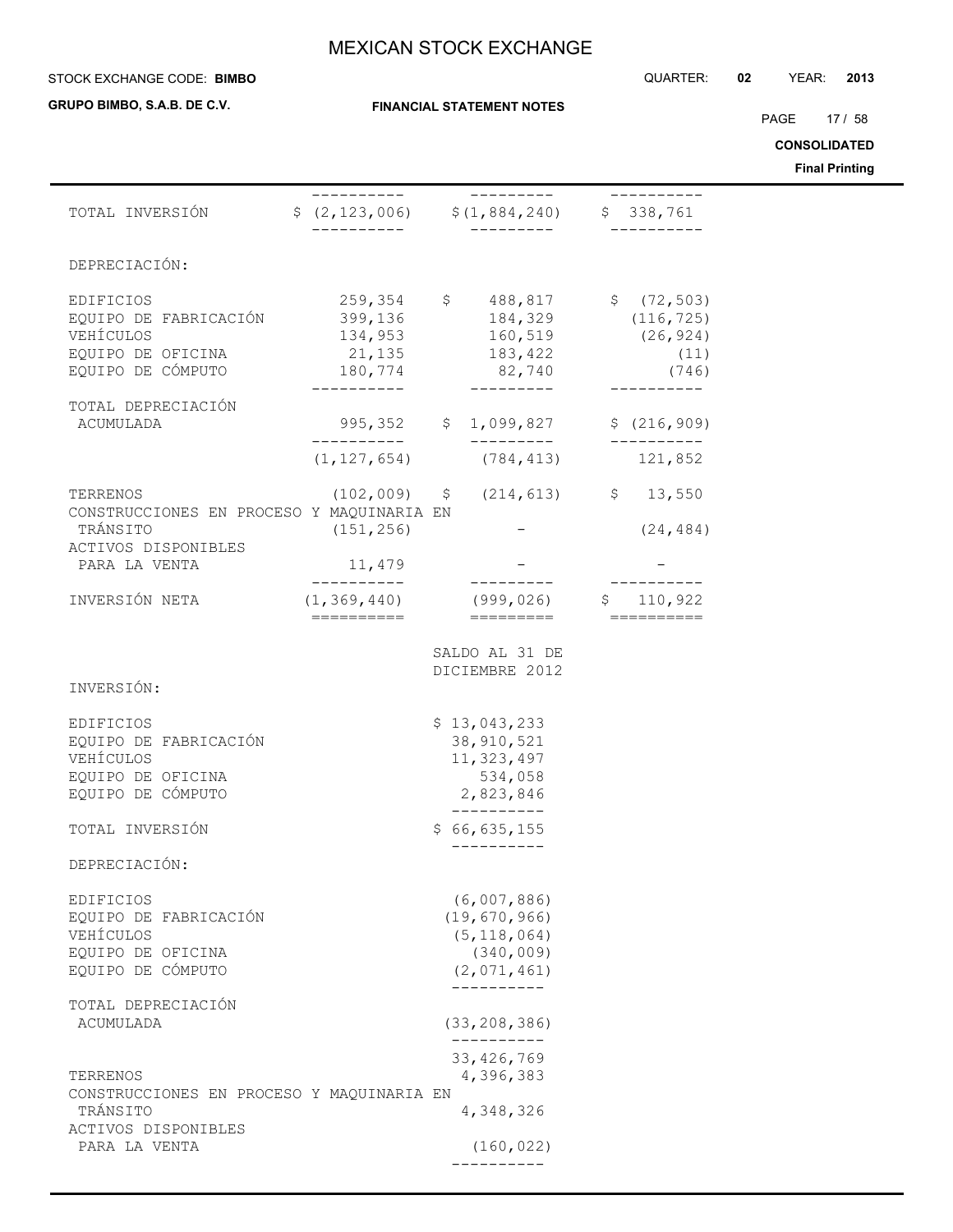#### STOCK EXCHANGE CODE: QUARTER: **02** YEAR: **2013 BIMBO**

**GRUPO BIMBO, S.A.B. DE C.V.**

PAGE 17 / 58

**CONSOLIDATED**

**Final Printing**

|                                                                                           |                           |                                                                                                                                                                                                                     |              | Filidi Ffilitiliy |
|-------------------------------------------------------------------------------------------|---------------------------|---------------------------------------------------------------------------------------------------------------------------------------------------------------------------------------------------------------------|--------------|-------------------|
| TOTAL INVERSIÓN                                                                           | -----------               | ----------<br>$$ (2, 123, 006)$ $$ (1, 884, 240)$ $$ 338, 761$                                                                                                                                                      | -----------  |                   |
| DEPRECIACIÓN:                                                                             |                           |                                                                                                                                                                                                                     |              |                   |
| EDIFICIOS<br>EQUIPO DE FABRICACIÓN<br>VEHÍCULOS<br>EQUIPO DE OFICINA<br>EQUIPO DE CÓMPUTO | 259,354<br>__________     | $$ 488,817 $ \$ (72,503)<br>$\begin{array}{cccc} 399,136 & & 184,329 & & (116,725) \\ 134,953 & & 160,519 & & (26,924) \\ 21,135 & & 183,422 & & & (11) \\ 180,774 & & 82,740 & & & (746) \end{array}$<br>_________ |              |                   |
| TOTAL DEPRECIACIÓN<br>ACUMULADA                                                           |                           | 995,352 \$ 1,099,827                                                                                                                                                                                                | \$(216, 909) |                   |
|                                                                                           |                           | __________<br>$(1, 127, 654)$ $(784, 413)$ $121, 852$                                                                                                                                                               |              |                   |
| TERRENOS<br>CONSTRUCCIONES EN PROCESO Y MAQUINARIA EN<br>TRÁNSITO                         | (151, 256)                | $(102,009)$ \$ $(214,613)$ \$ 13,550                                                                                                                                                                                | (24, 484)    |                   |
| ACTIVOS DISPONIBLES<br>PARA LA VENTA                                                      | 11,479                    |                                                                                                                                                                                                                     |              |                   |
| INVERSIÓN NETA                                                                            | ___________<br>========== | ----------<br>$(1, 369, 440)$ (999,026) \$ 110,922<br>=========                                                                                                                                                     | ===========  |                   |
| INVERSIÓN:<br>EDIFICIOS                                                                   |                           | SALDO AL 31 DE<br>DICIEMBRE 2012<br>\$13,043,233                                                                                                                                                                    |              |                   |
| EQUIPO DE FABRICACIÓN<br>VEHÍCULOS<br>EQUIPO DE OFICINA<br>EQUIPO DE CÓMPUTO              |                           | 38, 910, 521<br>11, 323, 497<br>534,058<br>2,823,846                                                                                                                                                                |              |                   |
| TOTAL INVERSIÓN                                                                           |                           | \$66,635,155                                                                                                                                                                                                        |              |                   |
| DEPRECIACIÓN:                                                                             |                           |                                                                                                                                                                                                                     |              |                   |
| EDIFICIOS<br>EQUIPO DE FABRICACIÓN<br>VEHÍCULOS<br>EQUIPO DE OFICINA<br>EQUIPO DE CÓMPUTO |                           | (6,007,886)<br>(19, 670, 966)<br>(5, 118, 064)<br>(340, 009)<br>(2,071,461)<br>__________                                                                                                                           |              |                   |
| TOTAL DEPRECIACIÓN<br>ACUMULADA                                                           |                           | (33, 208, 386)                                                                                                                                                                                                      |              |                   |
| TERRENOS<br>CONSTRUCCIONES EN PROCESO Y MAQUINARIA EN                                     |                           | ----------<br>33, 426, 769<br>4,396,383                                                                                                                                                                             |              |                   |
| TRÁNSITO<br>ACTIVOS DISPONIBLES                                                           |                           | 4,348,326                                                                                                                                                                                                           |              |                   |
| PARA LA VENTA                                                                             |                           | (160, 022)                                                                                                                                                                                                          |              |                   |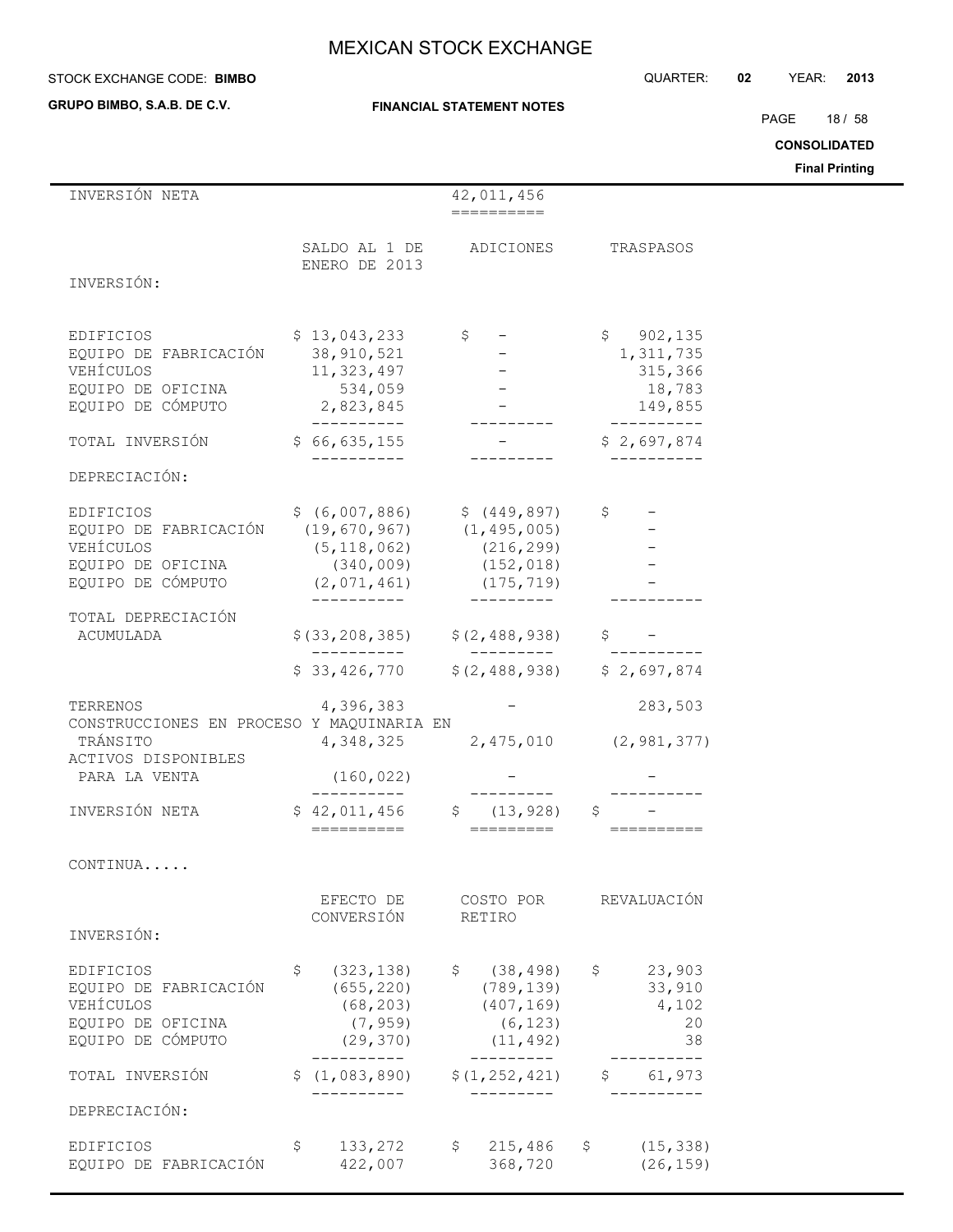#### STOCK EXCHANGE CODE: QUARTER: **02** YEAR: **2013 BIMBO**

**GRUPO BIMBO, S.A.B. DE C.V.**

## **FINANCIAL STATEMENT NOTES**

PAGE 18 / 58

**CONSOLIDATED**

**Final Printing**

| INVERSIÓN NETA                                                                                                     |                                                                                   | 42,011,456                                                                                                                            |                                                         |
|--------------------------------------------------------------------------------------------------------------------|-----------------------------------------------------------------------------------|---------------------------------------------------------------------------------------------------------------------------------------|---------------------------------------------------------|
|                                                                                                                    | ENERO DE 2013                                                                     | SALDO AL 1 DE ADICIONES                                                                                                               | TRASPASOS                                               |
| INVERSIÓN:                                                                                                         |                                                                                   |                                                                                                                                       |                                                         |
| EDIFICIOS<br>EQUIPO DE FABRICACIÓN<br>VEHÍCULOS<br>EQUIPO DE OFICINA<br>EQUIPO DE CÓMPUTO                          | \$13,043,233<br>38,910,521<br>11,323,497<br>534,059<br>2,823,845<br>-----------   | $\mathfrak{S}$                                                                                                                        | \$902, 135<br>1,311,735<br>315,366<br>18,783<br>149,855 |
| TOTAL INVERSIÓN                                                                                                    | \$66,635,155                                                                      |                                                                                                                                       | \$2,697,874                                             |
| DEPRECIACIÓN:                                                                                                      |                                                                                   |                                                                                                                                       |                                                         |
| EDIFICIOS<br>EQUIPO DE FABRICACIÓN (19,670,967) (1,495,005)<br>VEHÍCULOS<br>EQUIPO DE OFICINA<br>EQUIPO DE CÓMPUTO | -----------                                                                       | $$ (6,007,886)$ $$ (449,897)$<br>$(5, 118, 062)$ $(216, 299)$<br>$(340, 009)$ $(152, 018)$<br>$(2,071,461)$ $(175,719)$<br>---------- | $\mathsf{S}$                                            |
| TOTAL DEPRECIACIÓN<br>ACUMULADA                                                                                    | __________                                                                        | $$(33, 208, 385)$ $$(2, 488, 938)$<br>—————————<br>$$33,426,770$ $$(2,488,938)$ $$2,697,874$                                          |                                                         |
| TERRENOS<br>CONSTRUCCIONES EN PROCESO Y MAQUINARIA EN<br>TRÁNSITO<br>ACTIVOS DISPONIBLES<br>PARA LA VENTA          | (160, 022)                                                                        | $4,396,383$ -<br>$4,348,325$ 2,475,010 (2,981,377)                                                                                    | 283,503                                                 |
| INVERSIÓN NETA                                                                                                     |                                                                                   | ___________                                                                                                                           | \$                                                      |
| CONTINUA                                                                                                           |                                                                                   |                                                                                                                                       |                                                         |
| INVERSIÓN:                                                                                                         | EFECTO DE<br>CONVERSIÓN                                                           | COSTO POR<br>RETIRO                                                                                                                   | REVALUACIÓN                                             |
| EDIFICIOS<br>EQUIPO DE FABRICACIÓN<br>VEHÍCULOS<br>EQUIPO DE OFICINA<br>EQUIPO DE CÓMPUTO                          | \$<br>(323, 138)<br>(655, 220)<br>(68, 203)<br>(7, 959)<br>(29, 370)<br>--------- | \$(38, 498)<br>(789, 139)<br>(407, 169)<br>(6, 123)<br>(11, 492)<br>----------                                                        | \$23,903<br>33,910<br>4,102<br>20<br>38                 |
| TOTAL INVERSIÓN                                                                                                    | \$(1,083,890)                                                                     | \$(1, 252, 421)                                                                                                                       | 61,973                                                  |
| DEPRECIACIÓN:                                                                                                      |                                                                                   |                                                                                                                                       |                                                         |
| EDIFICIOS<br>EQUIPO DE FABRICACIÓN                                                                                 | \$<br>133,272<br>422,007                                                          | 215,486<br>\$<br>368,720                                                                                                              | (15, 338)<br>\$<br>(26, 159)                            |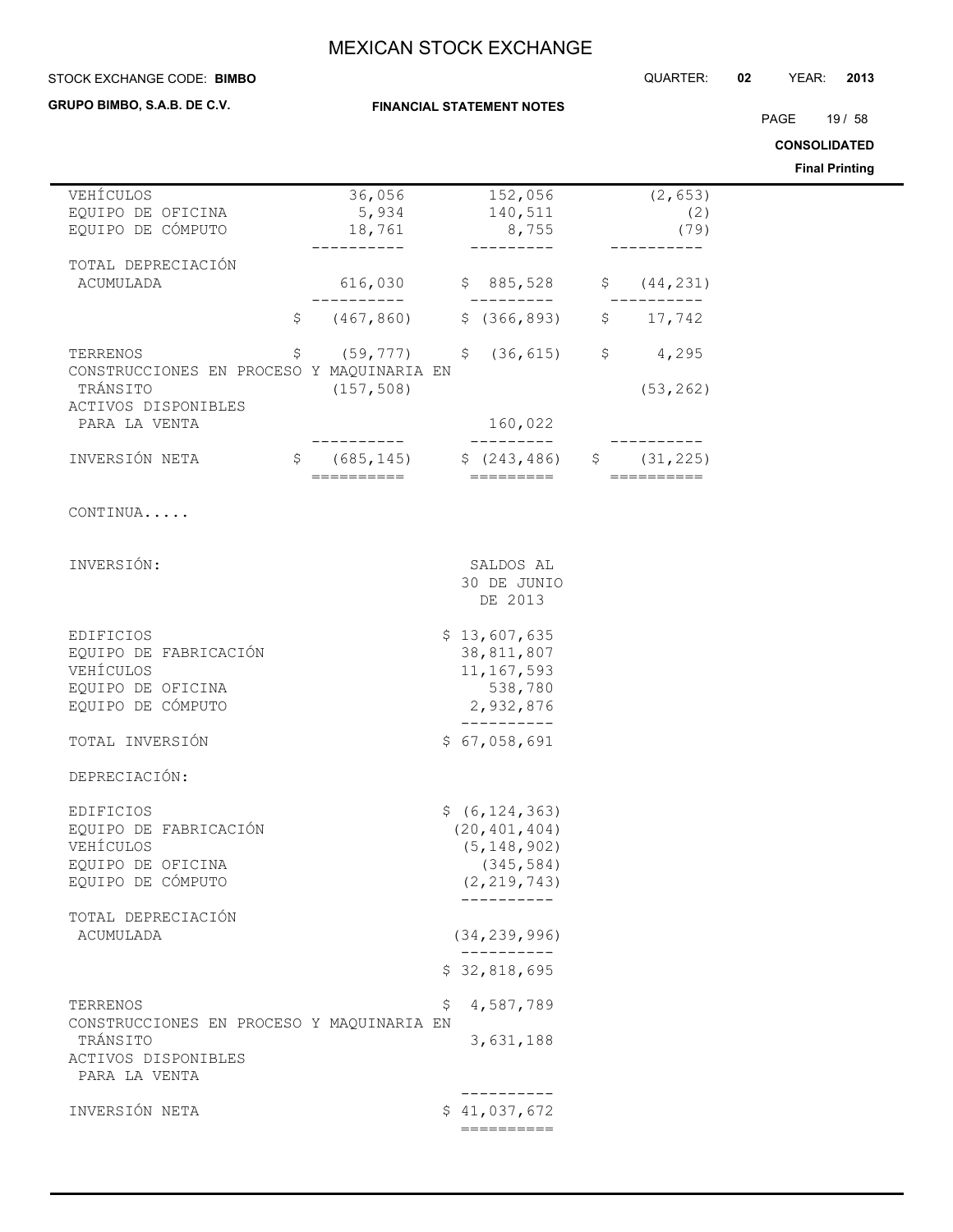## **STOCK EXCHANGE CODE: BIMBO**

**GRUPO BIMBO, S.A.B. DE C.V.**

**FINANCIAL STATEMENT NOTES**

PAGE 19 / 58

**CONSOLIDATED**

|                                           |                |                              |              |                | <b>00000000000</b>    |
|-------------------------------------------|----------------|------------------------------|--------------|----------------|-----------------------|
|                                           |                |                              |              |                | <b>Final Printing</b> |
| VEHÍCULOS                                 | 36,056         | 152,056                      |              | (2, 653)       |                       |
| EQUIPO DE OFICINA                         | 5,934          | 140,511                      |              | (2)            |                       |
| EQUIPO DE CÓMPUTO                         | 18,761         | 8,755                        |              | (79)           |                       |
|                                           |                |                              |              |                |                       |
| TOTAL DEPRECIACIÓN                        |                |                              |              |                |                       |
| ACUMULADA                                 | 616,030        | \$885,528                    | $\mathsf{S}$ | (44, 231)      |                       |
|                                           | ---------      | ---------                    |              |                |                       |
| \$                                        | (467, 860)     | \$(366, 893)                 |              | \$17,742       |                       |
|                                           |                |                              |              |                |                       |
| \$<br>TERRENOS                            | $(59, 777)$ \$ | (36, 615)                    | \$           | 4,295          |                       |
| CONSTRUCCIONES EN PROCESO Y MAQUINARIA EN |                |                              |              |                |                       |
| TRÁNSITO<br>ACTIVOS DISPONIBLES           | (157, 508)     |                              |              | (53, 262)      |                       |
| PARA LA VENTA                             |                | 160,022                      |              |                |                       |
|                                           |                | . _ _ _ _ _ _ _ _            |              |                |                       |
| INVERSIÓN NETA<br>\$                      |                | $(685, 145)$ \$ $(243, 486)$ | \$           | (31, 225)      |                       |
|                                           |                | ==========    =========      |              | $=$ ========== |                       |
|                                           |                |                              |              |                |                       |
| CONTINUA                                  |                |                              |              |                |                       |
|                                           |                |                              |              |                |                       |
|                                           |                |                              |              |                |                       |
| INVERSIÓN:                                |                | SALDOS AL                    |              |                |                       |
|                                           |                | 30 DE JUNIO                  |              |                |                       |
|                                           |                | DE 2013                      |              |                |                       |
|                                           |                |                              |              |                |                       |
| EDIFICIOS                                 |                | \$13,607,635                 |              |                |                       |
| EQUIPO DE FABRICACIÓN                     |                | 38,811,807                   |              |                |                       |
| VEHÍCULOS                                 |                | 11, 167, 593                 |              |                |                       |
| EQUIPO DE OFICINA<br>EQUIPO DE CÓMPUTO    |                | 538,780<br>2,932,876         |              |                |                       |
|                                           |                | -----------                  |              |                |                       |
| TOTAL INVERSIÓN                           |                | \$67,058,691                 |              |                |                       |
|                                           |                |                              |              |                |                       |
| DEPRECIACIÓN:                             |                |                              |              |                |                       |
|                                           |                |                              |              |                |                       |
| EDIFICIOS                                 |                | \$ (6, 124, 363)             |              |                |                       |
| EQUIPO DE FABRICACIÓN                     |                | (20, 401, 404)               |              |                |                       |
| VEHÍCULOS                                 |                | (5, 148, 902)                |              |                |                       |
| EQUIPO DE OFICINA                         |                | (345, 584)                   |              |                |                       |
| EQUIPO DE CÓMPUTO                         |                | (2, 219, 743)                |              |                |                       |
|                                           |                | __________                   |              |                |                       |
| TOTAL DEPRECIACIÓN                        |                |                              |              |                |                       |
| ACUMULADA                                 |                | (34, 239, 996)               |              |                |                       |
|                                           |                | \$32,818,695                 |              |                |                       |
|                                           |                |                              |              |                |                       |
| TERRENOS                                  |                | 4,587,789<br>\$              |              |                |                       |
| CONSTRUCCIONES EN PROCESO Y MAQUINARIA EN |                |                              |              |                |                       |
| TRÁNSITO                                  |                | 3,631,188                    |              |                |                       |
| ACTIVOS DISPONIBLES                       |                |                              |              |                |                       |
| PARA LA VENTA                             |                |                              |              |                |                       |
|                                           |                | . _ _ _ _ _ _ _ _ _          |              |                |                       |
| INVERSIÓN NETA                            |                | \$41,037,672                 |              |                |                       |
|                                           |                | ==========                   |              |                |                       |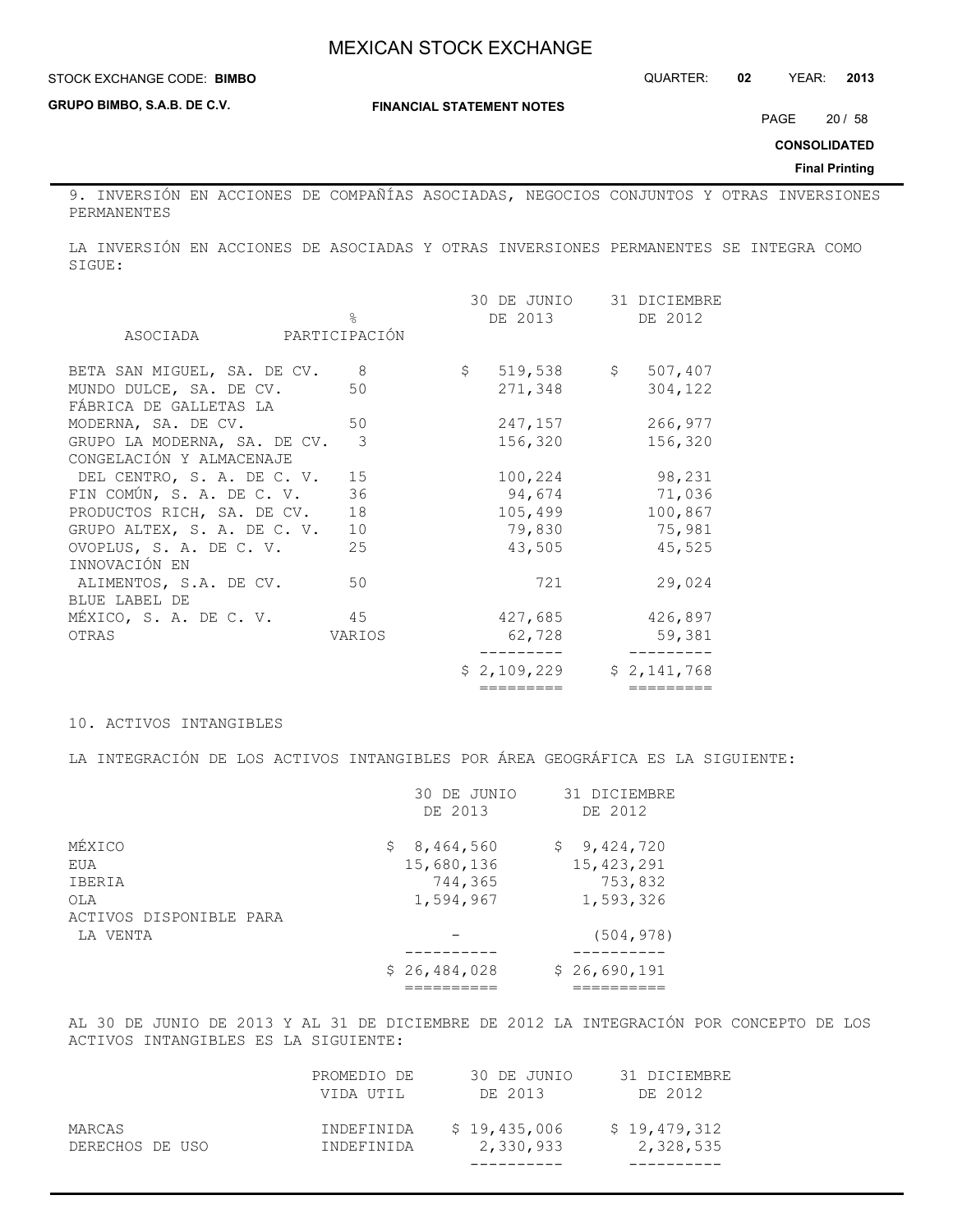### **STOCK EXCHANGE CODE: BIMBO**

**GRUPO BIMBO, S.A.B. DE C.V.**

**FINANCIAL STATEMENT NOTES**

PAGE 20 / 58

**CONSOLIDATED**

**Final Printing**

9. INVERSIÓN EN ACCIONES DE COMPAÑÍAS ASOCIADAS, NEGOCIOS CONJUNTOS Y OTRAS INVERSIONES PERMANENTES

LA INVERSIÓN EN ACCIONES DE ASOCIADAS Y OTRAS INVERSIONES PERMANENTES SE INTEGRA COMO SIGUE:

|                                               |                | =========    | =========    |
|-----------------------------------------------|----------------|--------------|--------------|
|                                               |                | \$2,109,229  | \$2,141,768  |
| OTRAS                                         | VARIOS         | 62,728       | 59,381       |
| MÉXICO, S. A. DE C. V.                        | 45             | 427,685      | 426,897      |
| BLUE LABEL DE                                 |                |              |              |
| ALIMENTOS, S.A. DE CV.                        | 50             | 721          | 29,024       |
| INNOVACIÓN EN                                 |                |              |              |
| OVOPLUS, S. A. DE C. V.                       | 25             | 43,505       | 45,525       |
| GRUPO ALTEX, S. A. DE C. V.                   | 10             | 79,830       | 75,981       |
| PRODUCTOS RICH, SA. DE CV.                    | 18             | 105,499      | 100,867      |
| FIN COMÚN, S. A. DE C. V.                     | 36             | 94,674       | 71,036       |
| DEL CENTRO, S. A. DE C. V.                    | 15             | 100,224      | 98,231       |
| CONGELACIÓN Y ALMACENAJE                      |                |              |              |
| GRUPO LA MODERNA, SA. DE CV.                  | 3              | 156,320      | 156,320      |
| FÁBRICA DE GALLETAS LA<br>MODERNA, SA. DE CV. | 50             | 247,157      | 266,977      |
| MUNDO DULCE, SA. DE CV.                       | 50             | 271,348      | 304,122      |
| BETA SAN MIGUEL, SA. DE CV.                   |                | $519,538$ \$ | 507,407      |
|                                               | 8 <sup>8</sup> | $\mathsf{S}$ |              |
| ASOCIADA                                      | PARTICIPACIÓN  |              |              |
|                                               | $\approx$      | DE 2013      | DE 2012      |
|                                               |                | 30 DE JUNIO  | 31 DICIEMBRE |

#### 10. ACTIVOS INTANGIBLES

LA INTEGRACIÓN DE LOS ACTIVOS INTANGIBLES POR ÁREA GEOGRÁFICA ES LA SIGUIENTE:

|                         | 30 DE JUNIO<br>DE 2013 | 31 DICIEMBRE<br>DE 2012 |
|-------------------------|------------------------|-------------------------|
| MÉXICO                  | \$8,464,560            | \$9,424,720             |
| EUA                     | 15,680,136             | 15, 423, 291            |
| IBERIA                  | 744,365                | 753,832                 |
| OLA                     | 1,594,967              | 1,593,326               |
| ACTIVOS DISPONIBLE PARA |                        |                         |
| LA VENTA                |                        | (504, 978)              |
|                         | \$26,484,028           | \$26,690,191            |
|                         |                        |                         |

AL 30 DE JUNIO DE 2013 Y AL 31 DE DICIEMBRE DE 2012 LA INTEGRACIÓN POR CONCEPTO DE LOS ACTIVOS INTANGIBLES ES LA SIGUIENTE:

| MARCAS<br>DERECHOS DE USO | INDEFINIDA<br>INDEFINIDA | \$19,435,006<br>2,330,933 | \$19,479,312<br>2,328,535 |
|---------------------------|--------------------------|---------------------------|---------------------------|
|                           | PROMEDIO DE<br>VIDA UTIL | 30 DE JUNIO<br>DE 2013    | 31 DICIEMBRE<br>DE 2012   |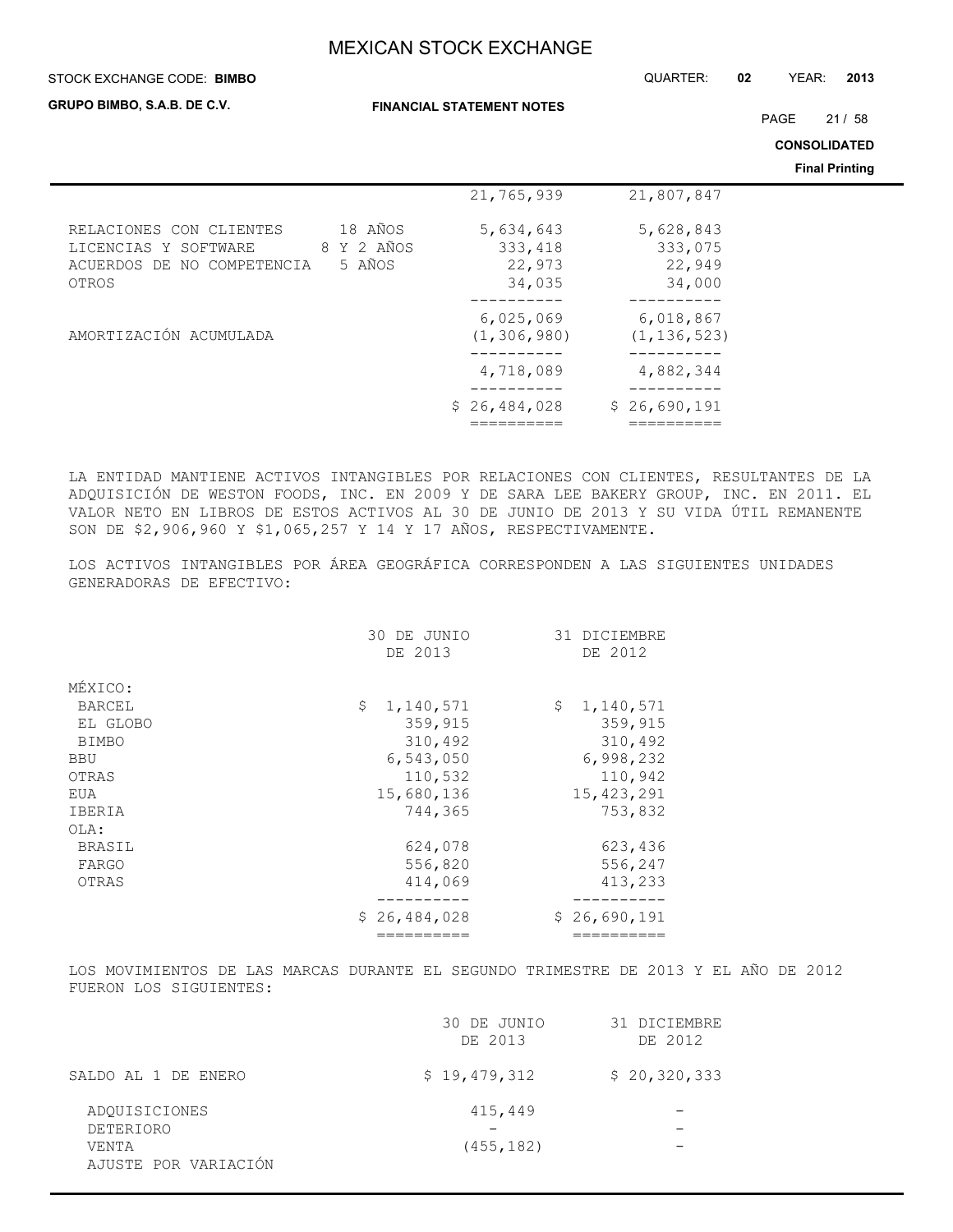#### STOCK EXCHANGE CODE: QUARTER: **02** YEAR: **2013 BIMBO**

**GRUPO BIMBO, S.A.B. DE C.V.**

**FINANCIAL STATEMENT NOTES**

PAGE 21 / 58

**CONSOLIDATED**

**Final Printing**

|                                                                                                                           |                                          |                                          | <b>Final Printing</b> |
|---------------------------------------------------------------------------------------------------------------------------|------------------------------------------|------------------------------------------|-----------------------|
|                                                                                                                           | 21,765,939                               | 21,807,847                               |                       |
| 18 AÑOS<br>RELACIONES CON CLIENTES<br>8 Y 2 AÑOS<br>LICENCIAS Y SOFTWARE<br>5 AÑOS<br>ACUERDOS DE NO COMPETENCIA<br>OTROS | 5,634,643<br>333,418<br>22,973<br>34,035 | 5,628,843<br>333,075<br>22,949<br>34,000 |                       |
| AMORTIZACIÓN ACUMULADA                                                                                                    | 6,025,069<br>(1, 306, 980)               | 6,018,867<br>(1, 136, 523)               |                       |
|                                                                                                                           | 4,718,089                                | 4,882,344                                |                       |
|                                                                                                                           | \$26,484,028                             | \$26,690,191                             |                       |

LA ENTIDAD MANTIENE ACTIVOS INTANGIBLES POR RELACIONES CON CLIENTES, RESULTANTES DE LA ADQUISICIÓN DE WESTON FOODS, INC. EN 2009 Y DE SARA LEE BAKERY GROUP, INC. EN 2011. EL VALOR NETO EN LIBROS DE ESTOS ACTIVOS AL 30 DE JUNIO DE 2013 Y SU VIDA ÚTIL REMANENTE SON DE \$2,906,960 Y \$1,065,257 Y 14 Y 17 AÑOS, RESPECTIVAMENTE.

LOS ACTIVOS INTANGIBLES POR ÁREA GEOGRÁFICA CORRESPONDEN A LAS SIGUIENTES UNIDADES GENERADORAS DE EFECTIVO:

| DE 2013<br>MÉXICO:<br>\$<br>1,140,571<br>\$<br><b>BARCEL</b><br>359,915<br>EL GLOBO<br>310,492<br><b>BIMBO</b><br>6,543,050<br><b>BBU</b><br>110,532<br>OTRAS<br>15,680,136<br>EUA<br>744,365<br>IBERIA<br>OLA:<br>624,078<br>BRASIL<br>556,820<br>FARGO<br>414,069<br>OTRAS<br>\$26,484,028 |  | 31 DICIEMBRE |
|----------------------------------------------------------------------------------------------------------------------------------------------------------------------------------------------------------------------------------------------------------------------------------------------|--|--------------|
|                                                                                                                                                                                                                                                                                              |  | DE 2012      |
|                                                                                                                                                                                                                                                                                              |  |              |
|                                                                                                                                                                                                                                                                                              |  |              |
|                                                                                                                                                                                                                                                                                              |  | 1,140,571    |
|                                                                                                                                                                                                                                                                                              |  | 359,915      |
|                                                                                                                                                                                                                                                                                              |  | 310,492      |
|                                                                                                                                                                                                                                                                                              |  | 6,998,232    |
|                                                                                                                                                                                                                                                                                              |  | 110,942      |
|                                                                                                                                                                                                                                                                                              |  | 15, 423, 291 |
|                                                                                                                                                                                                                                                                                              |  | 753,832      |
|                                                                                                                                                                                                                                                                                              |  |              |
|                                                                                                                                                                                                                                                                                              |  | 623,436      |
|                                                                                                                                                                                                                                                                                              |  | 556,247      |
|                                                                                                                                                                                                                                                                                              |  | 413,233      |
|                                                                                                                                                                                                                                                                                              |  |              |
|                                                                                                                                                                                                                                                                                              |  | \$26,690,191 |
|                                                                                                                                                                                                                                                                                              |  |              |
|                                                                                                                                                                                                                                                                                              |  | 30 DE JUNIO  |

LOS MOVIMIENTOS DE LAS MARCAS DURANTE EL SEGUNDO TRIMESTRE DE 2013 Y EL AÑO DE 2012 FUERON LOS SIGUIENTES:

|                      | 30 DE JUNIO<br>DE 2013 | 31 DICIEMBRE<br>DE 2012 |
|----------------------|------------------------|-------------------------|
| SALDO AL 1 DE ENERO  | \$19,479,312           | \$20,320,333            |
| ADOUISICIONES        | 415,449                |                         |
| DETERIORO            |                        |                         |
| VENTA                | (455, 182)             |                         |
| AJUSTE POR VARIACIÓN |                        |                         |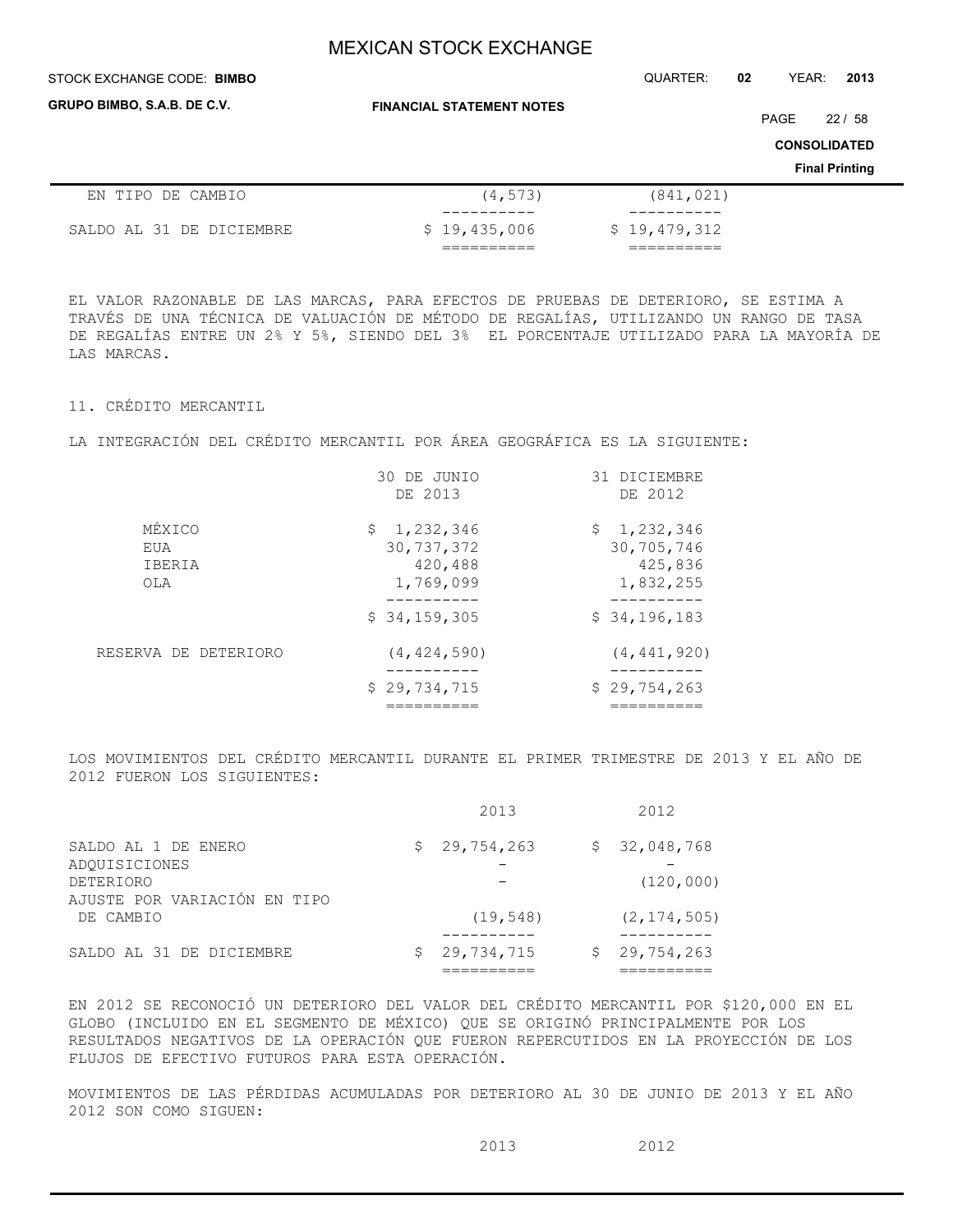## STOCK EXCHANGE CODE: QUARTER: **02** YEAR: **2013 BIMBO**

**GRUPO BIMBO, S.A.B. DE C.V.**

**FINANCIAL STATEMENT NOTES**

PAGE 22 / 58

**CONSOLIDATED**

**Final Printing**

| EN TIPO DE CAMBIO        | (4, 573)     | (841, 021)   |
|--------------------------|--------------|--------------|
|                          |              |              |
| SALDO AL 31 DE DICIEMBRE | \$19,435,006 | \$19,479,312 |
|                          |              |              |

EL VALOR RAZONABLE DE LAS MARCAS, PARA EFECTOS DE PRUEBAS DE DETERIORO, SE ESTIMA A TRAVÉS DE UNA TÉCNICA DE VALUACIÓN DE MÉTODO DE REGALÍAS, UTILIZANDO UN RANGO DE TASA DE REGALÍAS ENTRE UN 2% Y 5%, SIENDO DEL 3% EL PORCENTAJE UTILIZADO PARA LA MAYORÍA DE LAS MARCAS.

## 11. CRÉDITO MERCANTIL

LA INTEGRACIÓN DEL CRÉDITO MERCANTIL POR ÁREA GEOGRÁFICA ES LA SIGUIENTE:

|                                | 30 DE JUNIO<br>DE 2013                              | 31 DICIEMBRE<br>DE 2012                           |
|--------------------------------|-----------------------------------------------------|---------------------------------------------------|
| MÉXICO<br>EUA<br>IBERIA<br>OLA | \$1,232,346<br>30, 737, 372<br>420,488<br>1,769,099 | \$1,232,346<br>30,705,746<br>425,836<br>1,832,255 |
|                                | \$34,159,305                                        | \$34,196,183                                      |
| RESERVA DE DETERIORO           | (4, 424, 590)                                       | (4, 441, 920)                                     |
|                                | \$29,734,715                                        | \$29,754,263                                      |

LOS MOVIMIENTOS DEL CRÉDITO MERCANTIL DURANTE EL PRIMER TRIMESTRE DE 2013 Y EL AÑO DE 2012 FUERON LOS SIGUIENTES:

|                                                          | 2013         | 2012                       |
|----------------------------------------------------------|--------------|----------------------------|
| SALDO AL 1 DE ENERO<br>ADOUISICIONES<br><b>DETERIORO</b> | \$29,754,263 | \$32,048,768<br>(120, 000) |
| AJUSTE POR VARIACIÓN EN TIPO<br>DE CAMBIO                | (19, 548)    | (2, 174, 505)              |
| SALDO AL 31 DE DICIEMBRE                                 | 29,734,715   | \$29,754,263               |

EN 2012 SE RECONOCIÓ UN DETERIORO DEL VALOR DEL CRÉDITO MERCANTIL POR \$120,000 EN EL GLOBO (INCLUIDO EN EL SEGMENTO DE MÉXICO) QUE SE ORIGINÓ PRINCIPALMENTE POR LOS RESULTADOS NEGATIVOS DE LA OPERACIÓN QUE FUERON REPERCUTIDOS EN LA PROYECCIÓN DE LOS FLUJOS DE EFECTIVO FUTUROS PARA ESTA OPERACIÓN.

MOVIMIENTOS DE LAS PÉRDIDAS ACUMULADAS POR DETERIORO AL 30 DE JUNIO DE 2013 Y EL AÑO 2012 SON COMO SIGUEN:

2013 2012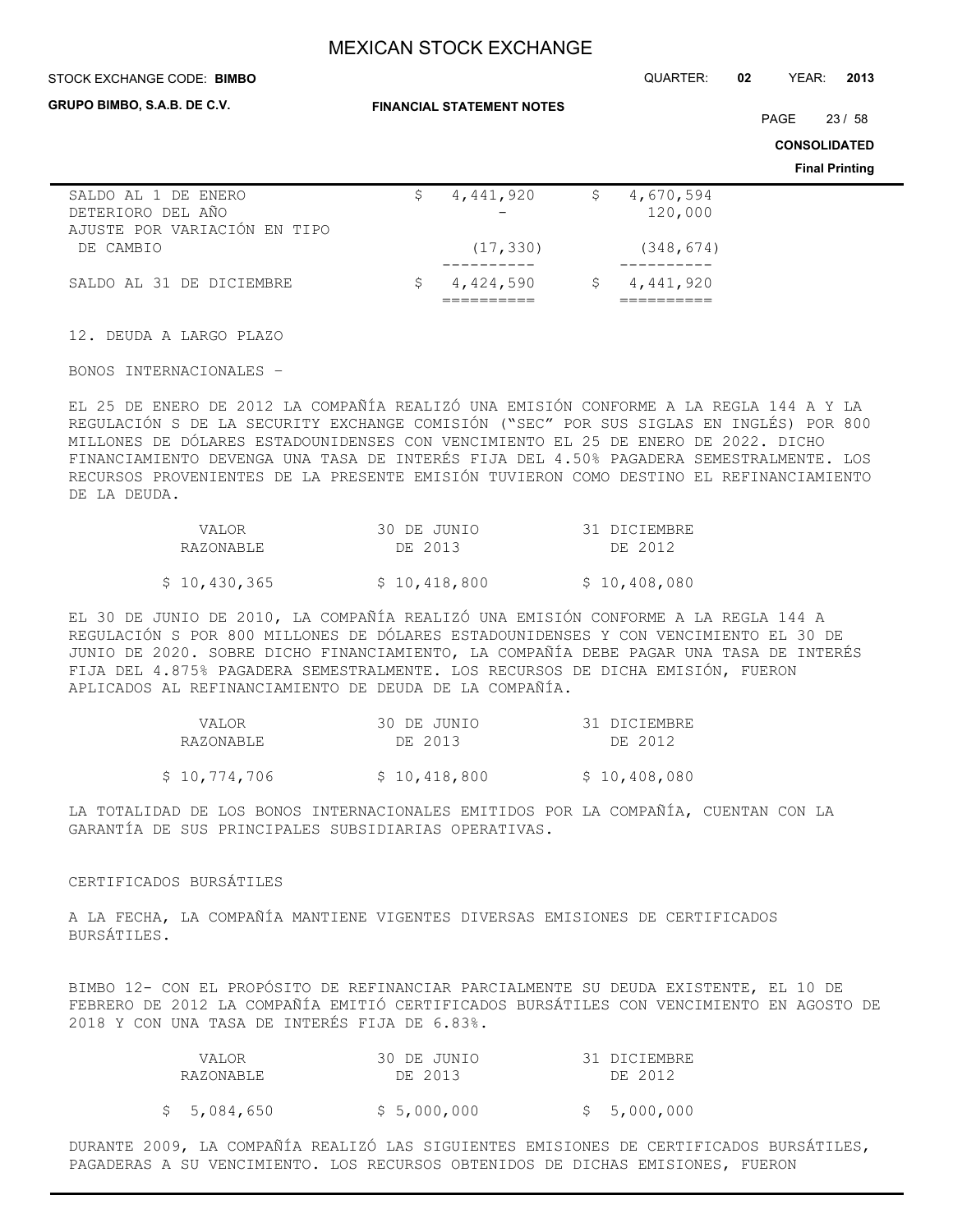#### STOCK EXCHANGE CODE: QUARTER: **02** YEAR: **2013 BIMBO**

**GRUPO BIMBO, S.A.B. DE C.V.**

**FINANCIAL STATEMENT NOTES**

PAGE 23 / 58

**CONSOLIDATED Final Printing**

|                              |           |    |             | Fin |
|------------------------------|-----------|----|-------------|-----|
| SALDO AL 1 DE ENERO          | 4,441,920 | S. | 4,670,594   |     |
| DETERIORO DEL AÑO            |           |    | 120,000     |     |
| AJUSTE POR VARIACIÓN EN TIPO |           |    |             |     |
| DE CAMBIO                    | (17, 330) |    | (348, 674)  |     |
|                              |           |    |             |     |
| SALDO AL 31 DE DICIEMBRE     | 4,424,590 |    | \$4,441,920 |     |
|                              |           |    |             |     |

12. DEUDA A LARGO PLAZO

BONOS INTERNACIONALES –

EL 25 DE ENERO DE 2012 LA COMPAÑÍA REALIZÓ UNA EMISIÓN CONFORME A LA REGLA 144 A Y LA REGULACIÓN S DE LA SECURITY EXCHANGE COMISIÓN ("SEC" POR SUS SIGLAS EN INGLÉS) POR 800 MILLONES DE DÓLARES ESTADOUNIDENSES CON VENCIMIENTO EL 25 DE ENERO DE 2022. DICHO FINANCIAMIENTO DEVENGA UNA TASA DE INTERÉS FIJA DEL 4.50% PAGADERA SEMESTRALMENTE. LOS RECURSOS PROVENIENTES DE LA PRESENTE EMISIÓN TUVIERON COMO DESTINO EL REFINANCIAMIENTO DE LA DEUDA.

| VALOR        | 30 DE JUNIO  | 31 DICIEMBRE |
|--------------|--------------|--------------|
| RAZONABLE    | DE 2013      | DE 2012      |
|              |              |              |
| \$10,430,365 | \$10,418,800 | \$10,408,080 |

EL 30 DE JUNIO DE 2010, LA COMPAÑÍA REALIZÓ UNA EMISIÓN CONFORME A LA REGLA 144 A REGULACIÓN S POR 800 MILLONES DE DÓLARES ESTADOUNIDENSES Y CON VENCIMIENTO EL 30 DE JUNIO DE 2020. SOBRE DICHO FINANCIAMIENTO, LA COMPAÑÍA DEBE PAGAR UNA TASA DE INTERÉS FIJA DEL 4.875% PAGADERA SEMESTRALMENTE. LOS RECURSOS DE DICHA EMISIÓN, FUERON APLICADOS AL REFINANCIAMIENTO DE DEUDA DE LA COMPAÑÍA.

| VALOR        | 30 DE JUNIO  | 31 DICIEMBRE |
|--------------|--------------|--------------|
| RAZONABLE    | DE 2013      | DE 2012      |
| \$10,774,706 | \$10,418,800 | \$10,408,080 |

LA TOTALIDAD DE LOS BONOS INTERNACIONALES EMITIDOS POR LA COMPAÑÍA, CUENTAN CON LA GARANTÍA DE SUS PRINCIPALES SUBSIDIARIAS OPERATIVAS.

## CERTIFICADOS BURSÁTILES

A LA FECHA, LA COMPAÑÍA MANTIENE VIGENTES DIVERSAS EMISIONES DE CERTIFICADOS BURSÁTILES.

BIMBO 12- CON EL PROPÓSITO DE REFINANCIAR PARCIALMENTE SU DEUDA EXISTENTE, EL 10 DE FEBRERO DE 2012 LA COMPAÑÍA EMITIÓ CERTIFICADOS BURSÁTILES CON VENCIMIENTO EN AGOSTO DE 2018 Y CON UNA TASA DE INTERÉS FIJA DE 6.83%.

| VALOR<br>RAZONABLE | 30 DE JUNIO<br>DE 2013 | 31 DICIEMBRE<br>DE 2012 |
|--------------------|------------------------|-------------------------|
| \$5,084,650        | \$5,000,000            | \$5,000,000             |

DURANTE 2009, LA COMPAÑÍA REALIZÓ LAS SIGUIENTES EMISIONES DE CERTIFICADOS BURSÁTILES, PAGADERAS A SU VENCIMIENTO. LOS RECURSOS OBTENIDOS DE DICHAS EMISIONES, FUERON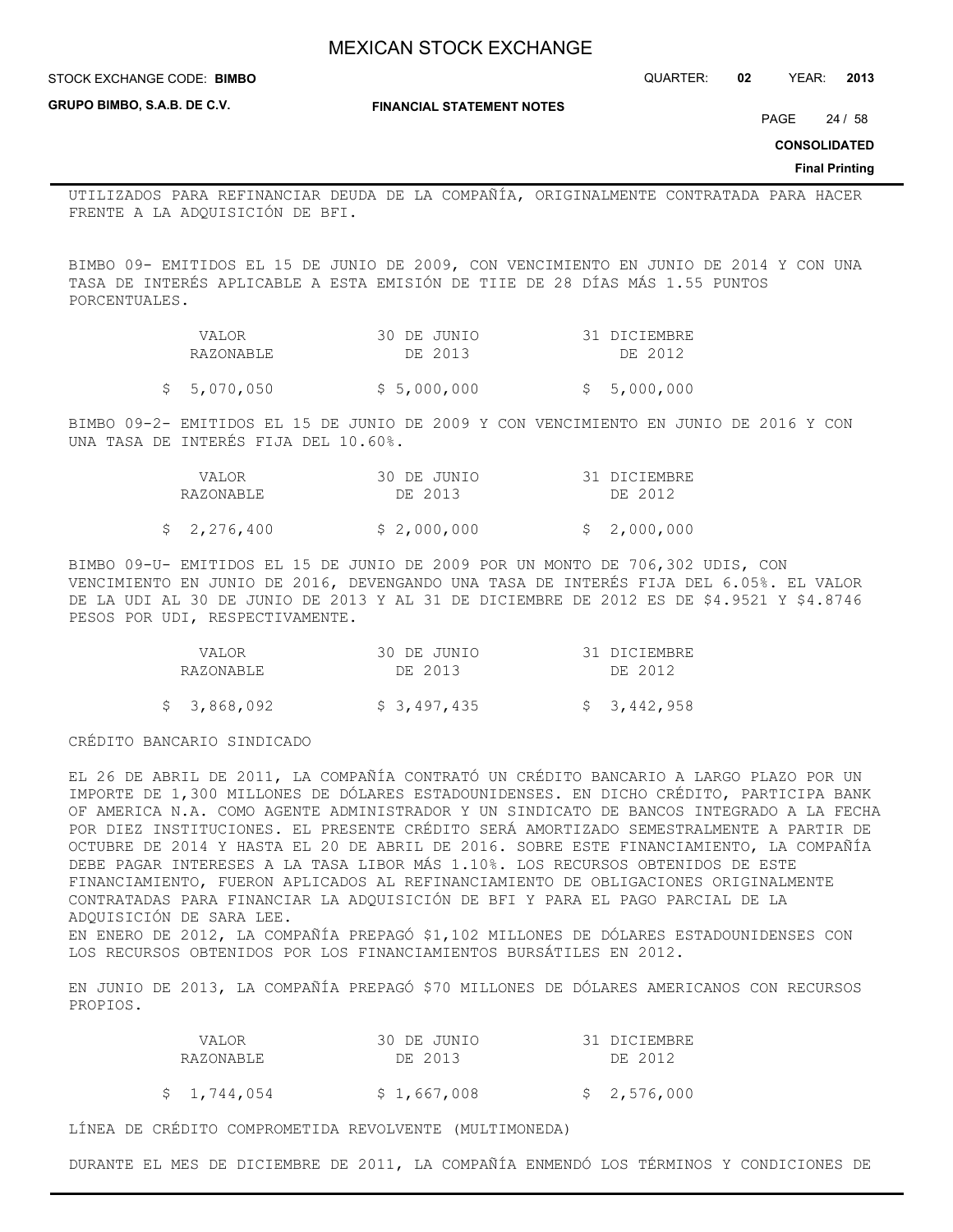STOCK EXCHANGE CODE: QUARTER: **02** YEAR: **2013 BIMBO**

**GRUPO BIMBO, S.A.B. DE C.V.**

**FINANCIAL STATEMENT NOTES**

PAGE 24 / 58

**CONSOLIDATED**

#### **Final Printing**

UTILIZADOS PARA REFINANCIAR DEUDA DE LA COMPAÑÍA, ORIGINALMENTE CONTRATADA PARA HACER FRENTE A LA ADQUISICIÓN DE BFI.

BIMBO 09- EMITIDOS EL 15 DE JUNIO DE 2009, CON VENCIMIENTO EN JUNIO DE 2014 Y CON UNA TASA DE INTERÉS APLICABLE A ESTA EMISIÓN DE TIIE DE 28 DÍAS MÁS 1.55 PUNTOS PORCENTUALES.

| VALOR     | 30 DE JUNIO | 31 DICIEMBRE |
|-----------|-------------|--------------|
| RAZONABLE | DE 2013     | DE 2012      |
|           |             |              |

 $$5,070,050$   $$5,000,000$   $$5,000,000$ 

BIMBO 09-2- EMITIDOS EL 15 DE JUNIO DE 2009 Y CON VENCIMIENTO EN JUNIO DE 2016 Y CON UNA TASA DE INTERÉS FIJA DEL 10.60%.

| VALOR       | 30 DE JUNIO | 31 DICIEMBRE |
|-------------|-------------|--------------|
| RAZONABLE   | DE 2013     | DE 2012      |
| \$2,276,400 | \$2,000,000 | \$2,000,000  |

BIMBO 09-U- EMITIDOS EL 15 DE JUNIO DE 2009 POR UN MONTO DE 706,302 UDIS, CON VENCIMIENTO EN JUNIO DE 2016, DEVENGANDO UNA TASA DE INTERÉS FIJA DEL 6.05%. EL VALOR DE LA UDI AL 30 DE JUNIO DE 2013 Y AL 31 DE DICIEMBRE DE 2012 ES DE \$4.9521 Y \$4.8746 PESOS POR UDI, RESPECTIVAMENTE.

| VALOR<br>RAZONABLE | 30 DE JUNIO<br>DE 2013 | 31 DICIEMBRE<br>DE 2012 |
|--------------------|------------------------|-------------------------|
| \$ 3,868,092       | \$3,497,435            | \$3,442,958             |

CRÉDITO BANCARIO SINDICADO

EL 26 DE ABRIL DE 2011, LA COMPAÑÍA CONTRATÓ UN CRÉDITO BANCARIO A LARGO PLAZO POR UN IMPORTE DE 1,300 MILLONES DE DÓLARES ESTADOUNIDENSES. EN DICHO CRÉDITO, PARTICIPA BANK OF AMERICA N.A. COMO AGENTE ADMINISTRADOR Y UN SINDICATO DE BANCOS INTEGRADO A LA FECHA POR DIEZ INSTITUCIONES. EL PRESENTE CRÉDITO SERÁ AMORTIZADO SEMESTRALMENTE A PARTIR DE OCTUBRE DE 2014 Y HASTA EL 20 DE ABRIL DE 2016. SOBRE ESTE FINANCIAMIENTO, LA COMPAÑÍA DEBE PAGAR INTERESES A LA TASA LIBOR MÁS 1.10%. LOS RECURSOS OBTENIDOS DE ESTE FINANCIAMIENTO, FUERON APLICADOS AL REFINANCIAMIENTO DE OBLIGACIONES ORIGINALMENTE CONTRATADAS PARA FINANCIAR LA ADQUISICIÓN DE BFI Y PARA EL PAGO PARCIAL DE LA ADQUISICIÓN DE SARA LEE. EN ENERO DE 2012, LA COMPAÑÍA PREPAGÓ \$1,102 MILLONES DE DÓLARES ESTADOUNIDENSES CON LOS RECURSOS OBTENIDOS POR LOS FINANCIAMIENTOS BURSÁTILES EN 2012.

EN JUNIO DE 2013, LA COMPAÑÍA PREPAGÓ \$70 MILLONES DE DÓLARES AMERICANOS CON RECURSOS PROPIOS.

| VALOR       | 30 DE JUNIO | 31 DICIEMBRE |
|-------------|-------------|--------------|
| RAZONABLE   | DE 2013     | DE 2012      |
| \$1,744,054 | \$1,667,008 | \$2,576,000  |

LÍNEA DE CRÉDITO COMPROMETIDA REVOLVENTE (MULTIMONEDA)

DURANTE EL MES DE DICIEMBRE DE 2011, LA COMPAÑÍA ENMENDÓ LOS TÉRMINOS Y CONDICIONES DE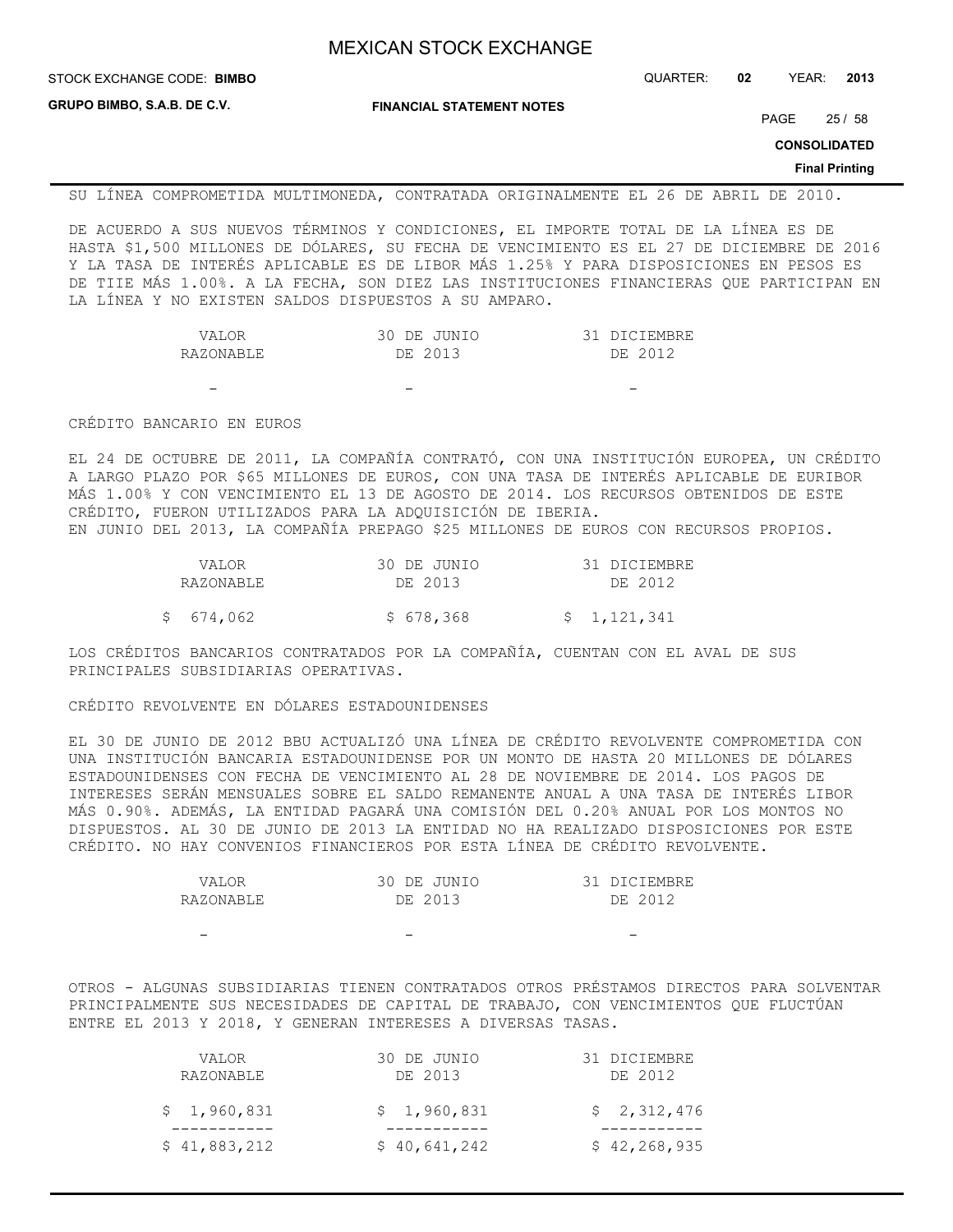STOCK EXCHANGE CODE: QUARTER: **02** YEAR: **2013 BIMBO**

**GRUPO BIMBO, S.A.B. DE C.V.**

**FINANCIAL STATEMENT NOTES**

PAGE 25 / 58

**CONSOLIDATED**

#### **Final Printing**

SU LÍNEA COMPROMETIDA MULTIMONEDA, CONTRATADA ORIGINALMENTE EL 26 DE ABRIL DE 2010.

DE ACUERDO A SUS NUEVOS TÉRMINOS Y CONDICIONES, EL IMPORTE TOTAL DE LA LÍNEA ES DE HASTA \$1,500 MILLONES DE DÓLARES, SU FECHA DE VENCIMIENTO ES EL 27 DE DICIEMBRE DE 2016 Y LA TASA DE INTERÉS APLICABLE ES DE LIBOR MÁS 1.25% Y PARA DISPOSICIONES EN PESOS ES DE TIIE MÁS 1.00%. A LA FECHA, SON DIEZ LAS INSTITUCIONES FINANCIERAS QUE PARTICIPAN EN LA LÍNEA Y NO EXISTEN SALDOS DISPUESTOS A SU AMPARO.

| VALOR     | 30 DE JUNIO | 31 DICIEMBRE |
|-----------|-------------|--------------|
| RAZONABLE | DE 2013     | DE 2012      |

- - -

#### CRÉDITO BANCARIO EN EUROS

EL 24 DE OCTUBRE DE 2011, LA COMPAÑÍA CONTRATÓ, CON UNA INSTITUCIÓN EUROPEA, UN CRÉDITO A LARGO PLAZO POR \$65 MILLONES DE EUROS, CON UNA TASA DE INTERÉS APLICABLE DE EURIBOR MÁS 1.00% Y CON VENCIMIENTO EL 13 DE AGOSTO DE 2014. LOS RECURSOS OBTENIDOS DE ESTE CRÉDITO, FUERON UTILIZADOS PARA LA ADQUISICIÓN DE IBERIA.

EN JUNIO DEL 2013, LA COMPAÑÍA PREPAGO \$25 MILLONES DE EUROS CON RECURSOS PROPIOS.

| VALOR     | 30 DE JUNIO | 31 DICIEMBRE |
|-----------|-------------|--------------|
| RAZONABLE | DE 2013     | DE 2012      |
| \$674,062 | \$ 678,368  | \$1,121,341  |

LOS CRÉDITOS BANCARIOS CONTRATADOS POR LA COMPAÑÍA, CUENTAN CON EL AVAL DE SUS PRINCIPALES SUBSIDIARIAS OPERATIVAS.

## CRÉDITO REVOLVENTE EN DÓLARES ESTADOUNIDENSES

EL 30 DE JUNIO DE 2012 BBU ACTUALIZÓ UNA LÍNEA DE CRÉDITO REVOLVENTE COMPROMETIDA CON UNA INSTITUCIÓN BANCARIA ESTADOUNIDENSE POR UN MONTO DE HASTA 20 MILLONES DE DÓLARES ESTADOUNIDENSES CON FECHA DE VENCIMIENTO AL 28 DE NOVIEMBRE DE 2014. LOS PAGOS DE INTERESES SERÁN MENSUALES SOBRE EL SALDO REMANENTE ANUAL A UNA TASA DE INTERÉS LIBOR MÁS 0.90%. ADEMÁS, LA ENTIDAD PAGARÁ UNA COMISIÓN DEL 0.20% ANUAL POR LOS MONTOS NO DISPUESTOS. AL 30 DE JUNIO DE 2013 LA ENTIDAD NO HA REALIZADO DISPOSICIONES POR ESTE CRÉDITO. NO HAY CONVENIOS FINANCIEROS POR ESTA LÍNEA DE CRÉDITO REVOLVENTE.

| VALOR     | 30 DE JUNIO | 31 DICIEMBRE |
|-----------|-------------|--------------|
| RAZONABLE | DE 2013     | DE 2012      |
|           |             |              |
|           |             |              |

OTROS - ALGUNAS SUBSIDIARIAS TIENEN CONTRATADOS OTROS PRÉSTAMOS DIRECTOS PARA SOLVENTAR PRINCIPALMENTE SUS NECESIDADES DE CAPITAL DE TRABAJO, CON VENCIMIENTOS QUE FLUCTÚAN ENTRE EL 2013 Y 2018, Y GENERAN INTERESES A DIVERSAS TASAS.

| VALOR        | 30 DE JUNIO  | 31 DICIEMBRE   |
|--------------|--------------|----------------|
| RAZONABLE    | DE 2013      | DE 2012        |
| \$1,960,831  | \$1,960,831  | \$2,312,476    |
| \$41,883,212 | \$40,641,242 | \$42, 268, 935 |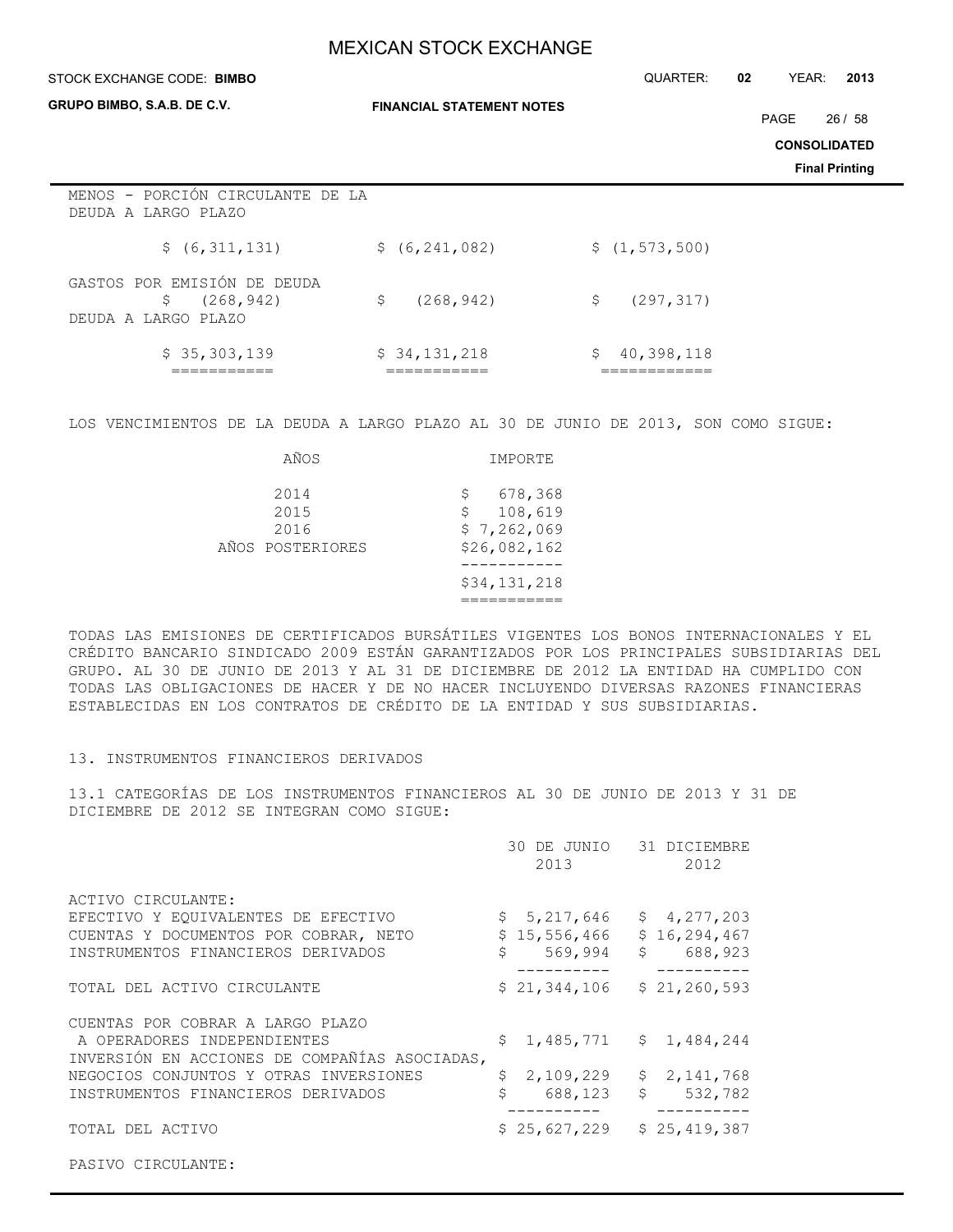#### STOCK EXCHANGE CODE: QUARTER: **02** YEAR: **2013 BIMBO**

**GRUPO BIMBO, S.A.B. DE C.V.**

**FINANCIAL STATEMENT NOTES**

PAGE 26 / 58

**CONSOLIDATED**

**Final Printing**

| MENOS - PORCIÓN CIRCULANTE DE LA<br>DEUDA A LARGO PLAZO                 |                  |                  |
|-------------------------------------------------------------------------|------------------|------------------|
| \$ (6,311,131)                                                          | \$ (6, 241, 082) | \$(1, 573, 500)  |
| GASTOS POR EMISIÓN DE DEUDA<br>(268, 942)<br>\$.<br>DEUDA A LARGO PLAZO | (268, 942)<br>Ŝ. | (297, 317)<br>S. |
| \$35,303,139                                                            | \$34,131,218     | 40,398,118<br>\$ |

LOS VENCIMIENTOS DE LA DEUDA A LARGO PLAZO AL 30 DE JUNIO DE 2013, SON COMO SIGUE:

| AÑOS                                     | IMPORTE                                                      |
|------------------------------------------|--------------------------------------------------------------|
| 2014<br>2015<br>2016<br>AÑOS POSTERIORES | 678,368<br>S<br>108,619<br>\$<br>\$7,262,069<br>\$26,082,162 |
|                                          | \$34,131,218                                                 |

TODAS LAS EMISIONES DE CERTIFICADOS BURSÁTILES VIGENTES LOS BONOS INTERNACIONALES Y EL CRÉDITO BANCARIO SINDICADO 2009 ESTÁN GARANTIZADOS POR LOS PRINCIPALES SUBSIDIARIAS DEL GRUPO. AL 30 DE JUNIO DE 2013 Y AL 31 DE DICIEMBRE DE 2012 LA ENTIDAD HA CUMPLIDO CON TODAS LAS OBLIGACIONES DE HACER Y DE NO HACER INCLUYENDO DIVERSAS RAZONES FINANCIERAS ESTABLECIDAS EN LOS CONTRATOS DE CRÉDITO DE LA ENTIDAD Y SUS SUBSIDIARIAS.

## 13. INSTRUMENTOS FINANCIEROS DERIVADOS

13.1 CATEGORÍAS DE LOS INSTRUMENTOS FINANCIEROS AL 30 DE JUNIO DE 2013 Y 31 DE DICIEMBRE DE 2012 SE INTEGRAN COMO SIGUE:

|                                                                                                                                          |    | 30 DE JUNIO 31 DICIEMBRE<br>2013       | 2012                                       |
|------------------------------------------------------------------------------------------------------------------------------------------|----|----------------------------------------|--------------------------------------------|
| ACTIVO CIRCULANTE:<br>EFECTIVO Y EQUIVALENTES DE EFECTIVO<br>CUENTAS Y DOCUMENTOS POR COBRAR, NETO<br>INSTRUMENTOS FINANCIEROS DERIVADOS | Ŝ. | \$5,217,646<br>\$15,556,466<br>569,994 | \$4,277,203<br>\$16, 294, 467<br>\$688,923 |
| TOTAL DEL ACTIVO CIRCULANTE                                                                                                              |    | \$21,344,106                           | \$21, 260, 593                             |
| CUENTAS POR COBRAR A LARGO PLAZO<br>A OPERADORES INDEPENDIENTES<br>INVERSIÓN EN ACCIONES DE COMPAÑÍAS ASOCIADAS,                         |    | $$1,485,771$ $$1,484,244$              |                                            |
| NEGOCIOS CONJUNTOS Y OTRAS INVERSIONES<br>INSTRUMENTOS FINANCIEROS DERIVADOS                                                             |    | 2,109,229<br>688,123                   | \$2,141,768<br>$\mathsf{S}$<br>532,782     |
| TOTAL DEL ACTIVO                                                                                                                         |    | \$25,627,229                           | \$25,419,387                               |
| PASIVO CIRCULANTE:                                                                                                                       |    |                                        |                                            |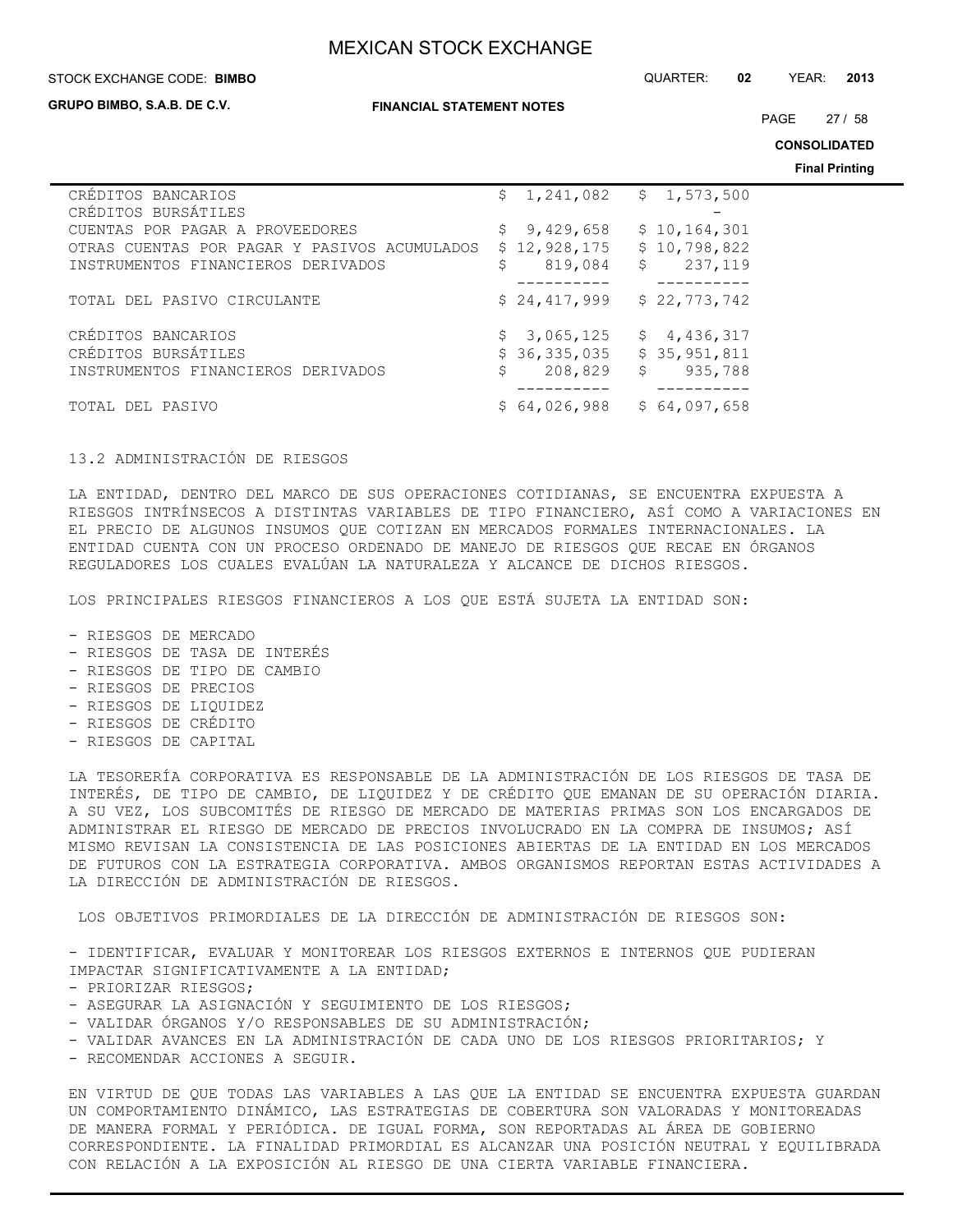#### STOCK EXCHANGE CODE: QUARTER: **02** YEAR: **2013 BIMBO**

**GRUPO BIMBO, S.A.B. DE C.V.**

#### **FINANCIAL STATEMENT NOTES**

PAGE 27 / 58

**CONSOLIDATED**

**Final Printing**

|                                              |               |                           | . |
|----------------------------------------------|---------------|---------------------------|---|
| CRÉDITOS BANCARIOS                           |               | $$1,241,082$ $$1,573,500$ |   |
| CRÉDITOS BURSÁTILES                          |               |                           |   |
| CUENTAS POR PAGAR A PROVEEDORES              | \$9,429,658   | \$10,164,301              |   |
| OTRAS CUENTAS POR PAGAR Y PASIVOS ACUMULADOS | \$12,928,175  | \$10,798,822              |   |
| INSTRUMENTOS FINANCIEROS DERIVADOS           | 819,084<br>\$ | \$237,119                 |   |
|                                              |               |                           |   |
| TOTAL DEL PASIVO CIRCULANTE                  | \$24,417,999  | \$22,773,742              |   |
| CRÉDITOS BANCARIOS                           | \$3,065,125   | \$4,436,317               |   |
| CRÉDITOS BURSÁTILES                          | \$36,335,035  | \$35,951,811              |   |
| INSTRUMENTOS FINANCIEROS DERIVADOS           | 208,829<br>\$ | $\mathsf{S}$<br>935,788   |   |
|                                              |               |                           |   |
| TOTAL DEL PASIVO                             | \$64,026,988  | \$64,097,658              |   |

### 13.2 ADMINISTRACIÓN DE RIESGOS

LA ENTIDAD, DENTRO DEL MARCO DE SUS OPERACIONES COTIDIANAS, SE ENCUENTRA EXPUESTA A RIESGOS INTRÍNSECOS A DISTINTAS VARIABLES DE TIPO FINANCIERO, ASÍ COMO A VARIACIONES EN EL PRECIO DE ALGUNOS INSUMOS QUE COTIZAN EN MERCADOS FORMALES INTERNACIONALES. LA ENTIDAD CUENTA CON UN PROCESO ORDENADO DE MANEJO DE RIESGOS QUE RECAE EN ÓRGANOS REGULADORES LOS CUALES EVALÚAN LA NATURALEZA Y ALCANCE DE DICHOS RIESGOS.

LOS PRINCIPALES RIESGOS FINANCIEROS A LOS QUE ESTÁ SUJETA LA ENTIDAD SON:

- RIESGOS DE MERCADO
- RIESGOS DE TASA DE INTERÉS
- RIESGOS DE TIPO DE CAMBIO
- RIESGOS DE PRECIOS
- RIESGOS DE LIQUIDEZ
- RIESGOS DE CRÉDITO
- RIESGOS DE CAPITAL

LA TESORERÍA CORPORATIVA ES RESPONSABLE DE LA ADMINISTRACIÓN DE LOS RIESGOS DE TASA DE INTERÉS, DE TIPO DE CAMBIO, DE LIQUIDEZ Y DE CRÉDITO QUE EMANAN DE SU OPERACIÓN DIARIA. A SU VEZ, LOS SUBCOMITÉS DE RIESGO DE MERCADO DE MATERIAS PRIMAS SON LOS ENCARGADOS DE ADMINISTRAR EL RIESGO DE MERCADO DE PRECIOS INVOLUCRADO EN LA COMPRA DE INSUMOS; ASÍ MISMO REVISAN LA CONSISTENCIA DE LAS POSICIONES ABIERTAS DE LA ENTIDAD EN LOS MERCADOS DE FUTUROS CON LA ESTRATEGIA CORPORATIVA. AMBOS ORGANISMOS REPORTAN ESTAS ACTIVIDADES A LA DIRECCIÓN DE ADMINISTRACIÓN DE RIESGOS.

LOS OBJETIVOS PRIMORDIALES DE LA DIRECCIÓN DE ADMINISTRACIÓN DE RIESGOS SON:

- IDENTIFICAR, EVALUAR Y MONITOREAR LOS RIESGOS EXTERNOS E INTERNOS QUE PUDIERAN IMPACTAR SIGNIFICATIVAMENTE A LA ENTIDAD;

- PRIORIZAR RIESGOS;
- ASEGURAR LA ASIGNACIÓN Y SEGUIMIENTO DE LOS RIESGOS;
- VALIDAR ÓRGANOS Y/O RESPONSABLES DE SU ADMINISTRACIÓN;
- VALIDAR AVANCES EN LA ADMINISTRACIÓN DE CADA UNO DE LOS RIESGOS PRIORITARIOS; Y

- RECOMENDAR ACCIONES A SEGUIR.

EN VIRTUD DE QUE TODAS LAS VARIABLES A LAS QUE LA ENTIDAD SE ENCUENTRA EXPUESTA GUARDAN UN COMPORTAMIENTO DINÁMICO, LAS ESTRATEGIAS DE COBERTURA SON VALORADAS Y MONITOREADAS DE MANERA FORMAL Y PERIÓDICA. DE IGUAL FORMA, SON REPORTADAS AL ÁREA DE GOBIERNO CORRESPONDIENTE. LA FINALIDAD PRIMORDIAL ES ALCANZAR UNA POSICIÓN NEUTRAL Y EQUILIBRADA CON RELACIÓN A LA EXPOSICIÓN AL RIESGO DE UNA CIERTA VARIABLE FINANCIERA.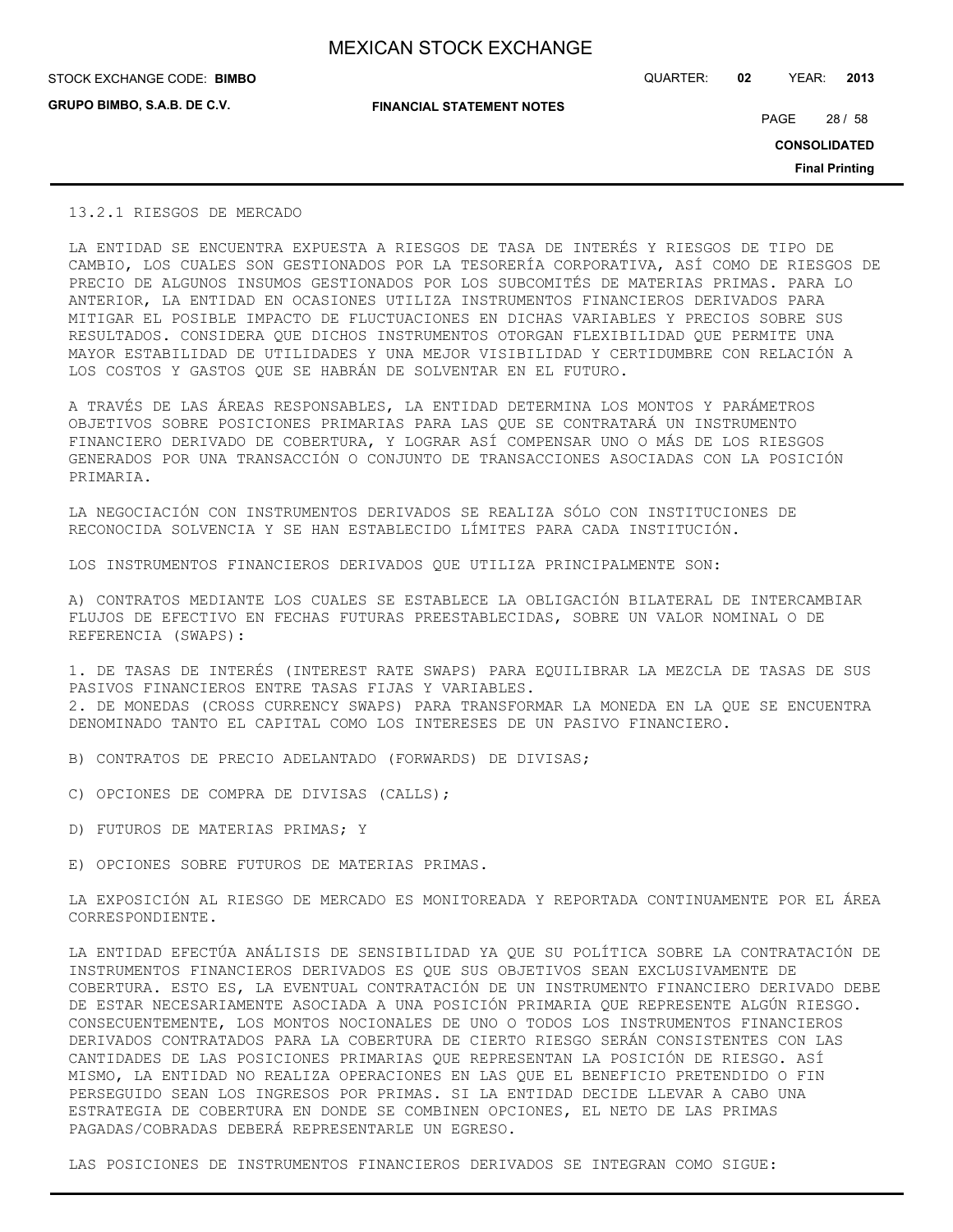**GRUPO BIMBO, S.A.B. DE C.V.**

STOCK EXCHANGE CODE: QUARTER: **02** YEAR: **2013 BIMBO**

**FINANCIAL STATEMENT NOTES**

PAGE 28 / 58

**CONSOLIDATED**

**Final Printing**

## 13.2.1 RIESGOS DE MERCADO

LA ENTIDAD SE ENCUENTRA EXPUESTA A RIESGOS DE TASA DE INTERÉS Y RIESGOS DE TIPO DE CAMBIO, LOS CUALES SON GESTIONADOS POR LA TESORERÍA CORPORATIVA, ASÍ COMO DE RIESGOS DE PRECIO DE ALGUNOS INSUMOS GESTIONADOS POR LOS SUBCOMITÉS DE MATERIAS PRIMAS. PARA LO ANTERIOR, LA ENTIDAD EN OCASIONES UTILIZA INSTRUMENTOS FINANCIEROS DERIVADOS PARA MITIGAR EL POSIBLE IMPACTO DE FLUCTUACIONES EN DICHAS VARIABLES Y PRECIOS SOBRE SUS RESULTADOS. CONSIDERA QUE DICHOS INSTRUMENTOS OTORGAN FLEXIBILIDAD QUE PERMITE UNA MAYOR ESTABILIDAD DE UTILIDADES Y UNA MEJOR VISIBILIDAD Y CERTIDUMBRE CON RELACIÓN A LOS COSTOS Y GASTOS QUE SE HABRÁN DE SOLVENTAR EN EL FUTURO.

A TRAVÉS DE LAS ÁREAS RESPONSABLES, LA ENTIDAD DETERMINA LOS MONTOS Y PARÁMETROS OBJETIVOS SOBRE POSICIONES PRIMARIAS PARA LAS QUE SE CONTRATARÁ UN INSTRUMENTO FINANCIERO DERIVADO DE COBERTURA, Y LOGRAR ASÍ COMPENSAR UNO O MÁS DE LOS RIESGOS GENERADOS POR UNA TRANSACCIÓN O CONJUNTO DE TRANSACCIONES ASOCIADAS CON LA POSICIÓN PRIMARIA.

LA NEGOCIACIÓN CON INSTRUMENTOS DERIVADOS SE REALIZA SÓLO CON INSTITUCIONES DE RECONOCIDA SOLVENCIA Y SE HAN ESTABLECIDO LÍMITES PARA CADA INSTITUCIÓN.

LOS INSTRUMENTOS FINANCIEROS DERIVADOS QUE UTILIZA PRINCIPALMENTE SON:

A) CONTRATOS MEDIANTE LOS CUALES SE ESTABLECE LA OBLIGACIÓN BILATERAL DE INTERCAMBIAR FLUJOS DE EFECTIVO EN FECHAS FUTURAS PREESTABLECIDAS, SOBRE UN VALOR NOMINAL O DE REFERENCIA (SWAPS):

1. DE TASAS DE INTERÉS (INTEREST RATE SWAPS) PARA EQUILIBRAR LA MEZCLA DE TASAS DE SUS PASIVOS FINANCIEROS ENTRE TASAS FIJAS Y VARIABLES. 2. DE MONEDAS (CROSS CURRENCY SWAPS) PARA TRANSFORMAR LA MONEDA EN LA QUE SE ENCUENTRA DENOMINADO TANTO EL CAPITAL COMO LOS INTERESES DE UN PASIVO FINANCIERO.

B) CONTRATOS DE PRECIO ADELANTADO (FORWARDS) DE DIVISAS;

- C) OPCIONES DE COMPRA DE DIVISAS (CALLS);
- D) FUTUROS DE MATERIAS PRIMAS; Y
- E) OPCIONES SOBRE FUTUROS DE MATERIAS PRIMAS.

LA EXPOSICIÓN AL RIESGO DE MERCADO ES MONITOREADA Y REPORTADA CONTINUAMENTE POR EL ÁREA CORRESPONDIENTE.

LA ENTIDAD EFECTÚA ANÁLISIS DE SENSIBILIDAD YA QUE SU POLÍTICA SOBRE LA CONTRATACIÓN DE INSTRUMENTOS FINANCIEROS DERIVADOS ES QUE SUS OBJETIVOS SEAN EXCLUSIVAMENTE DE COBERTURA. ESTO ES, LA EVENTUAL CONTRATACIÓN DE UN INSTRUMENTO FINANCIERO DERIVADO DEBE DE ESTAR NECESARIAMENTE ASOCIADA A UNA POSICIÓN PRIMARIA QUE REPRESENTE ALGÚN RIESGO. CONSECUENTEMENTE, LOS MONTOS NOCIONALES DE UNO O TODOS LOS INSTRUMENTOS FINANCIEROS DERIVADOS CONTRATADOS PARA LA COBERTURA DE CIERTO RIESGO SERÁN CONSISTENTES CON LAS CANTIDADES DE LAS POSICIONES PRIMARIAS QUE REPRESENTAN LA POSICIÓN DE RIESGO. ASÍ MISMO, LA ENTIDAD NO REALIZA OPERACIONES EN LAS QUE EL BENEFICIO PRETENDIDO O FIN PERSEGUIDO SEAN LOS INGRESOS POR PRIMAS. SI LA ENTIDAD DECIDE LLEVAR A CABO UNA ESTRATEGIA DE COBERTURA EN DONDE SE COMBINEN OPCIONES, EL NETO DE LAS PRIMAS PAGADAS/COBRADAS DEBERÁ REPRESENTARLE UN EGRESO.

LAS POSICIONES DE INSTRUMENTOS FINANCIEROS DERIVADOS SE INTEGRAN COMO SIGUE: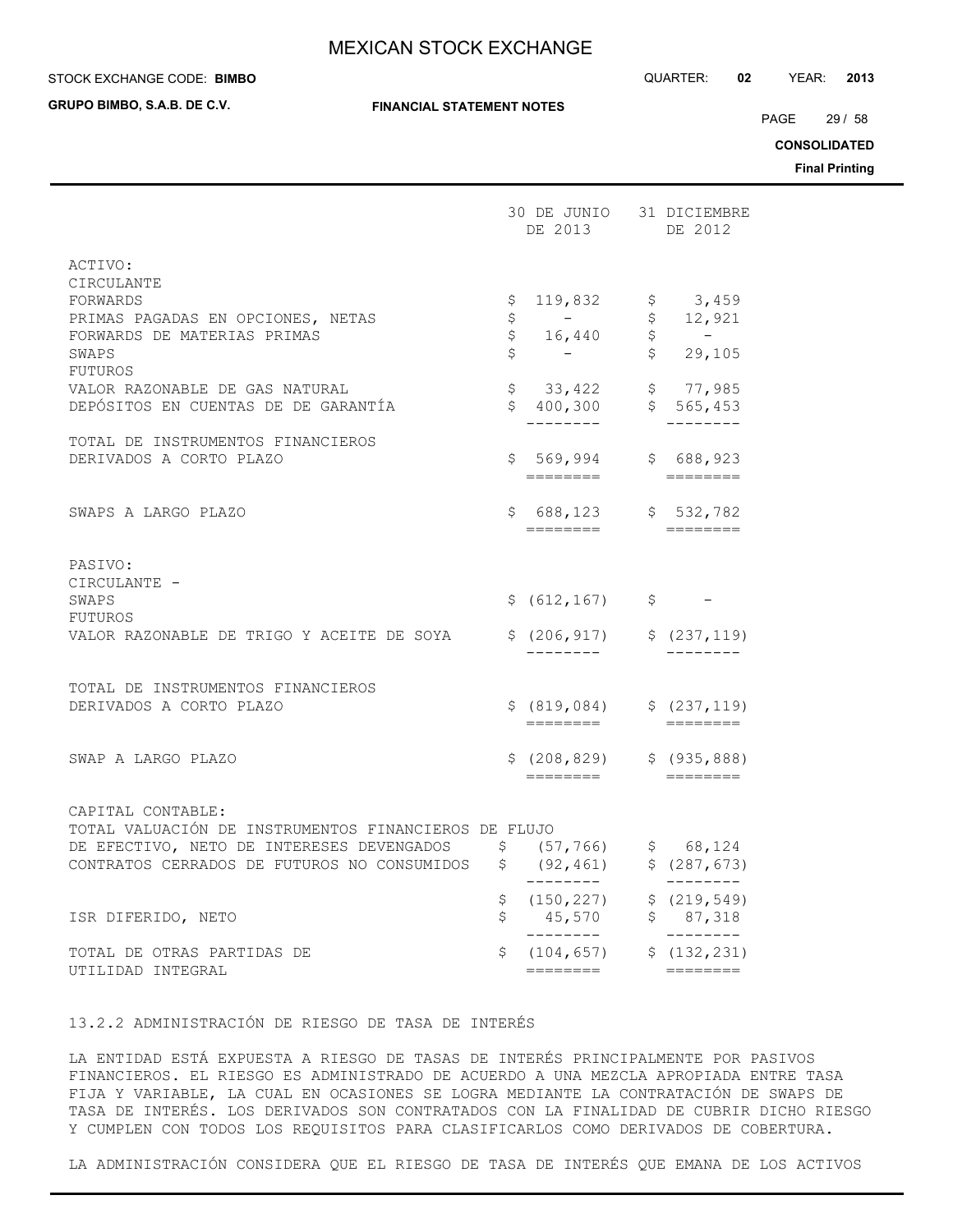## **STOCK EXCHANGE CODE: BIMBO**

**GRUPO BIMBO, S.A.B. DE C.V.**

STOCK EXCHANGE CODE: QUARTER: **02** YEAR: **2013**

PAGE 29 / 58

**CONSOLIDATED**

**Final Printing**

|                                                                                                                                                                                                           |                 | 30 DE JUNIO 31 DICIEMBRE<br>DE 2013                                                                                                                                                        |                    | DE 2012                                                                                                   |
|-----------------------------------------------------------------------------------------------------------------------------------------------------------------------------------------------------------|-----------------|--------------------------------------------------------------------------------------------------------------------------------------------------------------------------------------------|--------------------|-----------------------------------------------------------------------------------------------------------|
| ACTIVO:<br>CIRCULANTE<br>FORWARDS<br>PRIMAS PAGADAS EN OPCIONES, NETAS<br>FORWARDS DE MATERIAS PRIMAS<br>SWAPS<br><b>FUTUROS</b><br>VALOR RAZONABLE DE GAS NATURAL<br>DEPÓSITOS EN CUENTAS DE DE GARANTÍA | \$.<br>\$<br>\$ | 119,832 $\frac{13}{7}$ \$ 3,459<br>$\mathcal{L}_{\text{max}}$ and $\mathcal{L}_{\text{max}}$<br>$\begin{array}{cc} 7 & 16,440 \end{array}$<br>$$33,422$ $$77,985$<br>$$400,300$ $$565,453$ | $\hat{\mathsf{S}}$ | \$12,921<br>$\sim$ $-$<br>$\begin{array}{c} \tilde{\varsigma} \\ \tilde{\varsigma} \end{array}$<br>29,105 |
| TOTAL DE INSTRUMENTOS FINANCIEROS<br>DERIVADOS A CORTO PLAZO                                                                                                                                              |                 | $$569,994$ $$688,923$                                                                                                                                                                      |                    | $- - - - - -$                                                                                             |
| SWAPS A LARGO PLAZO                                                                                                                                                                                       |                 | $$688,123$ $$532,782$                                                                                                                                                                      |                    |                                                                                                           |
| PASIVO:<br>CIRCULANTE -<br>SWAPS<br>FUTUROS<br>VALOR RAZONABLE DE TRIGO Y ACEITE DE SOYA                                                                                                                  |                 | $$ (612, 167) $ -$$<br>$$ (206, 917)$ $$ (237, 119)$                                                                                                                                       |                    |                                                                                                           |
| TOTAL DE INSTRUMENTOS FINANCIEROS<br>DERIVADOS A CORTO PLAZO                                                                                                                                              |                 | $$ (819,084)$ $$ (237,119)$<br>========                                                                                                                                                    |                    | $=$ $=$ $=$ $=$ $=$ $=$ $=$                                                                               |
| SWAP A LARGO PLAZO                                                                                                                                                                                        |                 | $$(208, 829)$ $$(935, 888)$<br>========                                                                                                                                                    |                    | $\qquad \qquad \overline{\qquad \qquad }==-=-=-=-1$                                                       |
| CAPITAL CONTABLE:<br>TOTAL VALUACIÓN DE INSTRUMENTOS FINANCIEROS DE FLUJO<br>DE EFECTIVO, NETO DE INTERESES DEVENGADOS<br>CONTRATOS CERRADOS DE FUTUROS NO CONSUMIDOS $$$ (92,461)                        |                 | \$68,124<br>________                                                                                                                                                                       |                    | \$ (287, 673)<br>$- - - - - - - -$                                                                        |
| ISR DIFERIDO, NETO                                                                                                                                                                                        | \$              | $$(150, 227)$ $$(219, 549)$<br>45,570 \$ 87,318<br>---------                                                                                                                               |                    | $- - - - - -$                                                                                             |
| TOTAL DE OTRAS PARTIDAS DE<br>UTILIDAD INTEGRAL                                                                                                                                                           | \$              | $(104, 657)$ \$ $(132, 231)$<br>========                                                                                                                                                   |                    | $=$ ========                                                                                              |

13.2.2 ADMINISTRACIÓN DE RIESGO DE TASA DE INTERÉS

LA ENTIDAD ESTÁ EXPUESTA A RIESGO DE TASAS DE INTERÉS PRINCIPALMENTE POR PASIVOS FINANCIEROS. EL RIESGO ES ADMINISTRADO DE ACUERDO A UNA MEZCLA APROPIADA ENTRE TASA FIJA Y VARIABLE, LA CUAL EN OCASIONES SE LOGRA MEDIANTE LA CONTRATACIÓN DE SWAPS DE TASA DE INTERÉS. LOS DERIVADOS SON CONTRATADOS CON LA FINALIDAD DE CUBRIR DICHO RIESGO Y CUMPLEN CON TODOS LOS REQUISITOS PARA CLASIFICARLOS COMO DERIVADOS DE COBERTURA.

LA ADMINISTRACIÓN CONSIDERA QUE EL RIESGO DE TASA DE INTERÉS QUE EMANA DE LOS ACTIVOS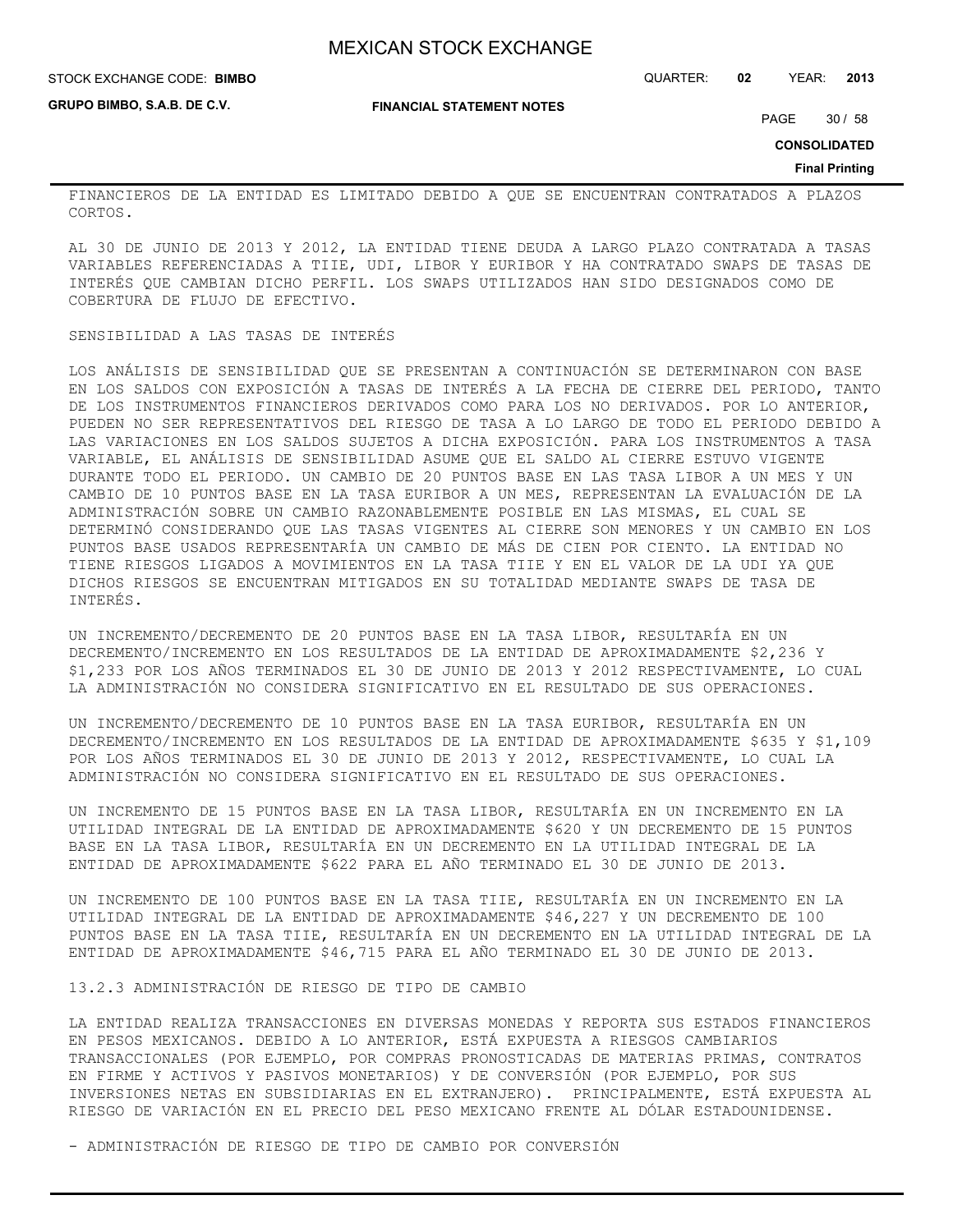#### STOCK EXCHANGE CODE: QUARTER: **02** YEAR: **2013 BIMBO**

**GRUPO BIMBO, S.A.B. DE C.V.**

**FINANCIAL STATEMENT NOTES**

PAGE 30 / 58

**CONSOLIDATED**

#### **Final Printing**

FINANCIEROS DE LA ENTIDAD ES LIMITADO DEBIDO A QUE SE ENCUENTRAN CONTRATADOS A PLAZOS CORTOS.

AL 30 DE JUNIO DE 2013 Y 2012, LA ENTIDAD TIENE DEUDA A LARGO PLAZO CONTRATADA A TASAS VARIABLES REFERENCIADAS A TIIE, UDI, LIBOR Y EURIBOR Y HA CONTRATADO SWAPS DE TASAS DE INTERÉS QUE CAMBIAN DICHO PERFIL. LOS SWAPS UTILIZADOS HAN SIDO DESIGNADOS COMO DE COBERTURA DE FLUJO DE EFECTIVO.

### SENSIBILIDAD A LAS TASAS DE INTERÉS

LOS ANÁLISIS DE SENSIBILIDAD QUE SE PRESENTAN A CONTINUACIÓN SE DETERMINARON CON BASE EN LOS SALDOS CON EXPOSICIÓN A TASAS DE INTERÉS A LA FECHA DE CIERRE DEL PERIODO, TANTO DE LOS INSTRUMENTOS FINANCIEROS DERIVADOS COMO PARA LOS NO DERIVADOS. POR LO ANTERIOR, PUEDEN NO SER REPRESENTATIVOS DEL RIESGO DE TASA A LO LARGO DE TODO EL PERIODO DEBIDO A LAS VARIACIONES EN LOS SALDOS SUJETOS A DICHA EXPOSICIÓN. PARA LOS INSTRUMENTOS A TASA VARIABLE, EL ANÁLISIS DE SENSIBILIDAD ASUME QUE EL SALDO AL CIERRE ESTUVO VIGENTE DURANTE TODO EL PERIODO. UN CAMBIO DE 20 PUNTOS BASE EN LAS TASA LIBOR A UN MES Y UN CAMBIO DE 10 PUNTOS BASE EN LA TASA EURIBOR A UN MES, REPRESENTAN LA EVALUACIÓN DE LA ADMINISTRACIÓN SOBRE UN CAMBIO RAZONABLEMENTE POSIBLE EN LAS MISMAS, EL CUAL SE DETERMINÓ CONSIDERANDO QUE LAS TASAS VIGENTES AL CIERRE SON MENORES Y UN CAMBIO EN LOS PUNTOS BASE USADOS REPRESENTARÍA UN CAMBIO DE MÁS DE CIEN POR CIENTO. LA ENTIDAD NO TIENE RIESGOS LIGADOS A MOVIMIENTOS EN LA TASA TIIE Y EN EL VALOR DE LA UDI YA QUE DICHOS RIESGOS SE ENCUENTRAN MITIGADOS EN SU TOTALIDAD MEDIANTE SWAPS DE TASA DE INTERÉS.

UN INCREMENTO/DECREMENTO DE 20 PUNTOS BASE EN LA TASA LIBOR, RESULTARÍA EN UN DECREMENTO/INCREMENTO EN LOS RESULTADOS DE LA ENTIDAD DE APROXIMADAMENTE \$2,236 Y \$1,233 POR LOS AÑOS TERMINADOS EL 30 DE JUNIO DE 2013 Y 2012 RESPECTIVAMENTE, LO CUAL LA ADMINISTRACIÓN NO CONSIDERA SIGNIFICATIVO EN EL RESULTADO DE SUS OPERACIONES.

UN INCREMENTO/DECREMENTO DE 10 PUNTOS BASE EN LA TASA EURIBOR, RESULTARÍA EN UN DECREMENTO/INCREMENTO EN LOS RESULTADOS DE LA ENTIDAD DE APROXIMADAMENTE \$635 Y \$1,109 POR LOS AÑOS TERMINADOS EL 30 DE JUNIO DE 2013 Y 2012, RESPECTIVAMENTE, LO CUAL LA ADMINISTRACIÓN NO CONSIDERA SIGNIFICATIVO EN EL RESULTADO DE SUS OPERACIONES.

UN INCREMENTO DE 15 PUNTOS BASE EN LA TASA LIBOR, RESULTARÍA EN UN INCREMENTO EN LA UTILIDAD INTEGRAL DE LA ENTIDAD DE APROXIMADAMENTE \$620 Y UN DECREMENTO DE 15 PUNTOS BASE EN LA TASA LIBOR, RESULTARÍA EN UN DECREMENTO EN LA UTILIDAD INTEGRAL DE LA ENTIDAD DE APROXIMADAMENTE \$622 PARA EL AÑO TERMINADO EL 30 DE JUNIO DE 2013.

UN INCREMENTO DE 100 PUNTOS BASE EN LA TASA TIIE, RESULTARÍA EN UN INCREMENTO EN LA UTILIDAD INTEGRAL DE LA ENTIDAD DE APROXIMADAMENTE \$46,227 Y UN DECREMENTO DE 100 PUNTOS BASE EN LA TASA TIIE, RESULTARÍA EN UN DECREMENTO EN LA UTILIDAD INTEGRAL DE LA ENTIDAD DE APROXIMADAMENTE \$46,715 PARA EL AÑO TERMINADO EL 30 DE JUNIO DE 2013.

## 13.2.3 ADMINISTRACIÓN DE RIESGO DE TIPO DE CAMBIO

LA ENTIDAD REALIZA TRANSACCIONES EN DIVERSAS MONEDAS Y REPORTA SUS ESTADOS FINANCIEROS EN PESOS MEXICANOS. DEBIDO A LO ANTERIOR, ESTÁ EXPUESTA A RIESGOS CAMBIARIOS TRANSACCIONALES (POR EJEMPLO, POR COMPRAS PRONOSTICADAS DE MATERIAS PRIMAS, CONTRATOS EN FIRME Y ACTIVOS Y PASIVOS MONETARIOS) Y DE CONVERSIÓN (POR EJEMPLO, POR SUS INVERSIONES NETAS EN SUBSIDIARIAS EN EL EXTRANJERO). PRINCIPALMENTE, ESTÁ EXPUESTA AL RIESGO DE VARIACIÓN EN EL PRECIO DEL PESO MEXICANO FRENTE AL DÓLAR ESTADOUNIDENSE.

- ADMINISTRACIÓN DE RIESGO DE TIPO DE CAMBIO POR CONVERSIÓN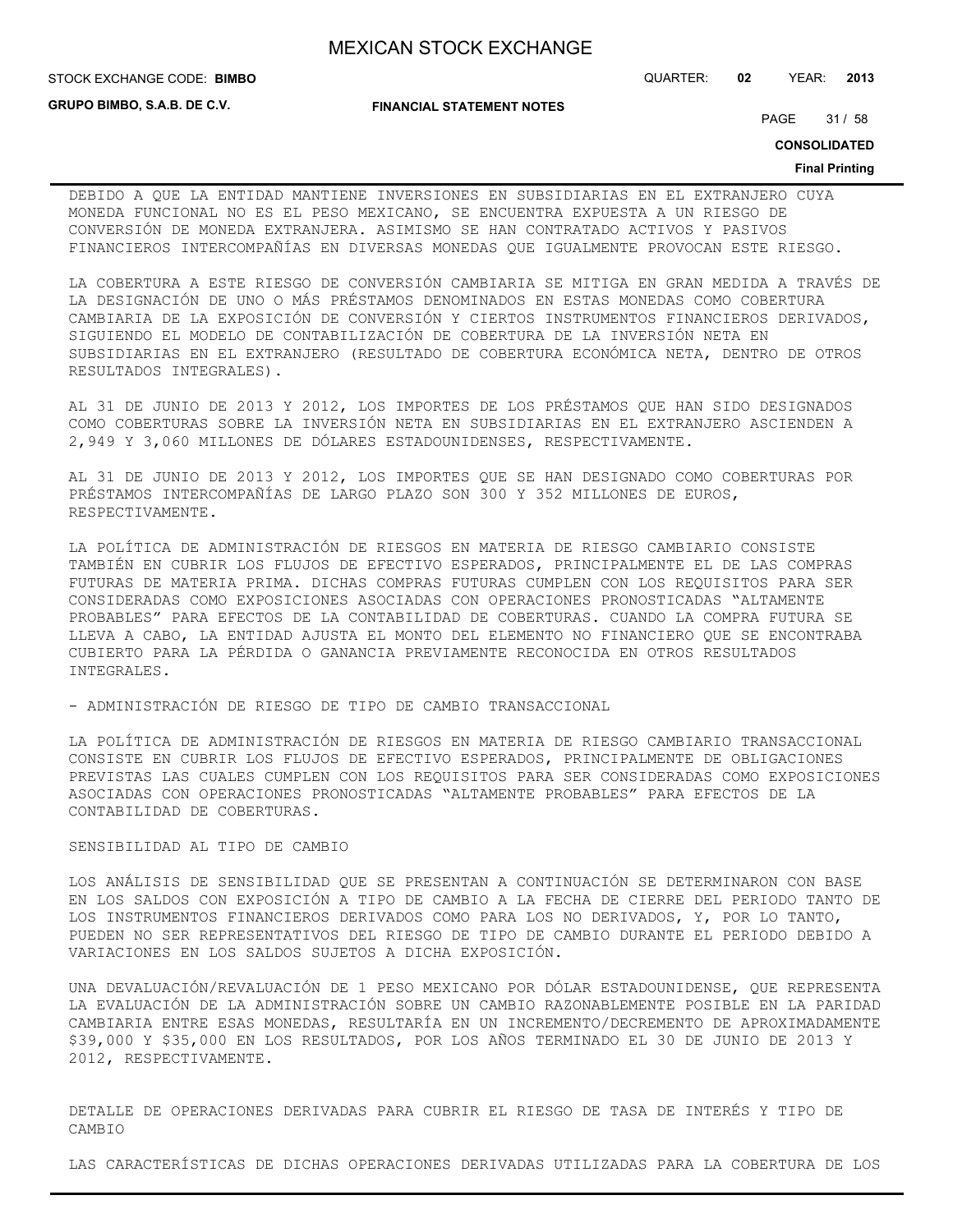**GRUPO BIMBO, S.A.B. DE C.V.**

STOCK EXCHANGE CODE: QUARTER: **02** YEAR: **2013 BIMBO**

**FINANCIAL STATEMENT NOTES**

PAGE 31 / 58

**CONSOLIDATED**

#### **Final Printing**

DEBIDO A QUE LA ENTIDAD MANTIENE INVERSIONES EN SUBSIDIARIAS EN EL EXTRANJERO CUYA MONEDA FUNCIONAL NO ES EL PESO MEXICANO, SE ENCUENTRA EXPUESTA A UN RIESGO DE CONVERSIÓN DE MONEDA EXTRANJERA. ASIMISMO SE HAN CONTRATADO ACTIVOS Y PASIVOS FINANCIEROS INTERCOMPAÑÍAS EN DIVERSAS MONEDAS QUE IGUALMENTE PROVOCAN ESTE RIESGO.

LA COBERTURA A ESTE RIESGO DE CONVERSIÓN CAMBIARIA SE MITIGA EN GRAN MEDIDA A TRAVÉS DE LA DESIGNACIÓN DE UNO O MÁS PRÉSTAMOS DENOMINADOS EN ESTAS MONEDAS COMO COBERTURA CAMBIARIA DE LA EXPOSICIÓN DE CONVERSIÓN Y CIERTOS INSTRUMENTOS FINANCIEROS DERIVADOS, SIGUIENDO EL MODELO DE CONTABILIZACIÓN DE COBERTURA DE LA INVERSIÓN NETA EN SUBSIDIARIAS EN EL EXTRANJERO (RESULTADO DE COBERTURA ECONÓMICA NETA, DENTRO DE OTROS RESULTADOS INTEGRALES).

AL 31 DE JUNIO DE 2013 Y 2012, LOS IMPORTES DE LOS PRÉSTAMOS QUE HAN SIDO DESIGNADOS COMO COBERTURAS SOBRE LA INVERSIÓN NETA EN SUBSIDIARIAS EN EL EXTRANJERO ASCIENDEN A 2,949 Y 3,060 MILLONES DE DÓLARES ESTADOUNIDENSES, RESPECTIVAMENTE.

AL 31 DE JUNIO DE 2013 Y 2012, LOS IMPORTES QUE SE HAN DESIGNADO COMO COBERTURAS POR PRÉSTAMOS INTERCOMPAÑÍAS DE LARGO PLAZO SON 300 Y 352 MILLONES DE EUROS, RESPECTIVAMENTE.

LA POLÍTICA DE ADMINISTRACIÓN DE RIESGOS EN MATERIA DE RIESGO CAMBIARIO CONSISTE TAMBIÉN EN CUBRIR LOS FLUJOS DE EFECTIVO ESPERADOS, PRINCIPALMENTE EL DE LAS COMPRAS FUTURAS DE MATERIA PRIMA. DICHAS COMPRAS FUTURAS CUMPLEN CON LOS REQUISITOS PARA SER CONSIDERADAS COMO EXPOSICIONES ASOCIADAS CON OPERACIONES PRONOSTICADAS "ALTAMENTE PROBABLES" PARA EFECTOS DE LA CONTABILIDAD DE COBERTURAS. CUANDO LA COMPRA FUTURA SE LLEVA A CABO, LA ENTIDAD AJUSTA EL MONTO DEL ELEMENTO NO FINANCIERO QUE SE ENCONTRABA CUBIERTO PARA LA PÉRDIDA O GANANCIA PREVIAMENTE RECONOCIDA EN OTROS RESULTADOS INTEGRALES.

- ADMINISTRACIÓN DE RIESGO DE TIPO DE CAMBIO TRANSACCIONAL

LA POLÍTICA DE ADMINISTRACIÓN DE RIESGOS EN MATERIA DE RIESGO CAMBIARIO TRANSACCIONAL CONSISTE EN CUBRIR LOS FLUJOS DE EFECTIVO ESPERADOS, PRINCIPALMENTE DE OBLIGACIONES PREVISTAS LAS CUALES CUMPLEN CON LOS REQUISITOS PARA SER CONSIDERADAS COMO EXPOSICIONES ASOCIADAS CON OPERACIONES PRONOSTICADAS "ALTAMENTE PROBABLES" PARA EFECTOS DE LA CONTABILIDAD DE COBERTURAS.

## SENSIBILIDAD AL TIPO DE CAMBIO

LOS ANÁLISIS DE SENSIBILIDAD QUE SE PRESENTAN A CONTINUACIÓN SE DETERMINARON CON BASE EN LOS SALDOS CON EXPOSICIÓN A TIPO DE CAMBIO A LA FECHA DE CIERRE DEL PERIODO TANTO DE LOS INSTRUMENTOS FINANCIEROS DERIVADOS COMO PARA LOS NO DERIVADOS, Y, POR LO TANTO, PUEDEN NO SER REPRESENTATIVOS DEL RIESGO DE TIPO DE CAMBIO DURANTE EL PERIODO DEBIDO A VARIACIONES EN LOS SALDOS SUJETOS A DICHA EXPOSICIÓN.

UNA DEVALUACIÓN/REVALUACIÓN DE 1 PESO MEXICANO POR DÓLAR ESTADOUNIDENSE, QUE REPRESENTA LA EVALUACIÓN DE LA ADMINISTRACIÓN SOBRE UN CAMBIO RAZONABLEMENTE POSIBLE EN LA PARIDAD CAMBIARIA ENTRE ESAS MONEDAS, RESULTARÍA EN UN INCREMENTO/DECREMENTO DE APROXIMADAMENTE \$39,000 Y \$35,000 EN LOS RESULTADOS, POR LOS AÑOS TERMINADO EL 30 DE JUNIO DE 2013 Y 2012, RESPECTIVAMENTE.

DETALLE DE OPERACIONES DERIVADAS PARA CUBRIR EL RIESGO DE TASA DE INTERÉS Y TIPO DE CAMBIO

LAS CARACTERÍSTICAS DE DICHAS OPERACIONES DERIVADAS UTILIZADAS PARA LA COBERTURA DE LOS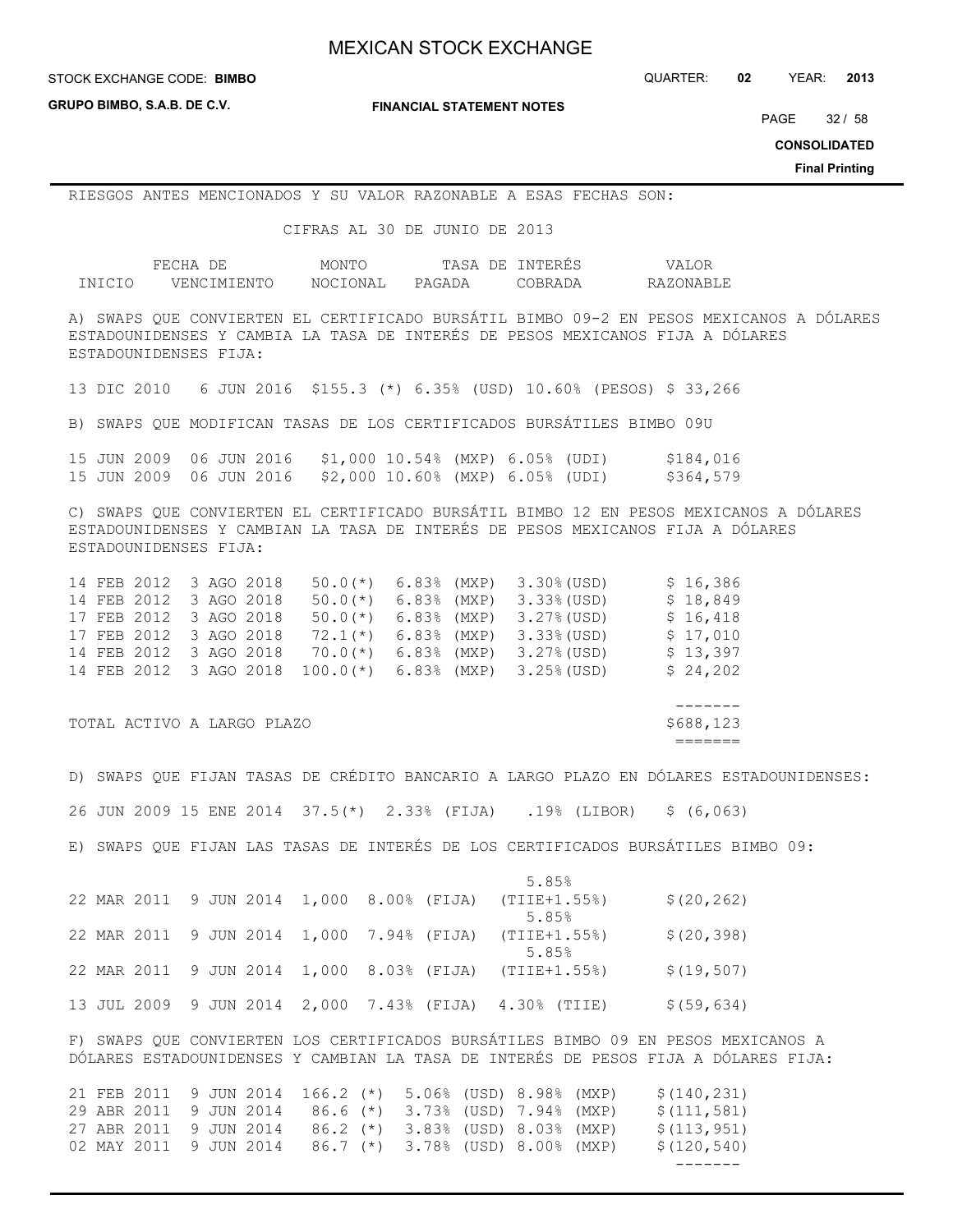**GRUPO BIMBO, S.A.B. DE C.V.**

**FINANCIAL STATEMENT NOTES**

PAGE 32 / 58

**CONSOLIDATED**

**Final Printing**

## RIESGOS ANTES MENCIONADOS Y SU VALOR RAZONABLE A ESAS FECHAS SON:

CIFRAS AL 30 DE JUNIO DE 2013

|        | FECHA       | MONTO    | TASA<br>DE. | TNTERES | VALOR     |
|--------|-------------|----------|-------------|---------|-----------|
| INICIO | VENCIMIENTO | NOCIONAL | PAGADA      | ∩RR∆T   | RAZONABLE |

A) SWAPS QUE CONVIERTEN EL CERTIFICADO BURSÁTIL BIMBO 09-2 EN PESOS MEXICANOS A DÓLARES ESTADOUNIDENSES Y CAMBIA LA TASA DE INTERÉS DE PESOS MEXICANOS FIJA A DÓLARES ESTADOUNIDENSES FIJA:

13 DIC 2010 6 JUN 2016 \$155.3 (\*) 6.35% (USD) 10.60% (PESOS) \$ 33,266

B) SWAPS QUE MODIFICAN TASAS DE LOS CERTIFICADOS BURSÁTILES BIMBO 09U

|  | 15 JUN 2009 06 JUN 2016 |  | \$1,000 10.54% (MXP) 6.05% (UDI) |  |  | \$184,016 |
|--|-------------------------|--|----------------------------------|--|--|-----------|
|  | 15 JUN 2009 06 JUN 2016 |  | \$2,000 10.60% (MXP) 6.05% (UDI) |  |  | \$364,579 |

C) SWAPS QUE CONVIERTEN EL CERTIFICADO BURSÁTIL BIMBO 12 EN PESOS MEXICANOS A DÓLARES ESTADOUNIDENSES Y CAMBIAN LA TASA DE INTERÉS DE PESOS MEXICANOS FIJA A DÓLARES ESTADOUNIDENSES FIJA:

| \$18,849 |
|----------|
| \$16,418 |
| \$17,010 |
| \$13,397 |
| \$24,202 |
|          |

TOTAL ACTIVO A LARGO PLAZO **\$688,123** 

 ------- =======

D) SWAPS QUE FIJAN TASAS DE CRÉDITO BANCARIO A LARGO PLAZO EN DÓLARES ESTADOUNIDENSES: 26 JUN 2009 15 ENE 2014 37.5(\*) 2.33% (FIJA) .19% (LIBOR) \$ (6,063) E) SWAPS QUE FIJAN LAS TASAS DE INTERÉS DE LOS CERTIFICADOS BURSÁTILES BIMBO 09:

|  |             |  |            |                                                        |  | 5.85%                            |                                             |              |                                                                                    |  |
|--|-------------|--|------------|--------------------------------------------------------|--|----------------------------------|---------------------------------------------|--------------|------------------------------------------------------------------------------------|--|
|  |             |  |            | 22 MAR 2011 9 JUN 2014 1,000 8.00% (FIJA) (TIIE+1.55%) |  |                                  |                                             | \$(20, 262)  |                                                                                    |  |
|  |             |  |            |                                                        |  | 5.85%                            |                                             |              |                                                                                    |  |
|  |             |  |            | 22 MAR 2011 9 JUN 2014 1,000 7.94% (FIJA)              |  | (TIIE+1.55%)                     |                                             | \$(20, 398)  |                                                                                    |  |
|  |             |  |            |                                                        |  | 5.85%                            |                                             |              |                                                                                    |  |
|  |             |  |            | 22 MAR 2011 9 JUN 2014 1,000 8.03% (FIJA) (TIIE+1.55%) |  |                                  |                                             | \$(19, 507)  |                                                                                    |  |
|  |             |  |            |                                                        |  |                                  |                                             |              |                                                                                    |  |
|  |             |  |            | 13 JUL 2009 9 JUN 2014 2,000 7.43% (FIJA) 4.30% (TIIE) |  |                                  |                                             | \$ (59, 634) |                                                                                    |  |
|  |             |  |            |                                                        |  |                                  |                                             |              |                                                                                    |  |
|  |             |  |            |                                                        |  |                                  |                                             |              | F) SWAPS QUE CONVIERTEN LOS CERTIFICADOS BURSÁTILES BIMBO 09 EN PESOS MEXICANOS A  |  |
|  |             |  |            |                                                        |  |                                  |                                             |              | DÓLARES ESTADOUNIDENSES Y CAMBIAN LA TASA DE INTERÉS DE PESOS FIJA A DÓLARES FIJA: |  |
|  |             |  |            |                                                        |  |                                  |                                             |              |                                                                                    |  |
|  | 21 FEB 2011 |  | 9 JUN 2014 |                                                        |  |                                  | 166.2 (*) 5.06% (USD) 8.98% (MXP)           | \$(140, 231) |                                                                                    |  |
|  | 29 ABR 2011 |  |            |                                                        |  |                                  | 9 JUN 2014 86.6 (*) 3.73% (USD) 7.94% (MXP) | \$(111, 581) |                                                                                    |  |
|  | 27 ABR 2011 |  |            |                                                        |  |                                  | 9 JUN 2014 86.2 (*) 3.83% (USD) 8.03% (MXP) | \$(113, 951) |                                                                                    |  |
|  | 02 MAY 2011 |  | 9 JUN 2014 |                                                        |  | 86.7 (*) 3.78% (USD) 8.00% (MXP) |                                             | \$(120, 540) |                                                                                    |  |
|  |             |  |            |                                                        |  |                                  |                                             |              |                                                                                    |  |

-------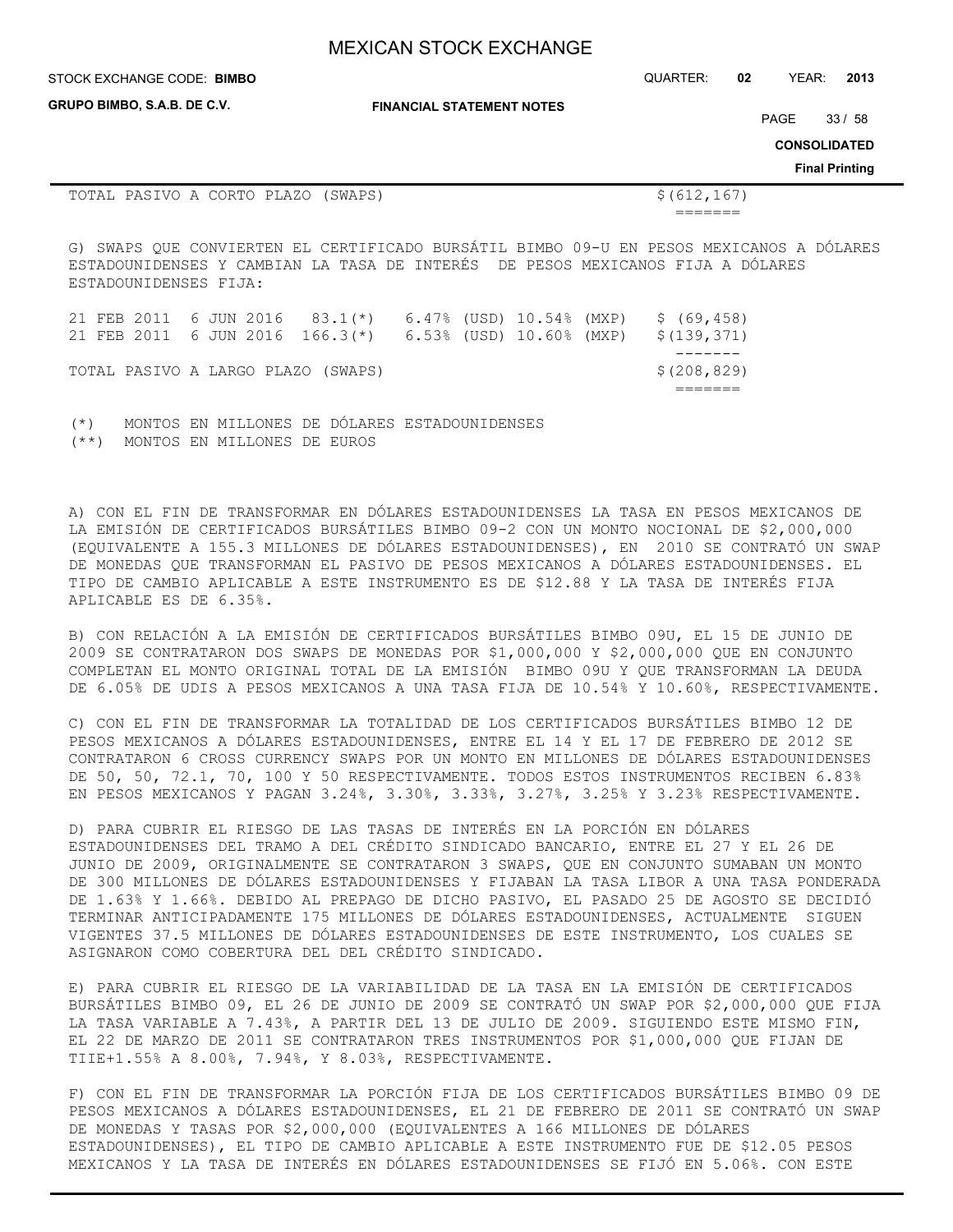| STOCK EXCHANGE CODE: BIMBO         |                                  | <b>QUARTER:</b> | -02 | YEAR:                | 2013                 |
|------------------------------------|----------------------------------|-----------------|-----|----------------------|----------------------|
| <b>GRUPO BIMBO, S.A.B. DE C.V.</b> | <b>FINANCIAL STATEMENT NOTES</b> |                 |     | $\sim$ $\sim$ $\sim$ | $\sim$ $\sim$ $\sim$ |

PAGE 33 / 58

**CONSOLIDATED**

**Final Printing**

| TOTAL PASIVO A CORTO PLAZO<br>(SWAPS)         | \$ (612, 167)                                                                                                                                                             |
|-----------------------------------------------|---------------------------------------------------------------------------------------------------------------------------------------------------------------------------|
|                                               |                                                                                                                                                                           |
| ESTADOUNIDENSES FIJA:                         | G) SWAPS OUE CONVIERTEN EL CERTIFICADO BURSÁTIL BIMBO 09-U EN PESOS MEXICANOS A DÓLARES<br>ESTADOUNIDENSES Y CAMBIAN LA TASA DE INTERÉS DE PESOS MEXICANOS FIJA A DÓLARES |
| 21 FEB 2011<br>6 JUN 2016<br>$83.1$ (*) 6.47% | \$(69, 458)<br>(USD) 10.54%<br>(MXP)                                                                                                                                      |
| 21 FEB 2011<br>6 JUN 2016 166.3 $(*)$ 6.53%   | (USD) 10.60%<br>\$(139, 371)<br>(MXP)                                                                                                                                     |
| TOTAL PASIVO A LARGO PLAZO<br>(SWAPS)         | \$(208, 829)                                                                                                                                                              |

(\*) MONTOS EN MILLONES DE DÓLARES ESTADOUNIDENSES (\*\*) MONTOS EN MILLONES DE EUROS

A) CON EL FIN DE TRANSFORMAR EN DÓLARES ESTADOUNIDENSES LA TASA EN PESOS MEXICANOS DE LA EMISIÓN DE CERTIFICADOS BURSÁTILES BIMBO 09-2 CON UN MONTO NOCIONAL DE \$2,000,000 (EQUIVALENTE A 155.3 MILLONES DE DÓLARES ESTADOUNIDENSES), EN 2010 SE CONTRATÓ UN SWAP DE MONEDAS QUE TRANSFORMAN EL PASIVO DE PESOS MEXICANOS A DÓLARES ESTADOUNIDENSES. EL TIPO DE CAMBIO APLICABLE A ESTE INSTRUMENTO ES DE \$12.88 Y LA TASA DE INTERÉS FIJA APLICABLE ES DE 6.35%.

B) CON RELACIÓN A LA EMISIÓN DE CERTIFICADOS BURSÁTILES BIMBO 09U, EL 15 DE JUNIO DE 2009 SE CONTRATARON DOS SWAPS DE MONEDAS POR \$1,000,000 Y \$2,000,000 QUE EN CONJUNTO COMPLETAN EL MONTO ORIGINAL TOTAL DE LA EMISIÓN BIMBO 09U Y QUE TRANSFORMAN LA DEUDA DE 6.05% DE UDIS A PESOS MEXICANOS A UNA TASA FIJA DE 10.54% Y 10.60%, RESPECTIVAMENTE.

C) CON EL FIN DE TRANSFORMAR LA TOTALIDAD DE LOS CERTIFICADOS BURSÁTILES BIMBO 12 DE PESOS MEXICANOS A DÓLARES ESTADOUNIDENSES, ENTRE EL 14 Y EL 17 DE FEBRERO DE 2012 SE CONTRATARON 6 CROSS CURRENCY SWAPS POR UN MONTO EN MILLONES DE DÓLARES ESTADOUNIDENSES DE 50, 50, 72.1, 70, 100 Y 50 RESPECTIVAMENTE. TODOS ESTOS INSTRUMENTOS RECIBEN 6.83% EN PESOS MEXICANOS Y PAGAN 3.24%, 3.30%, 3.33%, 3.27%, 3.25% Y 3.23% RESPECTIVAMENTE.

D) PARA CUBRIR EL RIESGO DE LAS TASAS DE INTERÉS EN LA PORCIÓN EN DÓLARES ESTADOUNIDENSES DEL TRAMO A DEL CRÉDITO SINDICADO BANCARIO, ENTRE EL 27 Y EL 26 DE JUNIO DE 2009, ORIGINALMENTE SE CONTRATARON 3 SWAPS, QUE EN CONJUNTO SUMABAN UN MONTO DE 300 MILLONES DE DÓLARES ESTADOUNIDENSES Y FIJABAN LA TASA LIBOR A UNA TASA PONDERADA DE 1.63% Y 1.66%. DEBIDO AL PREPAGO DE DICHO PASIVO, EL PASADO 25 DE AGOSTO SE DECIDIÓ TERMINAR ANTICIPADAMENTE 175 MILLONES DE DÓLARES ESTADOUNIDENSES, ACTUALMENTE SIGUEN VIGENTES 37.5 MILLONES DE DÓLARES ESTADOUNIDENSES DE ESTE INSTRUMENTO, LOS CUALES SE ASIGNARON COMO COBERTURA DEL DEL CRÉDITO SINDICADO.

E) PARA CUBRIR EL RIESGO DE LA VARIABILIDAD DE LA TASA EN LA EMISIÓN DE CERTIFICADOS BURSÁTILES BIMBO 09, EL 26 DE JUNIO DE 2009 SE CONTRATÓ UN SWAP POR \$2,000,000 QUE FIJA LA TASA VARIABLE A 7.43%, A PARTIR DEL 13 DE JULIO DE 2009. SIGUIENDO ESTE MISMO FIN, EL 22 DE MARZO DE 2011 SE CONTRATARON TRES INSTRUMENTOS POR \$1,000,000 QUE FIJAN DE TIIE+1.55% A 8.00%, 7.94%, Y 8.03%, RESPECTIVAMENTE.

F) CON EL FIN DE TRANSFORMAR LA PORCIÓN FIJA DE LOS CERTIFICADOS BURSÁTILES BIMBO 09 DE PESOS MEXICANOS A DÓLARES ESTADOUNIDENSES, EL 21 DE FEBRERO DE 2011 SE CONTRATÓ UN SWAP DE MONEDAS Y TASAS POR \$2,000,000 (EQUIVALENTES A 166 MILLONES DE DÓLARES ESTADOUNIDENSES), EL TIPO DE CAMBIO APLICABLE A ESTE INSTRUMENTO FUE DE \$12.05 PESOS MEXICANOS Y LA TASA DE INTERÉS EN DÓLARES ESTADOUNIDENSES SE FIJÓ EN 5.06%. CON ESTE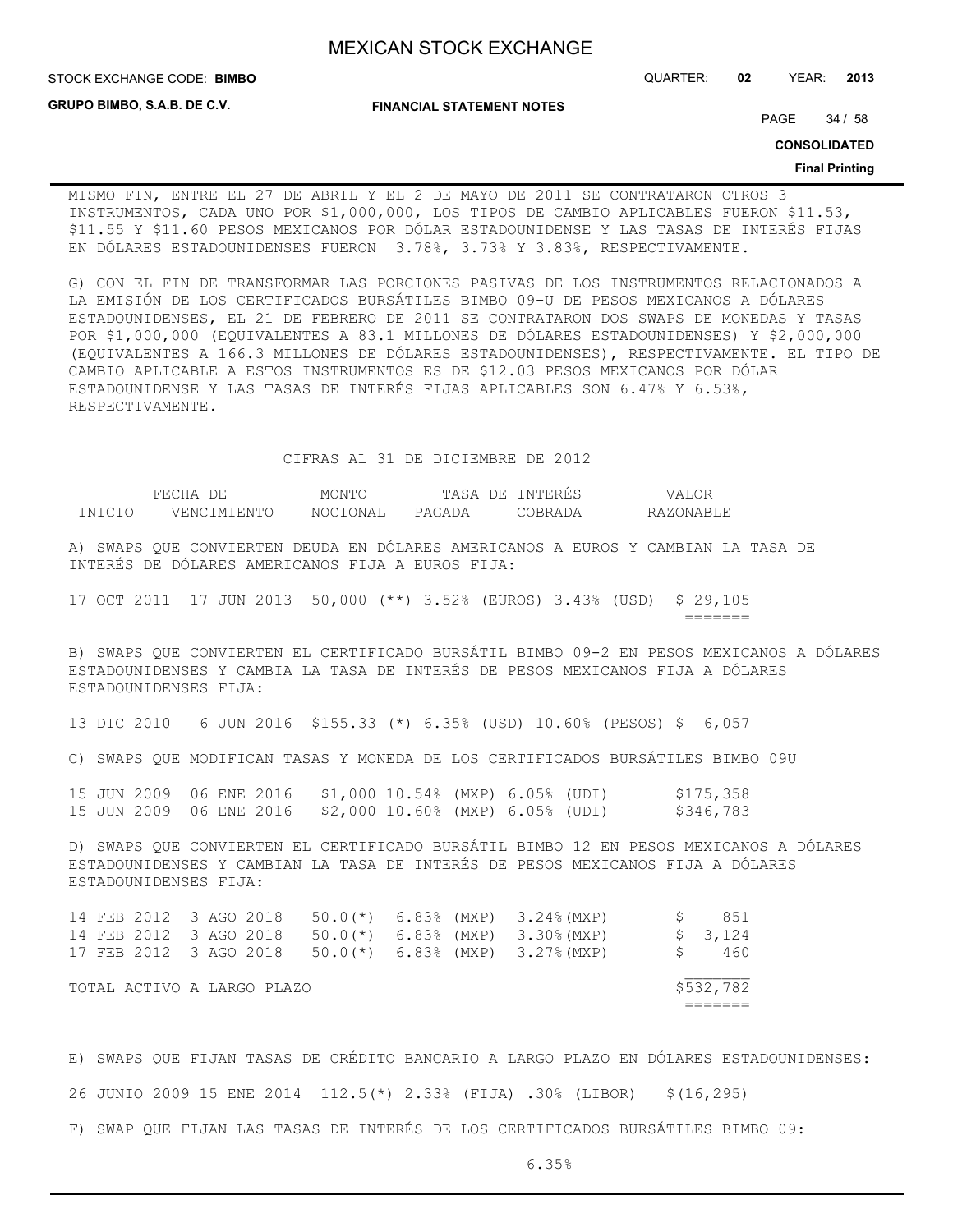**FINANCIAL STATEMENT NOTES**

STOCK EXCHANGE CODE: QUARTER: **02** YEAR: **2013 BIMBO**

**GRUPO BIMBO, S.A.B. DE C.V.**

PAGE 34 / 58

**CONSOLIDATED**

#### **Final Printing**

MISMO FIN, ENTRE EL 27 DE ABRIL Y EL 2 DE MAYO DE 2011 SE CONTRATARON OTROS 3 INSTRUMENTOS, CADA UNO POR \$1,000,000, LOS TIPOS DE CAMBIO APLICABLES FUERON \$11.53, \$11.55 Y \$11.60 PESOS MEXICANOS POR DÓLAR ESTADOUNIDENSE Y LAS TASAS DE INTERÉS FIJAS EN DÓLARES ESTADOUNIDENSES FUERON 3.78%, 3.73% Y 3.83%, RESPECTIVAMENTE.

G) CON EL FIN DE TRANSFORMAR LAS PORCIONES PASIVAS DE LOS INSTRUMENTOS RELACIONADOS A LA EMISIÓN DE LOS CERTIFICADOS BURSÁTILES BIMBO 09-U DE PESOS MEXICANOS A DÓLARES ESTADOUNIDENSES, EL 21 DE FEBRERO DE 2011 SE CONTRATARON DOS SWAPS DE MONEDAS Y TASAS POR \$1,000,000 (EQUIVALENTES A 83.1 MILLONES DE DÓLARES ESTADOUNIDENSES) Y \$2,000,000 (EQUIVALENTES A 166.3 MILLONES DE DÓLARES ESTADOUNIDENSES), RESPECTIVAMENTE. EL TIPO DE CAMBIO APLICABLE A ESTOS INSTRUMENTOS ES DE \$12.03 PESOS MEXICANOS POR DÓLAR ESTADOUNIDENSE Y LAS TASAS DE INTERÉS FIJAS APLICABLES SON 6.47% Y 6.53%, RESPECTIVAMENTE.

## CIFRAS AL 31 DE DICIEMBRE DE 2012

|               | FF.(              | MONTO           | DE.<br>TASA | NTERES  |            |
|---------------|-------------------|-----------------|-------------|---------|------------|
| <b>TNTCTO</b> | LNTENTO<br>./ENCT | <b>NOCTONAI</b> | PAGADA      | 70RRADA | RAZONARLE. |

A) SWAPS QUE CONVIERTEN DEUDA EN DÓLARES AMERICANOS A EUROS Y CAMBIAN LA TASA DE INTERÉS DE DÓLARES AMERICANOS FIJA A EUROS FIJA:

17 OCT 2011 17 JUN 2013 50,000 (\*\*) 3.52% (EUROS) 3.43% (USD) \$ 29,105 =======

B) SWAPS QUE CONVIERTEN EL CERTIFICADO BURSÁTIL BIMBO 09-2 EN PESOS MEXICANOS A DÓLARES ESTADOUNIDENSES Y CAMBIA LA TASA DE INTERÉS DE PESOS MEXICANOS FIJA A DÓLARES ESTADOUNIDENSES FIJA:

13 DIC 2010 6 JUN 2016 \$155.33 (\*) 6.35% (USD) 10.60% (PESOS) \$ 6,057

C) SWAPS QUE MODIFICAN TASAS Y MONEDA DE LOS CERTIFICADOS BURSÁTILES BIMBO 09U

|  |  |  | 15 JUN 2009 06 ENE 2016 \$1,000 10.54% (MXP) 6.05% (UDI) |  | \$175,358 |
|--|--|--|----------------------------------------------------------|--|-----------|
|  |  |  | 15 JUN 2009 06 ENE 2016 \$2,000 10.60% (MXP) 6.05% (UDI) |  | \$346,783 |

D) SWAPS QUE CONVIERTEN EL CERTIFICADO BURSÁTIL BIMBO 12 EN PESOS MEXICANOS A DÓLARES ESTADOUNIDENSES Y CAMBIAN LA TASA DE INTERÉS DE PESOS MEXICANOS FIJA A DÓLARES ESTADOUNIDENSES FIJA:

|  | 14 FEB 2012 3 AGO 2018 |  |                            |  | $50.0$ (*) 6.83% (MXP) 3.24%(MXP)                      | 851       |
|--|------------------------|--|----------------------------|--|--------------------------------------------------------|-----------|
|  | 14 FEB 2012 3 AGO 2018 |  |                            |  | $50.0$ (*) $6.83$ % (MXP) $3.30$ % (MXP)               | \$3,124   |
|  |                        |  |                            |  | 17 FEB 2012 3 AGO 2018 50.0(*) 6.83% (MXP) 3.27% (MXP) | S 460     |
|  |                        |  |                            |  |                                                        |           |
|  |                        |  | TOTAL ACTIVO A LARGO PLAZO |  |                                                        | \$532,782 |
|  |                        |  |                            |  |                                                        |           |

E) SWAPS QUE FIJAN TASAS DE CRÉDITO BANCARIO A LARGO PLAZO EN DÓLARES ESTADOUNIDENSES: 26 JUNIO 2009 15 ENE 2014 112.5(\*) 2.33% (FIJA) .30% (LIBOR) \$(16,295) F) SWAP QUE FIJAN LAS TASAS DE INTERÉS DE LOS CERTIFICADOS BURSÁTILES BIMBO 09:

 $6.35%$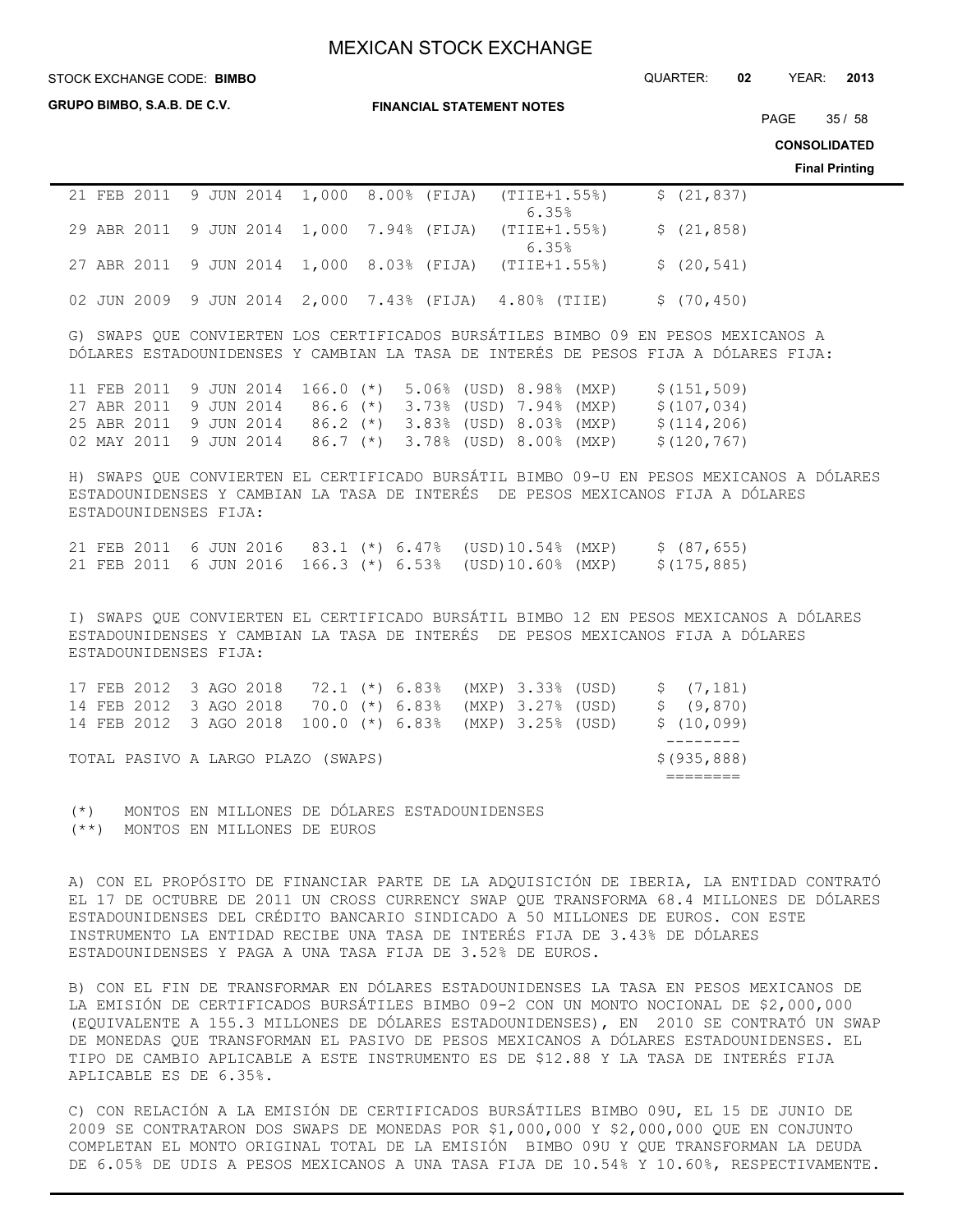STOCK EXCHANGE CODE: QUARTER: **02** YEAR: **2013 BIMBO**

**GRUPO BIMBO, S.A.B. DE C.V.**

**FINANCIAL STATEMENT NOTES**

PAGE 35 / 58

**CONSOLIDATED**

**Final Printing**

|  | 21 FEB 2011 9 JUN 2014 1,000 8.00% (FIJA) (TIIE+1.55%)<br>6.35% | \$(21, 837) |
|--|-----------------------------------------------------------------|-------------|
|  | 29 ABR 2011 9 JUN 2014 1,000 7.94% (FIJA) (TIIE+1.55%)<br>6.35% | \$(21, 858) |
|  | 27 ABR 2011 9 JUN 2014 1,000 8.03% (FIJA) (TIIE+1.55%)          | \$(20, 541) |
|  | 02 JUN 2009 9 JUN 2014 2,000 7.43% (FIJA) 4.80% (TIIE)          | \$(70, 450) |

G) SWAPS QUE CONVIERTEN LOS CERTIFICADOS BURSÁTILES BIMBO 09 EN PESOS MEXICANOS A DÓLARES ESTADOUNIDENSES Y CAMBIAN LA TASA DE INTERÉS DE PESOS FIJA A DÓLARES FIJA:

|  |  |  |  | 11 FEB 2011 9 JUN 2014 166.0 (*) 5.06% (USD) 8.98% (MXP) |  | \$(151,509) |
|--|--|--|--|----------------------------------------------------------|--|-------------|
|  |  |  |  | 27 ABR 2011 9 JUN 2014 86.6 (*) 3.73% (USD) 7.94% (MXP)  |  | \$(107,034) |
|  |  |  |  | 25 ABR 2011 9 JUN 2014 86.2 (*) 3.83% (USD) 8.03% (MXP)  |  | \$(114,206) |
|  |  |  |  | 02 MAY 2011 9 JUN 2014 86.7 (*) 3.78% (USD) 8.00% (MXP)  |  | \$(120,767) |

H) SWAPS QUE CONVIERTEN EL CERTIFICADO BURSÁTIL BIMBO 09-U EN PESOS MEXICANOS A DÓLARES ESTADOUNIDENSES Y CAMBIAN LA TASA DE INTERÉS DE PESOS MEXICANOS FIJA A DÓLARES ESTADOUNIDENSES FIJA:

|  |  |  |  |                                                          | 21 FEB 2011 6 JUN 2016 83.1 (*) 6.47% (USD)10.54% (MXP) \$ (87,655) |
|--|--|--|--|----------------------------------------------------------|---------------------------------------------------------------------|
|  |  |  |  | 21 FEB 2011 6 JUN 2016 166.3 (*) 6.53% (USD)10.60% (MXP) | \$(175,885)                                                         |

I) SWAPS QUE CONVIERTEN EL CERTIFICADO BURSÁTIL BIMBO 12 EN PESOS MEXICANOS A DÓLARES ESTADOUNIDENSES Y CAMBIAN LA TASA DE INTERÉS DE PESOS MEXICANOS FIJA A DÓLARES ESTADOUNIDENSES FIJA:

|  |                                    |  |  | 17 FEB 2012 3 AGO 2018 72.1 (*) 6.83% (MXP) 3.33% (USD)  |  |  | \$(7,181)    |
|--|------------------------------------|--|--|----------------------------------------------------------|--|--|--------------|
|  |                                    |  |  | 14 FEB 2012 3 AGO 2018 70.0 (*) 6.83% (MXP) 3.27% (USD)  |  |  | \$ (9,870)   |
|  |                                    |  |  | 14 FEB 2012 3 AGO 2018 100.0 (*) 6.83% (MXP) 3.25% (USD) |  |  | \$(10,099)   |
|  |                                    |  |  |                                                          |  |  |              |
|  | TOTAL PASIVO A LARGO PLAZO (SWAPS) |  |  |                                                          |  |  | \$(935, 888) |
|  |                                    |  |  |                                                          |  |  |              |
|  |                                    |  |  |                                                          |  |  |              |

(\*) MONTOS EN MILLONES DE DÓLARES ESTADOUNIDENSES (\*\*) MONTOS EN MILLONES DE EUROS

A) CON EL PROPÓSITO DE FINANCIAR PARTE DE LA ADQUISICIÓN DE IBERIA, LA ENTIDAD CONTRATÓ EL 17 DE OCTUBRE DE 2011 UN CROSS CURRENCY SWAP QUE TRANSFORMA 68.4 MILLONES DE DÓLARES ESTADOUNIDENSES DEL CRÉDITO BANCARIO SINDICADO A 50 MILLONES DE EUROS. CON ESTE INSTRUMENTO LA ENTIDAD RECIBE UNA TASA DE INTERÉS FIJA DE 3.43% DE DÓLARES ESTADOUNIDENSES Y PAGA A UNA TASA FIJA DE 3.52% DE EUROS.

B) CON EL FIN DE TRANSFORMAR EN DÓLARES ESTADOUNIDENSES LA TASA EN PESOS MEXICANOS DE LA EMISIÓN DE CERTIFICADOS BURSÁTILES BIMBO 09-2 CON UN MONTO NOCIONAL DE \$2,000,000 (EQUIVALENTE A 155.3 MILLONES DE DÓLARES ESTADOUNIDENSES), EN 2010 SE CONTRATÓ UN SWAP DE MONEDAS QUE TRANSFORMAN EL PASIVO DE PESOS MEXICANOS A DÓLARES ESTADOUNIDENSES. EL TIPO DE CAMBIO APLICABLE A ESTE INSTRUMENTO ES DE \$12.88 Y LA TASA DE INTERÉS FIJA APLICABLE ES DE 6.35%.

C) CON RELACIÓN A LA EMISIÓN DE CERTIFICADOS BURSÁTILES BIMBO 09U, EL 15 DE JUNIO DE 2009 SE CONTRATARON DOS SWAPS DE MONEDAS POR \$1,000,000 Y \$2,000,000 QUE EN CONJUNTO COMPLETAN EL MONTO ORIGINAL TOTAL DE LA EMISIÓN BIMBO 09U Y QUE TRANSFORMAN LA DEUDA DE 6.05% DE UDIS A PESOS MEXICANOS A UNA TASA FIJA DE 10.54% Y 10.60%, RESPECTIVAMENTE.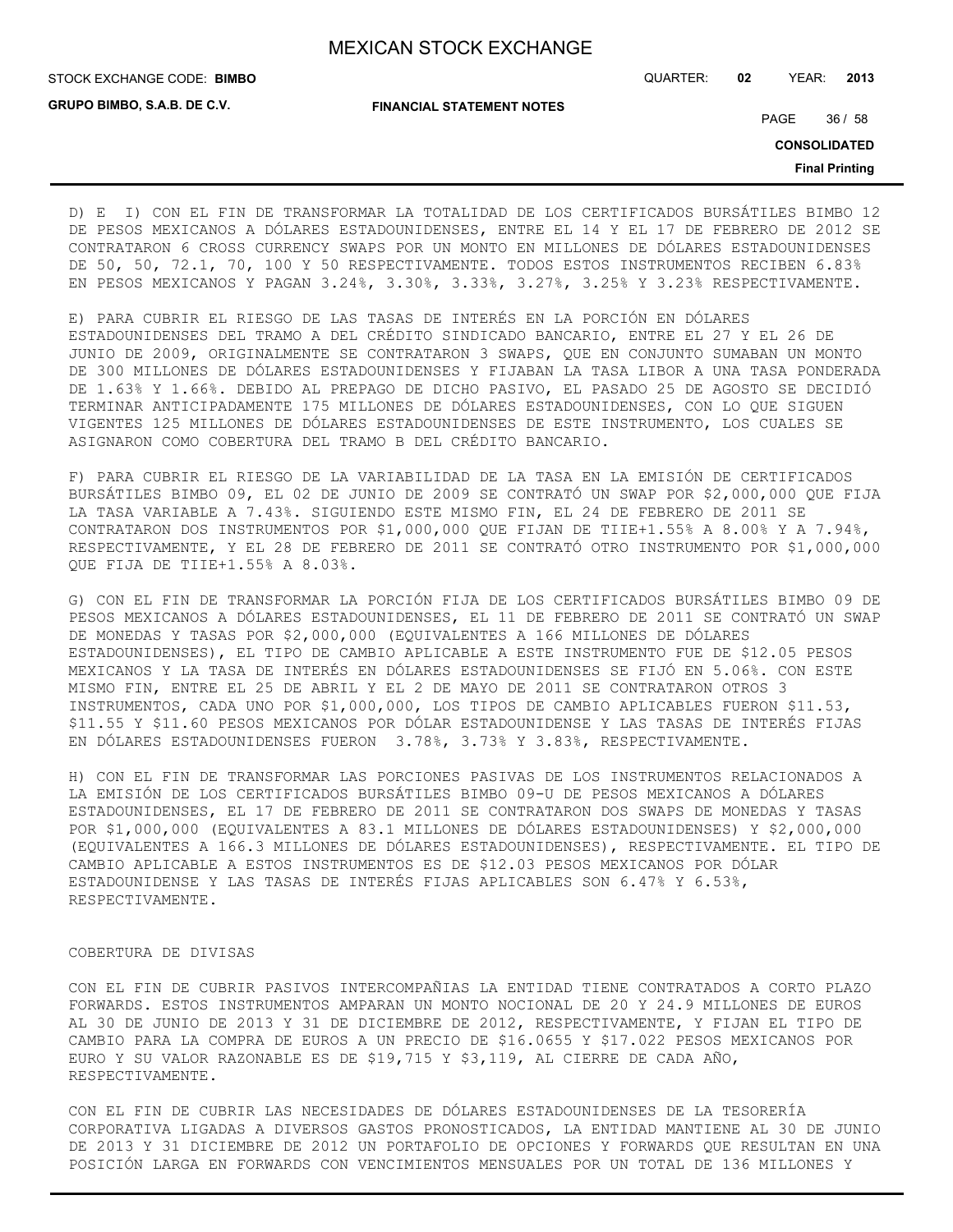**GRUPO BIMBO, S.A.B. DE C.V.**

STOCK EXCHANGE CODE: QUARTER: **02** YEAR: **2013 BIMBO**

**FINANCIAL STATEMENT NOTES**

PAGE 36 / 58

**CONSOLIDATED**

**Final Printing**

D) E I) CON EL FIN DE TRANSFORMAR LA TOTALIDAD DE LOS CERTIFICADOS BURSÁTILES BIMBO 12 DE PESOS MEXICANOS A DÓLARES ESTADOUNIDENSES, ENTRE EL 14 Y EL 17 DE FEBRERO DE 2012 SE CONTRATARON 6 CROSS CURRENCY SWAPS POR UN MONTO EN MILLONES DE DÓLARES ESTADOUNIDENSES DE 50, 50, 72.1, 70, 100 Y 50 RESPECTIVAMENTE. TODOS ESTOS INSTRUMENTOS RECIBEN 6.83% EN PESOS MEXICANOS Y PAGAN 3.24%, 3.30%, 3.33%, 3.27%, 3.25% Y 3.23% RESPECTIVAMENTE.

E) PARA CUBRIR EL RIESGO DE LAS TASAS DE INTERÉS EN LA PORCIÓN EN DÓLARES ESTADOUNIDENSES DEL TRAMO A DEL CRÉDITO SINDICADO BANCARIO, ENTRE EL 27 Y EL 26 DE JUNIO DE 2009, ORIGINALMENTE SE CONTRATARON 3 SWAPS, QUE EN CONJUNTO SUMABAN UN MONTO DE 300 MILLONES DE DÓLARES ESTADOUNIDENSES Y FIJABAN LA TASA LIBOR A UNA TASA PONDERADA DE 1.63% Y 1.66%. DEBIDO AL PREPAGO DE DICHO PASIVO, EL PASADO 25 DE AGOSTO SE DECIDIÓ TERMINAR ANTICIPADAMENTE 175 MILLONES DE DÓLARES ESTADOUNIDENSES, CON LO QUE SIGUEN VIGENTES 125 MILLONES DE DÓLARES ESTADOUNIDENSES DE ESTE INSTRUMENTO, LOS CUALES SE ASIGNARON COMO COBERTURA DEL TRAMO B DEL CRÉDITO BANCARIO.

F) PARA CUBRIR EL RIESGO DE LA VARIABILIDAD DE LA TASA EN LA EMISIÓN DE CERTIFICADOS BURSÁTILES BIMBO 09, EL 02 DE JUNIO DE 2009 SE CONTRATÓ UN SWAP POR \$2,000,000 QUE FIJA LA TASA VARIABLE A 7.43%. SIGUIENDO ESTE MISMO FIN, EL 24 DE FEBRERO DE 2011 SE CONTRATARON DOS INSTRUMENTOS POR \$1,000,000 QUE FIJAN DE TIIE+1.55% A 8.00% Y A 7.94%, RESPECTIVAMENTE, Y EL 28 DE FEBRERO DE 2011 SE CONTRATÓ OTRO INSTRUMENTO POR \$1,000,000 QUE FIJA DE TIIE+1.55% A 8.03%.

G) CON EL FIN DE TRANSFORMAR LA PORCIÓN FIJA DE LOS CERTIFICADOS BURSÁTILES BIMBO 09 DE PESOS MEXICANOS A DÓLARES ESTADOUNIDENSES, EL 11 DE FEBRERO DE 2011 SE CONTRATÓ UN SWAP DE MONEDAS Y TASAS POR \$2,000,000 (EQUIVALENTES A 166 MILLONES DE DÓLARES ESTADOUNIDENSES), EL TIPO DE CAMBIO APLICABLE A ESTE INSTRUMENTO FUE DE \$12.05 PESOS MEXICANOS Y LA TASA DE INTERÉS EN DÓLARES ESTADOUNIDENSES SE FIJÓ EN 5.06%. CON ESTE MISMO FIN, ENTRE EL 25 DE ABRIL Y EL 2 DE MAYO DE 2011 SE CONTRATARON OTROS 3 INSTRUMENTOS, CADA UNO POR \$1,000,000, LOS TIPOS DE CAMBIO APLICABLES FUERON \$11.53, \$11.55 Y \$11.60 PESOS MEXICANOS POR DÓLAR ESTADOUNIDENSE Y LAS TASAS DE INTERÉS FIJAS EN DÓLARES ESTADOUNIDENSES FUERON 3.78%, 3.73% Y 3.83%, RESPECTIVAMENTE.

H) CON EL FIN DE TRANSFORMAR LAS PORCIONES PASIVAS DE LOS INSTRUMENTOS RELACIONADOS A LA EMISIÓN DE LOS CERTIFICADOS BURSÁTILES BIMBO 09-U DE PESOS MEXICANOS A DÓLARES ESTADOUNIDENSES, EL 17 DE FEBRERO DE 2011 SE CONTRATARON DOS SWAPS DE MONEDAS Y TASAS POR \$1,000,000 (EQUIVALENTES A 83.1 MILLONES DE DÓLARES ESTADOUNIDENSES) Y \$2,000,000 (EQUIVALENTES A 166.3 MILLONES DE DÓLARES ESTADOUNIDENSES), RESPECTIVAMENTE. EL TIPO DE CAMBIO APLICABLE A ESTOS INSTRUMENTOS ES DE \$12.03 PESOS MEXICANOS POR DÓLAR ESTADOUNIDENSE Y LAS TASAS DE INTERÉS FIJAS APLICABLES SON 6.47% Y 6.53%, RESPECTIVAMENTE.

## COBERTURA DE DIVISAS

CON EL FIN DE CUBRIR PASIVOS INTERCOMPAÑIAS LA ENTIDAD TIENE CONTRATADOS A CORTO PLAZO FORWARDS. ESTOS INSTRUMENTOS AMPARAN UN MONTO NOCIONAL DE 20 Y 24.9 MILLONES DE EUROS AL 30 DE JUNIO DE 2013 Y 31 DE DICIEMBRE DE 2012, RESPECTIVAMENTE, Y FIJAN EL TIPO DE CAMBIO PARA LA COMPRA DE EUROS A UN PRECIO DE \$16.0655 Y \$17.022 PESOS MEXICANOS POR EURO Y SU VALOR RAZONABLE ES DE \$19,715 Y \$3,119, AL CIERRE DE CADA AÑO, RESPECTIVAMENTE.

CON EL FIN DE CUBRIR LAS NECESIDADES DE DÓLARES ESTADOUNIDENSES DE LA TESORERÍA CORPORATIVA LIGADAS A DIVERSOS GASTOS PRONOSTICADOS, LA ENTIDAD MANTIENE AL 30 DE JUNIO DE 2013 Y 31 DICIEMBRE DE 2012 UN PORTAFOLIO DE OPCIONES Y FORWARDS QUE RESULTAN EN UNA POSICIÓN LARGA EN FORWARDS CON VENCIMIENTOS MENSUALES POR UN TOTAL DE 136 MILLONES Y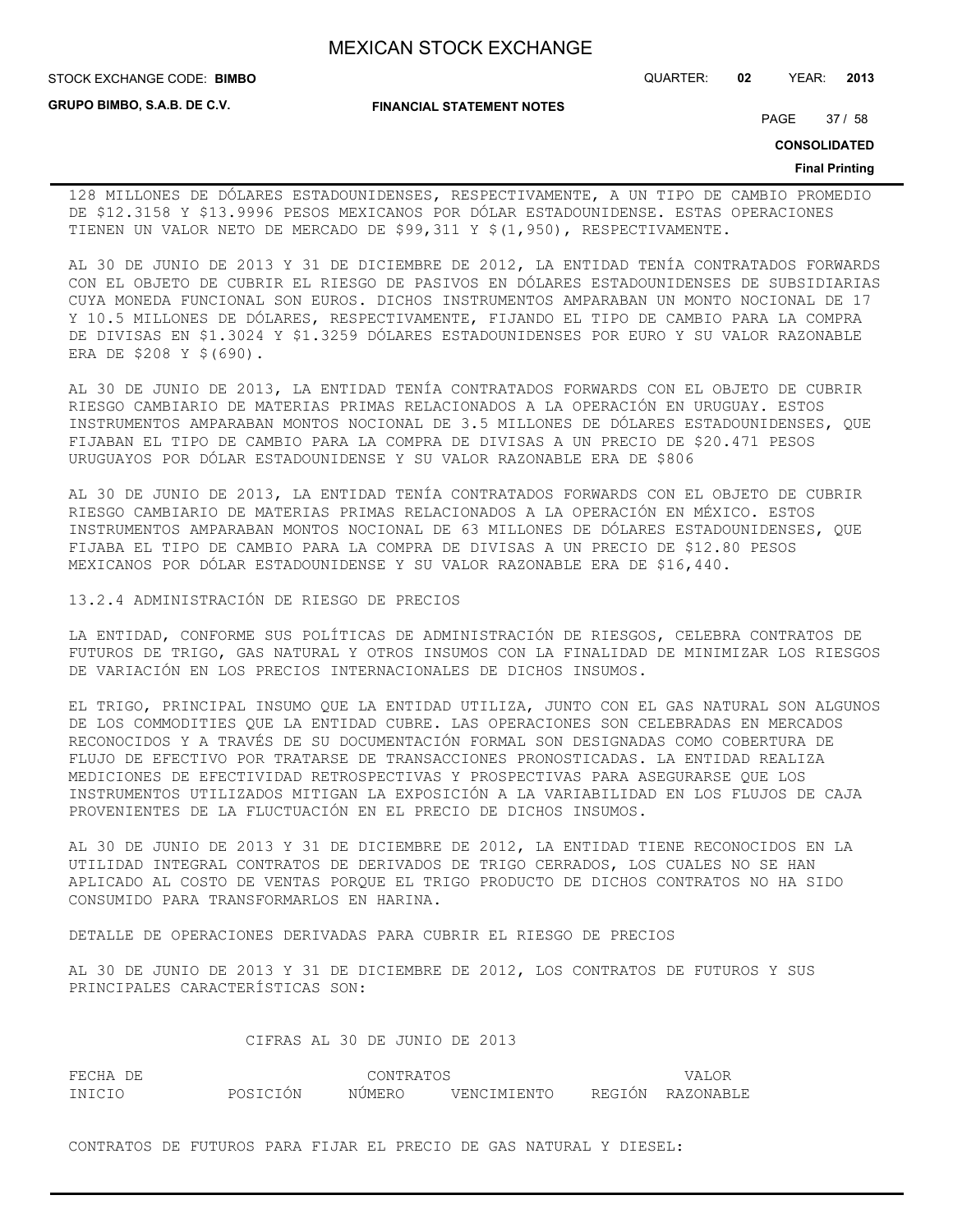**GRUPO BIMBO, S.A.B. DE C.V.**

STOCK EXCHANGE CODE: QUARTER: **02** YEAR: **2013 BIMBO**

**FINANCIAL STATEMENT NOTES**

PAGE 37 / 58

**CONSOLIDATED**

#### **Final Printing**

128 MILLONES DE DÓLARES ESTADOUNIDENSES, RESPECTIVAMENTE, A UN TIPO DE CAMBIO PROMEDIO DE \$12.3158 Y \$13.9996 PESOS MEXICANOS POR DÓLAR ESTADOUNIDENSE. ESTAS OPERACIONES TIENEN UN VALOR NETO DE MERCADO DE \$99,311 Y \$(1,950), RESPECTIVAMENTE.

AL 30 DE JUNIO DE 2013 Y 31 DE DICIEMBRE DE 2012, LA ENTIDAD TENÍA CONTRATADOS FORWARDS CON EL OBJETO DE CUBRIR EL RIESGO DE PASIVOS EN DÓLARES ESTADOUNIDENSES DE SUBSIDIARIAS CUYA MONEDA FUNCIONAL SON EUROS. DICHOS INSTRUMENTOS AMPARABAN UN MONTO NOCIONAL DE 17 Y 10.5 MILLONES DE DÓLARES, RESPECTIVAMENTE, FIJANDO EL TIPO DE CAMBIO PARA LA COMPRA DE DIVISAS EN \$1.3024 Y \$1.3259 DÓLARES ESTADOUNIDENSES POR EURO Y SU VALOR RAZONABLE ERA DE \$208 Y \$(690).

AL 30 DE JUNIO DE 2013, LA ENTIDAD TENÍA CONTRATADOS FORWARDS CON EL OBJETO DE CUBRIR RIESGO CAMBIARIO DE MATERIAS PRIMAS RELACIONADOS A LA OPERACIÓN EN URUGUAY. ESTOS INSTRUMENTOS AMPARABAN MONTOS NOCIONAL DE 3.5 MILLONES DE DÓLARES ESTADOUNIDENSES, QUE FIJABAN EL TIPO DE CAMBIO PARA LA COMPRA DE DIVISAS A UN PRECIO DE \$20.471 PESOS URUGUAYOS POR DÓLAR ESTADOUNIDENSE Y SU VALOR RAZONABLE ERA DE \$806

AL 30 DE JUNIO DE 2013, LA ENTIDAD TENÍA CONTRATADOS FORWARDS CON EL OBJETO DE CUBRIR RIESGO CAMBIARIO DE MATERIAS PRIMAS RELACIONADOS A LA OPERACIÓN EN MÉXICO. ESTOS INSTRUMENTOS AMPARABAN MONTOS NOCIONAL DE 63 MILLONES DE DÓLARES ESTADOUNIDENSES, QUE FIJABA EL TIPO DE CAMBIO PARA LA COMPRA DE DIVISAS A UN PRECIO DE \$12.80 PESOS MEXICANOS POR DÓLAR ESTADOUNIDENSE Y SU VALOR RAZONABLE ERA DE \$16,440.

13.2.4 ADMINISTRACIÓN DE RIESGO DE PRECIOS

LA ENTIDAD, CONFORME SUS POLÍTICAS DE ADMINISTRACIÓN DE RIESGOS, CELEBRA CONTRATOS DE FUTUROS DE TRIGO, GAS NATURAL Y OTROS INSUMOS CON LA FINALIDAD DE MINIMIZAR LOS RIESGOS DE VARIACIÓN EN LOS PRECIOS INTERNACIONALES DE DICHOS INSUMOS.

EL TRIGO, PRINCIPAL INSUMO QUE LA ENTIDAD UTILIZA, JUNTO CON EL GAS NATURAL SON ALGUNOS DE LOS COMMODITIES QUE LA ENTIDAD CUBRE. LAS OPERACIONES SON CELEBRADAS EN MERCADOS RECONOCIDOS Y A TRAVÉS DE SU DOCUMENTACIÓN FORMAL SON DESIGNADAS COMO COBERTURA DE FLUJO DE EFECTIVO POR TRATARSE DE TRANSACCIONES PRONOSTICADAS. LA ENTIDAD REALIZA MEDICIONES DE EFECTIVIDAD RETROSPECTIVAS Y PROSPECTIVAS PARA ASEGURARSE QUE LOS INSTRUMENTOS UTILIZADOS MITIGAN LA EXPOSICIÓN A LA VARIABILIDAD EN LOS FLUJOS DE CAJA PROVENIENTES DE LA FLUCTUACIÓN EN EL PRECIO DE DICHOS INSUMOS.

AL 30 DE JUNIO DE 2013 Y 31 DE DICIEMBRE DE 2012, LA ENTIDAD TIENE RECONOCIDOS EN LA UTILIDAD INTEGRAL CONTRATOS DE DERIVADOS DE TRIGO CERRADOS, LOS CUALES NO SE HAN APLICADO AL COSTO DE VENTAS PORQUE EL TRIGO PRODUCTO DE DICHOS CONTRATOS NO HA SIDO CONSUMIDO PARA TRANSFORMARLOS EN HARINA.

DETALLE DE OPERACIONES DERIVADAS PARA CUBRIR EL RIESGO DE PRECIOS

AL 30 DE JUNIO DE 2013 Y 31 DE DICIEMBRE DE 2012, LOS CONTRATOS DE FUTUROS Y SUS PRINCIPALES CARACTERÍSTICAS SON:

## CIFRAS AL 30 DE JUNIO DE 2013

| FECHA DE |          | CONTRATOS | <b>VALOR</b> |                  |
|----------|----------|-----------|--------------|------------------|
| INICIO   | POSICIÓN | NÚMERO    | VENCIMIENTO  | REGIÓN RAZONABLE |

CONTRATOS DE FUTUROS PARA FIJAR EL PRECIO DE GAS NATURAL Y DIESEL: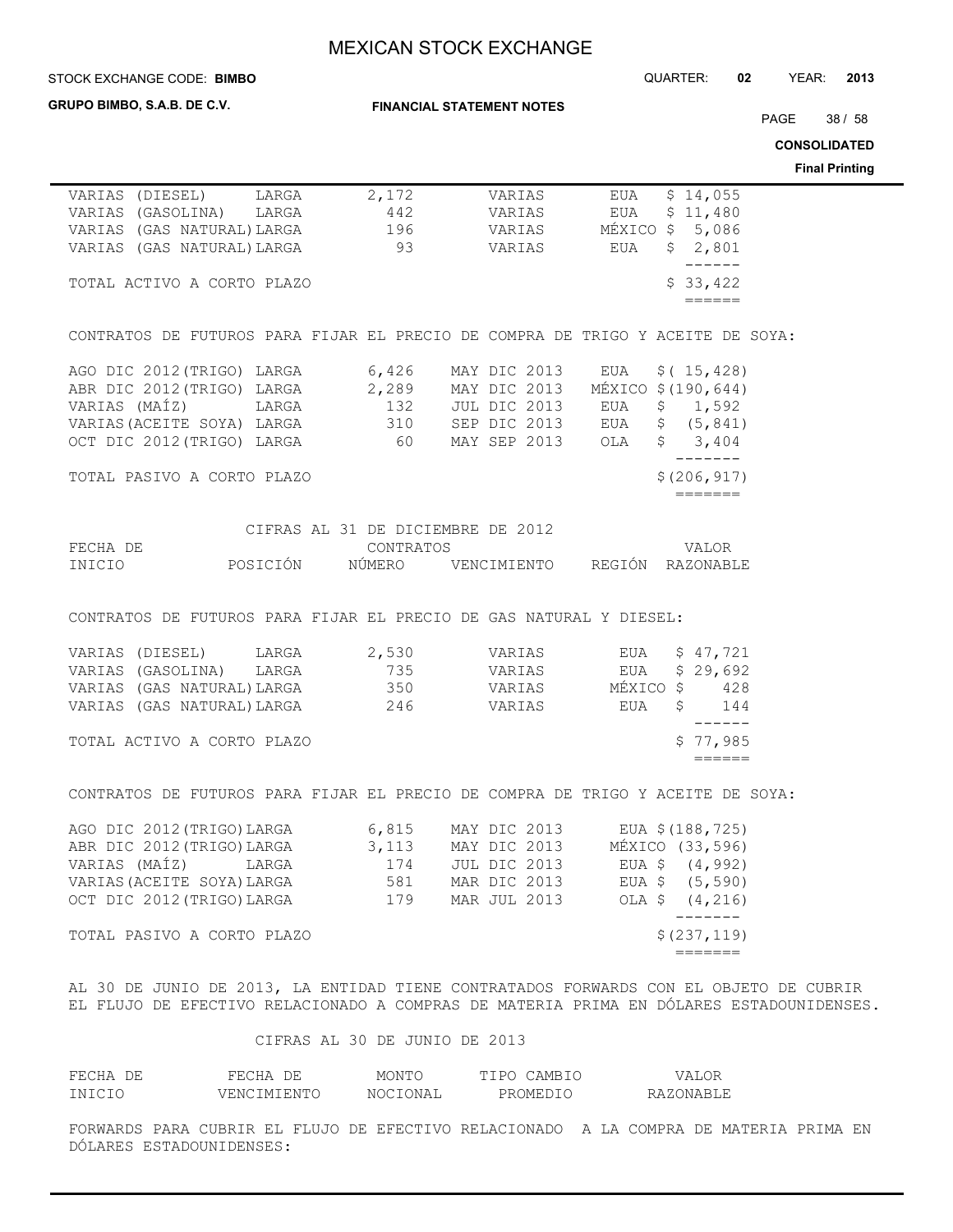#### STOCK EXCHANGE CODE: QUARTER: **02** YEAR: **2013 BIMBO**

**GRUPO BIMBO, S.A.B. DE C.V.**

**FINANCIAL STATEMENT NOTES**

PAGE 38 / 58

**CONSOLIDATED**

**Final Printing**

| VARIAS (DIESEL) LARGA 2,172 VARIAS EUA \$14,055<br>VARIAS (GASOLINA) LARGA 442 VARIAS EUA \$11,480<br>VARIAS (GASUATURAL)LARGA 196 VARIAS MÉXICO \$5,086<br>VARIAS (GASUATURAL)LARGA 93 VARIAS EUA \$2,801                              |                                   |              |        |                                                                                         |
|-----------------------------------------------------------------------------------------------------------------------------------------------------------------------------------------------------------------------------------------|-----------------------------------|--------------|--------|-----------------------------------------------------------------------------------------|
|                                                                                                                                                                                                                                         |                                   |              |        | $\begin{tabular}{cc} - & - & - & - \\ \hline \end{tabular}$                             |
| TOTAL ACTIVO A CORTO PLAZO                                                                                                                                                                                                              |                                   |              |        | \$33,422                                                                                |
|                                                                                                                                                                                                                                         |                                   |              |        | $=$ $=$ $=$ $=$ $=$                                                                     |
|                                                                                                                                                                                                                                         |                                   |              |        |                                                                                         |
|                                                                                                                                                                                                                                         |                                   |              |        |                                                                                         |
| CONTRATOS DE FUTUROS PARA FIJAR EL PRECIO DE COMPRA DE TRIGO Y ACEITE DE SOYA:                                                                                                                                                          |                                   |              |        |                                                                                         |
|                                                                                                                                                                                                                                         |                                   |              |        |                                                                                         |
|                                                                                                                                                                                                                                         |                                   |              |        |                                                                                         |
|                                                                                                                                                                                                                                         |                                   |              |        |                                                                                         |
|                                                                                                                                                                                                                                         |                                   |              |        |                                                                                         |
|                                                                                                                                                                                                                                         |                                   |              |        |                                                                                         |
| AGO DIC 2012 (TRIGO) LARGA 6,426 MAY DIC 2013 EUA \$(15,428)<br>ABR DIC 2012 (TRIGO) LARGA 2,289 MAY DIC 2013 MÉXICO \$(190,644)<br>VARIAS (MAÍZ) LARGA 132 JUL DIC 2013 EUA \$1,592<br>VARIAS (ACEITE SOYA) LARGA 310 SEP DIC 2013 EUA |                                   |              |        |                                                                                         |
|                                                                                                                                                                                                                                         |                                   |              |        | $- - - - - - -$                                                                         |
| TOTAL PASIVO A CORTO PLAZO                                                                                                                                                                                                              |                                   |              |        | \$(206, 917)                                                                            |
|                                                                                                                                                                                                                                         |                                   |              |        | =======                                                                                 |
|                                                                                                                                                                                                                                         |                                   |              |        |                                                                                         |
|                                                                                                                                                                                                                                         | CIFRAS AL 31 DE DICIEMBRE DE 2012 |              |        |                                                                                         |
|                                                                                                                                                                                                                                         |                                   |              |        |                                                                                         |
|                                                                                                                                                                                                                                         |                                   |              |        |                                                                                         |
|                                                                                                                                                                                                                                         |                                   |              |        |                                                                                         |
|                                                                                                                                                                                                                                         |                                   |              |        |                                                                                         |
| CONTRATOS DE FUTUROS PARA FIJAR EL PRECIO DE GAS NATURAL Y DIESEL:                                                                                                                                                                      |                                   |              |        |                                                                                         |
|                                                                                                                                                                                                                                         |                                   |              |        |                                                                                         |
|                                                                                                                                                                                                                                         |                                   |              |        |                                                                                         |
|                                                                                                                                                                                                                                         |                                   |              |        |                                                                                         |
|                                                                                                                                                                                                                                         |                                   |              |        |                                                                                         |
| VARIAS (DIESEL) LARGA 2,530 VARIAS EUA \$47,721<br>VARIAS (GASOLINA) LARGA 735 VARIAS EUA \$29,692<br>VARIAS (GASWATURAL)LARGA 350 VARIAS MÉXICO \$428<br>VARIAS (GASWATURAL)LARGA 246 VARIAS EUA \$144                                 |                                   |              |        |                                                                                         |
|                                                                                                                                                                                                                                         |                                   |              |        | $- - - - - -$                                                                           |
| TOTAL ACTIVO A CORTO PLAZO                                                                                                                                                                                                              |                                   |              |        | \$77,985                                                                                |
|                                                                                                                                                                                                                                         |                                   |              |        | $=$ $=$ $=$ $=$ $=$                                                                     |
|                                                                                                                                                                                                                                         |                                   |              |        |                                                                                         |
| CONTRATOS DE FUTUROS PARA FIJAR EL PRECIO DE COMPRA DE TRIGO Y ACEITE DE SOYA:                                                                                                                                                          |                                   |              |        |                                                                                         |
|                                                                                                                                                                                                                                         |                                   |              |        |                                                                                         |
|                                                                                                                                                                                                                                         |                                   |              |        |                                                                                         |
|                                                                                                                                                                                                                                         |                                   |              |        |                                                                                         |
| AGO DIC 2012 (TRIGO)LARGA 6,815 MAY DIC 2013 EUA \$(188,725)<br>ABR DIC 2012 (TRIGO)LARGA 3,113 MAY DIC 2013 MÉXICO (33,596)<br>VARIAS (MAÍZ) LARGA 174 JUL DIC 2013 EUA \$ (4,992)                                                     |                                   |              |        |                                                                                         |
| VARIAS (ACEITE SOYA) LARGA                                                                                                                                                                                                              | 581                               | MAR DIC 2013 |        | EUA $$$ (5,590)                                                                         |
|                                                                                                                                                                                                                                         |                                   |              |        |                                                                                         |
| OCT DIC 2012 (TRIGO) LARGA                                                                                                                                                                                                              | 179                               | MAR JUL 2013 | OLA \$ | (4, 216)<br>--------                                                                    |
|                                                                                                                                                                                                                                         |                                   |              |        |                                                                                         |
| TOTAL PASIVO A CORTO PLAZO                                                                                                                                                                                                              |                                   |              |        | \$(237, 119)                                                                            |
|                                                                                                                                                                                                                                         |                                   |              |        | $=$ $=$ $=$ $=$ $=$ $=$                                                                 |
|                                                                                                                                                                                                                                         |                                   |              |        |                                                                                         |
| AL 30 DE JUNIO DE 2013, LA ENTIDAD TIENE CONTRATADOS FORWARDS CON EL OBJETO DE CUBRIR                                                                                                                                                   |                                   |              |        |                                                                                         |
|                                                                                                                                                                                                                                         |                                   |              |        | EL FLUJO DE EFECTIVO RELACIONADO A COMPRAS DE MATERIA PRIMA EN DÓLARES ESTADOUNIDENSES. |

CIFRAS AL 30 DE JUNIO DE 2013

| FECHA DE | FECHA DE    | MONTO    | TIPO CAMBIO | VALOR     |
|----------|-------------|----------|-------------|-----------|
| INICIO   | VENCIMIENTO | NOCIONAL | PROMEDIO    | RAZONABLE |

FORWARDS PARA CUBRIR EL FLUJO DE EFECTIVO RELACIONADO A LA COMPRA DE MATERIA PRIMA EN DÓLARES ESTADOUNIDENSES: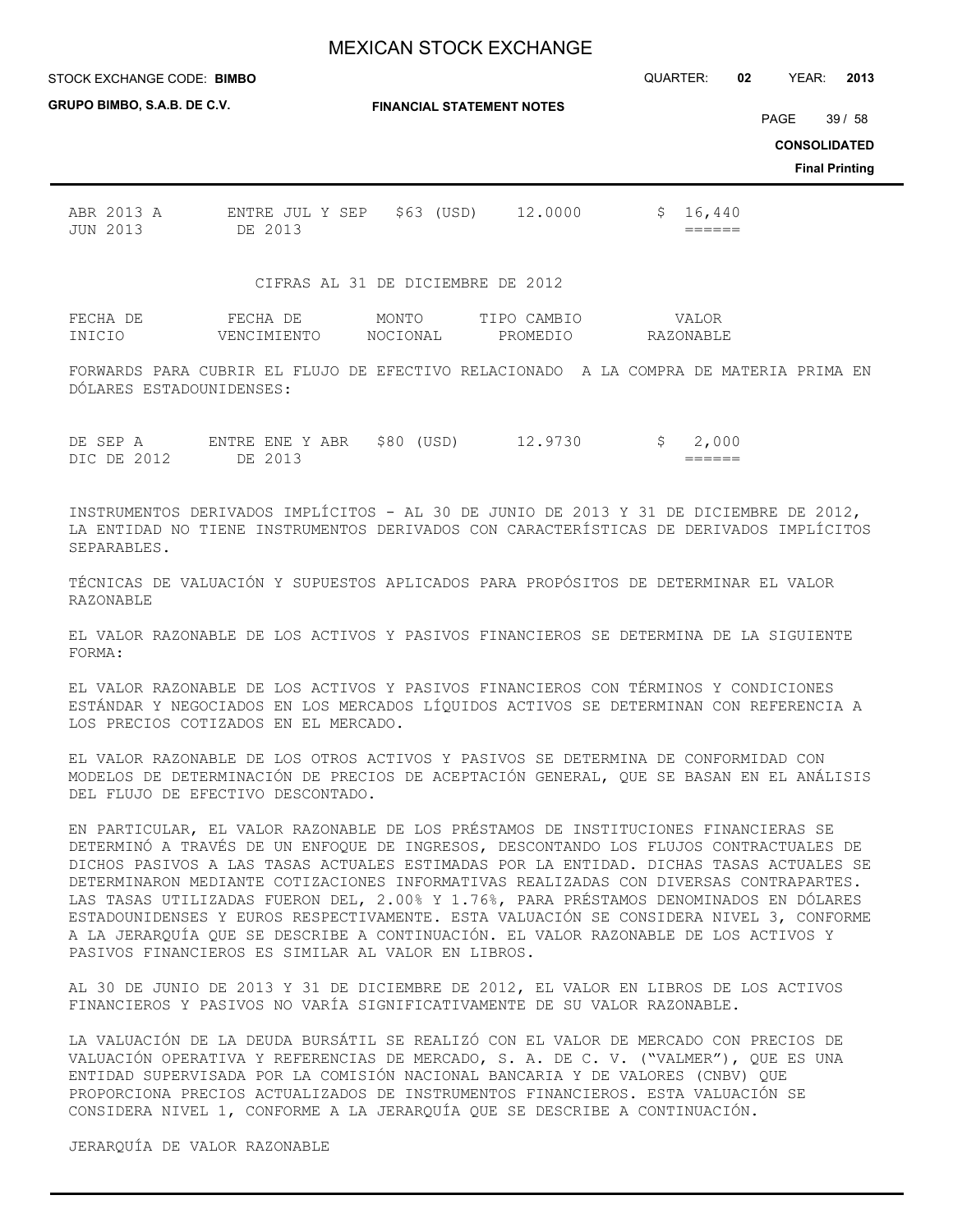STOCK EXCHANGE CODE: QUARTER: **02** YEAR: **2013 BIMBO**

| GRUPO BIMBO, S.A.B. DE C.V.   |                                                       |                   | <b>FINANCIAL STATEMENT NOTES</b>  |                      |                       |
|-------------------------------|-------------------------------------------------------|-------------------|-----------------------------------|----------------------|-----------------------|
|                               |                                                       |                   |                                   | PAGE                 | 39/58                 |
|                               |                                                       |                   |                                   |                      | <b>CONSOLIDATED</b>   |
|                               |                                                       |                   |                                   |                      | <b>Final Printing</b> |
| ABR 2013 A<br><b>JUN 2013</b> | ENTRE JUL Y SEP<br>DE 2013                            | \$63 (USD)        | 12,0000                           | 16,440<br>\$.        |                       |
|                               |                                                       |                   | CIFRAS AL 31 DE DICIEMBRE DE 2012 |                      |                       |
| FECHA DE<br>INICIO            | FECHA DE<br>VENCIMIENTO                               | MONTO<br>NOCIONAL | TIPO CAMBIO<br>PROMEDIO           | VALOR<br>RAZONABLE   |                       |
|                               | FORWARDS PARA CURRIR EL FLUJO DE EFECTIVO RELACIONADO |                   | A                                 | IA COMPRA DE MATERIA | PRIMA<br>EN.          |

FORWARDS PARA CUBRIR EL FLUJO DE EFECTIVO RELACIONADO A LA COMPRA DE MATERIA PRIMA EN DÓLARES ESTADOUNIDENSES:

| DE SEP A |             | ENTRE ENE Y ABR | \$80<br>(USD) | 12.9730 | 000               |
|----------|-------------|-----------------|---------------|---------|-------------------|
|          | DIC DE 2012 | DE.             |               |         | ______<br>_______ |

INSTRUMENTOS DERIVADOS IMPLÍCITOS - AL 30 DE JUNIO DE 2013 Y 31 DE DICIEMBRE DE 2012, LA ENTIDAD NO TIENE INSTRUMENTOS DERIVADOS CON CARACTERÍSTICAS DE DERIVADOS IMPLÍCITOS SEPARABLES.

TÉCNICAS DE VALUACIÓN Y SUPUESTOS APLICADOS PARA PROPÓSITOS DE DETERMINAR EL VALOR RAZONABLE

EL VALOR RAZONABLE DE LOS ACTIVOS Y PASIVOS FINANCIEROS SE DETERMINA DE LA SIGUIENTE FORMA:

EL VALOR RAZONABLE DE LOS ACTIVOS Y PASIVOS FINANCIEROS CON TÉRMINOS Y CONDICIONES ESTÁNDAR Y NEGOCIADOS EN LOS MERCADOS LÍQUIDOS ACTIVOS SE DETERMINAN CON REFERENCIA A LOS PRECIOS COTIZADOS EN EL MERCADO.

EL VALOR RAZONABLE DE LOS OTROS ACTIVOS Y PASIVOS SE DETERMINA DE CONFORMIDAD CON MODELOS DE DETERMINACIÓN DE PRECIOS DE ACEPTACIÓN GENERAL, QUE SE BASAN EN EL ANÁLISIS DEL FLUJO DE EFECTIVO DESCONTADO.

EN PARTICULAR, EL VALOR RAZONABLE DE LOS PRÉSTAMOS DE INSTITUCIONES FINANCIERAS SE DETERMINÓ A TRAVÉS DE UN ENFOQUE DE INGRESOS, DESCONTANDO LOS FLUJOS CONTRACTUALES DE DICHOS PASIVOS A LAS TASAS ACTUALES ESTIMADAS POR LA ENTIDAD. DICHAS TASAS ACTUALES SE DETERMINARON MEDIANTE COTIZACIONES INFORMATIVAS REALIZADAS CON DIVERSAS CONTRAPARTES. LAS TASAS UTILIZADAS FUERON DEL, 2.00% Y 1.76%, PARA PRÉSTAMOS DENOMINADOS EN DÓLARES ESTADOUNIDENSES Y EUROS RESPECTIVAMENTE. ESTA VALUACIÓN SE CONSIDERA NIVEL 3, CONFORME A LA JERARQUÍA QUE SE DESCRIBE A CONTINUACIÓN. EL VALOR RAZONABLE DE LOS ACTIVOS Y PASIVOS FINANCIEROS ES SIMILAR AL VALOR EN LIBROS.

AL 30 DE JUNIO DE 2013 Y 31 DE DICIEMBRE DE 2012, EL VALOR EN LIBROS DE LOS ACTIVOS FINANCIEROS Y PASIVOS NO VARÍA SIGNIFICATIVAMENTE DE SU VALOR RAZONABLE.

LA VALUACIÓN DE LA DEUDA BURSÁTIL SE REALIZÓ CON EL VALOR DE MERCADO CON PRECIOS DE VALUACIÓN OPERATIVA Y REFERENCIAS DE MERCADO, S. A. DE C. V. ("VALMER"), QUE ES UNA ENTIDAD SUPERVISADA POR LA COMISIÓN NACIONAL BANCARIA Y DE VALORES (CNBV) QUE PROPORCIONA PRECIOS ACTUALIZADOS DE INSTRUMENTOS FINANCIEROS. ESTA VALUACIÓN SE CONSIDERA NIVEL 1, CONFORME A LA JERARQUÍA QUE SE DESCRIBE A CONTINUACIÓN.

JERARQUÍA DE VALOR RAZONABLE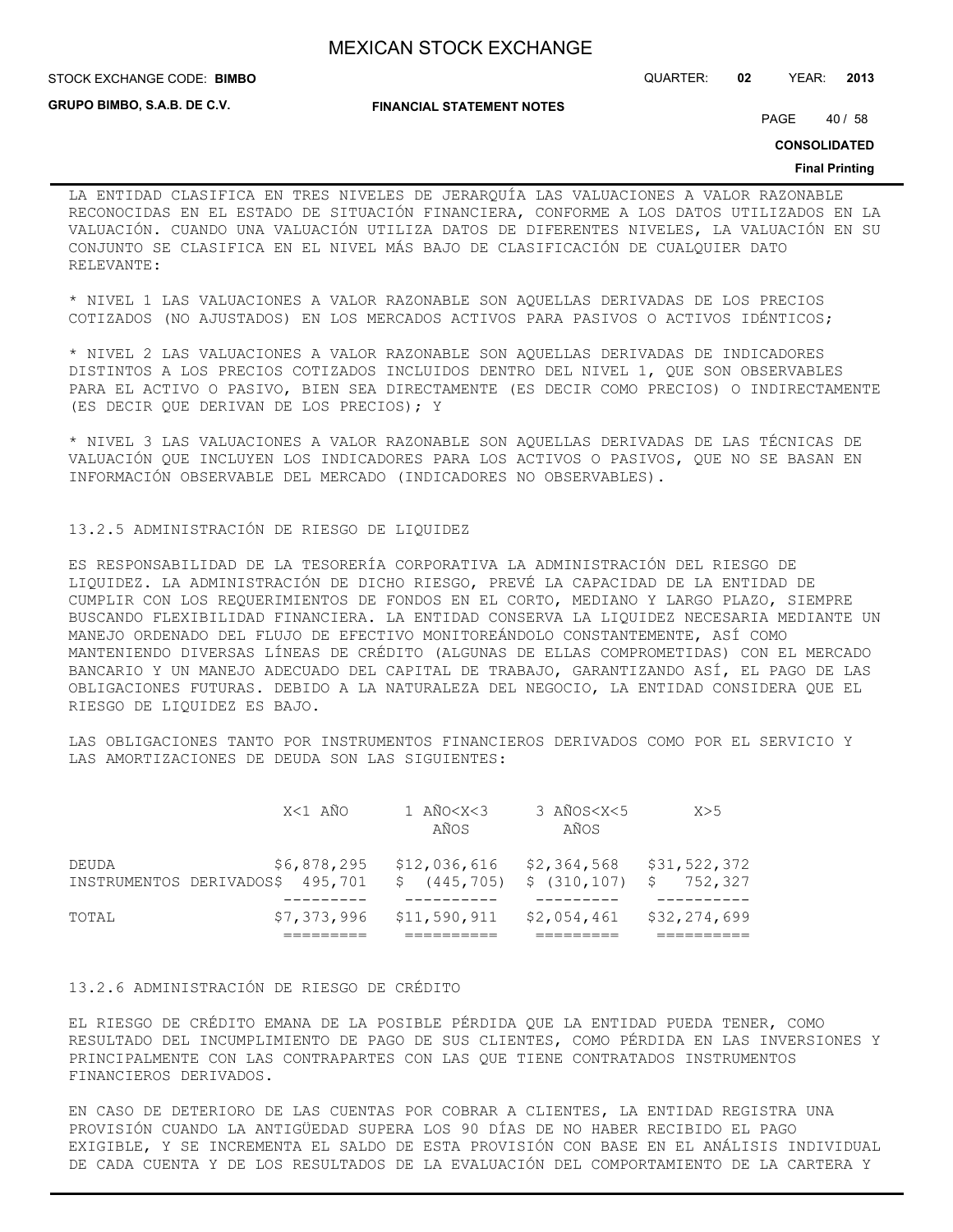**STOCK EXCHANGE CODE: BIMBO** 

STOCK EXCHANGE CODE: QUARTER: **02** YEAR: **2013**

**GRUPO BIMBO, S.A.B. DE C.V.**

**FINANCIAL STATEMENT NOTES**

PAGE 40 / 58

**CONSOLIDATED**

#### **Final Printing**

LA ENTIDAD CLASIFICA EN TRES NIVELES DE JERARQUÍA LAS VALUACIONES A VALOR RAZONABLE RECONOCIDAS EN EL ESTADO DE SITUACIÓN FINANCIERA, CONFORME A LOS DATOS UTILIZADOS EN LA VALUACIÓN. CUANDO UNA VALUACIÓN UTILIZA DATOS DE DIFERENTES NIVELES, LA VALUACIÓN EN SU CONJUNTO SE CLASIFICA EN EL NIVEL MÁS BAJO DE CLASIFICACIÓN DE CUALQUIER DATO RELEVANTE:

\* NIVEL 1 LAS VALUACIONES A VALOR RAZONABLE SON AQUELLAS DERIVADAS DE LOS PRECIOS COTIZADOS (NO AJUSTADOS) EN LOS MERCADOS ACTIVOS PARA PASIVOS O ACTIVOS IDÉNTICOS;

\* NIVEL 2 LAS VALUACIONES A VALOR RAZONABLE SON AQUELLAS DERIVADAS DE INDICADORES DISTINTOS A LOS PRECIOS COTIZADOS INCLUIDOS DENTRO DEL NIVEL 1, QUE SON OBSERVABLES PARA EL ACTIVO O PASIVO, BIEN SEA DIRECTAMENTE (ES DECIR COMO PRECIOS) O INDIRECTAMENTE (ES DECIR QUE DERIVAN DE LOS PRECIOS); Y

\* NIVEL 3 LAS VALUACIONES A VALOR RAZONABLE SON AQUELLAS DERIVADAS DE LAS TÉCNICAS DE VALUACIÓN QUE INCLUYEN LOS INDICADORES PARA LOS ACTIVOS O PASIVOS, QUE NO SE BASAN EN INFORMACIÓN OBSERVABLE DEL MERCADO (INDICADORES NO OBSERVABLES).

## 13.2.5 ADMINISTRACIÓN DE RIESGO DE LIQUIDEZ

ES RESPONSABILIDAD DE LA TESORERÍA CORPORATIVA LA ADMINISTRACIÓN DEL RIESGO DE LIQUIDEZ. LA ADMINISTRACIÓN DE DICHO RIESGO, PREVÉ LA CAPACIDAD DE LA ENTIDAD DE CUMPLIR CON LOS REQUERIMIENTOS DE FONDOS EN EL CORTO, MEDIANO Y LARGO PLAZO, SIEMPRE BUSCANDO FLEXIBILIDAD FINANCIERA. LA ENTIDAD CONSERVA LA LIQUIDEZ NECESARIA MEDIANTE UN MANEJO ORDENADO DEL FLUJO DE EFECTIVO MONITOREÁNDOLO CONSTANTEMENTE, ASÍ COMO MANTENIENDO DIVERSAS LÍNEAS DE CRÉDITO (ALGUNAS DE ELLAS COMPROMETIDAS) CON EL MERCADO BANCARIO Y UN MANEJO ADECUADO DEL CAPITAL DE TRABAJO, GARANTIZANDO ASÍ, EL PAGO DE LAS OBLIGACIONES FUTURAS. DEBIDO A LA NATURALEZA DEL NEGOCIO, LA ENTIDAD CONSIDERA QUE EL RIESGO DE LIQUIDEZ ES BAJO.

LAS OBLIGACIONES TANTO POR INSTRUMENTOS FINANCIEROS DERIVADOS COMO POR EL SERVICIO Y LAS AMORTIZACIONES DE DEUDA SON LAS SIGUIENTES:

| DEUDA | INSTRUMENTOS DERIVADOS\$ 495,701 \$ (445,705) \$ (310,107) \$ 752,327 | $$6,878,295$ $$12,036,616$ $$2,364,568$ $$31,522,372$ |  |
|-------|-----------------------------------------------------------------------|-------------------------------------------------------|--|
| TOTAL |                                                                       | $$7,373,996$ $$11,590,911$ $$2,054,461$ $$32,274,699$ |  |

## 13.2.6 ADMINISTRACIÓN DE RIESGO DE CRÉDITO

EL RIESGO DE CRÉDITO EMANA DE LA POSIBLE PÉRDIDA QUE LA ENTIDAD PUEDA TENER, COMO RESULTADO DEL INCUMPLIMIENTO DE PAGO DE SUS CLIENTES, COMO PÉRDIDA EN LAS INVERSIONES Y PRINCIPALMENTE CON LAS CONTRAPARTES CON LAS QUE TIENE CONTRATADOS INSTRUMENTOS FINANCIEROS DERIVADOS.

EN CASO DE DETERIORO DE LAS CUENTAS POR COBRAR A CLIENTES, LA ENTIDAD REGISTRA UNA PROVISIÓN CUANDO LA ANTIGÜEDAD SUPERA LOS 90 DÍAS DE NO HABER RECIBIDO EL PAGO EXIGIBLE, Y SE INCREMENTA EL SALDO DE ESTA PROVISIÓN CON BASE EN EL ANÁLISIS INDIVIDUAL DE CADA CUENTA Y DE LOS RESULTADOS DE LA EVALUACIÓN DEL COMPORTAMIENTO DE LA CARTERA Y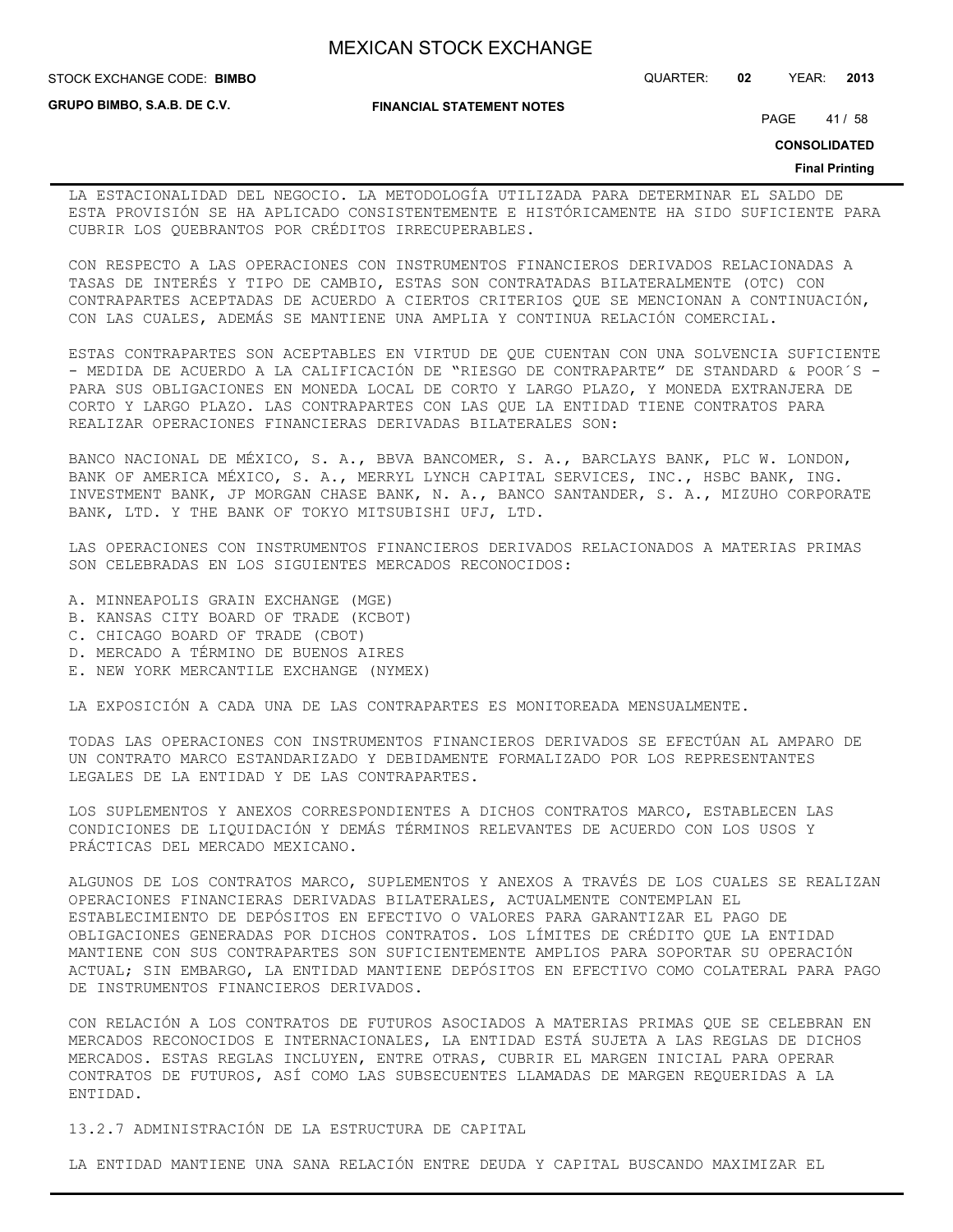**STOCK EXCHANGE CODE: BIMBO** 

**GRUPO BIMBO, S.A.B. DE C.V.**

#### **FINANCIAL STATEMENT NOTES**

PAGE 41 / 58

STOCK EXCHANGE CODE: QUARTER: **02** YEAR: **2013**

**CONSOLIDATED**

#### **Final Printing**

LA ESTACIONALIDAD DEL NEGOCIO. LA METODOLOGÍA UTILIZADA PARA DETERMINAR EL SALDO DE ESTA PROVISIÓN SE HA APLICADO CONSISTENTEMENTE E HISTÓRICAMENTE HA SIDO SUFICIENTE PARA CUBRIR LOS QUEBRANTOS POR CRÉDITOS IRRECUPERABLES.

CON RESPECTO A LAS OPERACIONES CON INSTRUMENTOS FINANCIEROS DERIVADOS RELACIONADAS A TASAS DE INTERÉS Y TIPO DE CAMBIO, ESTAS SON CONTRATADAS BILATERALMENTE (OTC) CON CONTRAPARTES ACEPTADAS DE ACUERDO A CIERTOS CRITERIOS QUE SE MENCIONAN A CONTINUACIÓN, CON LAS CUALES, ADEMÁS SE MANTIENE UNA AMPLIA Y CONTINUA RELACIÓN COMERCIAL.

ESTAS CONTRAPARTES SON ACEPTABLES EN VIRTUD DE QUE CUENTAN CON UNA SOLVENCIA SUFICIENTE - MEDIDA DE ACUERDO A LA CALIFICACIÓN DE "RIESGO DE CONTRAPARTE" DE STANDARD & POOR´S -PARA SUS OBLIGACIONES EN MONEDA LOCAL DE CORTO Y LARGO PLAZO, Y MONEDA EXTRANJERA DE CORTO Y LARGO PLAZO. LAS CONTRAPARTES CON LAS QUE LA ENTIDAD TIENE CONTRATOS PARA REALIZAR OPERACIONES FINANCIERAS DERIVADAS BILATERALES SON:

BANCO NACIONAL DE MÉXICO, S. A., BBVA BANCOMER, S. A., BARCLAYS BANK, PLC W. LONDON, BANK OF AMERICA MÉXICO, S. A., MERRYL LYNCH CAPITAL SERVICES, INC., HSBC BANK, ING. INVESTMENT BANK, JP MORGAN CHASE BANK, N. A., BANCO SANTANDER, S. A., MIZUHO CORPORATE BANK, LTD. Y THE BANK OF TOKYO MITSUBISHI UFJ, LTD.

LAS OPERACIONES CON INSTRUMENTOS FINANCIEROS DERIVADOS RELACIONADOS A MATERIAS PRIMAS SON CELEBRADAS EN LOS SIGUIENTES MERCADOS RECONOCIDOS:

- A. MINNEAPOLIS GRAIN EXCHANGE (MGE)
- B. KANSAS CITY BOARD OF TRADE (KCBOT)
- C. CHICAGO BOARD OF TRADE (CBOT)
- D. MERCADO A TÉRMINO DE BUENOS AIRES
- E. NEW YORK MERCANTILE EXCHANGE (NYMEX)

LA EXPOSICIÓN A CADA UNA DE LAS CONTRAPARTES ES MONITOREADA MENSUALMENTE.

TODAS LAS OPERACIONES CON INSTRUMENTOS FINANCIEROS DERIVADOS SE EFECTÚAN AL AMPARO DE UN CONTRATO MARCO ESTANDARIZADO Y DEBIDAMENTE FORMALIZADO POR LOS REPRESENTANTES LEGALES DE LA ENTIDAD Y DE LAS CONTRAPARTES.

LOS SUPLEMENTOS Y ANEXOS CORRESPONDIENTES A DICHOS CONTRATOS MARCO, ESTABLECEN LAS CONDICIONES DE LIQUIDACIÓN Y DEMÁS TÉRMINOS RELEVANTES DE ACUERDO CON LOS USOS Y PRÁCTICAS DEL MERCADO MEXICANO.

ALGUNOS DE LOS CONTRATOS MARCO, SUPLEMENTOS Y ANEXOS A TRAVÉS DE LOS CUALES SE REALIZAN OPERACIONES FINANCIERAS DERIVADAS BILATERALES, ACTUALMENTE CONTEMPLAN EL ESTABLECIMIENTO DE DEPÓSITOS EN EFECTIVO O VALORES PARA GARANTIZAR EL PAGO DE OBLIGACIONES GENERADAS POR DICHOS CONTRATOS. LOS LÍMITES DE CRÉDITO QUE LA ENTIDAD MANTIENE CON SUS CONTRAPARTES SON SUFICIENTEMENTE AMPLIOS PARA SOPORTAR SU OPERACIÓN ACTUAL; SIN EMBARGO, LA ENTIDAD MANTIENE DEPÓSITOS EN EFECTIVO COMO COLATERAL PARA PAGO DE INSTRUMENTOS FINANCIEROS DERIVADOS.

CON RELACIÓN A LOS CONTRATOS DE FUTUROS ASOCIADOS A MATERIAS PRIMAS QUE SE CELEBRAN EN MERCADOS RECONOCIDOS E INTERNACIONALES, LA ENTIDAD ESTÁ SUJETA A LAS REGLAS DE DICHOS MERCADOS. ESTAS REGLAS INCLUYEN, ENTRE OTRAS, CUBRIR EL MARGEN INICIAL PARA OPERAR CONTRATOS DE FUTUROS, ASÍ COMO LAS SUBSECUENTES LLAMADAS DE MARGEN REQUERIDAS A LA ENTIDAD.

13.2.7 ADMINISTRACIÓN DE LA ESTRUCTURA DE CAPITAL

LA ENTIDAD MANTIENE UNA SANA RELACIÓN ENTRE DEUDA Y CAPITAL BUSCANDO MAXIMIZAR EL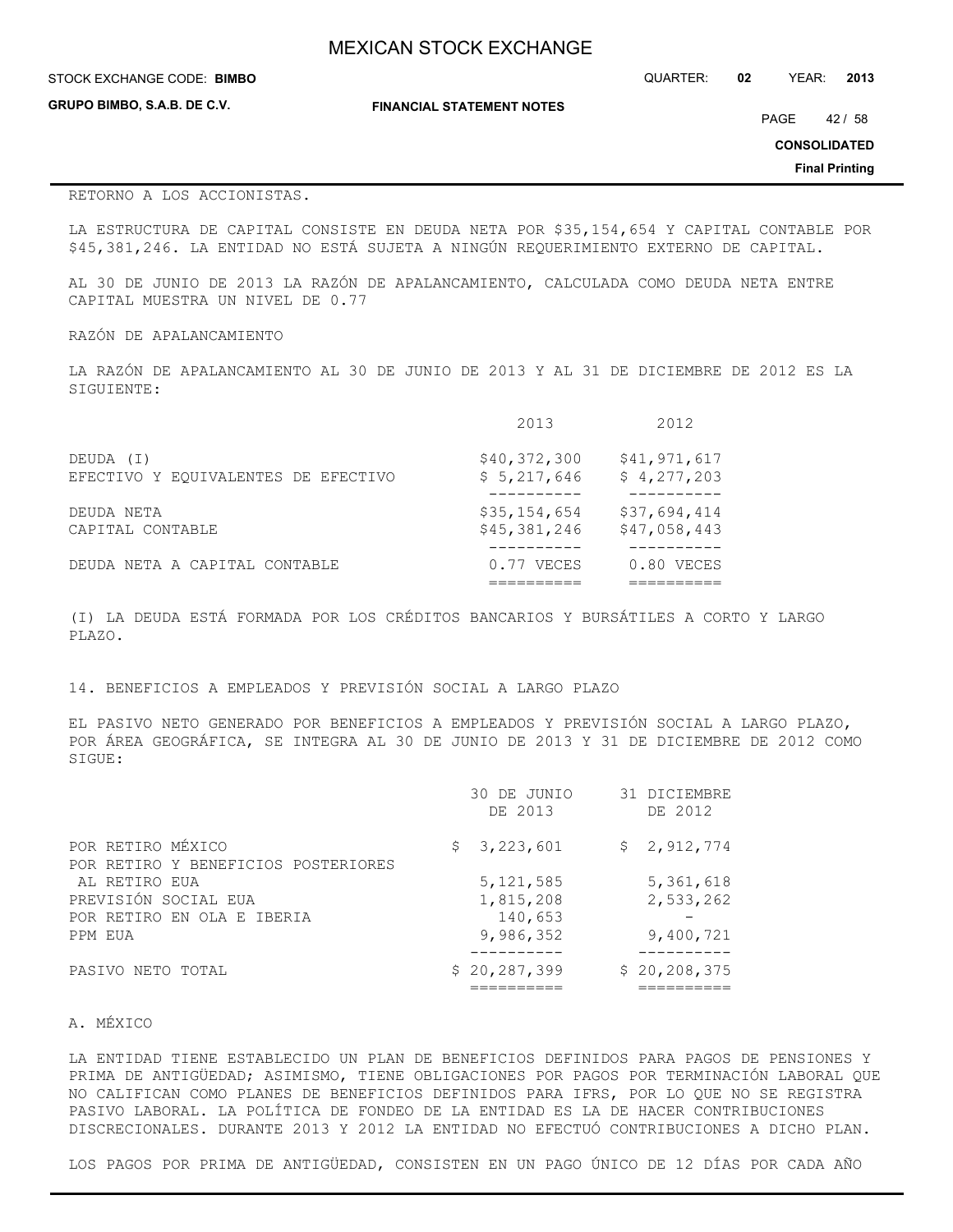| <b>MEXICAN STOCK EXCHANGE</b> |  |  |  |
|-------------------------------|--|--|--|
|-------------------------------|--|--|--|

| STOCK EXCHANGE CODE: BIMBO  |                                  | QUARTER: | 02 | YEAR: | 2013    |
|-----------------------------|----------------------------------|----------|----|-------|---------|
| GRUPO BIMBO, S.A.B. DE C.V. | <b>FINANCIAL STATEMENT NOTES</b> |          |    | PAGE  | 42 / 58 |

**CONSOLIDATED**

**Final Printing**

## RETORNO A LOS ACCIONISTAS.

LA ESTRUCTURA DE CAPITAL CONSISTE EN DEUDA NETA POR \$35,154,654 Y CAPITAL CONTABLE POR \$45,381,246. LA ENTIDAD NO ESTÁ SUJETA A NINGÚN REQUERIMIENTO EXTERNO DE CAPITAL.

AL 30 DE JUNIO DE 2013 LA RAZÓN DE APALANCAMIENTO, CALCULADA COMO DEUDA NETA ENTRE CAPITAL MUESTRA UN NIVEL DE 0.77

## RAZÓN DE APALANCAMIENTO

LA RAZÓN DE APALANCAMIENTO AL 30 DE JUNIO DE 2013 Y AL 31 DE DICIEMBRE DE 2012 ES LA SIGUIENTE:

|                                     | 2013         | 2012         |
|-------------------------------------|--------------|--------------|
| DEUDA (I)                           | \$40,372,300 | \$41,971,617 |
| EFECTIVO Y EOUIVALENTES DE EFECTIVO | \$5,217,646  | \$4,277,203  |
| DEUDA NETA                          | \$35,154,654 | \$37,694,414 |
| CAPITAL CONTABLE                    | \$45,381,246 | \$47,058,443 |
| DEUDA NETA A CAPITAL CONTABLE       | 0.77 VECES   | $0.80$ VECES |

(I) LA DEUDA ESTÁ FORMADA POR LOS CRÉDITOS BANCARIOS Y BURSÁTILES A CORTO Y LARGO PLAZO.

## 14. BENEFICIOS A EMPLEADOS Y PREVISIÓN SOCIAL A LARGO PLAZO

EL PASIVO NETO GENERADO POR BENEFICIOS A EMPLEADOS Y PREVISIÓN SOCIAL A LARGO PLAZO, POR ÁREA GEOGRÁFICA, SE INTEGRA AL 30 DE JUNIO DE 2013 Y 31 DE DICIEMBRE DE 2012 COMO SIGUE:

|                                     | 30 DE JUNIO<br>DE 2013 | 31 DICIEMBRE<br>DE 2012 |
|-------------------------------------|------------------------|-------------------------|
| POR RETIRO MÉXICO                   | \$3,223,601            | \$2,912,774             |
| POR RETIRO Y BENEFICIOS POSTERIORES |                        |                         |
| AL RETIRO EUA                       | 5, 121, 585            | 5,361,618               |
| PREVISIÓN SOCIAL EUA                | 1,815,208              | 2,533,262               |
| POR RETIRO EN OLA E IBERIA          | 140,653                |                         |
| PPM EUA                             | 9,986,352              | 9,400,721               |
|                                     |                        |                         |
| PASIVO NETO TOTAL                   | \$20, 287, 399         | \$20, 208, 375          |
|                                     |                        |                         |

## A. MÉXICO

LA ENTIDAD TIENE ESTABLECIDO UN PLAN DE BENEFICIOS DEFINIDOS PARA PAGOS DE PENSIONES Y PRIMA DE ANTIGÜEDAD; ASIMISMO, TIENE OBLIGACIONES POR PAGOS POR TERMINACIÓN LABORAL QUE NO CALIFICAN COMO PLANES DE BENEFICIOS DEFINIDOS PARA IFRS, POR LO QUE NO SE REGISTRA PASIVO LABORAL. LA POLÍTICA DE FONDEO DE LA ENTIDAD ES LA DE HACER CONTRIBUCIONES DISCRECIONALES. DURANTE 2013 Y 2012 LA ENTIDAD NO EFECTUÓ CONTRIBUCIONES A DICHO PLAN.

LOS PAGOS POR PRIMA DE ANTIGÜEDAD, CONSISTEN EN UN PAGO ÚNICO DE 12 DÍAS POR CADA AÑO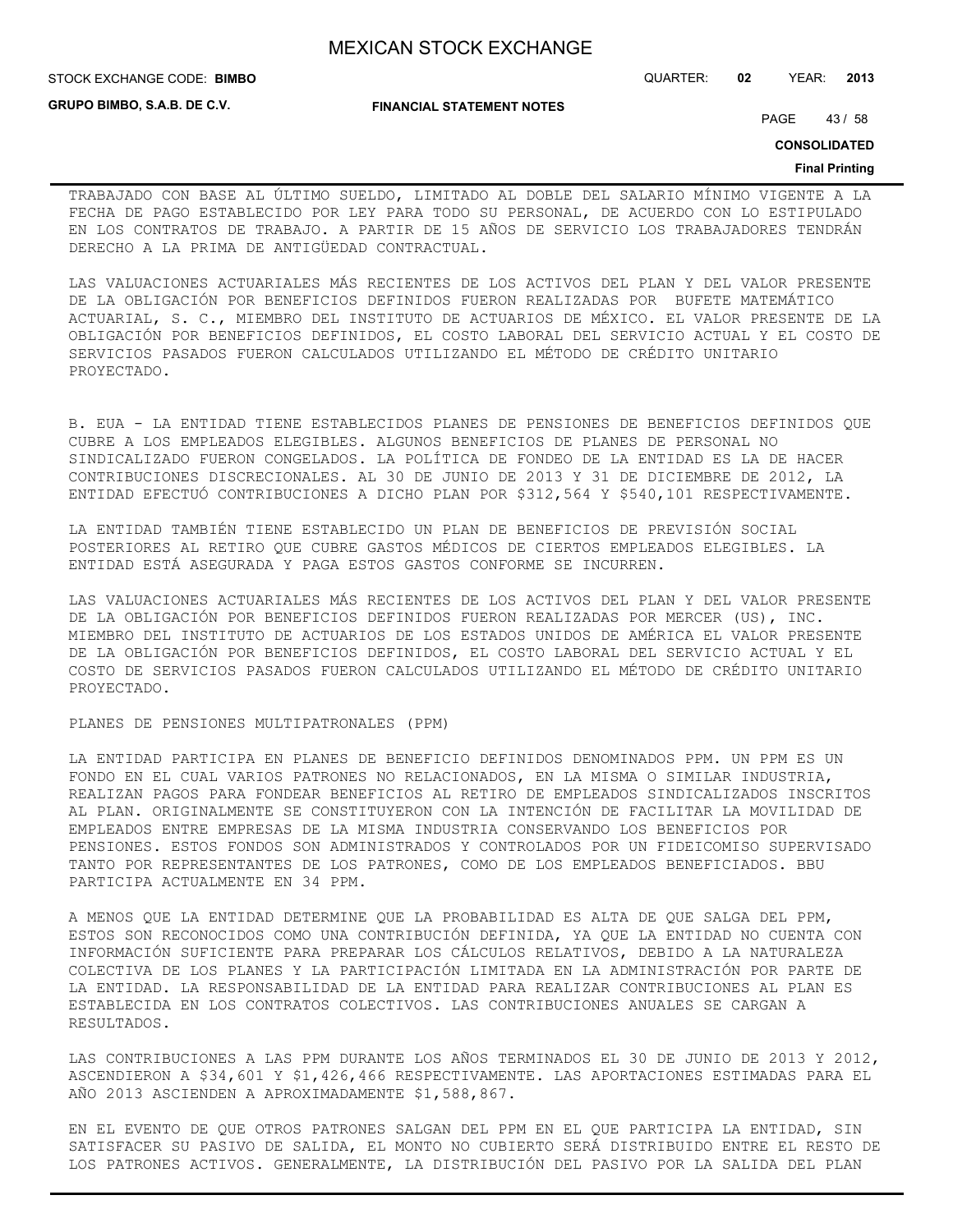**GRUPO BIMBO, S.A.B. DE C.V.**

#### STOCK EXCHANGE CODE: QUARTER: **02** YEAR: **2013 BIMBO**

**FINANCIAL STATEMENT NOTES**

PAGE 43 / 58

**CONSOLIDATED**

#### **Final Printing**

TRABAJADO CON BASE AL ÚLTIMO SUELDO, LIMITADO AL DOBLE DEL SALARIO MÍNIMO VIGENTE A LA FECHA DE PAGO ESTABLECIDO POR LEY PARA TODO SU PERSONAL, DE ACUERDO CON LO ESTIPULADO EN LOS CONTRATOS DE TRABAJO. A PARTIR DE 15 AÑOS DE SERVICIO LOS TRABAJADORES TENDRÁN DERECHO A LA PRIMA DE ANTIGÜEDAD CONTRACTUAL.

LAS VALUACIONES ACTUARIALES MÁS RECIENTES DE LOS ACTIVOS DEL PLAN Y DEL VALOR PRESENTE DE LA OBLIGACIÓN POR BENEFICIOS DEFINIDOS FUERON REALIZADAS POR BUFETE MATEMÁTICO ACTUARIAL, S. C., MIEMBRO DEL INSTITUTO DE ACTUARIOS DE MÉXICO. EL VALOR PRESENTE DE LA OBLIGACIÓN POR BENEFICIOS DEFINIDOS, EL COSTO LABORAL DEL SERVICIO ACTUAL Y EL COSTO DE SERVICIOS PASADOS FUERON CALCULADOS UTILIZANDO EL MÉTODO DE CRÉDITO UNITARIO PROYECTADO.

B. EUA - LA ENTIDAD TIENE ESTABLECIDOS PLANES DE PENSIONES DE BENEFICIOS DEFINIDOS QUE CUBRE A LOS EMPLEADOS ELEGIBLES. ALGUNOS BENEFICIOS DE PLANES DE PERSONAL NO SINDICALIZADO FUERON CONGELADOS. LA POLÍTICA DE FONDEO DE LA ENTIDAD ES LA DE HACER CONTRIBUCIONES DISCRECIONALES. AL 30 DE JUNIO DE 2013 Y 31 DE DICIEMBRE DE 2012, LA ENTIDAD EFECTUÓ CONTRIBUCIONES A DICHO PLAN POR \$312,564 Y \$540,101 RESPECTIVAMENTE.

LA ENTIDAD TAMBIÉN TIENE ESTABLECIDO UN PLAN DE BENEFICIOS DE PREVISIÓN SOCIAL POSTERIORES AL RETIRO QUE CUBRE GASTOS MÉDICOS DE CIERTOS EMPLEADOS ELEGIBLES. LA ENTIDAD ESTÁ ASEGURADA Y PAGA ESTOS GASTOS CONFORME SE INCURREN.

LAS VALUACIONES ACTUARIALES MÁS RECIENTES DE LOS ACTIVOS DEL PLAN Y DEL VALOR PRESENTE DE LA OBLIGACIÓN POR BENEFICIOS DEFINIDOS FUERON REALIZADAS POR MERCER (US), INC. MIEMBRO DEL INSTITUTO DE ACTUARIOS DE LOS ESTADOS UNIDOS DE AMÉRICA EL VALOR PRESENTE DE LA OBLIGACIÓN POR BENEFICIOS DEFINIDOS, EL COSTO LABORAL DEL SERVICIO ACTUAL Y EL COSTO DE SERVICIOS PASADOS FUERON CALCULADOS UTILIZANDO EL MÉTODO DE CRÉDITO UNITARIO PROYECTADO.

## PLANES DE PENSIONES MULTIPATRONALES (PPM)

LA ENTIDAD PARTICIPA EN PLANES DE BENEFICIO DEFINIDOS DENOMINADOS PPM. UN PPM ES UN FONDO EN EL CUAL VARIOS PATRONES NO RELACIONADOS, EN LA MISMA O SIMILAR INDUSTRIA, REALIZAN PAGOS PARA FONDEAR BENEFICIOS AL RETIRO DE EMPLEADOS SINDICALIZADOS INSCRITOS AL PLAN. ORIGINALMENTE SE CONSTITUYERON CON LA INTENCIÓN DE FACILITAR LA MOVILIDAD DE EMPLEADOS ENTRE EMPRESAS DE LA MISMA INDUSTRIA CONSERVANDO LOS BENEFICIOS POR PENSIONES. ESTOS FONDOS SON ADMINISTRADOS Y CONTROLADOS POR UN FIDEICOMISO SUPERVISADO TANTO POR REPRESENTANTES DE LOS PATRONES, COMO DE LOS EMPLEADOS BENEFICIADOS. BBU PARTICIPA ACTUALMENTE EN 34 PPM.

A MENOS QUE LA ENTIDAD DETERMINE QUE LA PROBABILIDAD ES ALTA DE QUE SALGA DEL PPM, ESTOS SON RECONOCIDOS COMO UNA CONTRIBUCIÓN DEFINIDA, YA QUE LA ENTIDAD NO CUENTA CON INFORMACIÓN SUFICIENTE PARA PREPARAR LOS CÁLCULOS RELATIVOS, DEBIDO A LA NATURALEZA COLECTIVA DE LOS PLANES Y LA PARTICIPACIÓN LIMITADA EN LA ADMINISTRACIÓN POR PARTE DE LA ENTIDAD. LA RESPONSABILIDAD DE LA ENTIDAD PARA REALIZAR CONTRIBUCIONES AL PLAN ES ESTABLECIDA EN LOS CONTRATOS COLECTIVOS. LAS CONTRIBUCIONES ANUALES SE CARGAN A RESULTADOS.

LAS CONTRIBUCIONES A LAS PPM DURANTE LOS AÑOS TERMINADOS EL 30 DE JUNIO DE 2013 Y 2012, ASCENDIERON A \$34,601 Y \$1,426,466 RESPECTIVAMENTE. LAS APORTACIONES ESTIMADAS PARA EL AÑO 2013 ASCIENDEN A APROXIMADAMENTE \$1,588,867.

EN EL EVENTO DE QUE OTROS PATRONES SALGAN DEL PPM EN EL QUE PARTICIPA LA ENTIDAD, SIN SATISFACER SU PASIVO DE SALIDA, EL MONTO NO CUBIERTO SERÁ DISTRIBUIDO ENTRE EL RESTO DE LOS PATRONES ACTIVOS. GENERALMENTE, LA DISTRIBUCIÓN DEL PASIVO POR LA SALIDA DEL PLAN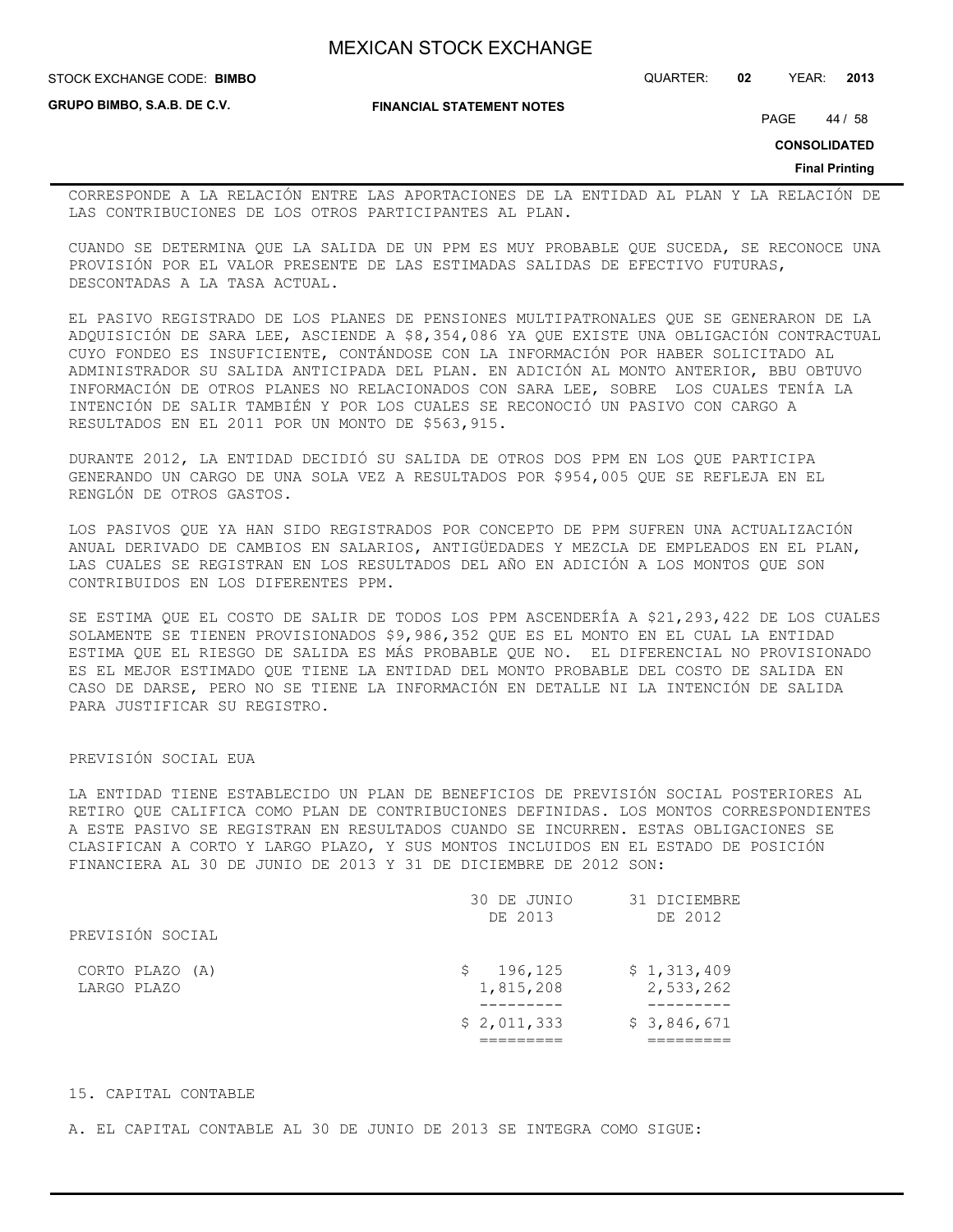**STOCK EXCHANGE CODE: BIMBO** 

STOCK EXCHANGE CODE: QUARTER: **02** YEAR: **2013**

**GRUPO BIMBO, S.A.B. DE C.V.**

**FINANCIAL STATEMENT NOTES**

PAGE 44 / 58

**CONSOLIDATED**

**Final Printing**

CORRESPONDE A LA RELACIÓN ENTRE LAS APORTACIONES DE LA ENTIDAD AL PLAN Y LA RELACIÓN DE LAS CONTRIBUCIONES DE LOS OTROS PARTICIPANTES AL PLAN.

CUANDO SE DETERMINA QUE LA SALIDA DE UN PPM ES MUY PROBABLE QUE SUCEDA, SE RECONOCE UNA PROVISIÓN POR EL VALOR PRESENTE DE LAS ESTIMADAS SALIDAS DE EFECTIVO FUTURAS, DESCONTADAS A LA TASA ACTUAL.

EL PASIVO REGISTRADO DE LOS PLANES DE PENSIONES MULTIPATRONALES QUE SE GENERARON DE LA ADQUISICIÓN DE SARA LEE, ASCIENDE A \$8,354,086 YA QUE EXISTE UNA OBLIGACIÓN CONTRACTUAL CUYO FONDEO ES INSUFICIENTE, CONTÁNDOSE CON LA INFORMACIÓN POR HABER SOLICITADO AL ADMINISTRADOR SU SALIDA ANTICIPADA DEL PLAN. EN ADICIÓN AL MONTO ANTERIOR, BBU OBTUVO INFORMACIÓN DE OTROS PLANES NO RELACIONADOS CON SARA LEE, SOBRE LOS CUALES TENÍA LA INTENCIÓN DE SALIR TAMBIÉN Y POR LOS CUALES SE RECONOCIÓ UN PASIVO CON CARGO A RESULTADOS EN EL 2011 POR UN MONTO DE \$563,915.

DURANTE 2012, LA ENTIDAD DECIDIÓ SU SALIDA DE OTROS DOS PPM EN LOS QUE PARTICIPA GENERANDO UN CARGO DE UNA SOLA VEZ A RESULTADOS POR \$954,005 QUE SE REFLEJA EN EL RENGLÓN DE OTROS GASTOS.

LOS PASIVOS QUE YA HAN SIDO REGISTRADOS POR CONCEPTO DE PPM SUFREN UNA ACTUALIZACIÓN ANUAL DERIVADO DE CAMBIOS EN SALARIOS, ANTIGÜEDADES Y MEZCLA DE EMPLEADOS EN EL PLAN, LAS CUALES SE REGISTRAN EN LOS RESULTADOS DEL AÑO EN ADICIÓN A LOS MONTOS QUE SON CONTRIBUIDOS EN LOS DIFERENTES PPM.

SE ESTIMA QUE EL COSTO DE SALIR DE TODOS LOS PPM ASCENDERÍA A \$21,293,422 DE LOS CUALES SOLAMENTE SE TIENEN PROVISIONADOS \$9,986,352 QUE ES EL MONTO EN EL CUAL LA ENTIDAD ESTIMA QUE EL RIESGO DE SALIDA ES MÁS PROBABLE QUE NO. EL DIFERENCIAL NO PROVISIONADO ES EL MEJOR ESTIMADO QUE TIENE LA ENTIDAD DEL MONTO PROBABLE DEL COSTO DE SALIDA EN CASO DE DARSE, PERO NO SE TIENE LA INFORMACIÓN EN DETALLE NI LA INTENCIÓN DE SALIDA PARA JUSTIFICAR SU REGISTRO.

## PREVISIÓN SOCIAL EUA

LA ENTIDAD TIENE ESTABLECIDO UN PLAN DE BENEFICIOS DE PREVISIÓN SOCIAL POSTERIORES AL RETIRO QUE CALIFICA COMO PLAN DE CONTRIBUCIONES DEFINIDAS. LOS MONTOS CORRESPONDIENTES A ESTE PASIVO SE REGISTRAN EN RESULTADOS CUANDO SE INCURREN. ESTAS OBLIGACIONES SE CLASIFICAN A CORTO Y LARGO PLAZO, Y SUS MONTOS INCLUIDOS EN EL ESTADO DE POSICIÓN FINANCIERA AL 30 DE JUNIO DE 2013 Y 31 DE DICIEMBRE DE 2012 SON:

|                                | 30 DE JUNIO<br>DE 2013     | 31 DICIEMBRE<br>DE 2012  |
|--------------------------------|----------------------------|--------------------------|
| PREVISIÓN SOCIAL               |                            |                          |
| CORTO PLAZO (A)<br>LARGO PLAZO | 196,125<br>S.<br>1,815,208 | \$1,313,409<br>2,533,262 |
|                                | \$2,011,333                | \$3,846,671              |
|                                |                            |                          |

## 15. CAPITAL CONTABLE

A. EL CAPITAL CONTABLE AL 30 DE JUNIO DE 2013 SE INTEGRA COMO SIGUE: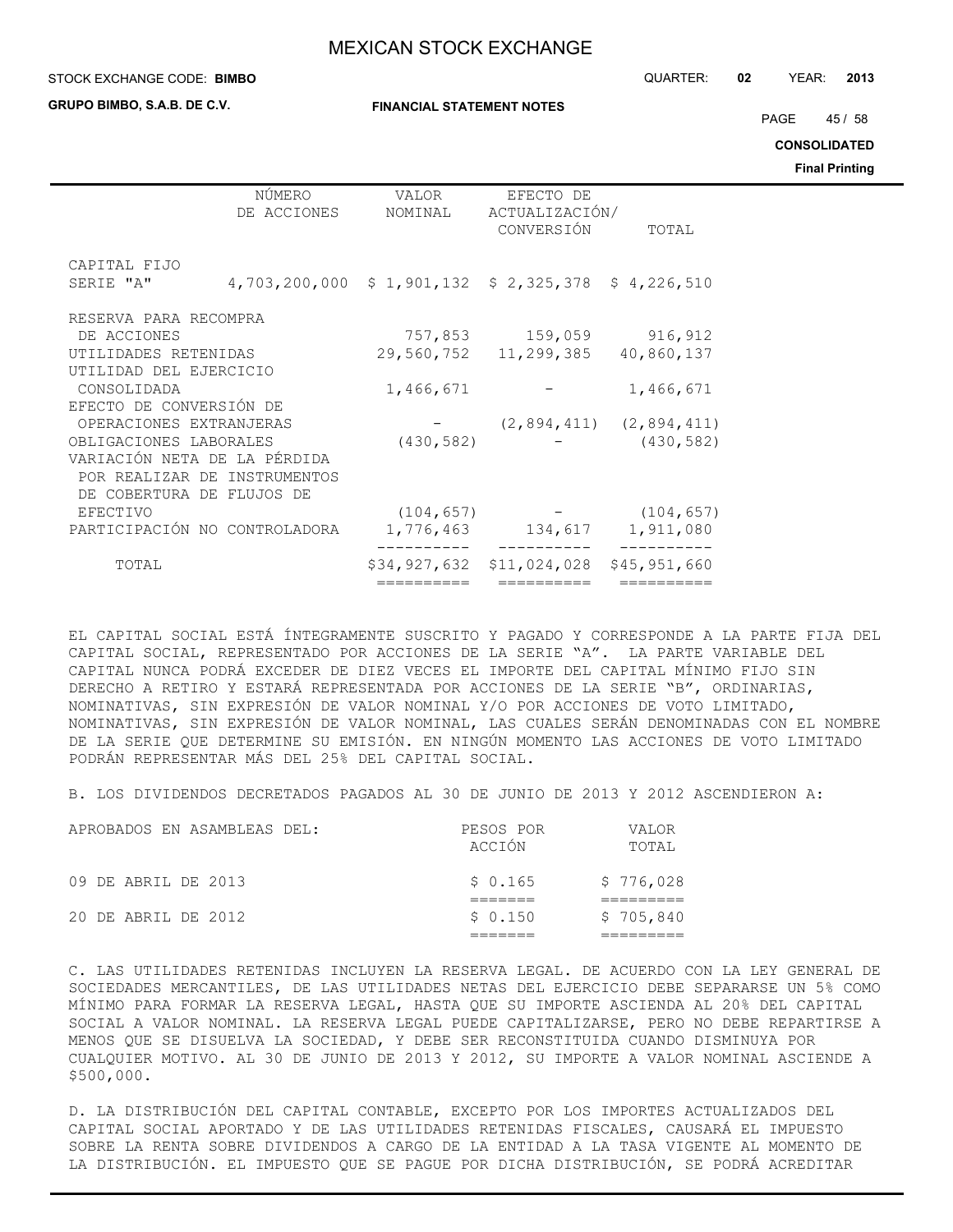#### STOCK EXCHANGE CODE: QUARTER: **02** YEAR: **2013 BIMBO**

**GRUPO BIMBO, S.A.B. DE C.V.**

**FINANCIAL STATEMENT NOTES**

PAGE 45 / 58

**CONSOLIDATED**

**Final Printing**

|                               |                                                   |                  |                                           |                                 | . |
|-------------------------------|---------------------------------------------------|------------------|-------------------------------------------|---------------------------------|---|
|                               | NÚMERO<br>DE ACCIONES                             | VALOR<br>NOMINAL | EFECTO DE<br>ACTUALIZACIÓN/<br>CONVERSIÓN | TOTAL                           |   |
| CAPITAL FIJO                  |                                                   |                  |                                           |                                 |   |
| SERIE "A"                     | 4,703,200,000 \$1,901,132 \$2,325,378 \$4,226,510 |                  |                                           |                                 |   |
| RESERVA PARA RECOMPRA         |                                                   |                  |                                           |                                 |   |
| DE ACCIONES                   |                                                   |                  | 757,853 159,059                           | 916,912                         |   |
| UTILIDADES RETENIDAS          |                                                   |                  | 29,560,752 11,299,385                     | 40,860,137                      |   |
| UTILIDAD DEL EJERCICIO        |                                                   |                  |                                           |                                 |   |
| CONSOLIDADA                   |                                                   | 1,466,671        |                                           | 1,466,671                       |   |
| EFECTO DE CONVERSIÓN DE       |                                                   |                  |                                           |                                 |   |
| OPERACIONES EXTRANJERAS       |                                                   |                  |                                           | $(2, 894, 411)$ $(2, 894, 411)$ |   |
| OBLIGACIONES LABORALES        |                                                   | (430, 582)       |                                           | (430, 582)                      |   |
| VARIACIÓN NETA DE LA PÉRDIDA  |                                                   |                  |                                           |                                 |   |
| POR REALIZAR DE INSTRUMENTOS  |                                                   |                  |                                           |                                 |   |
| DE COBERTURA DE FLUJOS DE     |                                                   |                  |                                           |                                 |   |
| EFECTIVO                      |                                                   | (104, 657)       |                                           | (104, 657)                      |   |
| PARTICIPACIÓN NO CONTROLADORA |                                                   |                  | 1,776,463 134,617 1,911,080               |                                 |   |
| TOTAL                         |                                                   |                  | \$34,927,632 \$11,024,028                 | \$45,951,660                    |   |
|                               |                                                   | ==========       | ==========                                | __________                      |   |

EL CAPITAL SOCIAL ESTÁ ÍNTEGRAMENTE SUSCRITO Y PAGADO Y CORRESPONDE A LA PARTE FIJA DEL CAPITAL SOCIAL, REPRESENTADO POR ACCIONES DE LA SERIE "A". LA PARTE VARIABLE DEL CAPITAL NUNCA PODRÁ EXCEDER DE DIEZ VECES EL IMPORTE DEL CAPITAL MÍNIMO FIJO SIN DERECHO A RETIRO Y ESTARÁ REPRESENTADA POR ACCIONES DE LA SERIE "B", ORDINARIAS, NOMINATIVAS, SIN EXPRESIÓN DE VALOR NOMINAL Y/O POR ACCIONES DE VOTO LIMITADO, NOMINATIVAS, SIN EXPRESIÓN DE VALOR NOMINAL, LAS CUALES SERÁN DENOMINADAS CON EL NOMBRE DE LA SERIE QUE DETERMINE SU EMISIÓN. EN NINGÚN MOMENTO LAS ACCIONES DE VOTO LIMITADO PODRÁN REPRESENTAR MÁS DEL 25% DEL CAPITAL SOCIAL.

B. LOS DIVIDENDOS DECRETADOS PAGADOS AL 30 DE JUNIO DE 2013 Y 2012 ASCENDIERON A:

| 09 DE ABRIL DE 2013 | \$0.165 | \$776,028 |
|---------------------|---------|-----------|
| 20 DE ABRIL DE 2012 | \$0.150 | \$705,840 |

C. LAS UTILIDADES RETENIDAS INCLUYEN LA RESERVA LEGAL. DE ACUERDO CON LA LEY GENERAL DE SOCIEDADES MERCANTILES, DE LAS UTILIDADES NETAS DEL EJERCICIO DEBE SEPARARSE UN 5% COMO MÍNIMO PARA FORMAR LA RESERVA LEGAL, HASTA QUE SU IMPORTE ASCIENDA AL 20% DEL CAPITAL SOCIAL A VALOR NOMINAL. LA RESERVA LEGAL PUEDE CAPITALIZARSE, PERO NO DEBE REPARTIRSE A MENOS QUE SE DISUELVA LA SOCIEDAD, Y DEBE SER RECONSTITUIDA CUANDO DISMINUYA POR CUALQUIER MOTIVO. AL 30 DE JUNIO DE 2013 Y 2012, SU IMPORTE A VALOR NOMINAL ASCIENDE A \$500,000.

D. LA DISTRIBUCIÓN DEL CAPITAL CONTABLE, EXCEPTO POR LOS IMPORTES ACTUALIZADOS DEL CAPITAL SOCIAL APORTADO Y DE LAS UTILIDADES RETENIDAS FISCALES, CAUSARÁ EL IMPUESTO SOBRE LA RENTA SOBRE DIVIDENDOS A CARGO DE LA ENTIDAD A LA TASA VIGENTE AL MOMENTO DE LA DISTRIBUCIÓN. EL IMPUESTO QUE SE PAGUE POR DICHA DISTRIBUCIÓN, SE PODRÁ ACREDITAR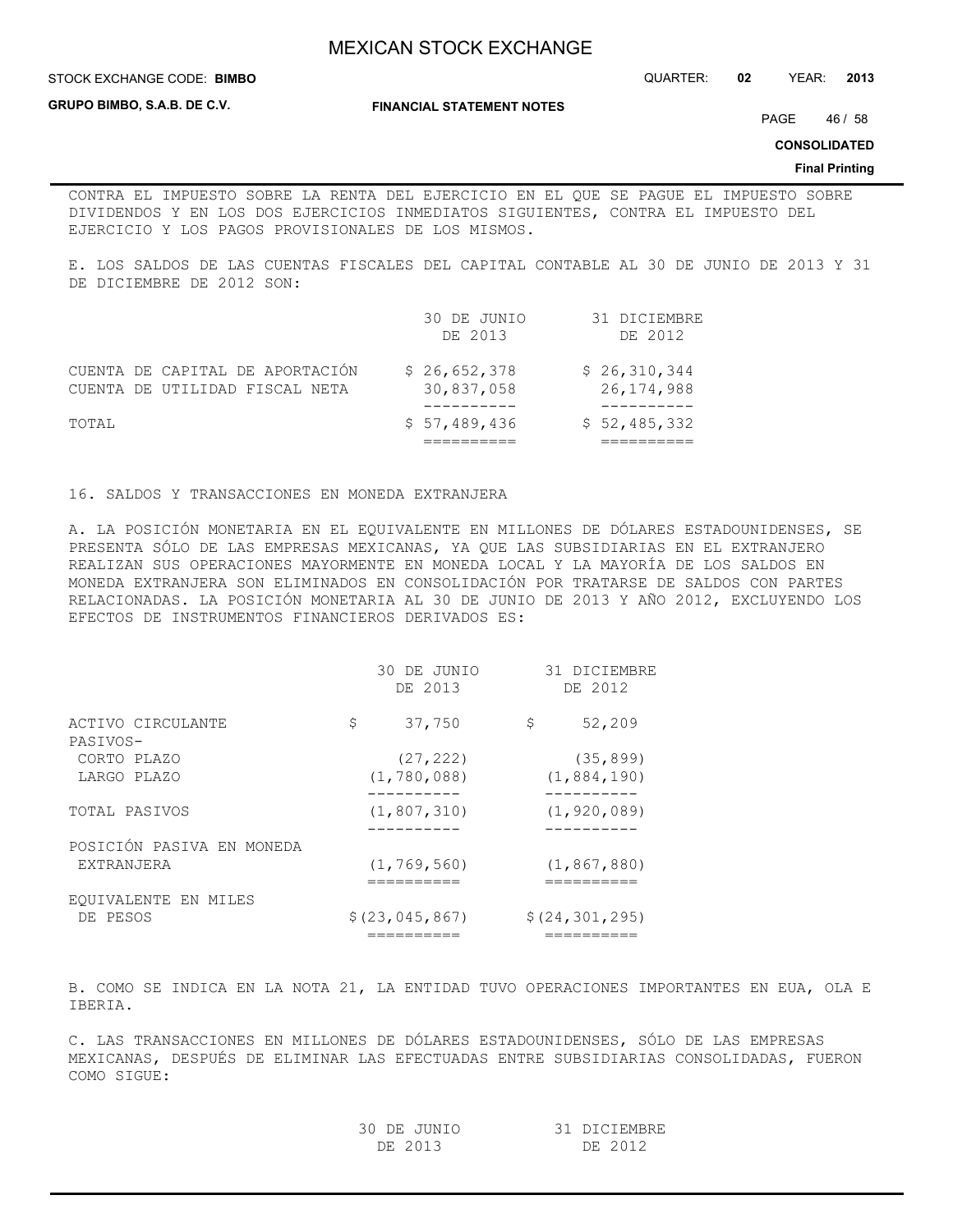**STOCK EXCHANGE CODE: BIMBO** 

**GRUPO BIMBO, S.A.B. DE C.V.**

**FINANCIAL STATEMENT NOTES**

STOCK EXCHANGE CODE: QUARTER: **02** YEAR: **2013**

PAGE 46 / 58

**CONSOLIDATED**

#### **Final Printing**

CONTRA EL IMPUESTO SOBRE LA RENTA DEL EJERCICIO EN EL QUE SE PAGUE EL IMPUESTO SOBRE DIVIDENDOS Y EN LOS DOS EJERCICIOS INMEDIATOS SIGUIENTES, CONTRA EL IMPUESTO DEL EJERCICIO Y LOS PAGOS PROVISIONALES DE LOS MISMOS.

E. LOS SALDOS DE LAS CUENTAS FISCALES DEL CAPITAL CONTABLE AL 30 DE JUNIO DE 2013 Y 31 DE DICIEMBRE DE 2012 SON:

|                                                                   | 30 DE JUNIO<br>DE 2013     | 31 DICIEMBRE<br>DE 2012      |
|-------------------------------------------------------------------|----------------------------|------------------------------|
| CUENTA DE CAPITAL DE APORTACIÓN<br>CUENTA DE UTILIDAD FISCAL NETA | \$26,652,378<br>30,837,058 | \$26,310,344<br>26, 174, 988 |
| TOTAL                                                             | \$57,489,436               | \$52,485,332                 |

16. SALDOS Y TRANSACCIONES EN MONEDA EXTRANJERA

A. LA POSICIÓN MONETARIA EN EL EQUIVALENTE EN MILLONES DE DÓLARES ESTADOUNIDENSES, SE PRESENTA SÓLO DE LAS EMPRESAS MEXICANAS, YA QUE LAS SUBSIDIARIAS EN EL EXTRANJERO REALIZAN SUS OPERACIONES MAYORMENTE EN MONEDA LOCAL Y LA MAYORÍA DE LOS SALDOS EN MONEDA EXTRANJERA SON ELIMINADOS EN CONSOLIDACIÓN POR TRATARSE DE SALDOS CON PARTES RELACIONADAS. LA POSICIÓN MONETARIA AL 30 DE JUNIO DE 2013 Y AÑO 2012, EXCLUYENDO LOS EFECTOS DE INSTRUMENTOS FINANCIEROS DERIVADOS ES:

|              | DE 2012                                                                        |
|--------------|--------------------------------------------------------------------------------|
| 37,750<br>\$ | 52,209                                                                         |
| (27, 222)    | (35, 899)                                                                      |
|              | (1, 884, 190)                                                                  |
|              | (1, 920, 089)                                                                  |
|              |                                                                                |
|              | (1, 867, 880)                                                                  |
|              | \$(24, 301, 295)                                                               |
|              | DE 2013<br>(1, 780, 088)<br>(1, 807, 310)<br>(1, 769, 560)<br>\$(23, 045, 867) |

B. COMO SE INDICA EN LA NOTA 21, LA ENTIDAD TUVO OPERACIONES IMPORTANTES EN EUA, OLA E IBERIA.

C. LAS TRANSACCIONES EN MILLONES DE DÓLARES ESTADOUNIDENSES, SÓLO DE LAS EMPRESAS MEXICANAS, DESPUÉS DE ELIMINAR LAS EFECTUADAS ENTRE SUBSIDIARIAS CONSOLIDADAS, FUERON COMO SIGUE:

| 30 DE JUNIO | 31 DICIEMBRE |
|-------------|--------------|
| DE 2013     | DE 2012      |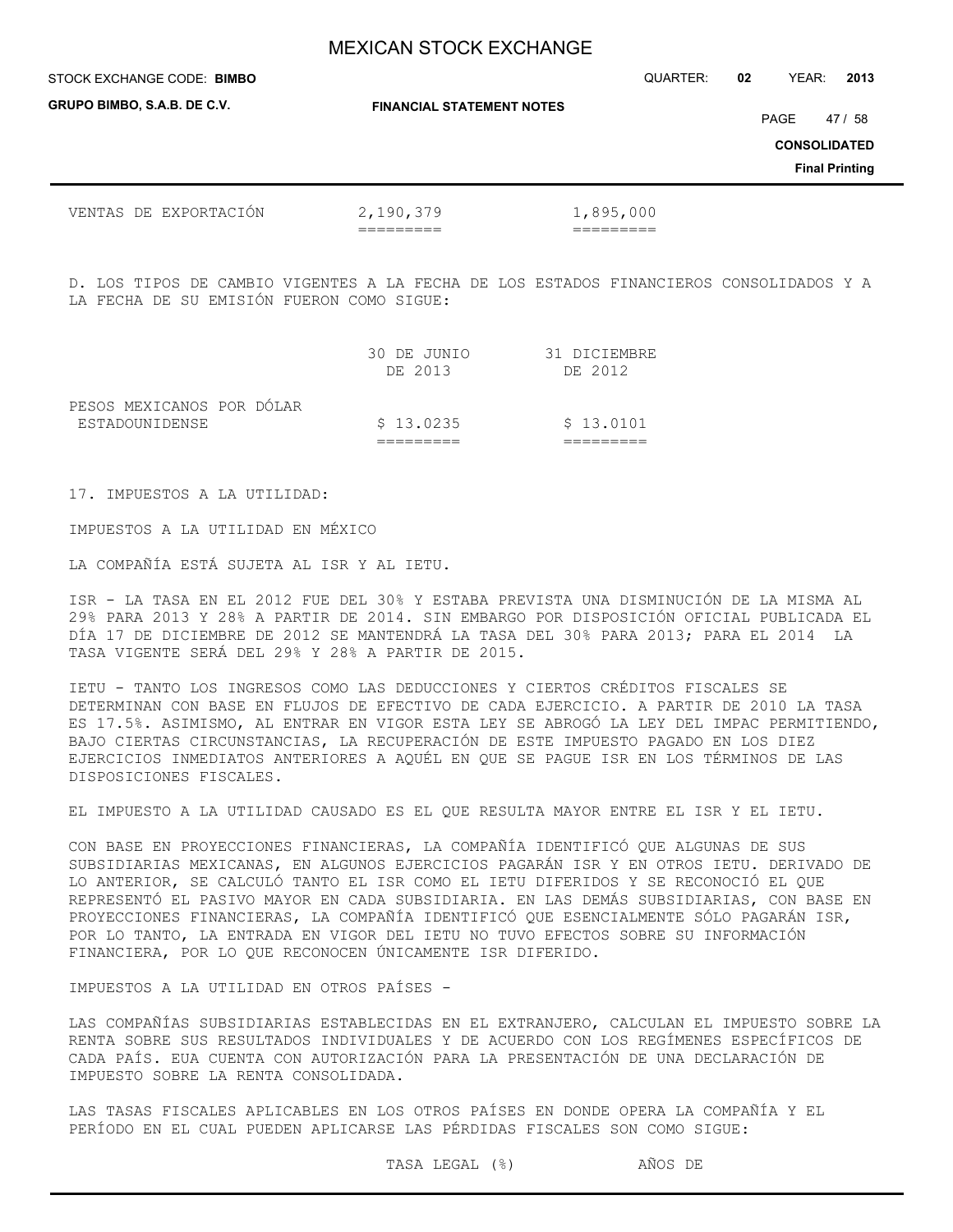| STOCK EXCHANGE CODE: BIMBO         |                                  | QUARTER:  | 02 | YEAR:               | 2013                  |
|------------------------------------|----------------------------------|-----------|----|---------------------|-----------------------|
| <b>GRUPO BIMBO, S.A.B. DE C.V.</b> | <b>FINANCIAL STATEMENT NOTES</b> |           |    | PAGE                | 47 / 58               |
|                                    |                                  |           |    | <b>CONSOLIDATED</b> |                       |
|                                    |                                  |           |    |                     | <b>Final Printing</b> |
| VENTAS DE EXPORTACIÓN              | 2,190,379                        | 1,895,000 |    |                     |                       |

D. LOS TIPOS DE CAMBIO VIGENTES A LA FECHA DE LOS ESTADOS FINANCIEROS CONSOLIDADOS Y A LA FECHA DE SU EMISIÓN FUERON COMO SIGUE:

|                           | 30 DE JUNIO<br>DE 2013 | 31 DICIEMBRE<br>DE 2012 |
|---------------------------|------------------------|-------------------------|
| PESOS MEXICANOS POR DÓLAR |                        |                         |
| ESTADOUNIDENSE            | \$13.0235              | \$13.0101               |
|                           |                        |                         |

17. IMPUESTOS A LA UTILIDAD:

IMPUESTOS A LA UTILIDAD EN MÉXICO

LA COMPAÑÍA ESTÁ SUJETA AL ISR Y AL IETU.

ISR - LA TASA EN EL 2012 FUE DEL 30% Y ESTABA PREVISTA UNA DISMINUCIÓN DE LA MISMA AL 29% PARA 2013 Y 28% A PARTIR DE 2014. SIN EMBARGO POR DISPOSICIÓN OFICIAL PUBLICADA EL DÍA 17 DE DICIEMBRE DE 2012 SE MANTENDRÁ LA TASA DEL 30% PARA 2013; PARA EL 2014 LA TASA VIGENTE SERÁ DEL 29% Y 28% A PARTIR DE 2015.

IETU - TANTO LOS INGRESOS COMO LAS DEDUCCIONES Y CIERTOS CRÉDITOS FISCALES SE DETERMINAN CON BASE EN FLUJOS DE EFECTIVO DE CADA EJERCICIO. A PARTIR DE 2010 LA TASA ES 17.5%. ASIMISMO, AL ENTRAR EN VIGOR ESTA LEY SE ABROGÓ LA LEY DEL IMPAC PERMITIENDO, BAJO CIERTAS CIRCUNSTANCIAS, LA RECUPERACIÓN DE ESTE IMPUESTO PAGADO EN LOS DIEZ EJERCICIOS INMEDIATOS ANTERIORES A AQUÉL EN QUE SE PAGUE ISR EN LOS TÉRMINOS DE LAS DISPOSICIONES FISCALES.

EL IMPUESTO A LA UTILIDAD CAUSADO ES EL QUE RESULTA MAYOR ENTRE EL ISR Y EL IETU.

CON BASE EN PROYECCIONES FINANCIERAS, LA COMPAÑÍA IDENTIFICÓ QUE ALGUNAS DE SUS SUBSIDIARIAS MEXICANAS, EN ALGUNOS EJERCICIOS PAGARÁN ISR Y EN OTROS IETU. DERIVADO DE LO ANTERIOR, SE CALCULÓ TANTO EL ISR COMO EL IETU DIFERIDOS Y SE RECONOCIÓ EL QUE REPRESENTÓ EL PASIVO MAYOR EN CADA SUBSIDIARIA. EN LAS DEMÁS SUBSIDIARIAS, CON BASE EN PROYECCIONES FINANCIERAS, LA COMPAÑÍA IDENTIFICÓ QUE ESENCIALMENTE SÓLO PAGARÁN ISR, POR LO TANTO, LA ENTRADA EN VIGOR DEL IETU NO TUVO EFECTOS SOBRE SU INFORMACIÓN FINANCIERA, POR LO QUE RECONOCEN ÚNICAMENTE ISR DIFERIDO.

IMPUESTOS A LA UTILIDAD EN OTROS PAÍSES -

LAS COMPAÑÍAS SUBSIDIARIAS ESTABLECIDAS EN EL EXTRANJERO, CALCULAN EL IMPUESTO SOBRE LA RENTA SOBRE SUS RESULTADOS INDIVIDUALES Y DE ACUERDO CON LOS REGÍMENES ESPECÍFICOS DE CADA PAÍS. EUA CUENTA CON AUTORIZACIÓN PARA LA PRESENTACIÓN DE UNA DECLARACIÓN DE IMPUESTO SOBRE LA RENTA CONSOLIDADA.

LAS TASAS FISCALES APLICABLES EN LOS OTROS PAÍSES EN DONDE OPERA LA COMPAÑÍA Y EL PERÍODO EN EL CUAL PUEDEN APLICARSE LAS PÉRDIDAS FISCALES SON COMO SIGUE:

TASA LEGAL (%) AÑOS DE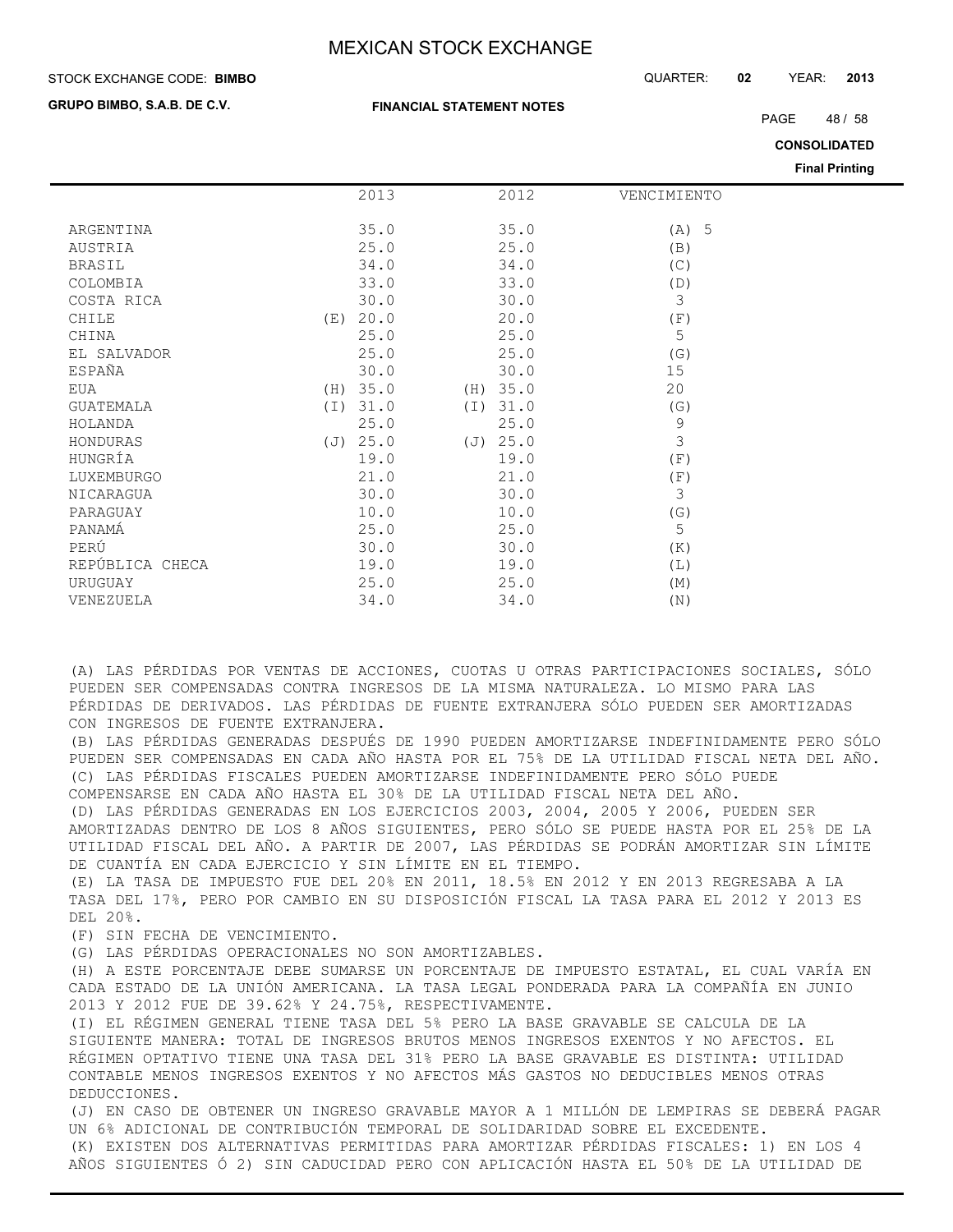**FINANCIAL STATEMENT NOTES**

#### STOCK EXCHANGE CODE: QUARTER: **02** YEAR: **2013 BIMBO**

**GRUPO BIMBO, S.A.B. DE C.V.**

PAGE 48 / 58

**CONSOLIDATED**

**Final Printing**

|                  |     |          |     |          |             | Final Printing |
|------------------|-----|----------|-----|----------|-------------|----------------|
|                  |     | 2013     |     | 2012     | VENCIMIENTO |                |
|                  |     |          |     |          |             |                |
| ARGENTINA        |     | 35.0     |     | 35.0     | $(A)$ 5     |                |
| AUSTRIA          |     | 25.0     |     | 25.0     | (B)         |                |
| <b>BRASIL</b>    |     | 34.0     |     | 34.0     | (C)         |                |
| COLOMBIA         |     | 33.0     |     | 33.0     | (D)         |                |
| COSTA RICA       |     | 30.0     |     | 30.0     | 3           |                |
| CHILE            | (E) | 20.0     |     | 20.0     | (F)         |                |
| CHINA            |     | 25.0     |     | 25.0     | 5           |                |
| EL SALVADOR      |     | 25.0     |     | 25.0     | (G)         |                |
| ESPAÑA           |     | 30.0     |     | 30.0     | 15          |                |
| EUA              |     | (H) 35.0 |     | (H) 35.0 | 20          |                |
| <b>GUATEMALA</b> | (I) | 31.0     | (I) | 31.0     | (G)         |                |
| HOLANDA          |     | 25.0     |     | 25.0     | 9           |                |
| HONDURAS         | (J) | 25.0     | (J) | 25.0     | 3           |                |
| HUNGRÍA          |     | 19.0     |     | 19.0     | (F)         |                |
| LUXEMBURGO       |     | 21.0     |     | 21.0     | (F)         |                |
| NICARAGUA        |     | 30.0     |     | 30.0     | 3           |                |
| PARAGUAY         |     | 10.0     |     | 10.0     | (G)         |                |
| PANAMÁ           |     | 25.0     |     | 25.0     | 5           |                |
| PERÚ             |     | 30.0     |     | 30.0     | (K)         |                |
| REPÚBLICA CHECA  |     | 19.0     |     | 19.0     | (L)         |                |
| URUGUAY          |     | 25.0     |     | 25.0     | (M)         |                |
| VENEZUELA        |     | 34.0     |     | 34.0     | (N)         |                |

(A) LAS PÉRDIDAS POR VENTAS DE ACCIONES, CUOTAS U OTRAS PARTICIPACIONES SOCIALES, SÓLO PUEDEN SER COMPENSADAS CONTRA INGRESOS DE LA MISMA NATURALEZA. LO MISMO PARA LAS PÉRDIDAS DE DERIVADOS. LAS PÉRDIDAS DE FUENTE EXTRANJERA SÓLO PUEDEN SER AMORTIZADAS CON INGRESOS DE FUENTE EXTRANJERA.

(B) LAS PÉRDIDAS GENERADAS DESPUÉS DE 1990 PUEDEN AMORTIZARSE INDEFINIDAMENTE PERO SÓLO PUEDEN SER COMPENSADAS EN CADA AÑO HASTA POR EL 75% DE LA UTILIDAD FISCAL NETA DEL AÑO. (C) LAS PÉRDIDAS FISCALES PUEDEN AMORTIZARSE INDEFINIDAMENTE PERO SÓLO PUEDE COMPENSARSE EN CADA AÑO HASTA EL 30% DE LA UTILIDAD FISCAL NETA DEL AÑO.

(D) LAS PÉRDIDAS GENERADAS EN LOS EJERCICIOS 2003, 2004, 2005 Y 2006, PUEDEN SER AMORTIZADAS DENTRO DE LOS 8 AÑOS SIGUIENTES, PERO SÓLO SE PUEDE HASTA POR EL 25% DE LA UTILIDAD FISCAL DEL AÑO. A PARTIR DE 2007, LAS PÉRDIDAS SE PODRÁN AMORTIZAR SIN LÍMITE DE CUANTÍA EN CADA EJERCICIO Y SIN LÍMITE EN EL TIEMPO.

(E) LA TASA DE IMPUESTO FUE DEL 20% EN 2011, 18.5% EN 2012 Y EN 2013 REGRESABA A LA TASA DEL 17%, PERO POR CAMBIO EN SU DISPOSICIÓN FISCAL LA TASA PARA EL 2012 Y 2013 ES DEL 20%.

(F) SIN FECHA DE VENCIMIENTO.

(G) LAS PÉRDIDAS OPERACIONALES NO SON AMORTIZABLES.

(H) A ESTE PORCENTAJE DEBE SUMARSE UN PORCENTAJE DE IMPUESTO ESTATAL, EL CUAL VARÍA EN CADA ESTADO DE LA UNIÓN AMERICANA. LA TASA LEGAL PONDERADA PARA LA COMPAÑÍA EN JUNIO 2013 Y 2012 FUE DE 39.62% Y 24.75%, RESPECTIVAMENTE.

(I) EL RÉGIMEN GENERAL TIENE TASA DEL 5% PERO LA BASE GRAVABLE SE CALCULA DE LA SIGUIENTE MANERA: TOTAL DE INGRESOS BRUTOS MENOS INGRESOS EXENTOS Y NO AFECTOS. EL RÉGIMEN OPTATIVO TIENE UNA TASA DEL 31% PERO LA BASE GRAVABLE ES DISTINTA: UTILIDAD CONTABLE MENOS INGRESOS EXENTOS Y NO AFECTOS MÁS GASTOS NO DEDUCIBLES MENOS OTRAS DEDUCCIONES.

(J) EN CASO DE OBTENER UN INGRESO GRAVABLE MAYOR A 1 MILLÓN DE LEMPIRAS SE DEBERÁ PAGAR UN 6% ADICIONAL DE CONTRIBUCIÓN TEMPORAL DE SOLIDARIDAD SOBRE EL EXCEDENTE. (K) EXISTEN DOS ALTERNATIVAS PERMITIDAS PARA AMORTIZAR PÉRDIDAS FISCALES: 1) EN LOS 4 AÑOS SIGUIENTES Ó 2) SIN CADUCIDAD PERO CON APLICACIÓN HASTA EL 50% DE LA UTILIDAD DE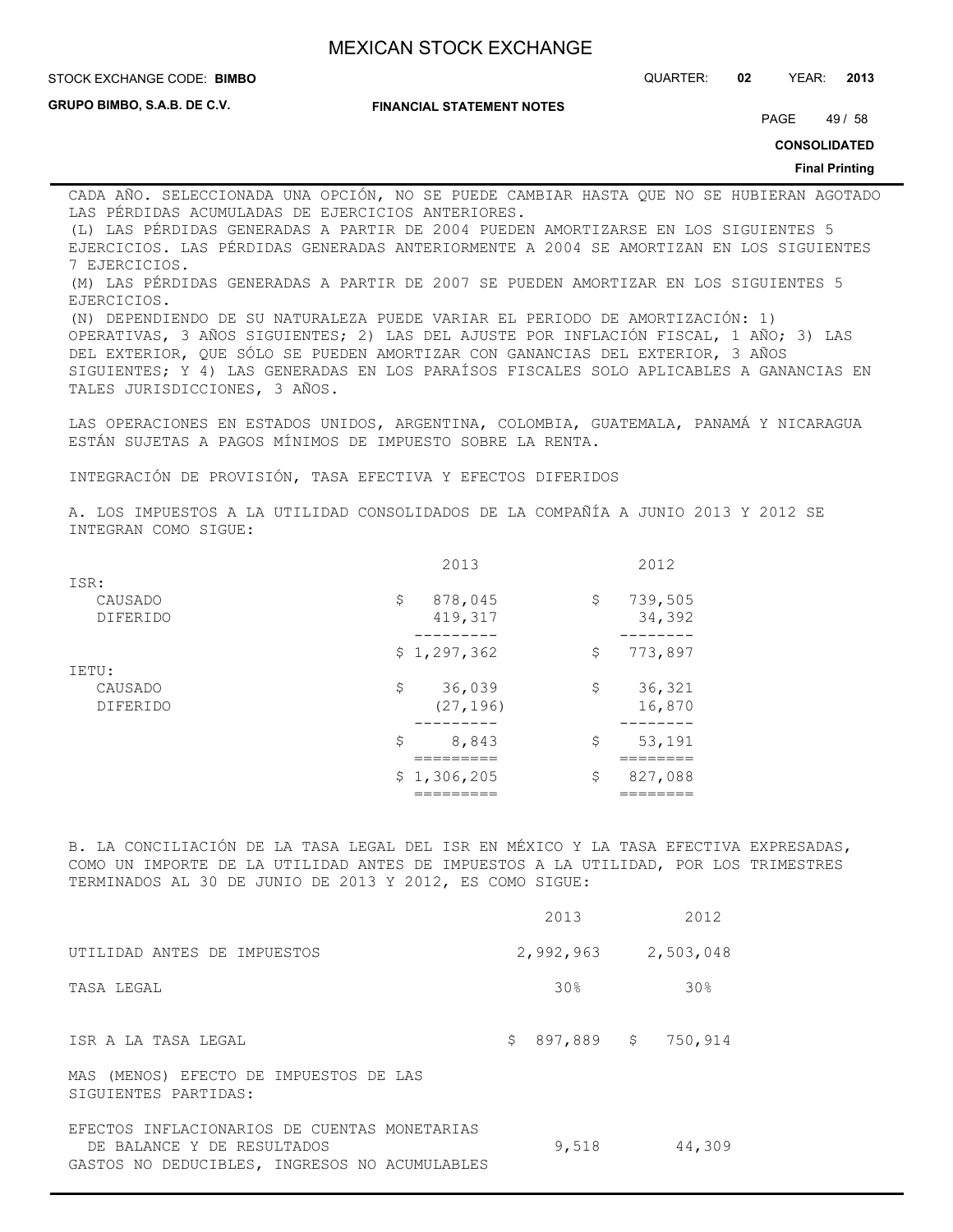**STOCK EXCHANGE CODE: BIMBO** 

STOCK EXCHANGE CODE: QUARTER: **02** YEAR: **2013**

**GRUPO BIMBO, S.A.B. DE C.V.**

#### **FINANCIAL STATEMENT NOTES**

PAGE 49 / 58

**CONSOLIDATED**

#### **Final Printing**

CADA AÑO. SELECCIONADA UNA OPCIÓN, NO SE PUEDE CAMBIAR HASTA QUE NO SE HUBIERAN AGOTADO LAS PÉRDIDAS ACUMULADAS DE EJERCICIOS ANTERIORES.

(L) LAS PÉRDIDAS GENERADAS A PARTIR DE 2004 PUEDEN AMORTIZARSE EN LOS SIGUIENTES 5 EJERCICIOS. LAS PÉRDIDAS GENERADAS ANTERIORMENTE A 2004 SE AMORTIZAN EN LOS SIGUIENTES 7 EJERCICIOS.

(M) LAS PÉRDIDAS GENERADAS A PARTIR DE 2007 SE PUEDEN AMORTIZAR EN LOS SIGUIENTES 5 EJERCICIOS.

(N) DEPENDIENDO DE SU NATURALEZA PUEDE VARIAR EL PERIODO DE AMORTIZACIÓN: 1) OPERATIVAS, 3 AÑOS SIGUIENTES; 2) LAS DEL AJUSTE POR INFLACIÓN FISCAL, 1 AÑO; 3) LAS DEL EXTERIOR, QUE SÓLO SE PUEDEN AMORTIZAR CON GANANCIAS DEL EXTERIOR, 3 AÑOS SIGUIENTES; Y 4) LAS GENERADAS EN LOS PARAÍSOS FISCALES SOLO APLICABLES A GANANCIAS EN TALES JURISDICCIONES, 3 AÑOS.

LAS OPERACIONES EN ESTADOS UNIDOS, ARGENTINA, COLOMBIA, GUATEMALA, PANAMÁ Y NICARAGUA ESTÁN SUJETAS A PAGOS MÍNIMOS DE IMPUESTO SOBRE LA RENTA.

INTEGRACIÓN DE PROVISIÓN, TASA EFECTIVA Y EFECTOS DIFERIDOS

A. LOS IMPUESTOS A LA UTILIDAD CONSOLIDADOS DE LA COMPAÑÍA A JUNIO 2013 Y 2012 SE INTEGRAN COMO SIGUE:

|                 | 2013          | 2012          |
|-----------------|---------------|---------------|
| ISR:            |               |               |
| CAUSADO         | \$<br>878,045 | \$<br>739,505 |
| <b>DIFERIDO</b> | 419,317       | 34,392        |
|                 |               |               |
|                 | \$1,297,362   | \$<br>773,897 |
| IETU:           |               |               |
| CAUSADO         | \$<br>36,039  | \$<br>36,321  |
| <b>DIFERIDO</b> | (27, 196)     | 16,870        |
|                 |               |               |
|                 | 8,843<br>\$   | \$<br>53,191  |
|                 |               |               |
|                 | \$1,306,205   | \$<br>827,088 |
|                 |               |               |

B. LA CONCILIACIÓN DE LA TASA LEGAL DEL ISR EN MÉXICO Y LA TASA EFECTIVA EXPRESADAS, COMO UN IMPORTE DE LA UTILIDAD ANTES DE IMPUESTOS A LA UTILIDAD, POR LOS TRIMESTRES TERMINADOS AL 30 DE JUNIO DE 2013 Y 2012, ES COMO SIGUE:

|                                                                                                                             | 2013          | 2012            |
|-----------------------------------------------------------------------------------------------------------------------------|---------------|-----------------|
| UTILIDAD ANTES DE IMPUESTOS                                                                                                 | 2,992,963     | 2,503,048       |
| TASA LEGAL                                                                                                                  | 30%           | 30 <sub>8</sub> |
| ISR A LA TASA LEGAL                                                                                                         | 897,889<br>\$ | \$<br>750,914   |
| MAS (MENOS) EFECTO DE IMPUESTOS DE LAS<br>SIGUIENTES PARTIDAS:                                                              |               |                 |
| EFECTOS INFLACIONARIOS DE CUENTAS MONETARIAS<br>DE BALANCE Y DE RESULTADOS<br>GASTOS NO DEDUCIBLES, INGRESOS NO ACUMULABLES | 9,518         | 44,309          |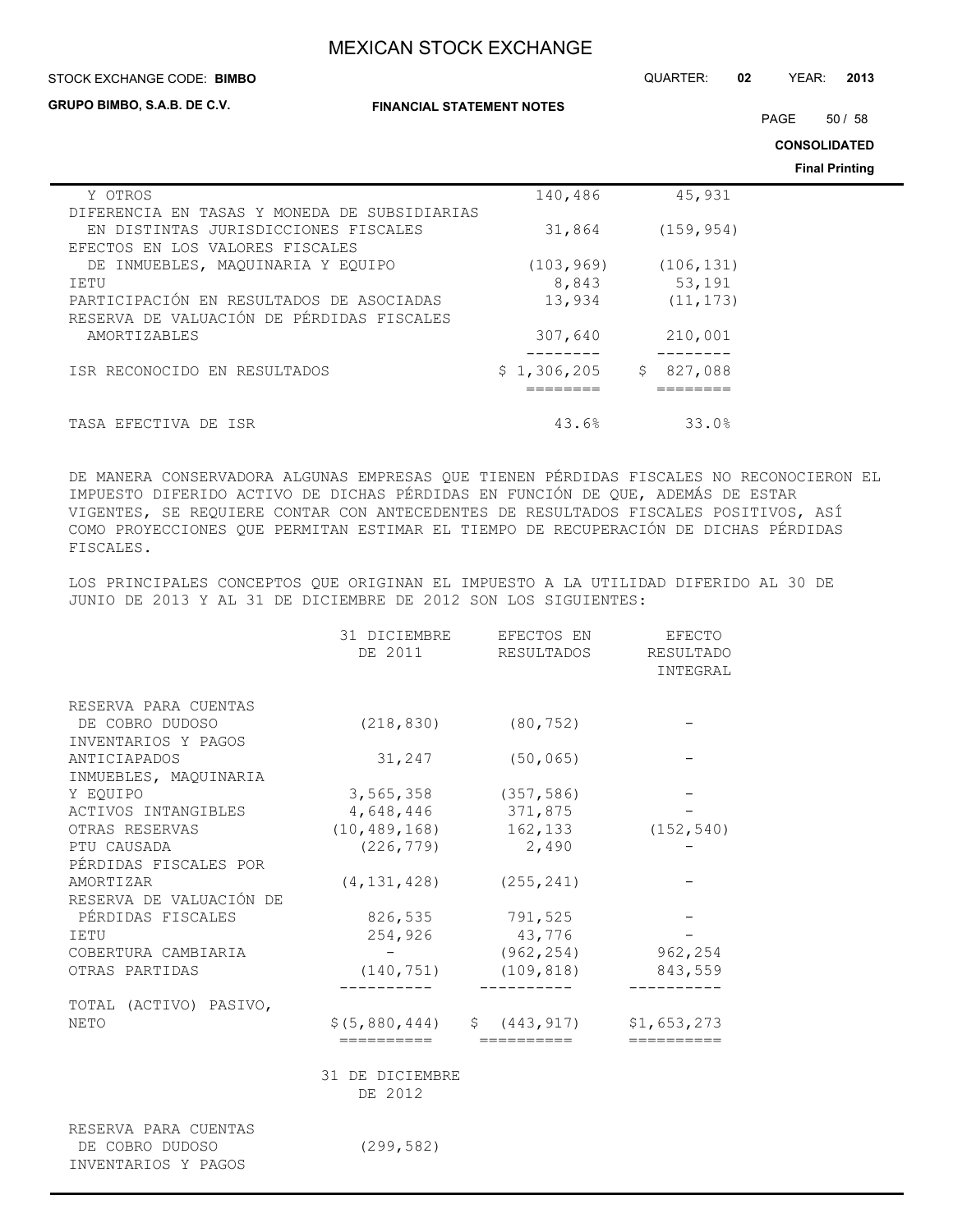| STOCK EXCHANGE CODE: BIMBO                   |                                  | QUARTER:<br>02 | YEAR: | 2013                  |
|----------------------------------------------|----------------------------------|----------------|-------|-----------------------|
| GRUPO BIMBO, S.A.B. DE C.V.                  | <b>FINANCIAL STATEMENT NOTES</b> |                | PAGE  | 50/58                 |
|                                              |                                  |                |       | <b>CONSOLIDATED</b>   |
|                                              |                                  |                |       | <b>Final Printing</b> |
| Y OTROS                                      | 140,486                          | 45,931         |       |                       |
| DIFERENCIA EN TASAS Y MONEDA DE SUBSIDIARIAS |                                  |                |       |                       |
| EN DISTINTAS JURISDICCIONES FISCALES         | 31,864                           | (159, 954)     |       |                       |
| EFECTOS EN LOS VALORES FISCALES              |                                  |                |       |                       |
| INMUEBLES, MAOUINARIA Y EOUIPO<br>DE         | (103, 969)                       | (106, 131)     |       |                       |
| IETU                                         | 8,843                            | 53,191         |       |                       |
| PARTICIPACIÓN EN RESULTADOS DE ASOCIADAS     | 13,934                           | (11, 173)      |       |                       |
| RESERVA DE VALUACIÓN DE PÉRDIDAS FISCALES    |                                  |                |       |                       |
| AMORTIZABLES                                 | 307,640                          | 210,001        |       |                       |
| ISR RECONOCIDO EN RESULTADOS                 | \$1,306,205                      | 827,088<br>S   |       |                       |
|                                              |                                  |                |       |                       |
| TASA EFECTIVA DE ISR                         | 43.6%                            | 33.0%          |       |                       |

DE MANERA CONSERVADORA ALGUNAS EMPRESAS QUE TIENEN PÉRDIDAS FISCALES NO RECONOCIERON EL IMPUESTO DIFERIDO ACTIVO DE DICHAS PÉRDIDAS EN FUNCIÓN DE QUE, ADEMÁS DE ESTAR VIGENTES, SE REQUIERE CONTAR CON ANTECEDENTES DE RESULTADOS FISCALES POSITIVOS, ASÍ COMO PROYECCIONES QUE PERMITAN ESTIMAR EL TIEMPO DE RECUPERACIÓN DE DICHAS PÉRDIDAS FISCALES.

LOS PRINCIPALES CONCEPTOS QUE ORIGINAN EL IMPUESTO A LA UTILIDAD DIFERIDO AL 30 DE JUNIO DE 2013 Y AL 31 DE DICIEMBRE DE 2012 SON LOS SIGUIENTES:

|                                        | 31 DICIEMBRE    | EFECTOS EN                               | EFECTO                       |
|----------------------------------------|-----------------|------------------------------------------|------------------------------|
|                                        | DE 2011         | RESULTADOS                               | <b>RESULTADO</b><br>INTEGRAL |
|                                        |                 |                                          |                              |
| RESERVA PARA CUENTAS                   |                 |                                          |                              |
| DE COBRO DUDOSO                        | (218, 830)      | (80, 752)                                |                              |
| INVENTARIOS Y PAGOS                    |                 |                                          |                              |
| ANTICIAPADOS                           | 31,247          | (50, 065)                                |                              |
| INMUEBLES, MAQUINARIA                  |                 |                                          |                              |
| Y EOUIPO                               | 3,565,358       | (357, 586)                               |                              |
| ACTIVOS INTANGIBLES                    |                 | 4,648,446 371,875                        |                              |
| OTRAS RESERVAS                         | (10, 489, 168)  | 162,133                                  | (152, 540)                   |
| PTU CAUSADA                            | (226, 779)      | 2,490                                    |                              |
| PÉRDIDAS FISCALES POR                  |                 |                                          |                              |
| AMORTIZAR                              | (4, 131, 428)   | (255, 241)                               |                              |
| RESERVA DE VALUACIÓN DE                |                 |                                          |                              |
| PÉRDIDAS FISCALES                      | 826,535         | 791,525                                  |                              |
| <b>IETU</b>                            | 254,926         | 43,776                                   |                              |
| COBERTURA CAMBIARIA                    |                 | (962, 254)                               | 962,254                      |
| OTRAS PARTIDAS                         | (140, 751)      | (109, 818)                               | 843,559                      |
| TOTAL (ACTIVO) PASIVO,                 |                 |                                          |                              |
| <b>NETO</b>                            |                 | $$(5,880,444)$ $$(443,917)$ $$1,653,273$ |                              |
|                                        | ==========      | ==========                               | ==========                   |
|                                        | 31 DE DICIEMBRE |                                          |                              |
|                                        | DE 2012         |                                          |                              |
| RESERVA PARA CUENTAS                   |                 |                                          |                              |
| DE COBRO DUDOSO<br>INVENTARIOS Y PAGOS | (299, 582)      |                                          |                              |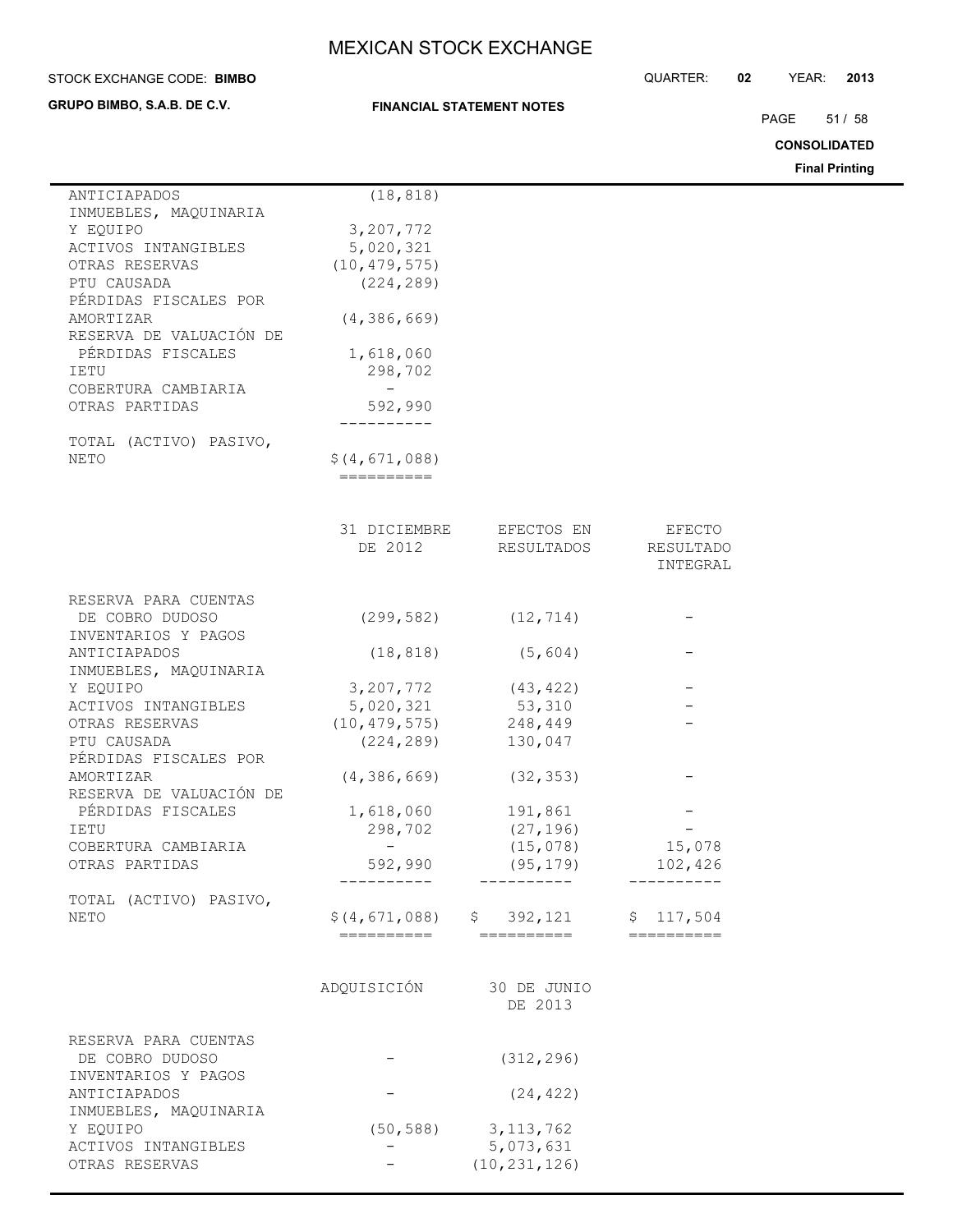**GRUPO BIMBO, S.A.B. DE C.V.**

## **FINANCIAL STATEMENT NOTES**

STOCK EXCHANGE CODE: QUARTER: **02** YEAR: **2013 BIMBO**

PAGE 51 / 58

**CONSOLIDATED**

**Final Printing**

| ANTICIAPADOS            | (18, 818)                 |                              |                |
|-------------------------|---------------------------|------------------------------|----------------|
| INMUEBLES, MAQUINARIA   |                           |                              |                |
| Y EOUIPO                | 3,207,772                 |                              |                |
| ACTIVOS INTANGIBLES     | 5,020,321                 |                              |                |
| OTRAS RESERVAS          | (10, 479, 575)            |                              |                |
| PTU CAUSADA             |                           |                              |                |
|                         | (224, 289)                |                              |                |
| PÉRDIDAS FISCALES POR   |                           |                              |                |
| AMORTIZAR               | (4, 386, 669)             |                              |                |
| RESERVA DE VALUACIÓN DE |                           |                              |                |
| PÉRDIDAS FISCALES       | 1,618,060                 |                              |                |
| IETU                    | 298,702                   |                              |                |
| COBERTURA CAMBIARIA     |                           |                              |                |
| OTRAS PARTIDAS          | 592,990                   |                              |                |
|                         |                           |                              |                |
| TOTAL (ACTIVO) PASIVO,  |                           |                              |                |
| NETO                    | \$(4, 671, 088)           |                              |                |
|                         | ==========                |                              |                |
|                         |                           |                              |                |
|                         |                           |                              |                |
|                         | 31 DICIEMBRE              | EFECTOS EN                   | EFECTO         |
|                         | DE 2012                   | RESULTADOS                   | RESULTADO      |
|                         |                           |                              | INTEGRAL       |
|                         |                           |                              |                |
| RESERVA PARA CUENTAS    |                           |                              |                |
| DE COBRO DUDOSO         | (299, 582)                | (12, 714)                    |                |
| INVENTARIOS Y PAGOS     |                           |                              |                |
| ANTICIAPADOS            | (18, 818)                 | (5, 604)                     |                |
|                         |                           |                              |                |
| INMUEBLES, MAQUINARIA   |                           |                              |                |
| Y EQUIPO                | 3, 207, 772               | (43, 422)                    |                |
| ACTIVOS INTANGIBLES     | 5,020,321                 | 53,310                       |                |
| OTRAS RESERVAS          | (10, 479, 575)            | 248,449                      |                |
| PTU CAUSADA             | (224, 289)                | 130,047                      |                |
| PÉRDIDAS FISCALES POR   |                           |                              |                |
| AMORTIZAR               | (4, 386, 669)             | (32, 353)                    |                |
| RESERVA DE VALUACIÓN DE |                           |                              |                |
| PÉRDIDAS FISCALES       | 1,618,060                 | 191,861                      |                |
| IETU                    | 298,702                   | (27, 196)                    |                |
| COBERTURA CAMBIARIA     |                           | (15, 078)                    | 15,078         |
| OTRAS PARTIDAS          | 592,990                   | (95, 179)                    | 102,426        |
|                         |                           |                              |                |
| TOTAL (ACTIVO) PASIVO,  |                           |                              |                |
| NETO                    |                           | $$(4, 671, 088)$ $$392, 121$ | \$117,504      |
|                         | ========================= |                              | $=$ ========== |
|                         |                           |                              |                |
|                         |                           |                              |                |
|                         | ADQUISICIÓN               | 30 DE JUNIO                  |                |
|                         |                           | DE 2013                      |                |
|                         |                           |                              |                |
| RESERVA PARA CUENTAS    |                           |                              |                |
| DE COBRO DUDOSO         |                           | (312, 296)                   |                |
| INVENTARIOS Y PAGOS     |                           |                              |                |
| ANTICIAPADOS            |                           | (24, 422)                    |                |
|                         |                           |                              |                |
| INMUEBLES, MAQUINARIA   |                           |                              |                |
| Y EQUIPO                |                           | $(50, 588)$ 3, 113, 762      |                |
| ACTIVOS INTANGIBLES     |                           | 5,073,631                    |                |
| OTRAS RESERVAS          |                           | (10, 231, 126)               |                |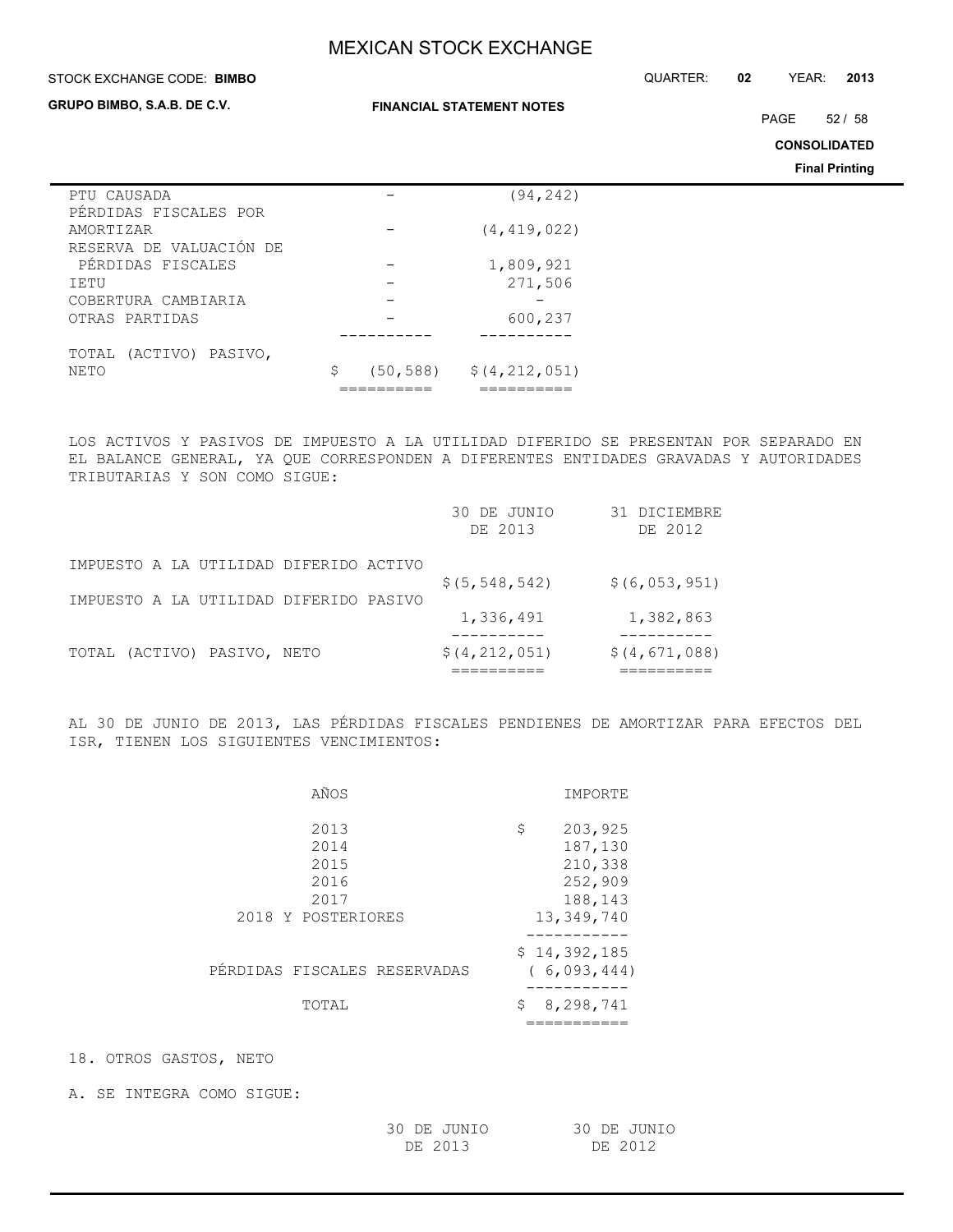## **STOCK EXCHANGE CODE: BIMBO**

STOCK EXCHANGE CODE: QUARTER: **02** YEAR: **2013**

## **GRUPO BIMBO, S.A.B. DE C.V.**

**FINANCIAL STATEMENT NOTES**

PAGE 52 / 58

**CONSOLIDATED**

**Final Printing**

| (94, 242)     |                                      |
|---------------|--------------------------------------|
|               |                                      |
|               |                                      |
| (4, 419, 022) |                                      |
|               |                                      |
| 1,809,921     |                                      |
| 271,506       |                                      |
|               |                                      |
| 600,237       |                                      |
|               |                                      |
|               |                                      |
| \$            |                                      |
|               |                                      |
|               | $(50, 588)$ $\frac{212}{100}$ , 589) |

LOS ACTIVOS Y PASIVOS DE IMPUESTO A LA UTILIDAD DIFERIDO SE PRESENTAN POR SEPARADO EN EL BALANCE GENERAL, YA QUE CORRESPONDEN A DIFERENTES ENTIDADES GRAVADAS Y AUTORIDADES TRIBUTARIAS Y SON COMO SIGUE:

|                                        | 30 DE JUNIO<br>DE 2013 | 31 DICIEMBRE<br>DE 2012 |
|----------------------------------------|------------------------|-------------------------|
| IMPUESTO A LA UTILIDAD DIFERIDO ACTIVO | \$(5, 548, 542)        | \$ (6, 053, 951)        |
| IMPUESTO A LA UTILIDAD DIFERIDO PASIVO | 1,336,491              | 1,382,863               |
| (ACTIVO) PASIVO, NETO<br>TOTAL         | \$(4, 212, 051)        | \$(4, 671, 088)         |

AL 30 DE JUNIO DE 2013, LAS PÉRDIDAS FISCALES PENDIENES DE AMORTIZAR PARA EFECTOS DEL ISR, TIENEN LOS SIGUIENTES VENCIMIENTOS:

| AÑOS                         | IMPORTE                     |
|------------------------------|-----------------------------|
| 2013                         | \$<br>203,925               |
| 2014                         | 187,130                     |
| 2015                         | 210,338                     |
| 2016                         | 252,909                     |
| 2017                         | 188,143                     |
| 2018 Y POSTERIORES           | 13, 349, 740                |
| PÉRDIDAS FISCALES RESERVADAS | \$14,392,185<br>(6,093,444) |
| TOTAL                        | 8,298,741<br>\$             |
|                              |                             |

18. OTROS GASTOS, NETO

A. SE INTEGRA COMO SIGUE:

| 30 DE JUNIO | 30 DE JUNIO |
|-------------|-------------|
| DE 2013     | DE 2012     |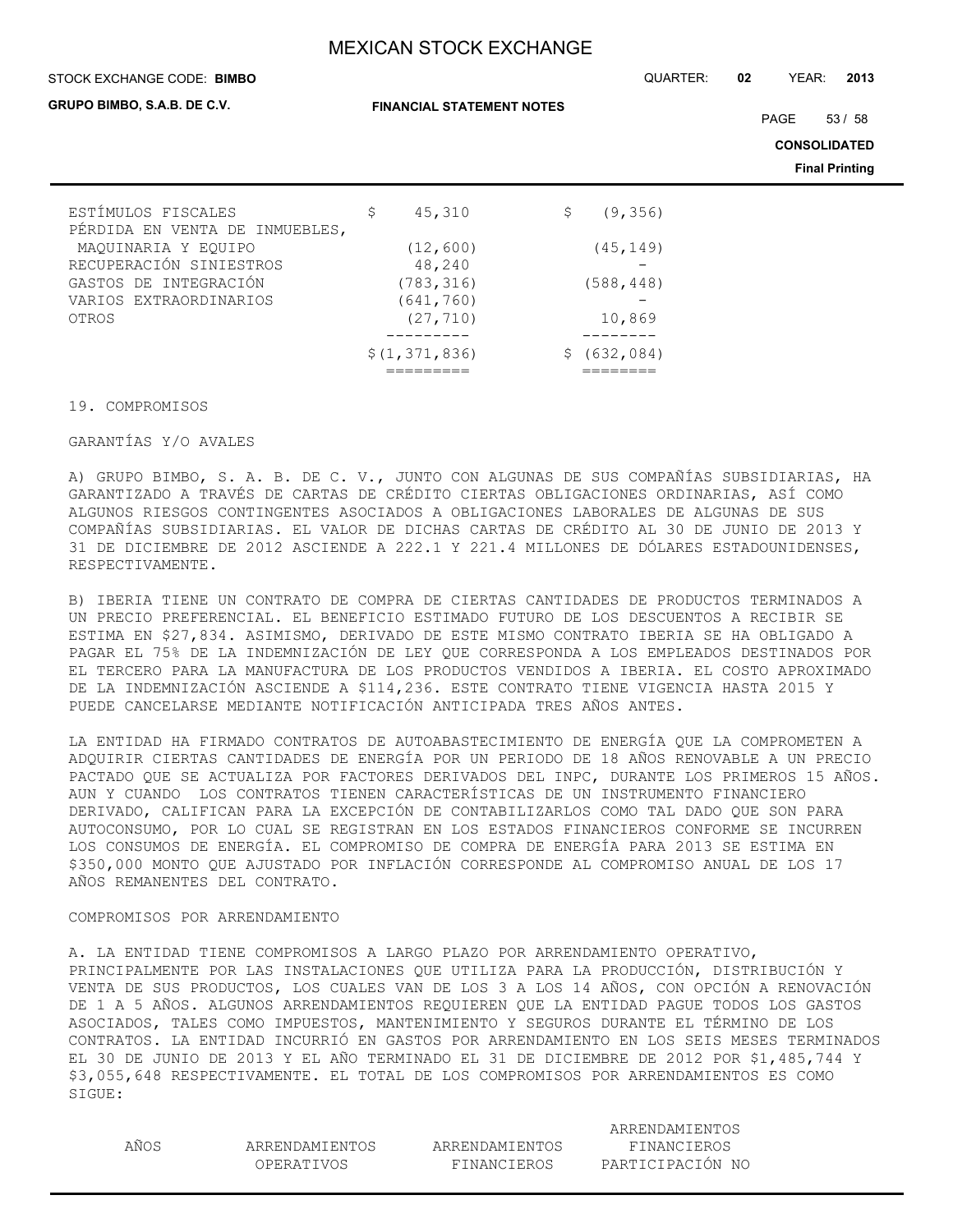#### STOCK EXCHANGE CODE: QUARTER: **02** YEAR: **2013 BIMBO**

#### **GRUPO BIMBO, S.A.B. DE C.V.**

**FINANCIAL STATEMENT NOTES**

PAGE 53/58

**CONSOLIDATED**

**Final Printing**

| ESTÍMULOS FISCALES             | 45,310<br>\$    | (9, 356)<br>S |
|--------------------------------|-----------------|---------------|
| PÉRDIDA EN VENTA DE INMUEBLES, |                 |               |
| MAQUINARIA Y EQUIPO            | (12, 600)       | (45, 149)     |
| RECUPERACIÓN SINIESTROS        | 48,240          |               |
| GASTOS DE INTEGRACIÓN          | (783, 316)      | (588, 448)    |
| VARIOS EXTRAORDINARIOS         | (641, 760)      |               |
| OTROS                          | (27, 710)       | 10,869        |
|                                |                 |               |
|                                | \$(1, 371, 836) | \$(632,084)   |
|                                |                 |               |

### 19. COMPROMISOS

## GARANTÍAS Y/O AVALES

A) GRUPO BIMBO, S. A. B. DE C. V., JUNTO CON ALGUNAS DE SUS COMPAÑÍAS SUBSIDIARIAS, HA GARANTIZADO A TRAVÉS DE CARTAS DE CRÉDITO CIERTAS OBLIGACIONES ORDINARIAS, ASÍ COMO ALGUNOS RIESGOS CONTINGENTES ASOCIADOS A OBLIGACIONES LABORALES DE ALGUNAS DE SUS COMPAÑÍAS SUBSIDIARIAS. EL VALOR DE DICHAS CARTAS DE CRÉDITO AL 30 DE JUNIO DE 2013 Y 31 DE DICIEMBRE DE 2012 ASCIENDE A 222.1 Y 221.4 MILLONES DE DÓLARES ESTADOUNIDENSES, RESPECTIVAMENTE.

B) IBERIA TIENE UN CONTRATO DE COMPRA DE CIERTAS CANTIDADES DE PRODUCTOS TERMINADOS A UN PRECIO PREFERENCIAL. EL BENEFICIO ESTIMADO FUTURO DE LOS DESCUENTOS A RECIBIR SE ESTIMA EN \$27,834. ASIMISMO, DERIVADO DE ESTE MISMO CONTRATO IBERIA SE HA OBLIGADO A PAGAR EL 75% DE LA INDEMNIZACIÓN DE LEY QUE CORRESPONDA A LOS EMPLEADOS DESTINADOS POR EL TERCERO PARA LA MANUFACTURA DE LOS PRODUCTOS VENDIDOS A IBERIA. EL COSTO APROXIMADO DE LA INDEMNIZACIÓN ASCIENDE A \$114,236. ESTE CONTRATO TIENE VIGENCIA HASTA 2015 Y PUEDE CANCELARSE MEDIANTE NOTIFICACIÓN ANTICIPADA TRES AÑOS ANTES.

LA ENTIDAD HA FIRMADO CONTRATOS DE AUTOABASTECIMIENTO DE ENERGÍA QUE LA COMPROMETEN A ADQUIRIR CIERTAS CANTIDADES DE ENERGÍA POR UN PERIODO DE 18 AÑOS RENOVABLE A UN PRECIO PACTADO QUE SE ACTUALIZA POR FACTORES DERIVADOS DEL INPC, DURANTE LOS PRIMEROS 15 AÑOS. AUN Y CUANDO LOS CONTRATOS TIENEN CARACTERÍSTICAS DE UN INSTRUMENTO FINANCIERO DERIVADO, CALIFICAN PARA LA EXCEPCIÓN DE CONTABILIZARLOS COMO TAL DADO QUE SON PARA AUTOCONSUMO, POR LO CUAL SE REGISTRAN EN LOS ESTADOS FINANCIEROS CONFORME SE INCURREN LOS CONSUMOS DE ENERGÍA. EL COMPROMISO DE COMPRA DE ENERGÍA PARA 2013 SE ESTIMA EN \$350,000 MONTO QUE AJUSTADO POR INFLACIÓN CORRESPONDE AL COMPROMISO ANUAL DE LOS 17 AÑOS REMANENTES DEL CONTRATO.

## COMPROMISOS POR ARRENDAMIENTO

A. LA ENTIDAD TIENE COMPROMISOS A LARGO PLAZO POR ARRENDAMIENTO OPERATIVO, PRINCIPALMENTE POR LAS INSTALACIONES QUE UTILIZA PARA LA PRODUCCIÓN, DISTRIBUCIÓN Y VENTA DE SUS PRODUCTOS, LOS CUALES VAN DE LOS 3 A LOS 14 AÑOS, CON OPCIÓN A RENOVACIÓN DE 1 A 5 AÑOS. ALGUNOS ARRENDAMIENTOS REQUIEREN QUE LA ENTIDAD PAGUE TODOS LOS GASTOS ASOCIADOS, TALES COMO IMPUESTOS, MANTENIMIENTO Y SEGUROS DURANTE EL TÉRMINO DE LOS CONTRATOS. LA ENTIDAD INCURRIÓ EN GASTOS POR ARRENDAMIENTO EN LOS SEIS MESES TERMINADOS EL 30 DE JUNIO DE 2013 Y EL AÑO TERMINADO EL 31 DE DICIEMBRE DE 2012 POR \$1,485,744 Y \$3,055,648 RESPECTIVAMENTE. EL TOTAL DE LOS COMPROMISOS POR ARRENDAMIENTOS ES COMO SIGUE:

| ۰,<br>٧ |
|---------|
|         |

ARRENDAMIENTOS ARRENDAMIENTOS FINANCIEROS

 ARRENDAMIENTOS OPERATIVOS FINANCIEROS PARTICIPACIÓN NO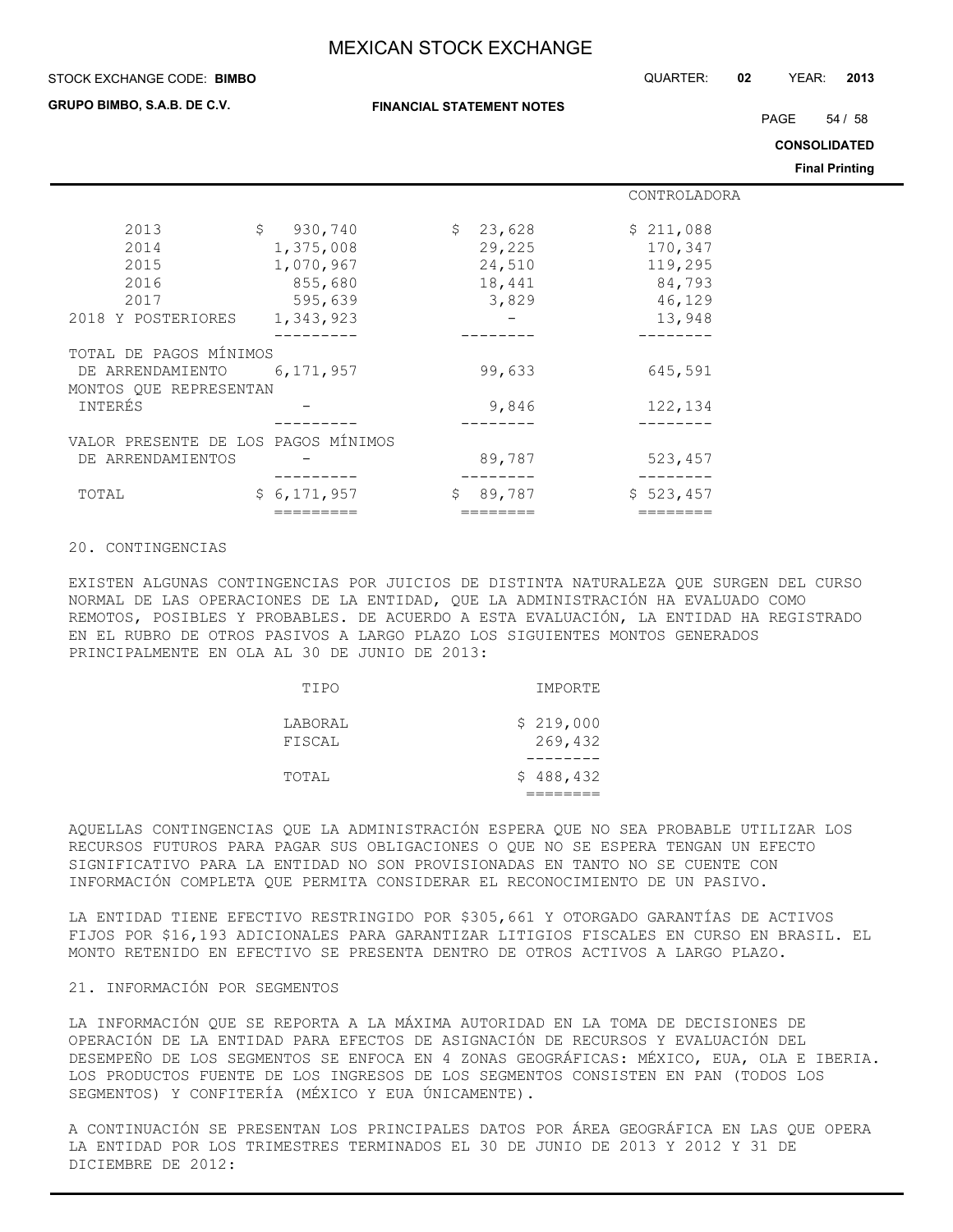#### STOCK EXCHANGE CODE: QUARTER: **02** YEAR: **2013 BIMBO**

**GRUPO BIMBO, S.A.B. DE C.V.**

PAGE 54 / 58

**CONSOLIDATED**

**Final Printing**

|                                     |                         |          | CONTROLADORA |
|-------------------------------------|-------------------------|----------|--------------|
|                                     |                         |          |              |
| 2013                                | $\mathsf{S}$<br>930,740 | \$23,628 | \$211,088    |
| 2014                                | 1,375,008               | 29,225   | 170,347      |
| 2015                                | 1,070,967               | 24,510   | 119,295      |
| 2016                                | 855,680                 | 18,441   | 84,793       |
| 2017                                | 595,639                 | 3,829    | 46,129       |
| 2018 Y POSTERIORES                  | 1,343,923               |          | 13,948       |
|                                     |                         |          |              |
| TOTAL DE PAGOS MÍNIMOS              |                         |          |              |
| DE ARRENDAMIENTO                    | 6,171,957               | 99,633   | 645,591      |
| MONTOS OUE REPRESENTAN              |                         |          |              |
| <b>INTERÉS</b>                      |                         | 9,846    | 122,134      |
|                                     |                         |          |              |
| VALOR PRESENTE DE LOS PAGOS MÍNIMOS |                         |          |              |
| DE ARRENDAMIENTOS                   |                         | 89,787   | 523,457      |
|                                     |                         |          |              |
| TOTAL                               | \$6,171,957             | \$89,787 | \$523,457    |
|                                     |                         |          |              |

## 20. CONTINGENCIAS

EXISTEN ALGUNAS CONTINGENCIAS POR JUICIOS DE DISTINTA NATURALEZA QUE SURGEN DEL CURSO NORMAL DE LAS OPERACIONES DE LA ENTIDAD, QUE LA ADMINISTRACIÓN HA EVALUADO COMO REMOTOS, POSIBLES Y PROBABLES. DE ACUERDO A ESTA EVALUACIÓN, LA ENTIDAD HA REGISTRADO EN EL RUBRO DE OTROS PASIVOS A LARGO PLAZO LOS SIGUIENTES MONTOS GENERADOS PRINCIPALMENTE EN OLA AL 30 DE JUNIO DE 2013:

| TIPO              | IMPORTE              |
|-------------------|----------------------|
| LABORAL<br>FISCAL | \$219,000<br>269,432 |
| TOTAL             | \$488,432            |

AQUELLAS CONTINGENCIAS QUE LA ADMINISTRACIÓN ESPERA QUE NO SEA PROBABLE UTILIZAR LOS RECURSOS FUTUROS PARA PAGAR SUS OBLIGACIONES O QUE NO SE ESPERA TENGAN UN EFECTO SIGNIFICATIVO PARA LA ENTIDAD NO SON PROVISIONADAS EN TANTO NO SE CUENTE CON INFORMACIÓN COMPLETA QUE PERMITA CONSIDERAR EL RECONOCIMIENTO DE UN PASIVO.

LA ENTIDAD TIENE EFECTIVO RESTRINGIDO POR \$305,661 Y OTORGADO GARANTÍAS DE ACTIVOS FIJOS POR \$16,193 ADICIONALES PARA GARANTIZAR LITIGIOS FISCALES EN CURSO EN BRASIL. EL MONTO RETENIDO EN EFECTIVO SE PRESENTA DENTRO DE OTROS ACTIVOS A LARGO PLAZO.

#### 21. INFORMACIÓN POR SEGMENTOS

LA INFORMACIÓN QUE SE REPORTA A LA MÁXIMA AUTORIDAD EN LA TOMA DE DECISIONES DE OPERACIÓN DE LA ENTIDAD PARA EFECTOS DE ASIGNACIÓN DE RECURSOS Y EVALUACIÓN DEL DESEMPEÑO DE LOS SEGMENTOS SE ENFOCA EN 4 ZONAS GEOGRÁFICAS: MÉXICO, EUA, OLA E IBERIA. LOS PRODUCTOS FUENTE DE LOS INGRESOS DE LOS SEGMENTOS CONSISTEN EN PAN (TODOS LOS SEGMENTOS) Y CONFITERÍA (MÉXICO Y EUA ÚNICAMENTE).

A CONTINUACIÓN SE PRESENTAN LOS PRINCIPALES DATOS POR ÁREA GEOGRÁFICA EN LAS QUE OPERA LA ENTIDAD POR LOS TRIMESTRES TERMINADOS EL 30 DE JUNIO DE 2013 Y 2012 Y 31 DE DICIEMBRE DE 2012: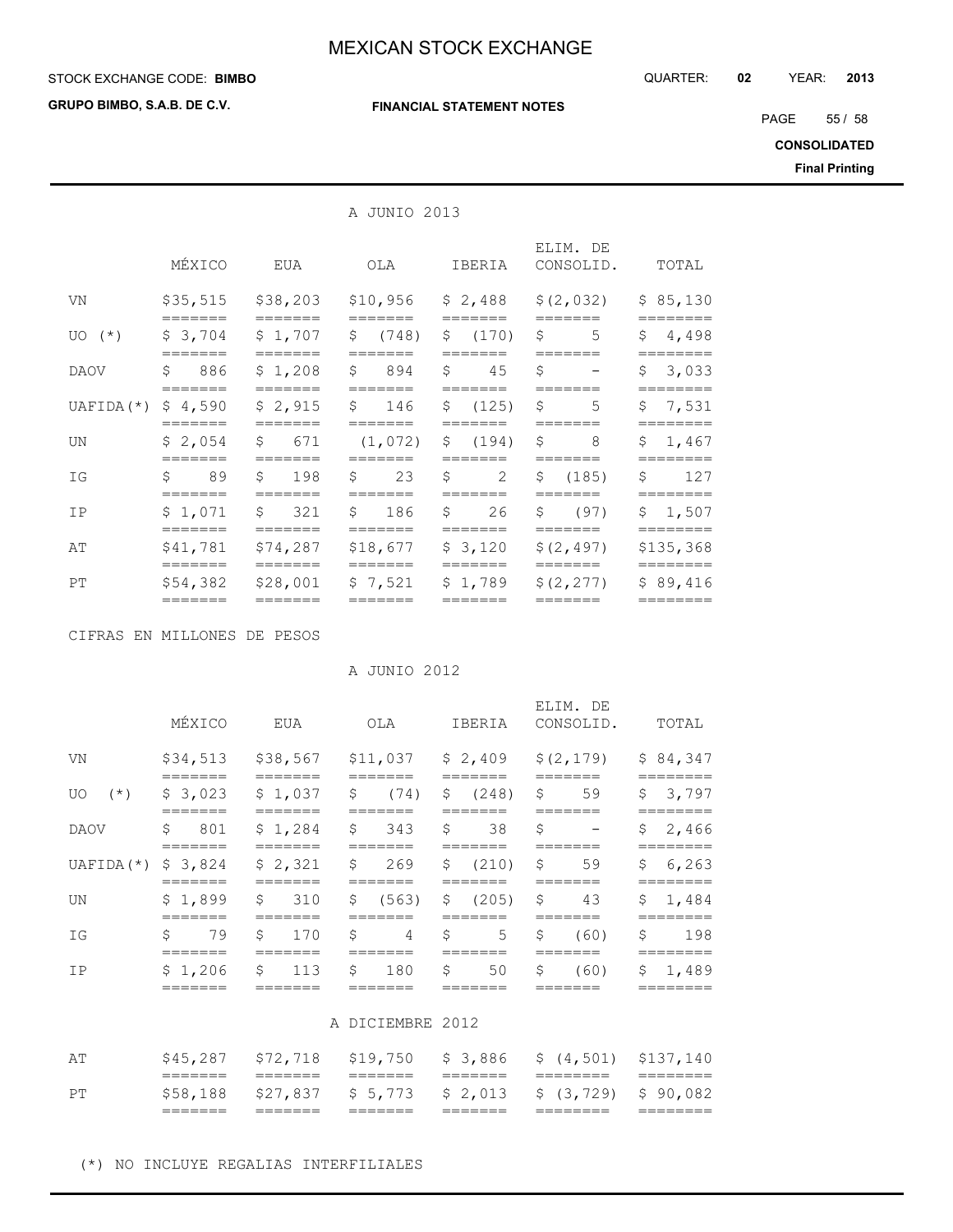## **STOCK EXCHANGE CODE: BIMBO**

**GRUPO BIMBO, S.A.B. DE C.V.**

#### **FINANCIAL STATEMENT NOTES**

STOCK EXCHANGE CODE: QUARTER: **02** YEAR: **2013**

PAGE 55 / 58

**CONSOLIDATED**

**Final Printing**

## A JUNIO 2013

|                       | MÉXICO               | EUA                                 | OLA                               | IBERIA              | ELIM. DE<br>CONSOLID. | TOTAL                 |
|-----------------------|----------------------|-------------------------------------|-----------------------------------|---------------------|-----------------------|-----------------------|
| VN                    | \$35,515<br>=======  | \$38,203<br>=======                 | \$10,956<br>=======               | \$2,488<br>=======  | \$(2, 032)<br>======= | \$85,130<br>========  |
| $UO(*)$               | \$3,704              | \$1,707                             | S<br>(748)<br>_______             | \$(170)             | Ŝ.<br>5               | \$4,498               |
| DAOV                  | \$<br>886<br>======= | \$1,208                             | \$894<br>=======                  | Ŝ.<br>45<br>======= | Ŝ.<br>=======         | \$3,033<br>========   |
| UAFIDA $(*)$ \$ 4,590 | =======              | \$2,915<br>=======                  | $\mathsf{S}$<br>146<br>$=$ ====== | \$ (125)<br>======= | \$<br>5<br>=======    | \$7,531<br>========   |
| UN                    | \$2,054<br>=======   | $\mathsf{S}$<br>671<br>=======      | (1, 072)<br>=======               | \$ (194)            | \$<br>8<br>=======    | \$1,467<br>========   |
| IG                    | Ŝ.<br>89<br>=======  | S<br>198<br>=======                 | Ŝ.<br>23<br>=======               | S<br>2<br>=======   | \$ (185)<br>=======   | Ŝ.<br>127<br>======== |
| IP                    | \$1,071<br>=======   | \$321<br>=======                    | \$ 186<br>=======                 | Ŝ.<br>26<br>======= | \$ (97)<br>=======    | \$1,507               |
| AΤ                    | \$41,781<br>=======  | \$74,287<br>=======                 | \$18,677<br>=======               | \$3,120<br>=======  | \$(2, 497)<br>======= | \$135,368<br>======== |
| PT                    | \$54,382<br>=======  | \$28,001<br>$=$ $=$ $=$ $=$ $=$ $=$ | \$7.521<br>=======                | \$1,789<br>=======  | \$(2, 277)<br>======= | \$89,416<br>========  |

CIFRAS EN MILLONES DE PESOS

A JUNIO 2012

|                      | MÉXICO               | EUA                | OLA                              | IBERIA              | ELIM. DE<br>CONSOLID.                     | TOTAL                  |
|----------------------|----------------------|--------------------|----------------------------------|---------------------|-------------------------------------------|------------------------|
| VN                   | \$34,513             |                    |                                  |                     | \$38,567 \$11,037 \$2,409 \$(2,179)       | \$84,347               |
| $(\star)$<br>UO.     | \$3,023              | \$1,037            | $\ddot{\mathsf{s}}$<br>(74)      | \$ (248)            | - \$<br>59                                | 3,797<br>\$            |
| <b>DAOV</b>          | =======<br>Ŝ.<br>801 | -------<br>\$1,284 | =======<br>$\mathfrak{S}$<br>343 | =======<br>\$<br>38 | _______<br>\$<br>$\overline{\phantom{m}}$ | =======<br>\$2,466     |
| $UAFIDA(*)$ \$ 3,824 |                      | \$2,321            | $\ddot{\mathbf{S}}$<br>269       | \$ (210) \$S\$      | 59                                        | \$<br>6,263            |
| UN                   | =======<br>\$1,899   | \$<br>310          | Ŝ.<br>(563)                      | \$ (205)            | $\varsigma$<br>43                         | =======<br>\$<br>1,484 |
| IG                   | S<br>79              | Ŝ.<br>170          | Ŝ.<br>$\overline{4}$             | $5 -$<br>\$         | Ŝ.<br>(60)                                | 198<br>\$              |
| IP                   | \$1,206              | \$<br>113          | \$<br>180                        | \$<br>50            | (60)<br>\$                                | 1,489<br>\$            |
|                      |                      |                    |                                  |                     |                                           |                        |

## A DICIEMBRE 2012

|    | _______  |         |  |                                                            |  |
|----|----------|---------|--|------------------------------------------------------------|--|
| PТ |          |         |  | $$58,188$ $$27,837$ $$5,773$ $$2,013$ $$(3,729)$ $$90,082$ |  |
|    | _______  | _______ |  |                                                            |  |
| ΑT | \$45,287 |         |  | $$72,718$ $$19,750$ $$3,886$ $$(4,501)$ $$137,140$         |  |
|    |          |         |  |                                                            |  |

(\*) NO INCLUYE REGALIAS INTERFILIALES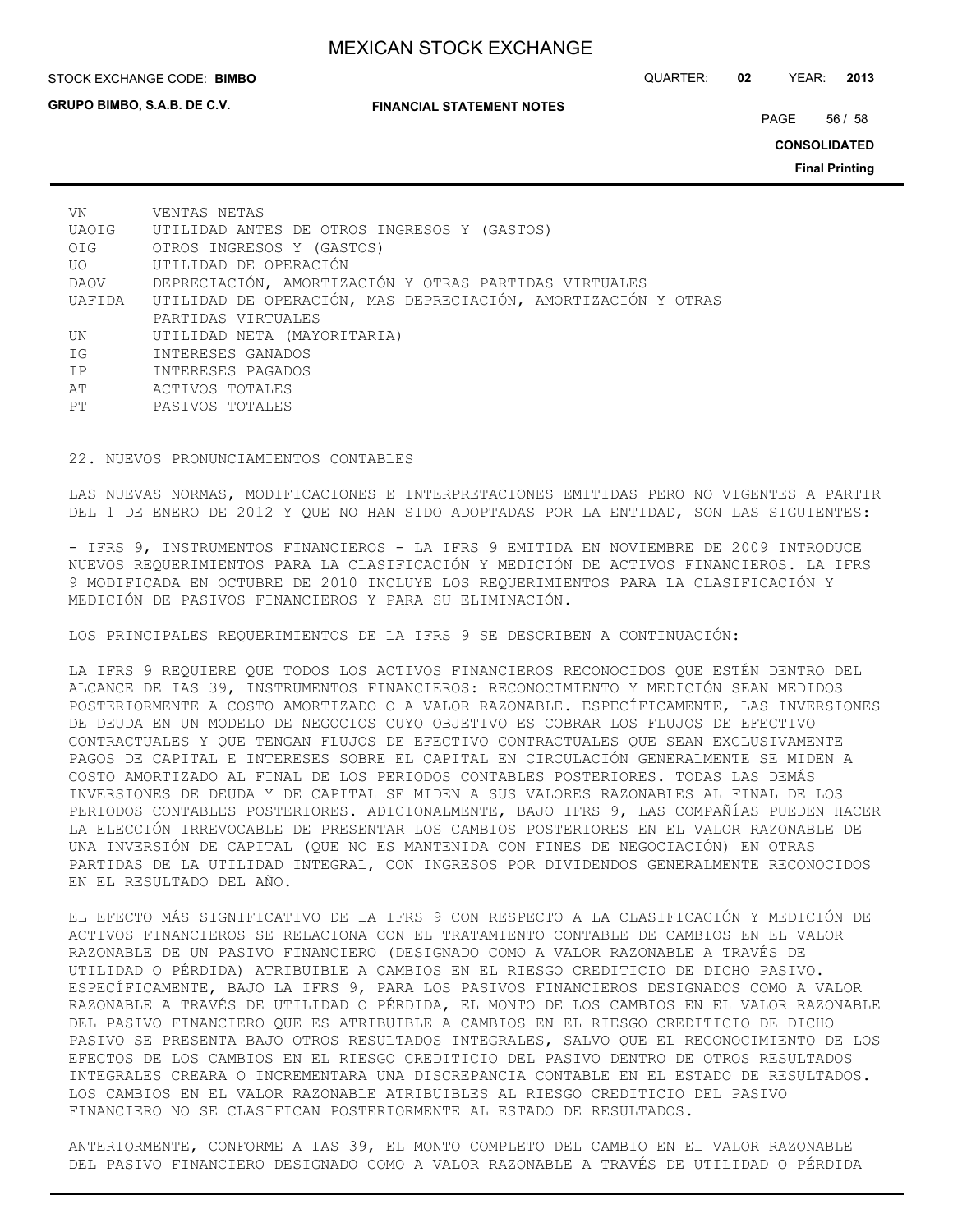**GRUPO BIMBO, S.A.B. DE C.V.**

#### STOCK EXCHANGE CODE: QUARTER: **02** YEAR: **2013 BIMBO**

**FINANCIAL STATEMENT NOTES**

PAGE 56 / 58

**CONSOLIDATED**

**Final Printing**

| VN    | VENTAS NETAS                                                         |
|-------|----------------------------------------------------------------------|
| UAOIG | UTILIDAD ANTES DE OTROS INGRESOS Y (GASTOS)                          |
| OIG   | OTROS INGRESOS Y (GASTOS)                                            |
| UO OU | UTILIDAD DE OPERACIÓN                                                |
| DAOV  | DEPRECIACIÓN, AMORTIZACIÓN Y OTRAS PARTIDAS VIRTUALES                |
|       | UAFIDA UTILIDAD DE OPERACIÓN, MAS DEPRECIACIÓN, AMORTIZACIÓN Y OTRAS |
|       | PARTIDAS VIRTUALES                                                   |
| UN    | UTILIDAD NETA (MAYORITARIA)                                          |
| IG    | INTERESES GANADOS                                                    |
| IP    | INTERESES PAGADOS                                                    |
| AT    | ACTIVOS TOTALES                                                      |
| PТ    | PASIVOS TOTALES                                                      |

## 22. NUEVOS PRONUNCIAMIENTOS CONTABLES

LAS NUEVAS NORMAS, MODIFICACIONES E INTERPRETACIONES EMITIDAS PERO NO VIGENTES A PARTIR DEL 1 DE ENERO DE 2012 Y QUE NO HAN SIDO ADOPTADAS POR LA ENTIDAD, SON LAS SIGUIENTES:

- IFRS 9, INSTRUMENTOS FINANCIEROS - LA IFRS 9 EMITIDA EN NOVIEMBRE DE 2009 INTRODUCE NUEVOS REQUERIMIENTOS PARA LA CLASIFICACIÓN Y MEDICIÓN DE ACTIVOS FINANCIEROS. LA IFRS 9 MODIFICADA EN OCTUBRE DE 2010 INCLUYE LOS REQUERIMIENTOS PARA LA CLASIFICACIÓN Y MEDICIÓN DE PASIVOS FINANCIEROS Y PARA SU ELIMINACIÓN.

LOS PRINCIPALES REQUERIMIENTOS DE LA IFRS 9 SE DESCRIBEN A CONTINUACIÓN:

LA IFRS 9 REQUIERE QUE TODOS LOS ACTIVOS FINANCIEROS RECONOCIDOS QUE ESTÉN DENTRO DEL ALCANCE DE IAS 39, INSTRUMENTOS FINANCIEROS: RECONOCIMIENTO Y MEDICIÓN SEAN MEDIDOS POSTERIORMENTE A COSTO AMORTIZADO O A VALOR RAZONABLE. ESPECÍFICAMENTE, LAS INVERSIONES DE DEUDA EN UN MODELO DE NEGOCIOS CUYO OBJETIVO ES COBRAR LOS FLUJOS DE EFECTIVO CONTRACTUALES Y QUE TENGAN FLUJOS DE EFECTIVO CONTRACTUALES QUE SEAN EXCLUSIVAMENTE PAGOS DE CAPITAL E INTERESES SOBRE EL CAPITAL EN CIRCULACIÓN GENERALMENTE SE MIDEN A COSTO AMORTIZADO AL FINAL DE LOS PERIODOS CONTABLES POSTERIORES. TODAS LAS DEMÁS INVERSIONES DE DEUDA Y DE CAPITAL SE MIDEN A SUS VALORES RAZONABLES AL FINAL DE LOS PERIODOS CONTABLES POSTERIORES. ADICIONALMENTE, BAJO IFRS 9, LAS COMPAÑÍAS PUEDEN HACER LA ELECCIÓN IRREVOCABLE DE PRESENTAR LOS CAMBIOS POSTERIORES EN EL VALOR RAZONABLE DE UNA INVERSIÓN DE CAPITAL (QUE NO ES MANTENIDA CON FINES DE NEGOCIACIÓN) EN OTRAS PARTIDAS DE LA UTILIDAD INTEGRAL, CON INGRESOS POR DIVIDENDOS GENERALMENTE RECONOCIDOS EN EL RESULTADO DEL AÑO.

EL EFECTO MÁS SIGNIFICATIVO DE LA IFRS 9 CON RESPECTO A LA CLASIFICACIÓN Y MEDICIÓN DE ACTIVOS FINANCIEROS SE RELACIONA CON EL TRATAMIENTO CONTABLE DE CAMBIOS EN EL VALOR RAZONABLE DE UN PASIVO FINANCIERO (DESIGNADO COMO A VALOR RAZONABLE A TRAVÉS DE UTILIDAD O PÉRDIDA) ATRIBUIBLE A CAMBIOS EN EL RIESGO CREDITICIO DE DICHO PASIVO. ESPECÍFICAMENTE, BAJO LA IFRS 9, PARA LOS PASIVOS FINANCIEROS DESIGNADOS COMO A VALOR RAZONABLE A TRAVÉS DE UTILIDAD O PÉRDIDA, EL MONTO DE LOS CAMBIOS EN EL VALOR RAZONABLE DEL PASIVO FINANCIERO QUE ES ATRIBUIBLE A CAMBIOS EN EL RIESGO CREDITICIO DE DICHO PASIVO SE PRESENTA BAJO OTROS RESULTADOS INTEGRALES, SALVO QUE EL RECONOCIMIENTO DE LOS EFECTOS DE LOS CAMBIOS EN EL RIESGO CREDITICIO DEL PASIVO DENTRO DE OTROS RESULTADOS INTEGRALES CREARA O INCREMENTARA UNA DISCREPANCIA CONTABLE EN EL ESTADO DE RESULTADOS. LOS CAMBIOS EN EL VALOR RAZONABLE ATRIBUIBLES AL RIESGO CREDITICIO DEL PASIVO FINANCIERO NO SE CLASIFICAN POSTERIORMENTE AL ESTADO DE RESULTADOS.

ANTERIORMENTE, CONFORME A IAS 39, EL MONTO COMPLETO DEL CAMBIO EN EL VALOR RAZONABLE DEL PASIVO FINANCIERO DESIGNADO COMO A VALOR RAZONABLE A TRAVÉS DE UTILIDAD O PÉRDIDA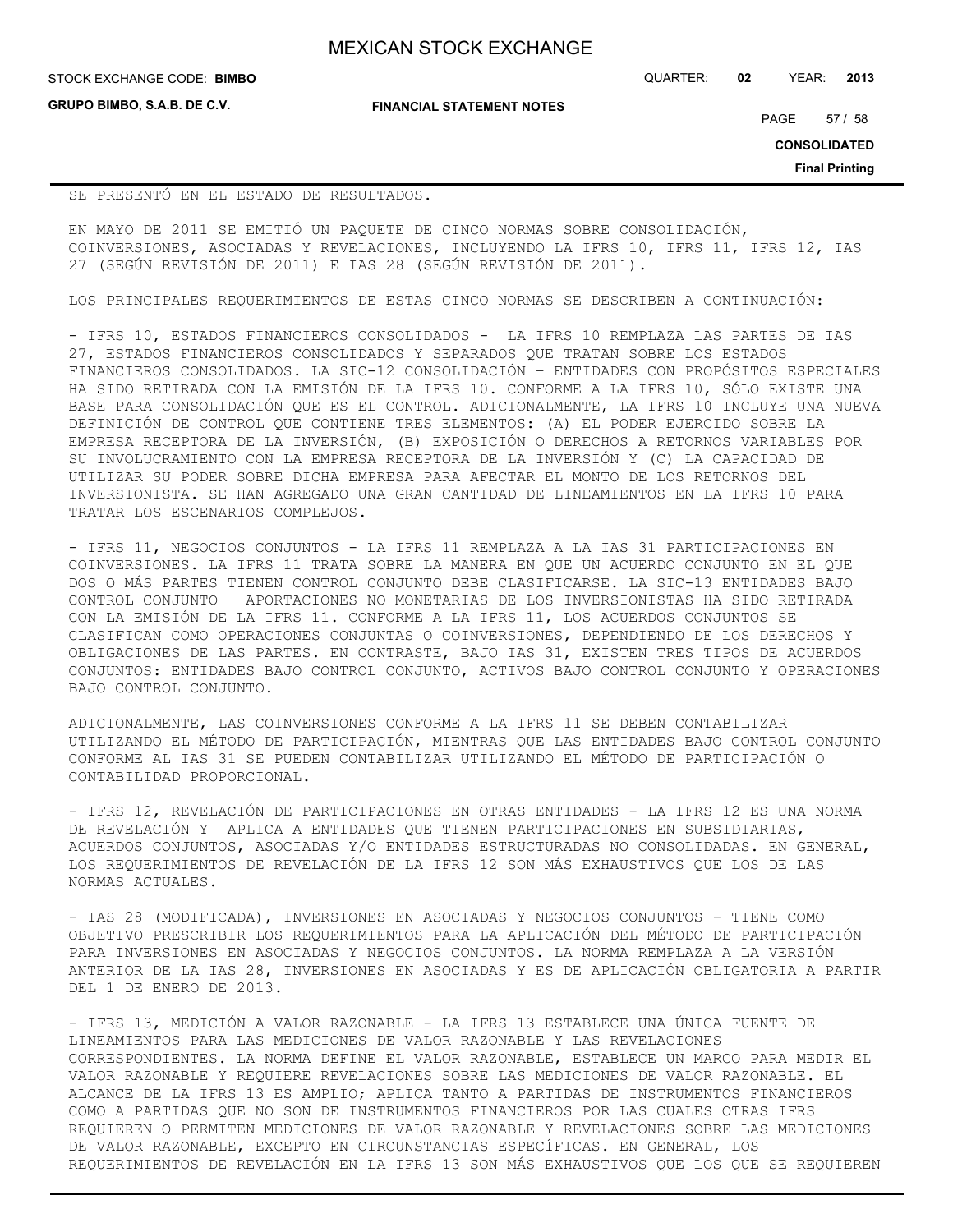**GRUPO BIMBO, S.A.B. DE C.V.**

**FINANCIAL STATEMENT NOTES**

STOCK EXCHANGE CODE: QUARTER: **02** YEAR: **2013 BIMBO**

PAGE 57 / 58

**CONSOLIDATED**

**Final Printing**

## SE PRESENTÓ EN EL ESTADO DE RESULTADOS.

EN MAYO DE 2011 SE EMITIÓ UN PAQUETE DE CINCO NORMAS SOBRE CONSOLIDACIÓN, COINVERSIONES, ASOCIADAS Y REVELACIONES, INCLUYENDO LA IFRS 10, IFRS 11, IFRS 12, IAS 27 (SEGÚN REVISIÓN DE 2011) E IAS 28 (SEGÚN REVISIÓN DE 2011).

LOS PRINCIPALES REQUERIMIENTOS DE ESTAS CINCO NORMAS SE DESCRIBEN A CONTINUACIÓN:

- IFRS 10, ESTADOS FINANCIEROS CONSOLIDADOS - LA IFRS 10 REMPLAZA LAS PARTES DE IAS 27, ESTADOS FINANCIEROS CONSOLIDADOS Y SEPARADOS QUE TRATAN SOBRE LOS ESTADOS FINANCIEROS CONSOLIDADOS. LA SIC-12 CONSOLIDACIÓN – ENTIDADES CON PROPÓSITOS ESPECIALES HA SIDO RETIRADA CON LA EMISIÓN DE LA IFRS 10. CONFORME A LA IFRS 10, SÓLO EXISTE UNA BASE PARA CONSOLIDACIÓN QUE ES EL CONTROL. ADICIONALMENTE, LA IFRS 10 INCLUYE UNA NUEVA DEFINICIÓN DE CONTROL QUE CONTIENE TRES ELEMENTOS: (A) EL PODER EJERCIDO SOBRE LA EMPRESA RECEPTORA DE LA INVERSIÓN, (B) EXPOSICIÓN O DERECHOS A RETORNOS VARIABLES POR SU INVOLUCRAMIENTO CON LA EMPRESA RECEPTORA DE LA INVERSIÓN Y (C) LA CAPACIDAD DE UTILIZAR SU PODER SOBRE DICHA EMPRESA PARA AFECTAR EL MONTO DE LOS RETORNOS DEL INVERSIONISTA. SE HAN AGREGADO UNA GRAN CANTIDAD DE LINEAMIENTOS EN LA IFRS 10 PARA TRATAR LOS ESCENARIOS COMPLEJOS.

- IFRS 11, NEGOCIOS CONJUNTOS - LA IFRS 11 REMPLAZA A LA IAS 31 PARTICIPACIONES EN COINVERSIONES. LA IFRS 11 TRATA SOBRE LA MANERA EN QUE UN ACUERDO CONJUNTO EN EL QUE DOS O MÁS PARTES TIENEN CONTROL CONJUNTO DEBE CLASIFICARSE. LA SIC-13 ENTIDADES BAJO CONTROL CONJUNTO – APORTACIONES NO MONETARIAS DE LOS INVERSIONISTAS HA SIDO RETIRADA CON LA EMISIÓN DE LA IFRS 11. CONFORME A LA IFRS 11, LOS ACUERDOS CONJUNTOS SE CLASIFICAN COMO OPERACIONES CONJUNTAS O COINVERSIONES, DEPENDIENDO DE LOS DERECHOS Y OBLIGACIONES DE LAS PARTES. EN CONTRASTE, BAJO IAS 31, EXISTEN TRES TIPOS DE ACUERDOS CONJUNTOS: ENTIDADES BAJO CONTROL CONJUNTO, ACTIVOS BAJO CONTROL CONJUNTO Y OPERACIONES BAJO CONTROL CONJUNTO.

ADICIONALMENTE, LAS COINVERSIONES CONFORME A LA IFRS 11 SE DEBEN CONTABILIZAR UTILIZANDO EL MÉTODO DE PARTICIPACIÓN, MIENTRAS QUE LAS ENTIDADES BAJO CONTROL CONJUNTO CONFORME AL IAS 31 SE PUEDEN CONTABILIZAR UTILIZANDO EL MÉTODO DE PARTICIPACIÓN O CONTABILIDAD PROPORCIONAL.

- IFRS 12, REVELACIÓN DE PARTICIPACIONES EN OTRAS ENTIDADES - LA IFRS 12 ES UNA NORMA DE REVELACIÓN Y APLICA A ENTIDADES QUE TIENEN PARTICIPACIONES EN SUBSIDIARIAS, ACUERDOS CONJUNTOS, ASOCIADAS Y/O ENTIDADES ESTRUCTURADAS NO CONSOLIDADAS. EN GENERAL, LOS REQUERIMIENTOS DE REVELACIÓN DE LA IFRS 12 SON MÁS EXHAUSTIVOS QUE LOS DE LAS NORMAS ACTUALES.

- IAS 28 (MODIFICADA), INVERSIONES EN ASOCIADAS Y NEGOCIOS CONJUNTOS - TIENE COMO OBJETIVO PRESCRIBIR LOS REQUERIMIENTOS PARA LA APLICACIÓN DEL MÉTODO DE PARTICIPACIÓN PARA INVERSIONES EN ASOCIADAS Y NEGOCIOS CONJUNTOS. LA NORMA REMPLAZA A LA VERSIÓN ANTERIOR DE LA IAS 28, INVERSIONES EN ASOCIADAS Y ES DE APLICACIÓN OBLIGATORIA A PARTIR DEL 1 DE ENERO DE 2013.

- IFRS 13, MEDICIÓN A VALOR RAZONABLE - LA IFRS 13 ESTABLECE UNA ÚNICA FUENTE DE LINEAMIENTOS PARA LAS MEDICIONES DE VALOR RAZONABLE Y LAS REVELACIONES CORRESPONDIENTES. LA NORMA DEFINE EL VALOR RAZONABLE, ESTABLECE UN MARCO PARA MEDIR EL VALOR RAZONABLE Y REQUIERE REVELACIONES SOBRE LAS MEDICIONES DE VALOR RAZONABLE. EL ALCANCE DE LA IFRS 13 ES AMPLIO; APLICA TANTO A PARTIDAS DE INSTRUMENTOS FINANCIEROS COMO A PARTIDAS QUE NO SON DE INSTRUMENTOS FINANCIEROS POR LAS CUALES OTRAS IFRS REQUIEREN O PERMITEN MEDICIONES DE VALOR RAZONABLE Y REVELACIONES SOBRE LAS MEDICIONES DE VALOR RAZONABLE, EXCEPTO EN CIRCUNSTANCIAS ESPECÍFICAS. EN GENERAL, LOS REQUERIMIENTOS DE REVELACIÓN EN LA IFRS 13 SON MÁS EXHAUSTIVOS QUE LOS QUE SE REQUIEREN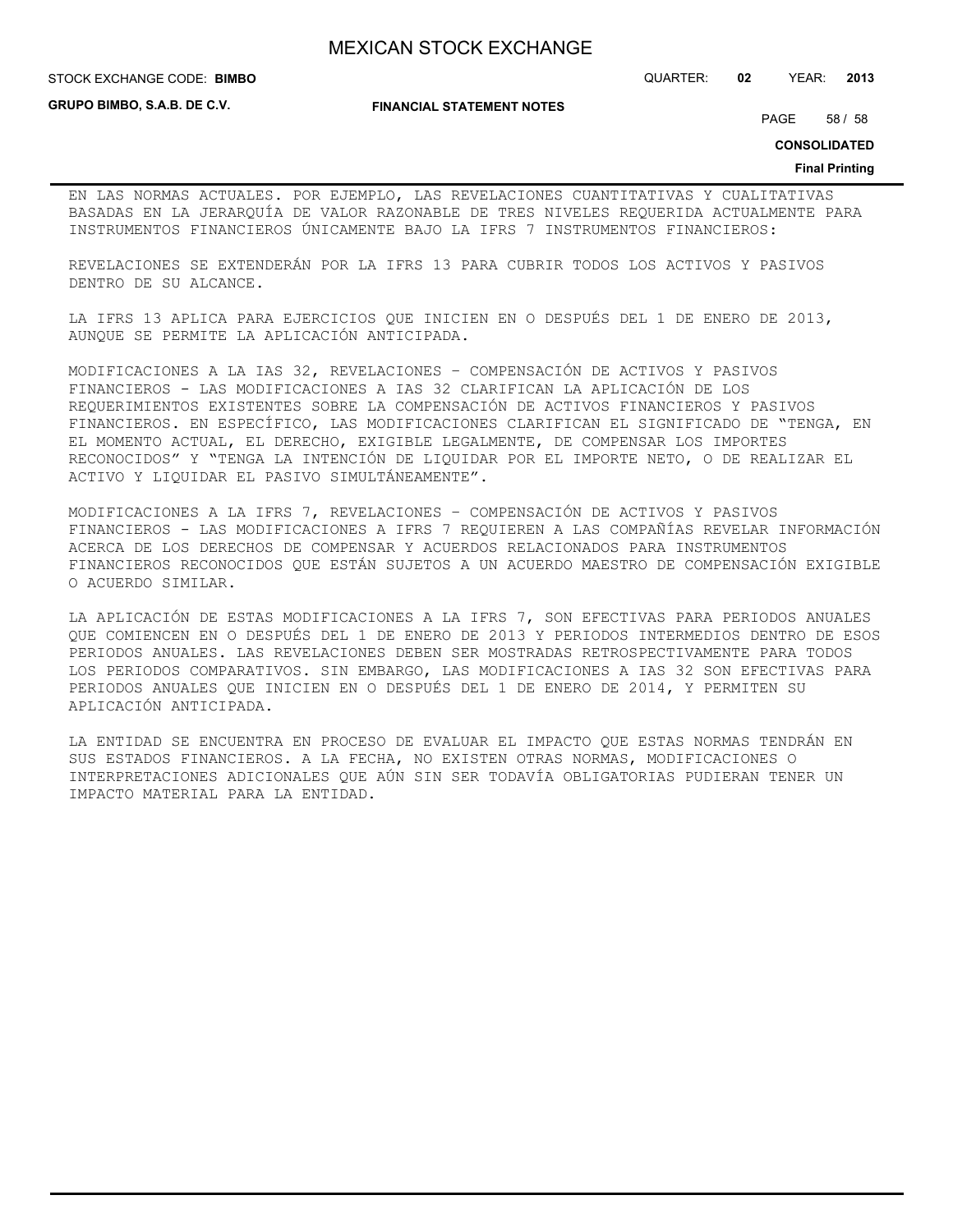STOCK EXCHANGE CODE: QUARTER: **02** YEAR: **2013 BIMBO**

**GRUPO BIMBO, S.A.B. DE C.V.**

**FINANCIAL STATEMENT NOTES**

PAGE 58 / 58

**CONSOLIDATED**

#### **Final Printing**

EN LAS NORMAS ACTUALES. POR EJEMPLO, LAS REVELACIONES CUANTITATIVAS Y CUALITATIVAS BASADAS EN LA JERARQUÍA DE VALOR RAZONABLE DE TRES NIVELES REQUERIDA ACTUALMENTE PARA INSTRUMENTOS FINANCIEROS ÚNICAMENTE BAJO LA IFRS 7 INSTRUMENTOS FINANCIEROS:

REVELACIONES SE EXTENDERÁN POR LA IFRS 13 PARA CUBRIR TODOS LOS ACTIVOS Y PASIVOS DENTRO DE SU ALCANCE.

LA IFRS 13 APLICA PARA EJERCICIOS QUE INICIEN EN O DESPUÉS DEL 1 DE ENERO DE 2013, AUNQUE SE PERMITE LA APLICACIÓN ANTICIPADA.

MODIFICACIONES A LA IAS 32, REVELACIONES – COMPENSACIÓN DE ACTIVOS Y PASIVOS FINANCIEROS - LAS MODIFICACIONES A IAS 32 CLARIFICAN LA APLICACIÓN DE LOS REQUERIMIENTOS EXISTENTES SOBRE LA COMPENSACIÓN DE ACTIVOS FINANCIEROS Y PASIVOS FINANCIEROS. EN ESPECÍFICO, LAS MODIFICACIONES CLARIFICAN EL SIGNIFICADO DE "TENGA, EN EL MOMENTO ACTUAL, EL DERECHO, EXIGIBLE LEGALMENTE, DE COMPENSAR LOS IMPORTES RECONOCIDOS" Y "TENGA LA INTENCIÓN DE LIQUIDAR POR EL IMPORTE NETO, O DE REALIZAR EL ACTIVO Y LIQUIDAR EL PASIVO SIMULTÁNEAMENTE".

MODIFICACIONES A LA IFRS 7, REVELACIONES – COMPENSACIÓN DE ACTIVOS Y PASIVOS FINANCIEROS - LAS MODIFICACIONES A IFRS 7 REQUIEREN A LAS COMPAÑÍAS REVELAR INFORMACIÓN ACERCA DE LOS DERECHOS DE COMPENSAR Y ACUERDOS RELACIONADOS PARA INSTRUMENTOS FINANCIEROS RECONOCIDOS QUE ESTÁN SUJETOS A UN ACUERDO MAESTRO DE COMPENSACIÓN EXIGIBLE O ACUERDO SIMILAR.

LA APLICACIÓN DE ESTAS MODIFICACIONES A LA IFRS 7, SON EFECTIVAS PARA PERIODOS ANUALES QUE COMIENCEN EN O DESPUÉS DEL 1 DE ENERO DE 2013 Y PERIODOS INTERMEDIOS DENTRO DE ESOS PERIODOS ANUALES. LAS REVELACIONES DEBEN SER MOSTRADAS RETROSPECTIVAMENTE PARA TODOS LOS PERIODOS COMPARATIVOS. SIN EMBARGO, LAS MODIFICACIONES A IAS 32 SON EFECTIVAS PARA PERIODOS ANUALES QUE INICIEN EN O DESPUÉS DEL 1 DE ENERO DE 2014, Y PERMITEN SU APLICACIÓN ANTICIPADA.

LA ENTIDAD SE ENCUENTRA EN PROCESO DE EVALUAR EL IMPACTO QUE ESTAS NORMAS TENDRÁN EN SUS ESTADOS FINANCIEROS. A LA FECHA, NO EXISTEN OTRAS NORMAS, MODIFICACIONES O INTERPRETACIONES ADICIONALES QUE AÚN SIN SER TODAVÍA OBLIGATORIAS PUDIERAN TENER UN IMPACTO MATERIAL PARA LA ENTIDAD.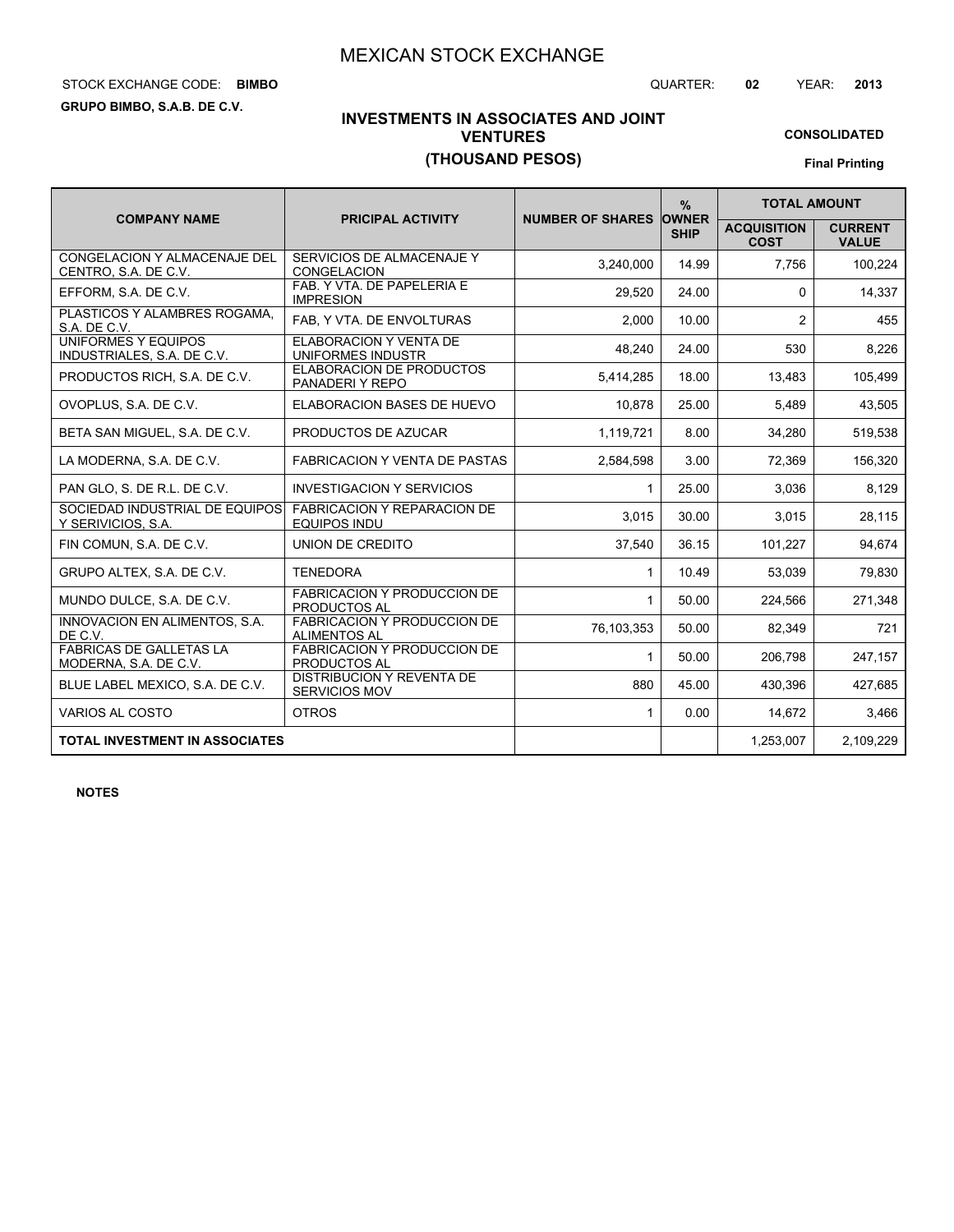# STOCK EXCHANGE CODE: QUARTER: **02** YEAR: **2013 BIMBO**

**GRUPO BIMBO, S.A.B. DE C.V.**

## **INVESTMENTS IN ASSOCIATES AND JOINT VENTURES (THOUSAND PESOS)**

**CONSOLIDATED Final Printing**

|                                                             |                                                           |                               | $\frac{9}{6}$ | <b>TOTAL AMOUNT</b>               |                                |
|-------------------------------------------------------------|-----------------------------------------------------------|-------------------------------|---------------|-----------------------------------|--------------------------------|
| <b>COMPANY NAME</b>                                         | <b>PRICIPAL ACTIVITY</b>                                  | <b>NUMBER OF SHARES OWNER</b> | <b>SHIP</b>   | <b>ACQUISITION</b><br><b>COST</b> | <b>CURRENT</b><br><b>VALUE</b> |
| <b>CONGELACION Y ALMACENAJE DEL</b><br>CENTRO, S.A. DE C.V. | SERVICIOS DE ALMACENAJE Y<br><b>CONGELACION</b>           | 3.240.000                     | 14.99         | 7.756                             | 100.224                        |
| EFFORM, S.A. DE C.V.                                        | FAB. Y VTA. DE PAPELERIA E<br><b>IMPRESION</b>            | 29.520                        | 24.00         | 0                                 | 14,337                         |
| PLASTICOS Y ALAMBRES ROGAMA,<br>S.A. DE C.V.                | FAB, Y VTA. DE ENVOLTURAS                                 | 2,000                         | 10.00         | 2                                 | 455                            |
| UNIFORMES Y EQUIPOS<br>INDUSTRIALES, S.A. DE C.V.           | ELABORACION Y VENTA DE<br>UNIFORMES INDUSTR               | 48,240                        | 24.00         | 530                               | 8.226                          |
| PRODUCTOS RICH, S.A. DE C.V.                                | ELABORACION DE PRODUCTOS<br>PANADERIY REPO                | 5,414,285                     | 18.00         | 13,483                            | 105,499                        |
| OVOPLUS, S.A. DE C.V.                                       | ELABORACION BASES DE HUEVO                                | 10,878                        | 25.00         | 5,489                             | 43,505                         |
| BETA SAN MIGUEL, S.A. DE C.V.                               | PRODUCTOS DE AZUCAR                                       | 1,119,721                     | 8.00          | 34,280                            | 519,538                        |
| LA MODERNA, S.A. DE C.V.                                    | <b>FABRICACION Y VENTA DE PASTAS</b>                      | 2,584,598                     | 3.00          | 72,369                            | 156,320                        |
| PAN GLO, S. DE R.L. DE C.V.                                 | <b>INVESTIGACION Y SERVICIOS</b>                          | $\mathbf{1}$                  | 25.00         | 3,036                             | 8,129                          |
| SOCIEDAD INDUSTRIAL DE EQUIPOS<br>Y SERIVICIOS, S.A.        | <b>FABRICACION Y REPARACION DE</b><br><b>EQUIPOS INDU</b> | 3,015                         | 30.00         | 3.015                             | 28,115                         |
| FIN COMUN, S.A. DE C.V.                                     | UNION DE CREDITO                                          | 37,540                        | 36.15         | 101,227                           | 94,674                         |
| GRUPO ALTEX, S.A. DE C.V.                                   | <b>TENEDORA</b>                                           | $\mathbf{1}$                  | 10.49         | 53,039                            | 79,830                         |
| MUNDO DULCE, S.A. DE C.V.                                   | FABRICACION Y PRODUCCION DE<br>PRODUCTOS AL               | 1                             | 50.00         | 224,566                           | 271,348                        |
| INNOVACION EN ALIMENTOS, S.A.<br>DE C.V.                    | <b>FABRICACION Y PRODUCCION DE</b><br><b>ALIMENTOS AL</b> | 76,103,353                    | 50.00         | 82,349                            | 721                            |
| <b>FABRICAS DE GALLETAS LA</b><br>MODERNA, S.A. DE C.V.     | <b>FABRICACION Y PRODUCCION DE</b><br><b>PRODUCTOS AL</b> | $\mathbf{1}$                  | 50.00         | 206,798                           | 247,157                        |
| BLUE LABEL MEXICO, S.A. DE C.V.                             | <b>DISTRIBUCION Y REVENTA DE</b><br><b>SERVICIOS MOV</b>  | 880                           | 45.00         | 430,396                           | 427,685                        |
| VARIOS AL COSTO                                             | <b>OTROS</b>                                              | 1                             | 0.00          | 14,672                            | 3.466                          |
| <b>TOTAL INVESTMENT IN ASSOCIATES</b>                       |                                                           |                               |               | 1,253,007                         | 2,109,229                      |

**NOTES**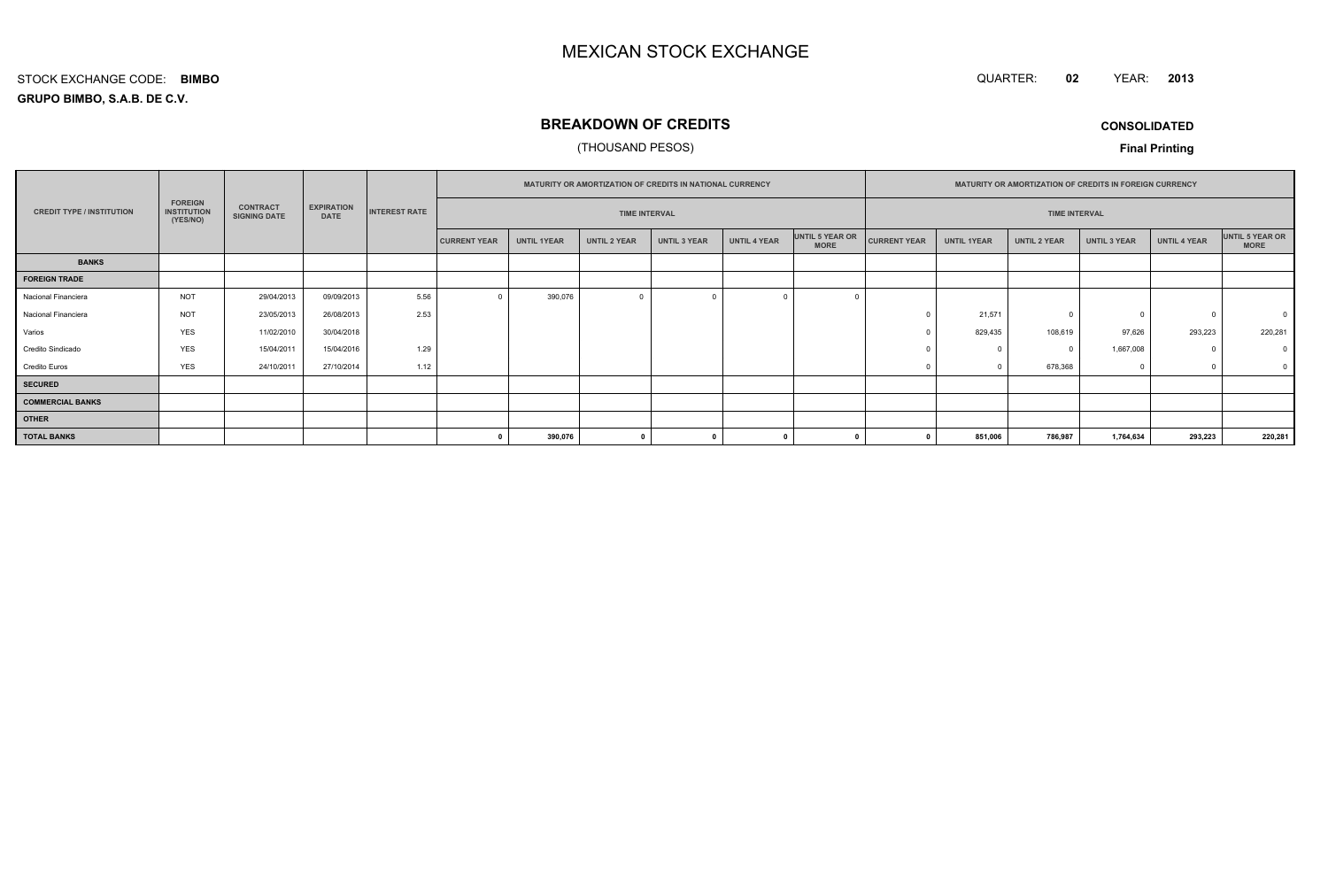QUARTER: **02**YEAR: **<sup>2013</sup>**

#### **GRUPO BIMBO, S.A.B. DE C.V.**STOCK EXCHANGE CODE:**BIMBO**

### **BREAKDOWN OF CREDITS**

#### (THOUSAND PESOS)

**CONSOLIDATED**

|                                  |                                                  |                                        | <b>EXPIRATION</b><br><b>DATE</b> | <b>INTEREST RATE</b> | <b>MATURITY OR AMORTIZATION OF CREDITS IN NATIONAL CURRENCY</b> |                    |                     |                     |                     | <b>MATURITY OR AMORTIZATION OF CREDITS IN FOREIGN CURRENCY</b> |                      |                    |                     |                     |              |                                |
|----------------------------------|--------------------------------------------------|----------------------------------------|----------------------------------|----------------------|-----------------------------------------------------------------|--------------------|---------------------|---------------------|---------------------|----------------------------------------------------------------|----------------------|--------------------|---------------------|---------------------|--------------|--------------------------------|
| <b>CREDIT TYPE / INSTITUTION</b> | <b>FOREIGN</b><br><b>INSTITUTION</b><br>(YES/NO) | <b>CONTRACT</b><br><b>SIGNING DATE</b> |                                  |                      | <b>TIME INTERVAL</b>                                            |                    |                     |                     |                     |                                                                | <b>TIME INTERVAL</b> |                    |                     |                     |              |                                |
|                                  |                                                  |                                        |                                  |                      | <b>CURRENT YEAR</b>                                             | <b>UNTIL 1YEAR</b> | <b>UNTIL 2 YEAR</b> | <b>UNTIL 3 YEAR</b> | <b>UNTIL 4 YEAR</b> | UNTIL 5 YEAR OR<br><b>MORE</b>                                 | <b>CURRENT YEAR</b>  | <b>UNTIL 1YEAR</b> | <b>UNTIL 2 YEAR</b> | <b>UNTIL 3 YEAR</b> | UNTIL 4 YEAR | UNTIL 5 YEAR OR<br><b>MORE</b> |
| <b>BANKS</b>                     |                                                  |                                        |                                  |                      |                                                                 |                    |                     |                     |                     |                                                                |                      |                    |                     |                     |              |                                |
| <b>FOREIGN TRADE</b>             |                                                  |                                        |                                  |                      |                                                                 |                    |                     |                     |                     |                                                                |                      |                    |                     |                     |              |                                |
| Nacional Financiera              | <b>NOT</b>                                       | 29/04/2013                             | 09/09/2013                       | 5.56                 |                                                                 | 390,076            | $\Omega$            |                     |                     |                                                                |                      |                    |                     |                     |              |                                |
| Nacional Financiera              | <b>NOT</b>                                       | 23/05/2013                             | 26/08/2013                       | 2.53                 |                                                                 |                    |                     |                     |                     |                                                                |                      | 21,571             |                     | $^{\circ}$          | $\Omega$     |                                |
| Varios                           | <b>YES</b>                                       | 11/02/2010                             | 30/04/2018                       |                      |                                                                 |                    |                     |                     |                     |                                                                |                      | 829,435            | 108,619             | 97,626              | 293,223      | 220,281                        |
| Credito Sindicado                | <b>YES</b>                                       | 15/04/2011                             | 15/04/2016                       | 1.29                 |                                                                 |                    |                     |                     |                     |                                                                |                      |                    |                     | 1,667,008           | $\Omega$     |                                |
| <b>Credito Euros</b>             | <b>YES</b>                                       | 24/10/2011                             | 27/10/2014                       | 1.12                 |                                                                 |                    |                     |                     |                     |                                                                |                      |                    | 678,368             | $\Omega$            |              |                                |
| <b>SECURED</b>                   |                                                  |                                        |                                  |                      |                                                                 |                    |                     |                     |                     |                                                                |                      |                    |                     |                     |              |                                |
| <b>COMMERCIAL BANKS</b>          |                                                  |                                        |                                  |                      |                                                                 |                    |                     |                     |                     |                                                                |                      |                    |                     |                     |              |                                |
| <b>OTHER</b>                     |                                                  |                                        |                                  |                      |                                                                 |                    |                     |                     |                     |                                                                |                      |                    |                     |                     |              |                                |
| <b>TOTAL BANKS</b>               |                                                  |                                        |                                  |                      |                                                                 | 390,076            | $\mathbf{a}$        |                     |                     |                                                                |                      | 851,006            | 786,987             | 1,764,634           | 293,223      | 220,281                        |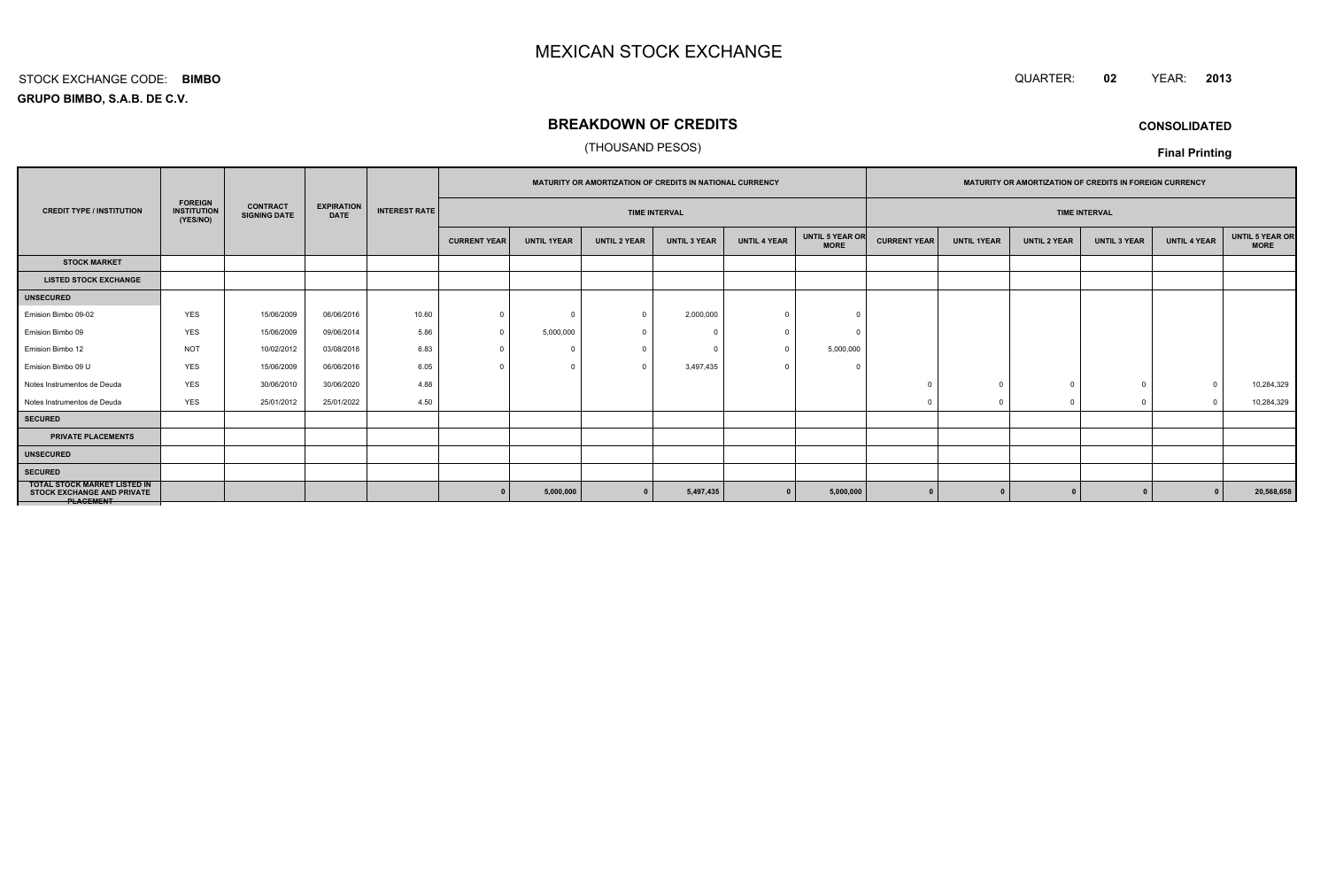#### QUARTER: **<sup>02</sup>**YEAR: **<sup>2013</sup>**

**GRUPO BIMBO, S.A.B. DE C.V.**STOCK EXCHANGE CODE:**BIMBO**

### **BREAKDOWN OF CREDITS**

#### (THOUSAND PESOS)

**CONSOLIDATED**

|                                                                                              |                                                  | <b>CONTRACT</b><br><b>SIGNING DATE</b> | <b>EXPIRATION</b><br><b>DATE</b> |                      | <b>MATURITY OR AMORTIZATION OF CREDITS IN NATIONAL CURRENCY</b> |                    |                     |                     | <b>MATURITY OR AMORTIZATION OF CREDITS IN FOREIGN CURRENCY</b> |                                |                     |                    |                      |                     |                     |                                       |
|----------------------------------------------------------------------------------------------|--------------------------------------------------|----------------------------------------|----------------------------------|----------------------|-----------------------------------------------------------------|--------------------|---------------------|---------------------|----------------------------------------------------------------|--------------------------------|---------------------|--------------------|----------------------|---------------------|---------------------|---------------------------------------|
| <b>CREDIT TYPE / INSTITUTION</b>                                                             | <b>FOREIGN</b><br><b>INSTITUTION</b><br>(YES/NO) |                                        |                                  | <b>INTEREST RATE</b> | <b>TIME INTERVAL</b>                                            |                    |                     |                     |                                                                |                                |                     |                    | <b>TIME INTERVAL</b> |                     |                     |                                       |
|                                                                                              |                                                  |                                        |                                  |                      | <b>CURRENT YEAR</b>                                             | <b>UNTIL 1YEAR</b> | <b>UNTIL 2 YEAR</b> | <b>UNTIL 3 YEAR</b> | <b>UNTIL 4 YEAR</b>                                            | UNTIL 5 YEAR OR<br><b>MORE</b> | <b>CURRENT YEAR</b> | <b>UNTIL 1YEAR</b> | <b>UNTIL 2 YEAR</b>  | <b>UNTIL 3 YEAR</b> | <b>UNTIL 4 YEAR</b> | <b>UNTIL 5 YEAR OR</b><br><b>MORE</b> |
| <b>STOCK MARKET</b>                                                                          |                                                  |                                        |                                  |                      |                                                                 |                    |                     |                     |                                                                |                                |                     |                    |                      |                     |                     |                                       |
| <b>LISTED STOCK EXCHANGE</b>                                                                 |                                                  |                                        |                                  |                      |                                                                 |                    |                     |                     |                                                                |                                |                     |                    |                      |                     |                     |                                       |
| <b>UNSECURED</b>                                                                             |                                                  |                                        |                                  |                      |                                                                 |                    |                     |                     |                                                                |                                |                     |                    |                      |                     |                     |                                       |
| Emision Bimbo 09-02                                                                          | <b>YES</b>                                       | 15/06/2009                             | 06/06/2016                       | 10.60                | $\Omega$                                                        | $^{\circ}$         | $\Omega$            | 2,000,000           |                                                                |                                |                     |                    |                      |                     |                     |                                       |
| Emision Bimbo 09                                                                             | <b>YES</b>                                       | 15/06/2009                             | 09/06/2014                       | 5.86                 |                                                                 | 5,000,000          | - 0                 |                     |                                                                |                                |                     |                    |                      |                     |                     |                                       |
| Emision Bimbo 12                                                                             | <b>NOT</b>                                       | 10/02/2012                             | 03/08/2018                       | 6.83                 |                                                                 | 0                  |                     |                     |                                                                | 5,000,000                      |                     |                    |                      |                     |                     |                                       |
| Emision Bimbo 09 U                                                                           | <b>YES</b>                                       | 15/06/2009                             | 06/06/2016                       | 6.05                 |                                                                 | $\mathbf 0$        | $\Omega$            | 3,497,435           |                                                                | -C                             |                     |                    |                      |                     |                     |                                       |
| Notes Instrumentos de Deuda                                                                  | <b>YES</b>                                       | 30/06/2010                             | 30/06/2020                       | 4.88                 |                                                                 |                    |                     |                     |                                                                |                                |                     |                    |                      |                     |                     | 10,284,329                            |
| Notes Instrumentos de Deuda                                                                  | <b>YES</b>                                       | 25/01/2012                             | 25/01/2022                       | 4.50                 |                                                                 |                    |                     |                     |                                                                |                                |                     |                    |                      | $\mathbf 0$         | $\sqrt{ }$          | 10,284,329                            |
| <b>SECURED</b>                                                                               |                                                  |                                        |                                  |                      |                                                                 |                    |                     |                     |                                                                |                                |                     |                    |                      |                     |                     |                                       |
| <b>PRIVATE PLACEMENTS</b>                                                                    |                                                  |                                        |                                  |                      |                                                                 |                    |                     |                     |                                                                |                                |                     |                    |                      |                     |                     |                                       |
| <b>UNSECURED</b>                                                                             |                                                  |                                        |                                  |                      |                                                                 |                    |                     |                     |                                                                |                                |                     |                    |                      |                     |                     |                                       |
| <b>SECURED</b>                                                                               |                                                  |                                        |                                  |                      |                                                                 |                    |                     |                     |                                                                |                                |                     |                    |                      |                     |                     |                                       |
| <b>TOTAL STOCK MARKET LISTED IN</b><br><b>STOCK EXCHANGE AND PRIVATE</b><br><b>PLAGEMENT</b> |                                                  |                                        |                                  |                      |                                                                 | 5,000,000          |                     | 5,497,435           |                                                                | 5,000,000                      |                     |                    |                      |                     |                     | 20,568,658                            |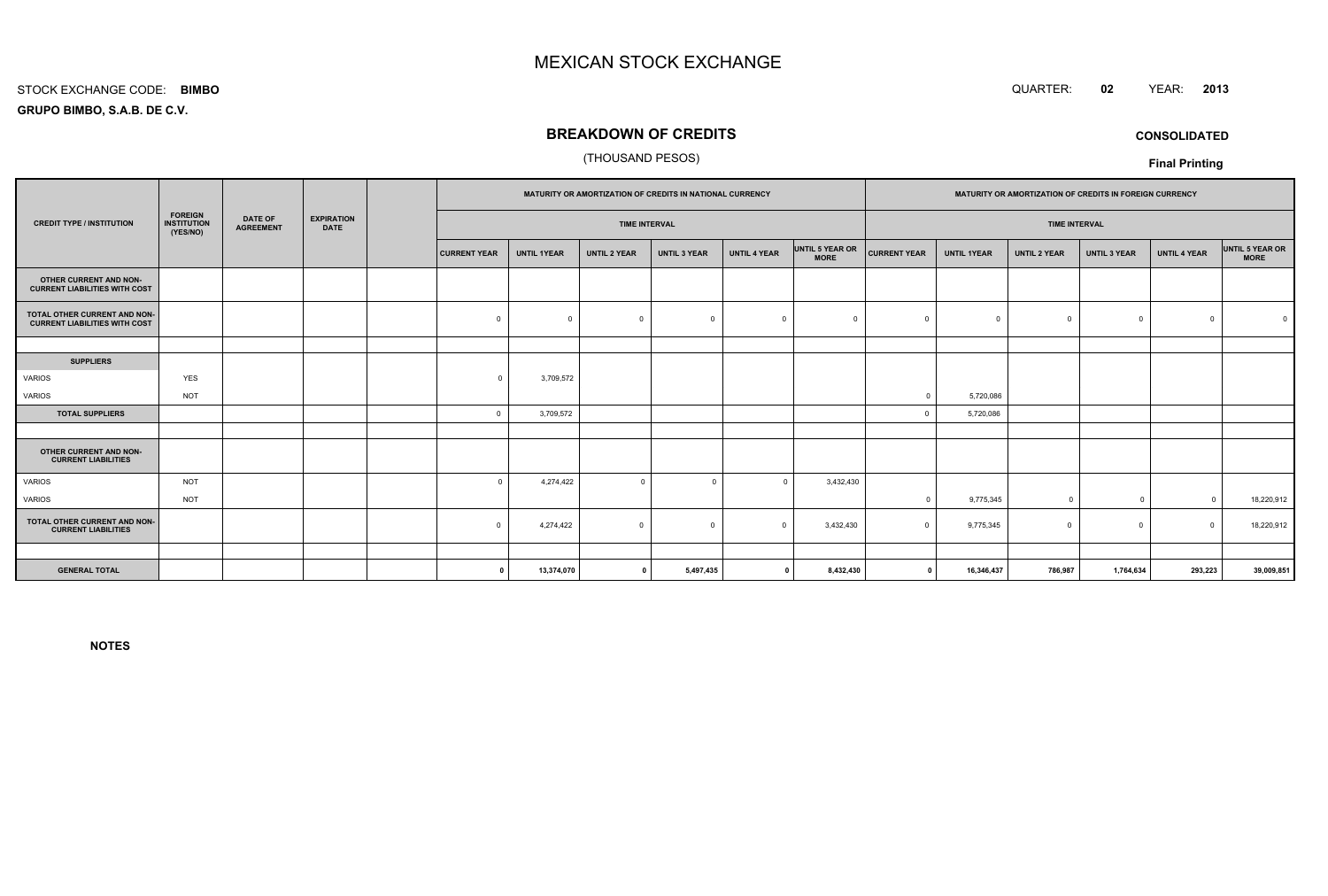#### STOCK EXCHANGE CODE:**BIMBO**

**GRUPO BIMBO, S.A.B. DE C.V.**

#### **BREAKDOWN OF CREDITS**

#### (THOUSAND PESOS)

|                                                                      |                                                  |                                    |                                  |  | MATURITY OR AMORTIZATION OF CREDITS IN NATIONAL CURRENCY |                    |                     |                     |                     | MATURITY OR AMORTIZATION OF CREDITS IN FOREIGN CURRENCY |                      |                    |                     |                     |                     |                                |
|----------------------------------------------------------------------|--------------------------------------------------|------------------------------------|----------------------------------|--|----------------------------------------------------------|--------------------|---------------------|---------------------|---------------------|---------------------------------------------------------|----------------------|--------------------|---------------------|---------------------|---------------------|--------------------------------|
| <b>CREDIT TYPE / INSTITUTION</b>                                     | <b>FOREIGN</b><br><b>INSTITUTION</b><br>(YES/NO) | <b>DATE OF</b><br><b>AGREEMENT</b> | <b>EXPIRATION</b><br><b>DATE</b> |  | <b>TIME INTERVAL</b>                                     |                    |                     |                     |                     |                                                         | <b>TIME INTERVAL</b> |                    |                     |                     |                     |                                |
|                                                                      |                                                  |                                    |                                  |  | <b>CURRENT YEAR</b>                                      | <b>UNTIL 1YEAR</b> | <b>UNTIL 2 YEAR</b> | <b>UNTIL 3 YEAR</b> | <b>UNTIL 4 YEAR</b> | UNTIL 5 YEAR OR<br><b>MORE</b>                          | <b>CURRENT YEAR</b>  | <b>UNTIL 1YEAR</b> | <b>UNTIL 2 YEAR</b> | <b>UNTIL 3 YEAR</b> | <b>UNTIL 4 YEAR</b> | UNTIL 5 YEAR OR<br><b>MORE</b> |
| OTHER CURRENT AND NON-<br><b>CURRENT LIABILITIES WITH COST</b>       |                                                  |                                    |                                  |  |                                                          |                    |                     |                     |                     |                                                         |                      |                    |                     |                     |                     |                                |
| TOTAL OTHER CURRENT AND NON-<br><b>CURRENT LIABILITIES WITH COST</b> |                                                  |                                    |                                  |  | $\mathbf 0$                                              | $\Omega$           | $\Omega$            | $\overline{0}$      | $\Omega$            | $\Omega$                                                |                      | $^{\circ}$         | $\Omega$            | $^{\circ}$          | $\Omega$            |                                |
|                                                                      |                                                  |                                    |                                  |  |                                                          |                    |                     |                     |                     |                                                         |                      |                    |                     |                     |                     |                                |
| <b>SUPPLIERS</b>                                                     |                                                  |                                    |                                  |  |                                                          |                    |                     |                     |                     |                                                         |                      |                    |                     |                     |                     |                                |
| VARIOS                                                               | <b>YES</b>                                       |                                    |                                  |  | $\Omega$                                                 | 3,709,572          |                     |                     |                     |                                                         |                      |                    |                     |                     |                     |                                |
| VARIOS                                                               | <b>NOT</b>                                       |                                    |                                  |  |                                                          |                    |                     |                     |                     |                                                         | $\Omega$             | 5,720,086          |                     |                     |                     |                                |
| <b>TOTAL SUPPLIERS</b>                                               |                                                  |                                    |                                  |  | $\mathbf 0$                                              | 3,709,572          |                     |                     |                     |                                                         |                      | 5,720,086          |                     |                     |                     |                                |
|                                                                      |                                                  |                                    |                                  |  |                                                          |                    |                     |                     |                     |                                                         |                      |                    |                     |                     |                     |                                |
| OTHER CURRENT AND NON-<br><b>CURRENT LIABILITIES</b>                 |                                                  |                                    |                                  |  |                                                          |                    |                     |                     |                     |                                                         |                      |                    |                     |                     |                     |                                |
| <b>VARIOS</b>                                                        | <b>NOT</b>                                       |                                    |                                  |  | $\Omega$                                                 | 4,274,422          | $\mathbf 0$         | $\Omega$            | $\Omega$            | 3,432,430                                               |                      |                    |                     |                     |                     |                                |
| VARIOS                                                               | <b>NOT</b>                                       |                                    |                                  |  |                                                          |                    |                     |                     |                     |                                                         | $\Omega$             | 9,775,345          | $\Omega$            | $\overline{0}$      | $\Omega$            | 18,220,912                     |
| TOTAL OTHER CURRENT AND NON-<br><b>CURRENT LIABILITIES</b>           |                                                  |                                    |                                  |  | $\Omega$                                                 | 4,274,422          | $\Omega$            | $\Omega$            | $\Omega$            | 3,432,430                                               | $\Omega$             | 9,775,345          | $\Omega$            | $^{\circ}$          | $\Omega$            | 18,220,912                     |
|                                                                      |                                                  |                                    |                                  |  |                                                          |                    |                     |                     |                     |                                                         |                      |                    |                     |                     |                     |                                |
| <b>GENERAL TOTAL</b>                                                 |                                                  |                                    |                                  |  | $\Omega$                                                 | 13,374,070         | $\mathbf{0}$        | 5,497,435           | $\mathbf{0}$        | 8,432,430                                               | $\mathbf 0$          | 16,346,437         | 786,987             | 1,764,634           | 293,223             | 39,009,851                     |

**NOTES**



**CONSOLIDATED**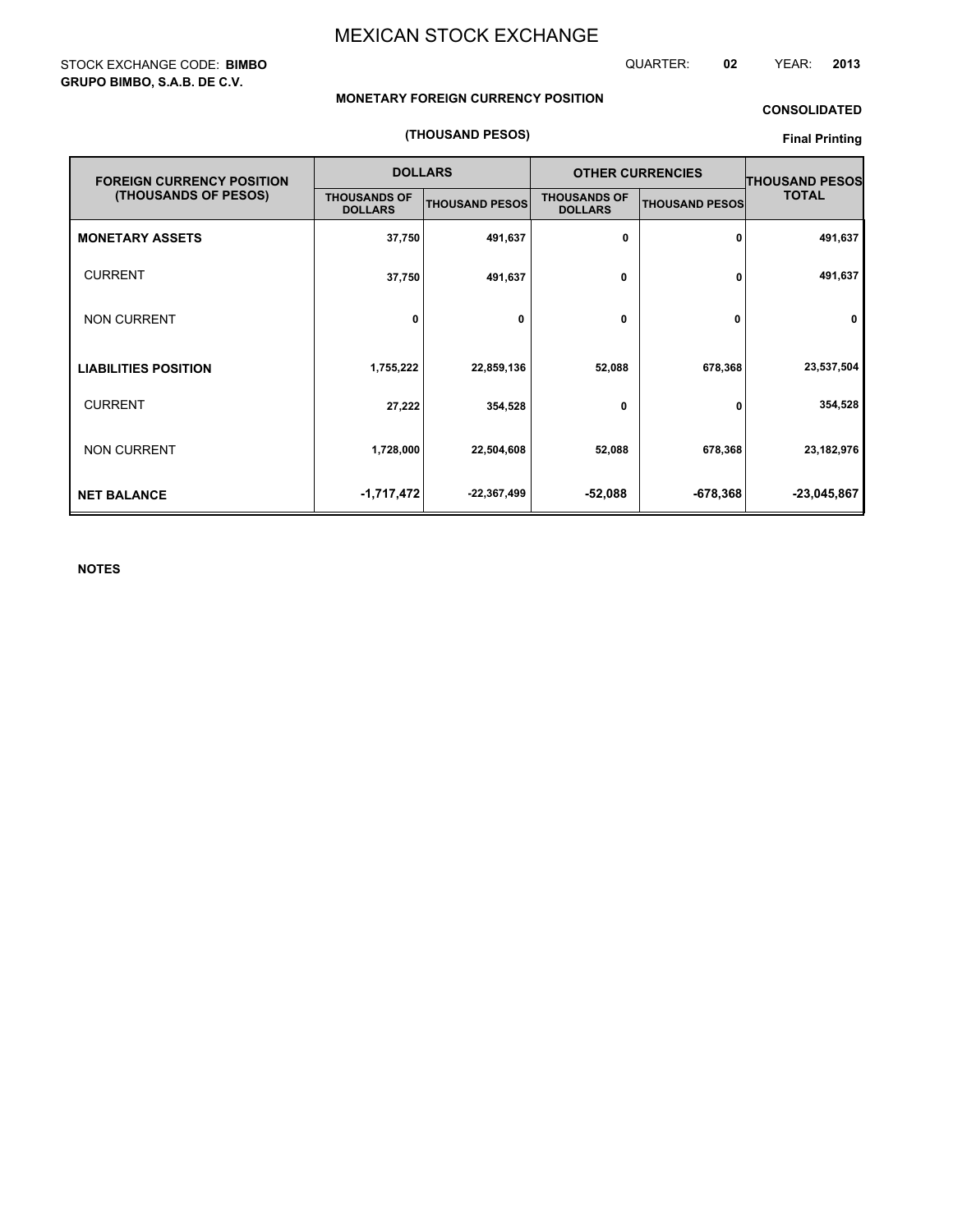QUARTER: **02** YEAR: **2013**

#### **MONETARY FOREIGN CURRENCY POSITION**

#### **CONSOLIDATED**

#### **(THOUSAND PESOS)**

#### **OTHER CURRENCIES MONETARY ASSETS LIABILITIES POSITION** CURRENT **NET BALANCE** NON CURRENT **FOREIGN CURRENCY POSITION (THOUSANDS OF PESOS) THOUSANDS OF THOUSAND PESOS** THOUSANDS OF **DOLLARS 37,750 27,222 1,728,000 22,504,608 1,755,222 22,859,136 52,088 678,368 491,637 23,537,504 354,528 23,182,976 -1,717,472 -22,367,499 -52,088 -678,368 -23,045,867 DOLLARS 491,637 0 0 52,088 678,368 354,528 0 0 THOUSAND PESOS THOUSAND PESOS TOTAL** CURRENT **37,750 491,637 0 0 491,637** NON CURRENT **0 0 0 0 0**

**NOTES**

#### STOCK EXCHANGE CODE: **BIMBO GRUPO BIMBO, S.A.B. DE C.V.**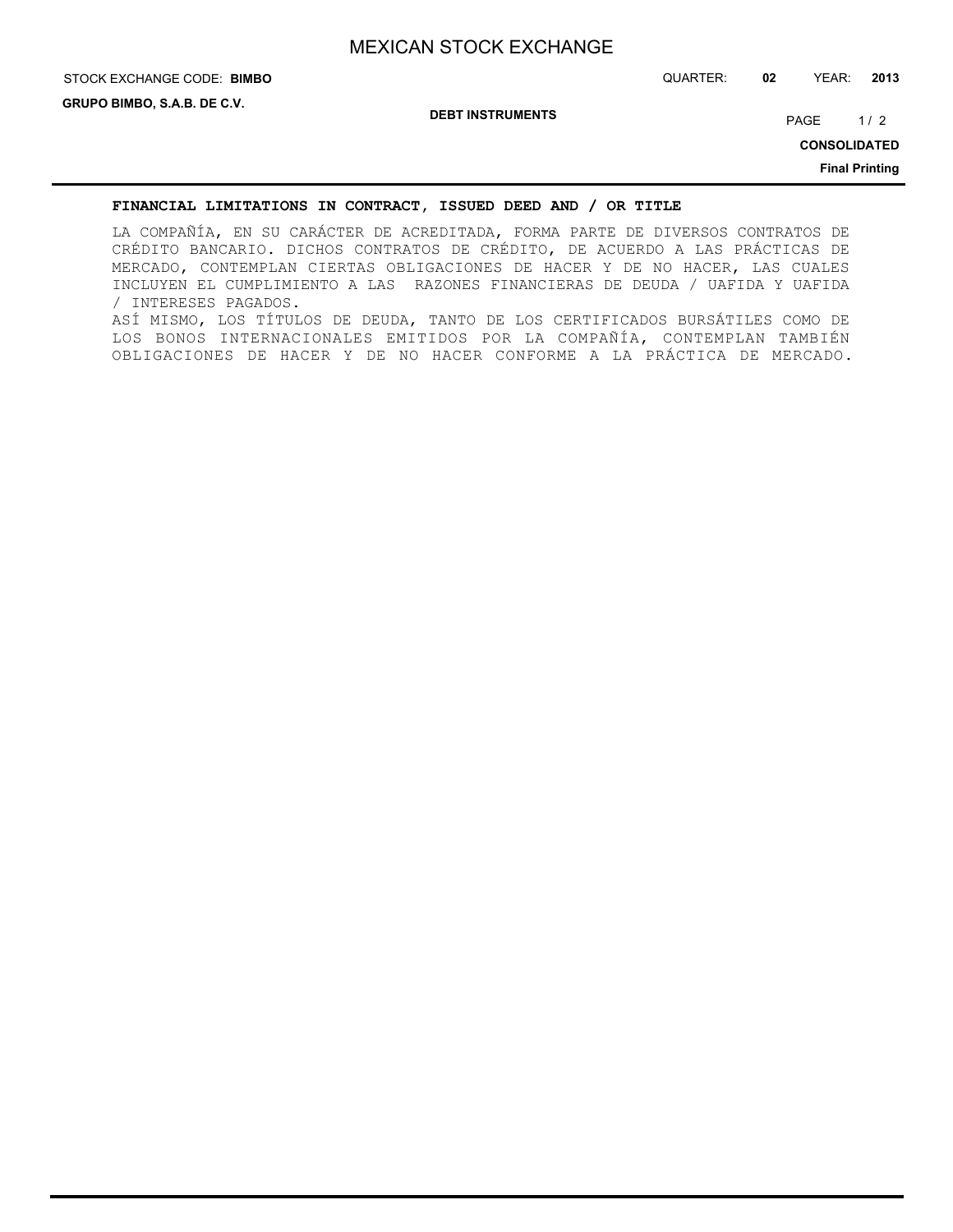## STOCK EXCHANGE CODE: QUARTER: **02** YEAR: **2013 BIMBO**

**DEBT INSTRUMENTS**

PAGE 1/2

**CONSOLIDATED**

**Final Printing**

#### **FINANCIAL LIMITATIONS IN CONTRACT, ISSUED DEED AND / OR TITLE**

LA COMPAÑÍA, EN SU CARÁCTER DE ACREDITADA, FORMA PARTE DE DIVERSOS CONTRATOS DE CRÉDITO BANCARIO. DICHOS CONTRATOS DE CRÉDITO, DE ACUERDO A LAS PRÁCTICAS DE MERCADO, CONTEMPLAN CIERTAS OBLIGACIONES DE HACER Y DE NO HACER, LAS CUALES INCLUYEN EL CUMPLIMIENTO A LAS RAZONES FINANCIERAS DE DEUDA / UAFIDA Y UAFIDA / INTERESES PAGADOS. ASÍ MISMO, LOS TÍTULOS DE DEUDA, TANTO DE LOS CERTIFICADOS BURSÁTILES COMO DE LOS BONOS INTERNACIONALES EMITIDOS POR LA COMPAÑÍA, CONTEMPLAN TAMBIÉN OBLIGACIONES DE HACER Y DE NO HACER CONFORME A LA PRÁCTICA DE MERCADO.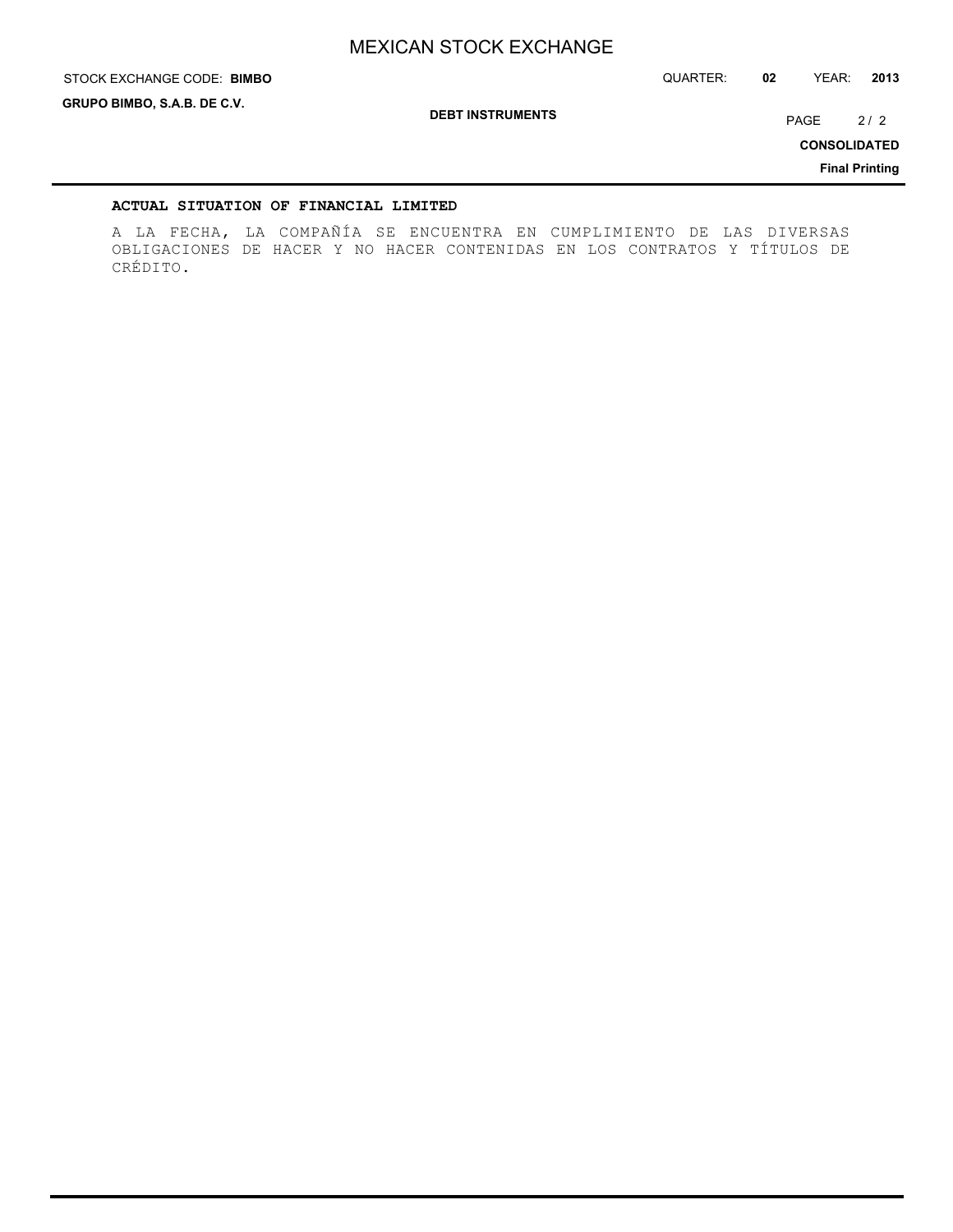STOCK EXCHANGE CODE: QUARTER: **02** YEAR: **2013 BIMBO**

**GRUPO BIMBO, S.A.B. DE C.V.**

**DEBT INSTRUMENTS**

PAGE 2/2

**CONSOLIDATED**

**Final Printing**

#### **ACTUAL SITUATION OF FINANCIAL LIMITED**

A LA FECHA, LA COMPAÑÍA SE ENCUENTRA EN CUMPLIMIENTO DE LAS DIVERSAS OBLIGACIONES DE HACER Y NO HACER CONTENIDAS EN LOS CONTRATOS Y TÍTULOS DE CRÉDITO.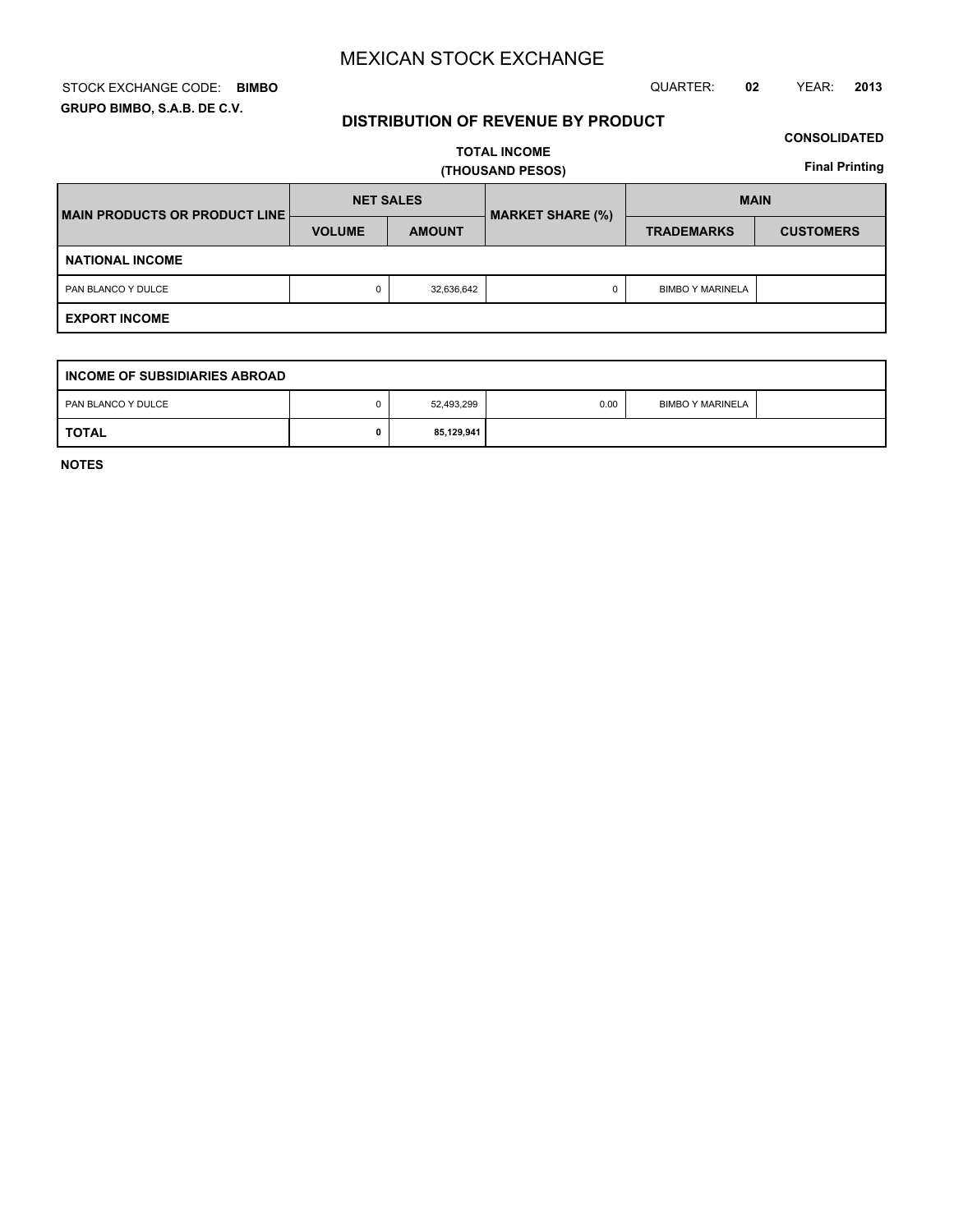#### STOCK EXCHANGE CODE: QUARTER: **02** YEAR: **2013 BIMBO GRUPO BIMBO, S.A.B. DE C.V.**

#### **DISTRIBUTION OF REVENUE BY PRODUCT**

#### **CONSOLIDATED**

**TOTAL INCOME (THOUSAND PESOS)**

**Final Printing**

| <b>IMAIN PRODUCTS OR PRODUCT LINE!</b> | <b>NET SALES</b> |               | <b>MARKET SHARE (%)</b> | <b>MAIN</b>             |                  |  |  |  |  |  |  |
|----------------------------------------|------------------|---------------|-------------------------|-------------------------|------------------|--|--|--|--|--|--|
|                                        | <b>VOLUME</b>    | <b>AMOUNT</b> |                         | <b>TRADEMARKS</b>       | <b>CUSTOMERS</b> |  |  |  |  |  |  |
| <b>NATIONAL INCOME</b>                 |                  |               |                         |                         |                  |  |  |  |  |  |  |
| PAN BLANCO Y DULCE                     | 0                | 32,636,642    | 0                       | <b>BIMBO Y MARINELA</b> |                  |  |  |  |  |  |  |
| <b>EXPORT INCOME</b>                   |                  |               |                         |                         |                  |  |  |  |  |  |  |

| INCOME OF SUBSIDIARIES ABROAD |  |            |      |                         |  |  |  |  |  |  |  |
|-------------------------------|--|------------|------|-------------------------|--|--|--|--|--|--|--|
| PAN BLANCO Y DULCE            |  | 52,493,299 | 0.00 | <b>BIMBO Y MARINELA</b> |  |  |  |  |  |  |  |
| <b>TOTAL</b>                  |  | 85,129,941 |      |                         |  |  |  |  |  |  |  |

**NOTES**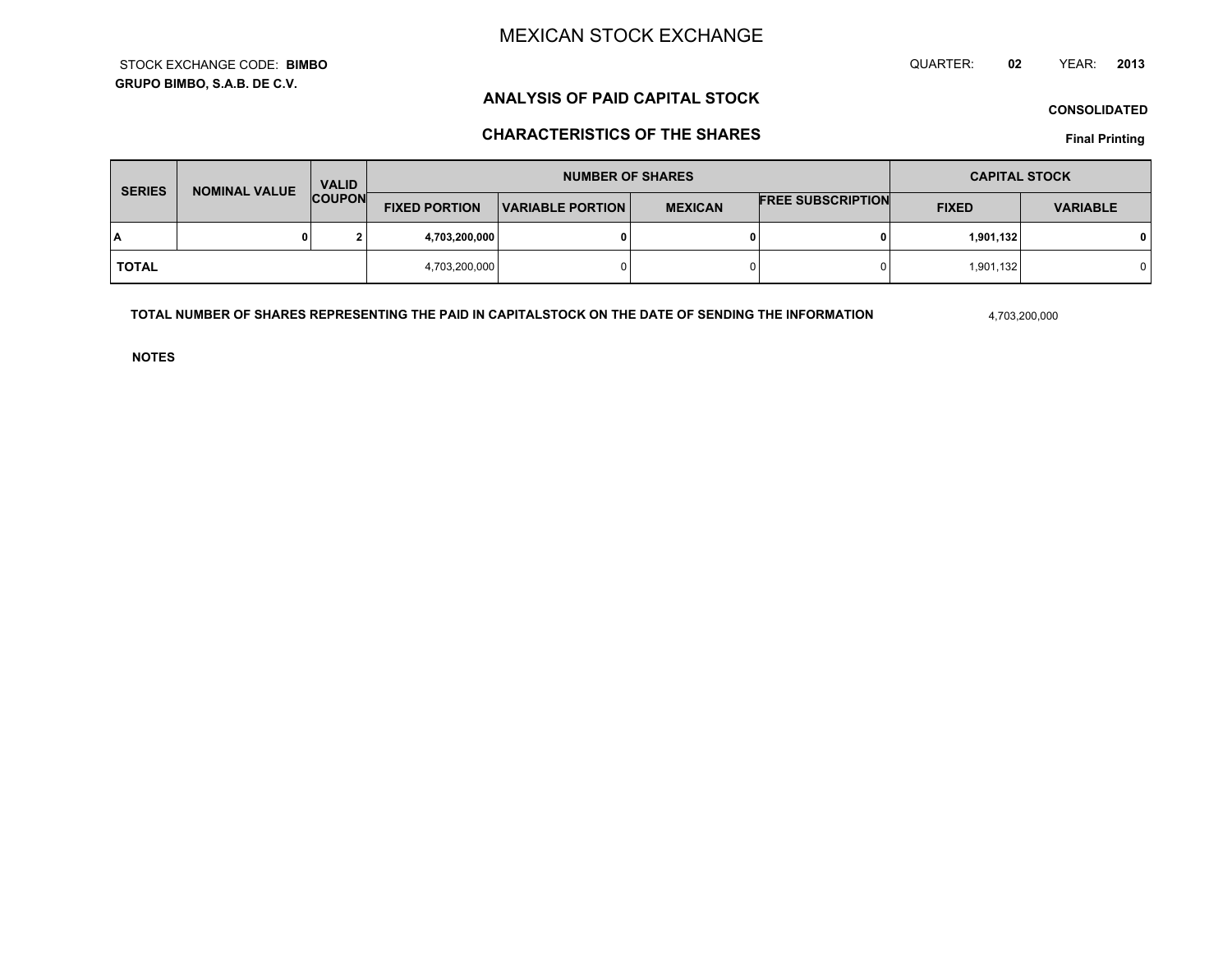**GRUPO BIMBO, S.A.B. DE C.V.**STOCK EXCHANGE CODE:**BIMBO** QUARTER: **02**YEAR: **<sup>2013</sup>**

### **ANALYSIS OF PAID CAPITAL STOCK**

**CONSOLIDATED**

### **CHARACTERISTICS OF THE SHARES**

**Final Printing**

| <b>SERIES</b> | <b>NOMINAL VALUE</b> | <b>VALID</b><br><b>COUPON</b> |                      | <b>NUMBER OF SHARES</b> | <b>CAPITAL STOCK</b> |                          |              |                 |
|---------------|----------------------|-------------------------------|----------------------|-------------------------|----------------------|--------------------------|--------------|-----------------|
|               |                      |                               | <b>FIXED PORTION</b> | <b>VARIABLE PORTION</b> | <b>MEXICAN</b>       | <b>FREE SUBSCRIPTION</b> | <b>FIXED</b> | <b>VARIABLE</b> |
| I٨            |                      | ໍ                             | 4,703,200,000        |                         | 0                    |                          | 1,901,132    |                 |
| <b>TOTAL</b>  |                      |                               | 4,703,200,000        |                         | $\Omega$             |                          | 1,901,132    |                 |

**TOTAL NUMBER OF SHARES REPRESENTING THE PAID IN CAPITALSTOCK ON THE DATE OF SENDING THE INFORMATION**

4,703,200,000

**NOTES**